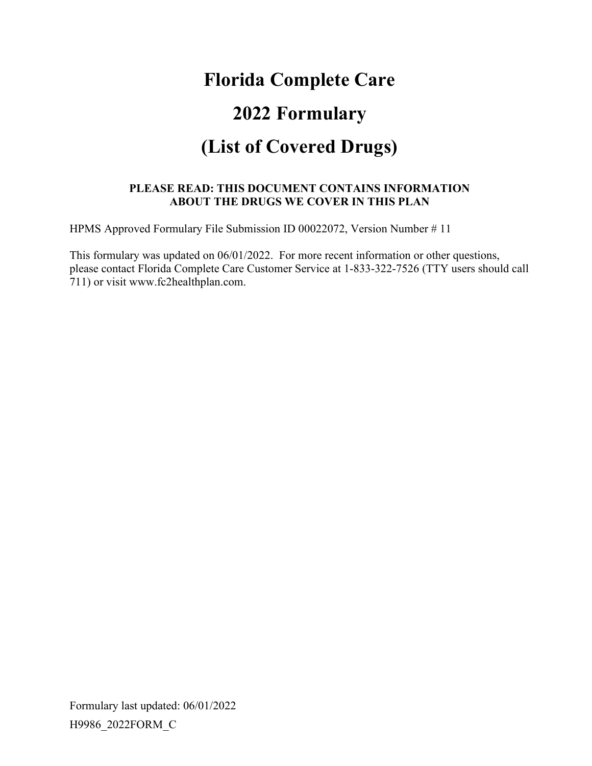# **Florida Complete Care 2022 Formulary (List of Covered Drugs)**

#### **PLEASE READ: THIS DOCUMENT CONTAINS INFORMATION ABOUT THE DRUGS WE COVER IN THIS PLAN**

HPMS Approved Formulary File Submission ID 00022072, Version Number # 11

This formulary was updated on 06/01/2022. For more recent information or other questions, please contact Florida Complete Care Customer Service at 1-833-322-7526 (TTY users should call 711) or visit www.fc2healthplan.com.

Formulary last updated: 06/01/2022 H9986\_2022FORM\_C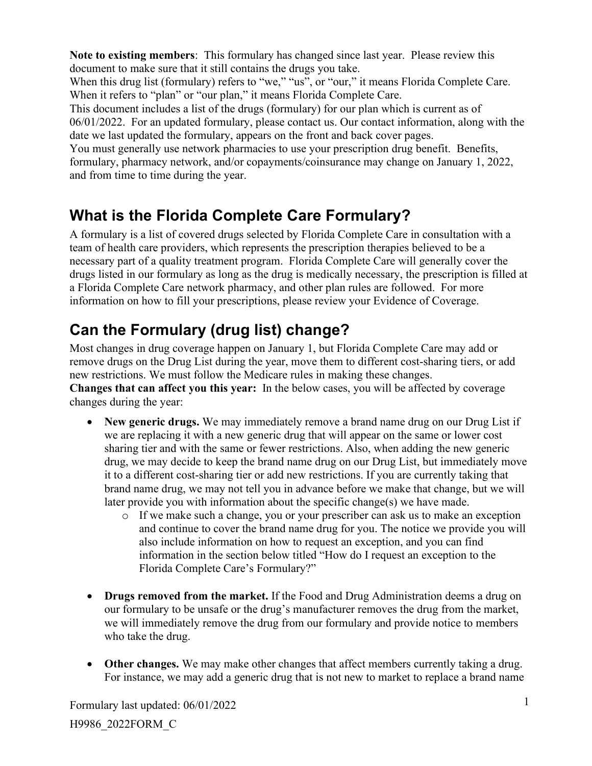**Note to existing members**: This formulary has changed since last year. Please review this document to make sure that it still contains the drugs you take.

When this drug list (formulary) refers to "we," "us", or "our," it means Florida Complete Care. When it refers to "plan" or "our plan," it means Florida Complete Care.

This document includes a list of the drugs (formulary) for our plan which is current as of 06/01/2022. For an updated formulary, please contact us. Our contact information, along with the date we last updated the formulary, appears on the front and back cover pages.

You must generally use network pharmacies to use your prescription drug benefit. Benefits, formulary, pharmacy network, and/or copayments/coinsurance may change on January 1, 2022, and from time to time during the year.

# **What is the Florida Complete Care Formulary?**

A formulary is a list of covered drugs selected by Florida Complete Care in consultation with a team of health care providers, which represents the prescription therapies believed to be a necessary part of a quality treatment program. Florida Complete Care will generally cover the drugs listed in our formulary as long as the drug is medically necessary, the prescription is filled at a Florida Complete Care network pharmacy, and other plan rules are followed. For more information on how to fill your prescriptions, please review your Evidence of Coverage.

# **Can the Formulary (drug list) change?**

Most changes in drug coverage happen on January 1, but Florida Complete Care may add or remove drugs on the Drug List during the year, move them to different cost-sharing tiers, or add new restrictions. We must follow the Medicare rules in making these changes. **Changes that can affect you this year:** In the below cases, you will be affected by coverage changes during the year:

- **New generic drugs.** We may immediately remove a brand name drug on our Drug List if we are replacing it with a new generic drug that will appear on the same or lower cost sharing tier and with the same or fewer restrictions. Also, when adding the new generic drug, we may decide to keep the brand name drug on our Drug List, but immediately move it to a different cost-sharing tier or add new restrictions. If you are currently taking that brand name drug, we may not tell you in advance before we make that change, but we will later provide you with information about the specific change(s) we have made.
	- $\circ$  If we make such a change, you or your prescriber can ask us to make an exception and continue to cover the brand name drug for you. The notice we provide you will also include information on how to request an exception, and you can find information in the section below titled "How do I request an exception to the Florida Complete Care's Formulary?"
- **Drugs removed from the market.** If the Food and Drug Administration deems a drug on our formulary to be unsafe or the drug's manufacturer removes the drug from the market, we will immediately remove the drug from our formulary and provide notice to members who take the drug.
- **Other changes.** We may make other changes that affect members currently taking a drug. For instance, we may add a generic drug that is not new to market to replace a brand name

Formulary last updated: 06/01/2022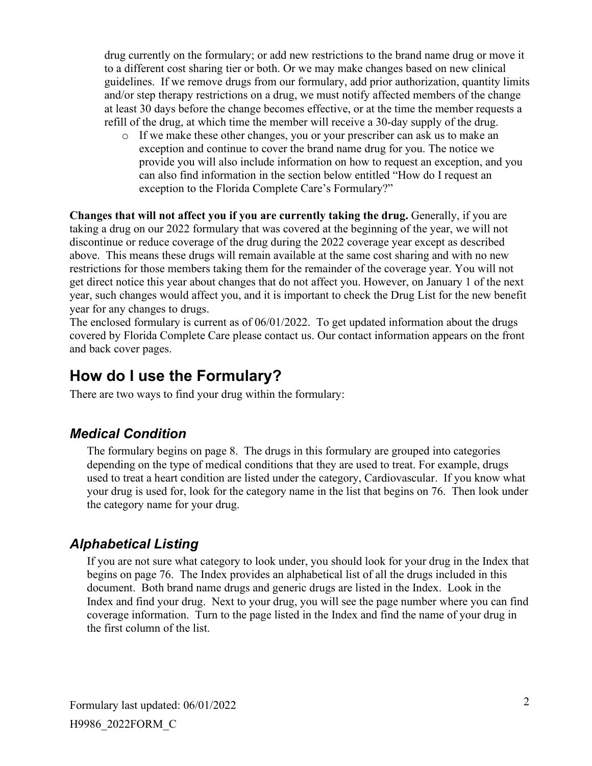drug currently on the formulary; or add new restrictions to the brand name drug or move it to a different cost sharing tier or both. Or we may make changes based on new clinical guidelines. If we remove drugs from our formulary, add prior authorization, quantity limits and/or step therapy restrictions on a drug, we must notify affected members of the change at least 30 days before the change becomes effective, or at the time the member requests a refill of the drug, at which time the member will receive a 30-day supply of the drug.

o If we make these other changes, you or your prescriber can ask us to make an exception and continue to cover the brand name drug for you. The notice we provide you will also include information on how to request an exception, and you can also find information in the section below entitled "How do I request an exception to the Florida Complete Care's Formulary?"

**Changes that will not affect you if you are currently taking the drug.** Generally, if you are taking a drug on our 2022 formulary that was covered at the beginning of the year, we will not discontinue or reduce coverage of the drug during the 2022 coverage year except as described above. This means these drugs will remain available at the same cost sharing and with no new restrictions for those members taking them for the remainder of the coverage year. You will not get direct notice this year about changes that do not affect you. However, on January 1 of the next year, such changes would affect you, and it is important to check the Drug List for the new benefit year for any changes to drugs.

The enclosed formulary is current as of 06/01/2022. To get updated information about the drugs covered by Florida Complete Care please contact us. Our contact information appears on the front and back cover pages.

### **How do I use the Formulary?**

There are two ways to find your drug within the formulary:

#### *Medical Condition*

The formulary begins on page 8. The drugs in this formulary are grouped into categories depending on the type of medical conditions that they are used to treat. For example, drugs used to treat a heart condition are listed under the category, Cardiovascular. If you know what your drug is used for, look for the category name in the list that begins on 76. Then look under the category name for your drug.

#### *Alphabetical Listing*

If you are not sure what category to look under, you should look for your drug in the Index that begins on page 76. The Index provides an alphabetical list of all the drugs included in this document. Both brand name drugs and generic drugs are listed in the Index. Look in the Index and find your drug. Next to your drug, you will see the page number where you can find coverage information. Turn to the page listed in the Index and find the name of your drug in the first column of the list.

Formulary last updated: 06/01/2022 H9986\_2022FORM\_C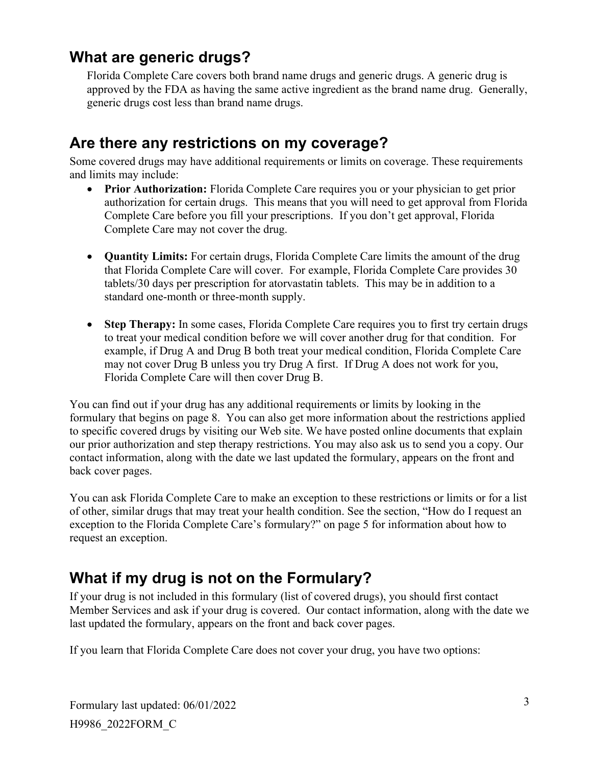### **What are generic drugs?**

Florida Complete Care covers both brand name drugs and generic drugs. A generic drug is approved by the FDA as having the same active ingredient as the brand name drug. Generally, generic drugs cost less than brand name drugs.

## **Are there any restrictions on my coverage?**

Some covered drugs may have additional requirements or limits on coverage. These requirements and limits may include:

- **Prior Authorization:** Florida Complete Care requires you or your physician to get prior authorization for certain drugs. This means that you will need to get approval from Florida Complete Care before you fill your prescriptions. If you don't get approval, Florida Complete Care may not cover the drug.
- **Quantity Limits:** For certain drugs, Florida Complete Care limits the amount of the drug that Florida Complete Care will cover. For example, Florida Complete Care provides 30 tablets/30 days per prescription for atorvastatin tablets. This may be in addition to a standard one-month or three-month supply.
- **Step Therapy:** In some cases, Florida Complete Care requires you to first try certain drugs to treat your medical condition before we will cover another drug for that condition. For example, if Drug A and Drug B both treat your medical condition, Florida Complete Care may not cover Drug B unless you try Drug A first. If Drug A does not work for you, Florida Complete Care will then cover Drug B.

You can find out if your drug has any additional requirements or limits by looking in the formulary that begins on page 8. You can also get more information about the restrictions applied to specific covered drugs by visiting our Web site. We have posted online documents that explain our prior authorization and step therapy restrictions. You may also ask us to send you a copy. Our contact information, along with the date we last updated the formulary, appears on the front and back cover pages.

You can ask Florida Complete Care to make an exception to these restrictions or limits or for a list of other, similar drugs that may treat your health condition. See the section, "How do I request an exception to the Florida Complete Care's formulary?" on page 5 for information about how to request an exception.

# **What if my drug is not on the Formulary?**

If your drug is not included in this formulary (list of covered drugs), you should first contact Member Services and ask if your drug is covered. Our contact information, along with the date we last updated the formulary, appears on the front and back cover pages.

If you learn that Florida Complete Care does not cover your drug, you have two options:

Formulary last updated: 06/01/2022 H9986\_2022FORM\_C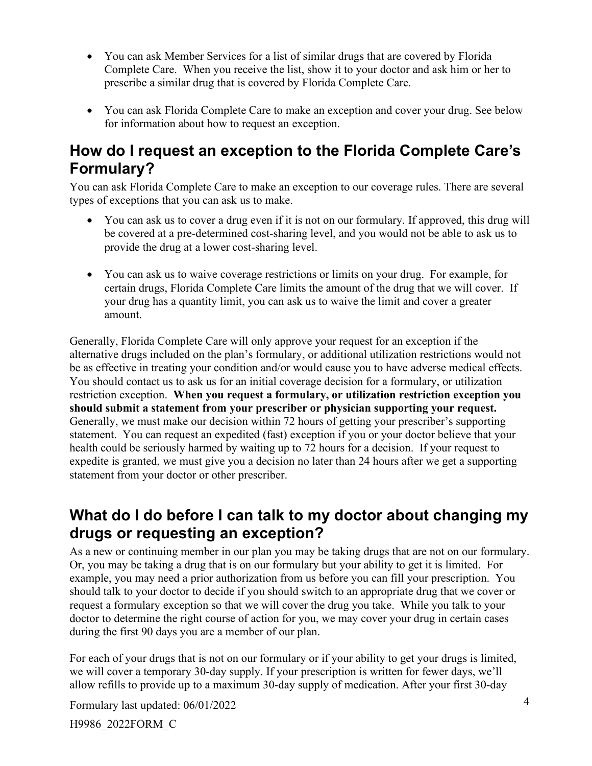- You can ask Member Services for a list of similar drugs that are covered by Florida Complete Care. When you receive the list, show it to your doctor and ask him or her to prescribe a similar drug that is covered by Florida Complete Care.
- You can ask Florida Complete Care to make an exception and cover your drug. See below for information about how to request an exception.

## **How do I request an exception to the Florida Complete Care's Formulary?**

You can ask Florida Complete Care to make an exception to our coverage rules. There are several types of exceptions that you can ask us to make.

- You can ask us to cover a drug even if it is not on our formulary. If approved, this drug will be covered at a pre-determined cost-sharing level, and you would not be able to ask us to provide the drug at a lower cost-sharing level.
- You can ask us to waive coverage restrictions or limits on your drug. For example, for certain drugs, Florida Complete Care limits the amount of the drug that we will cover. If your drug has a quantity limit, you can ask us to waive the limit and cover a greater amount.

Generally, Florida Complete Care will only approve your request for an exception if the alternative drugs included on the plan's formulary, or additional utilization restrictions would not be as effective in treating your condition and/or would cause you to have adverse medical effects. You should contact us to ask us for an initial coverage decision for a formulary, or utilization restriction exception. **When you request a formulary, or utilization restriction exception you should submit a statement from your prescriber or physician supporting your request.** Generally, we must make our decision within 72 hours of getting your prescriber's supporting statement. You can request an expedited (fast) exception if you or your doctor believe that your health could be seriously harmed by waiting up to 72 hours for a decision. If your request to expedite is granted, we must give you a decision no later than 24 hours after we get a supporting statement from your doctor or other prescriber.

### **What do I do before I can talk to my doctor about changing my drugs or requesting an exception?**

As a new or continuing member in our plan you may be taking drugs that are not on our formulary. Or, you may be taking a drug that is on our formulary but your ability to get it is limited. For example, you may need a prior authorization from us before you can fill your prescription. You should talk to your doctor to decide if you should switch to an appropriate drug that we cover or request a formulary exception so that we will cover the drug you take. While you talk to your doctor to determine the right course of action for you, we may cover your drug in certain cases during the first 90 days you are a member of our plan.

For each of your drugs that is not on our formulary or if your ability to get your drugs is limited, we will cover a temporary 30-day supply. If your prescription is written for fewer days, we'll allow refills to provide up to a maximum 30-day supply of medication. After your first 30-day

Formulary last updated: 06/01/2022

H9986\_2022FORM\_C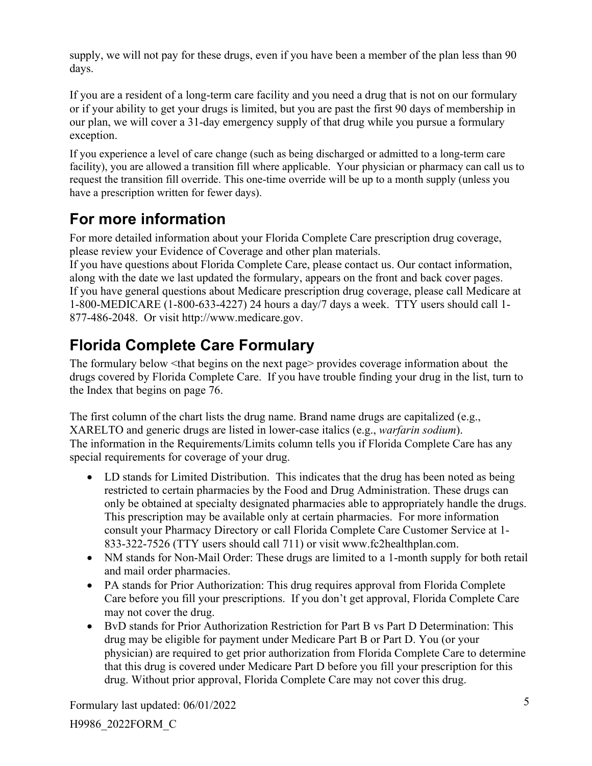supply, we will not pay for these drugs, even if you have been a member of the plan less than 90 days.

If you are a resident of a long-term care facility and you need a drug that is not on our formulary or if your ability to get your drugs is limited, but you are past the first 90 days of membership in our plan, we will cover a 31-day emergency supply of that drug while you pursue a formulary exception.

If you experience a level of care change (such as being discharged or admitted to a long-term care facility), you are allowed a transition fill where applicable. Your physician or pharmacy can call us to request the transition fill override. This one-time override will be up to a month supply (unless you have a prescription written for fewer days).

# **For more information**

For more detailed information about your Florida Complete Care prescription drug coverage, please review your Evidence of Coverage and other plan materials.

If you have questions about Florida Complete Care, please contact us. Our contact information, along with the date we last updated the formulary, appears on the front and back cover pages. If you have general questions about Medicare prescription drug coverage, please call Medicare at 1-800-MEDICARE (1-800-633-4227) 24 hours a day/7 days a week. TTY users should call 1- 877-486-2048. Or visit http://www.medicare.gov.

# **Florida Complete Care Formulary**

The formulary below <that begins on the next page> provides coverage information about the drugs covered by Florida Complete Care. If you have trouble finding your drug in the list, turn to the Index that begins on page 76.

The first column of the chart lists the drug name. Brand name drugs are capitalized (e.g., XARELTO and generic drugs are listed in lower-case italics (e.g., *warfarin sodium*). The information in the Requirements/Limits column tells you if Florida Complete Care has any special requirements for coverage of your drug.

- LD stands for Limited Distribution. This indicates that the drug has been noted as being restricted to certain pharmacies by the Food and Drug Administration. These drugs can only be obtained at specialty designated pharmacies able to appropriately handle the drugs. This prescription may be available only at certain pharmacies. For more information consult your Pharmacy Directory or call Florida Complete Care Customer Service at 1- 833-322-7526 (TTY users should call 711) or visit www.fc2healthplan.com.
- NM stands for Non-Mail Order: These drugs are limited to a 1-month supply for both retail and mail order pharmacies.
- PA stands for Prior Authorization: This drug requires approval from Florida Complete Care before you fill your prescriptions. If you don't get approval, Florida Complete Care may not cover the drug.
- BvD stands for Prior Authorization Restriction for Part B vs Part D Determination: This drug may be eligible for payment under Medicare Part B or Part D. You (or your physician) are required to get prior authorization from Florida Complete Care to determine that this drug is covered under Medicare Part D before you fill your prescription for this drug. Without prior approval, Florida Complete Care may not cover this drug.

Formulary last updated: 06/01/2022

H9986\_2022FORM\_C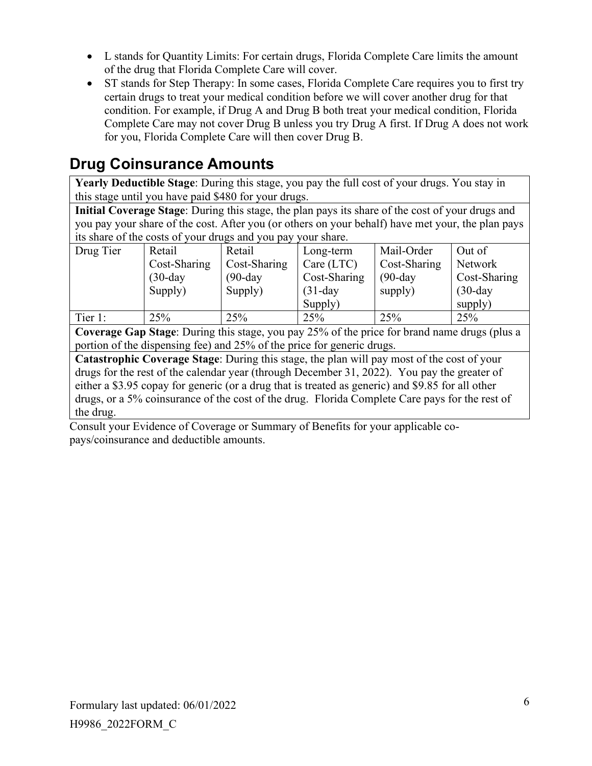- L stands for Quantity Limits: For certain drugs, Florida Complete Care limits the amount of the drug that Florida Complete Care will cover.
- ST stands for Step Therapy: In some cases, Florida Complete Care requires you to first try certain drugs to treat your medical condition before we will cover another drug for that condition. For example, if Drug A and Drug B both treat your medical condition, Florida Complete Care may not cover Drug B unless you try Drug A first. If Drug A does not work for you, Florida Complete Care will then cover Drug B.

# **Drug Coinsurance Amounts**

**Yearly Deductible Stage**: During this stage, you pay the full cost of your drugs. You stay in this stage until you have paid \$480 for your drugs.

**Initial Coverage Stage**: During this stage, the plan pays its share of the cost of your drugs and you pay your share of the cost. After you (or others on your behalf) have met your, the plan pays its share of the costs of your drugs and you pay your share.

| Drug Tier | Retail       | Retail       | Long-term    | Mail-Order   | Out of       |
|-----------|--------------|--------------|--------------|--------------|--------------|
|           | Cost-Sharing | Cost-Sharing | Care (LTC)   | Cost-Sharing | Network      |
|           | $(30-day)$   | $(90$ -day   | Cost-Sharing | $(90$ -day   | Cost-Sharing |
|           | Supply)      | Supply)      | $(31-day)$   | supply)      | $(30-day)$   |
|           |              |              | Supply)      |              | supply)      |
| Tier 1:   | 25%          | 25%          | 25%          | 25%          | 25%          |

**Coverage Gap Stage**: During this stage, you pay 25% of the price for brand name drugs (plus a portion of the dispensing fee) and 25% of the price for generic drugs.

**Catastrophic Coverage Stage**: During this stage, the plan will pay most of the cost of your drugs for the rest of the calendar year (through December 31, 2022). You pay the greater of either a \$3.95 copay for generic (or a drug that is treated as generic) and \$9.85 for all other drugs, or a 5% coinsurance of the cost of the drug. Florida Complete Care pays for the rest of the drug.

Consult your Evidence of Coverage or Summary of Benefits for your applicable copays/coinsurance and deductible amounts.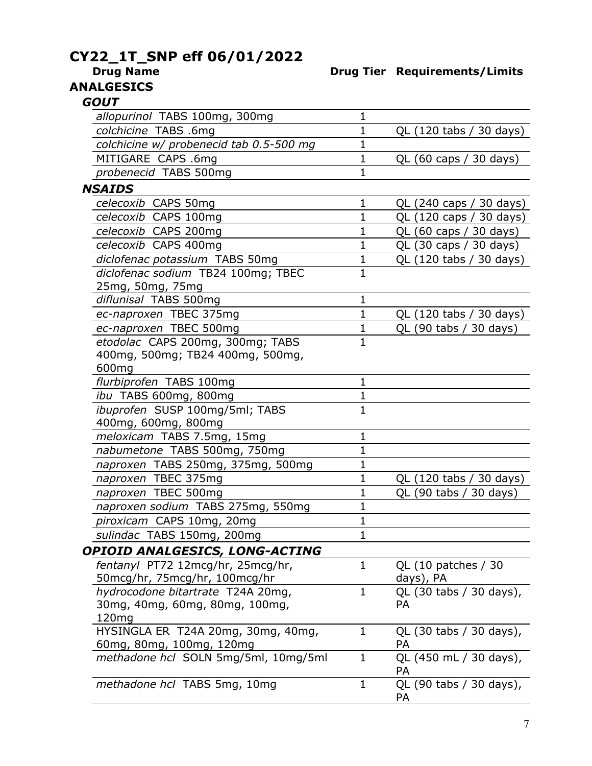# **CY22\_1T\_SNP eff 06/01/2022**

#### **Drug Name Drug Tier Requirements/Limits**

# **ANALGESICS**

| <i><b>GOUT</b></i>                      |              |                                      |
|-----------------------------------------|--------------|--------------------------------------|
| allopurinol TABS 100mg, 300mg           | 1            |                                      |
| colchicine TABS .6mg                    | 1            | QL (120 tabs / 30 days)              |
| colchicine w/ probenecid tab 0.5-500 mg | 1            |                                      |
| MITIGARE CAPS .6mg                      | 1            | QL (60 caps / 30 days)               |
| probenecid TABS 500mg                   | 1            |                                      |
| <b>NSAIDS</b>                           |              |                                      |
| celecoxib CAPS 50mg                     | $\mathbf 1$  | QL (240 caps / 30 days)              |
| celecoxib CAPS 100mg                    | 1            | QL (120 caps / 30 days)              |
| celecoxib CAPS 200mg                    | 1            | QL (60 caps / 30 days)               |
| celecoxib CAPS 400mg                    | 1            | QL (30 caps / 30 days)               |
| diclofenac potassium TABS 50mg          | 1            | QL (120 tabs / 30 days)              |
| diclofenac sodium TB24 100mg; TBEC      | $\mathbf{1}$ |                                      |
| 25mg, 50mg, 75mg                        |              |                                      |
| diflunisal TABS 500mg                   | 1            |                                      |
| ec-naproxen TBEC 375mg                  | $\mathbf 1$  | QL (120 tabs / 30 days)              |
| ec-naproxen TBEC 500mg                  | 1            | QL (90 tabs / 30 days)               |
| etodolac CAPS 200mg, 300mg; TABS        | $\mathbf 1$  |                                      |
| 400mg, 500mg; TB24 400mg, 500mg,        |              |                                      |
| 600mg                                   |              |                                      |
| flurbiprofen TABS 100mg                 | 1            |                                      |
| ibu TABS 600mg, 800mg                   | 1            |                                      |
| ibuprofen SUSP 100mg/5ml; TABS          | $\mathbf{1}$ |                                      |
| 400mg, 600mg, 800mg                     |              |                                      |
| meloxicam TABS 7.5mg, 15mg              | 1            |                                      |
| nabumetone TABS 500mg, 750mg            | 1            |                                      |
| naproxen TABS 250mg, 375mg, 500mg       | 1            |                                      |
| naproxen TBEC 375mg                     | 1            | QL (120 tabs / 30 days)              |
| naproxen TBEC 500mg                     | 1            | QL (90 tabs / 30 days)               |
| naproxen sodium TABS 275mg, 550mg       | 1            |                                      |
| piroxicam CAPS 10mg, 20mg               | 1            |                                      |
| sulindac TABS 150mg, 200mg              | T            |                                      |
| OPIOID ANALGESICS, LONG-ACTING          |              |                                      |
| fentanyl PT72 12mcg/hr, 25mcg/hr,       | 1            | QL (10 patches / 30                  |
| 50mcg/hr, 75mcg/hr, 100mcg/hr           |              | days), PA                            |
| hydrocodone bitartrate T24A 20mg,       | $\mathbf{1}$ | QL (30 tabs / 30 days),              |
| 30mg, 40mg, 60mg, 80mg, 100mg,          |              | PA                                   |
| 120mg                                   |              |                                      |
| HYSINGLA ER T24A 20mg, 30mg, 40mg,      | $\mathbf 1$  | QL (30 tabs / 30 days),              |
| 60mg, 80mg, 100mg, 120mg                |              | PA                                   |
| methadone hcl SOLN 5mg/5ml, 10mg/5ml    | $\mathbf 1$  | QL (450 mL / 30 days),<br><b>PA</b>  |
| methadone hcl TABS 5mg, 10mg            | $\mathbf{1}$ | QL (90 tabs / 30 days),<br><b>PA</b> |
|                                         |              |                                      |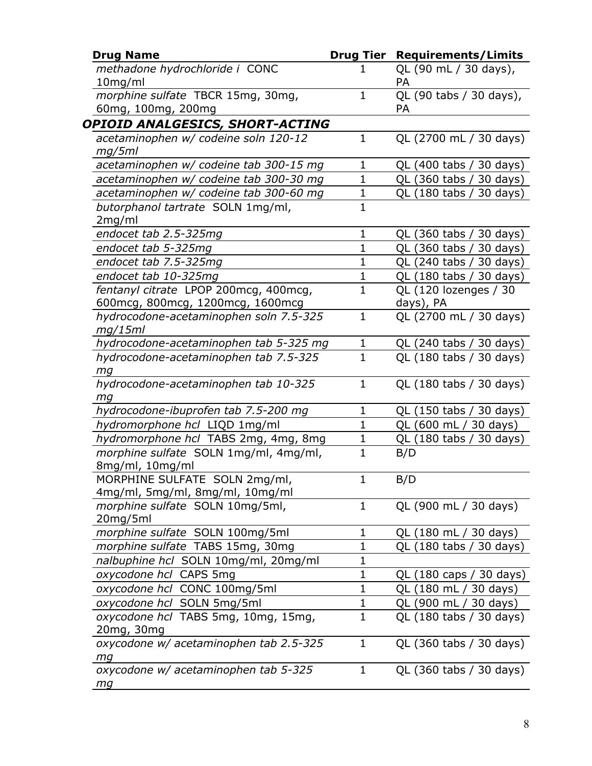| <b>Drug Name</b>                                                              |              | <b>Drug Tier Requirements/Limits</b> |
|-------------------------------------------------------------------------------|--------------|--------------------------------------|
| methadone hydrochloride i CONC<br>$10$ mg/ml                                  |              | QL (90 mL / 30 days),<br>РA          |
| morphine sulfate TBCR 15mg, 30mg,<br>60mg, 100mg, 200mg                       | $\mathbf{1}$ | QL (90 tabs / 30 days),<br>PA        |
| OPIOID ANALGESICS, SHORT-ACTING                                               |              |                                      |
| acetaminophen w/ codeine soln 120-12<br>mg/5ml                                | 1            | QL (2700 mL / 30 days)               |
| acetaminophen w/ codeine tab 300-15 mg                                        | 1            | QL (400 tabs / 30 days)              |
| acetaminophen w/ codeine tab 300-30 mg                                        | $\mathbf 1$  | QL (360 tabs / 30 days)              |
| acetaminophen w/ codeine tab 300-60 mg                                        | $\mathbf 1$  | QL (180 tabs / 30 days)              |
| butorphanol tartrate SOLN 1mg/ml,<br>2mg/ml                                   | $\mathbf 1$  |                                      |
| endocet tab 2.5-325mg                                                         | $\mathbf 1$  | QL (360 tabs / 30 days)              |
| endocet tab 5-325mg                                                           | 1            | QL (360 tabs / 30 days)              |
| endocet tab 7.5-325mg                                                         | $\mathbf{1}$ | QL (240 tabs / 30 days)              |
| endocet tab 10-325mg                                                          | 1            | QL (180 tabs / 30 days)              |
| fentanyl citrate LPOP 200mcg, 400mcg,<br>600 mcg, 800 mcg, 1200 mcg, 1600 mcg | $\mathbf{1}$ | QL (120 lozenges / 30<br>days), PA   |
| hydrocodone-acetaminophen soln 7.5-325<br>mg/15ml                             | $\mathbf{1}$ | QL (2700 mL / 30 days)               |
| hydrocodone-acetaminophen tab 5-325 mg                                        | $\mathbf 1$  | QL (240 tabs / 30 days)              |
| hydrocodone-acetaminophen tab 7.5-325<br>mg                                   | $\mathbf{1}$ | QL (180 tabs / 30 days)              |
| hydrocodone-acetaminophen tab 10-325<br>mg                                    | $\mathbf 1$  | QL (180 tabs / 30 days)              |
| hydrocodone-ibuprofen tab 7.5-200 mg                                          | 1            | QL (150 tabs / 30 days)              |
| hydromorphone hcl LIQD 1mg/ml                                                 | $\mathbf{1}$ | QL (600 mL / 30 days)                |
| hydromorphone hcl TABS 2mg, 4mg, 8mg                                          | 1            | QL (180 tabs / 30 days)              |
| morphine sulfate SOLN 1mg/ml, 4mg/ml,<br>8mg/ml, 10mg/ml                      | $\mathbf 1$  | B/D                                  |
| MORPHINE SULFATE SOLN 2mg/ml,<br>4mg/ml, 5mg/ml, 8mg/ml, 10mg/ml              | 1            | B/D                                  |
| morphine sulfate SOLN 10mg/5ml,<br>20mg/5ml                                   | 1            | QL (900 mL / 30 days)                |
| morphine sulfate SOLN 100mg/5ml                                               | 1            | QL (180 mL / 30 days)                |
| morphine sulfate TABS 15mg, 30mg                                              | $\mathbf 1$  | QL (180 tabs / 30 days)              |
| nalbuphine hcl SOLN 10mg/ml, 20mg/ml                                          | 1            |                                      |
| oxycodone hcl CAPS 5mg                                                        | 1            | QL (180 caps / 30 days)              |
| oxycodone hcl CONC 100mg/5ml                                                  | $\mathbf 1$  | QL (180 mL / 30 days)                |
| oxycodone hcl SOLN 5mg/5ml                                                    | 1            | QL (900 mL / 30 days)                |
| oxycodone hcl TABS 5mg, 10mg, 15mg,<br>20mg, 30mg                             | $\mathbf{1}$ | QL (180 tabs / 30 days)              |
| oxycodone w/ acetaminophen tab 2.5-325<br>mg                                  | 1            | QL (360 tabs / 30 days)              |
| oxycodone w/ acetaminophen tab 5-325<br>mg                                    | 1            | QL (360 tabs / 30 days)              |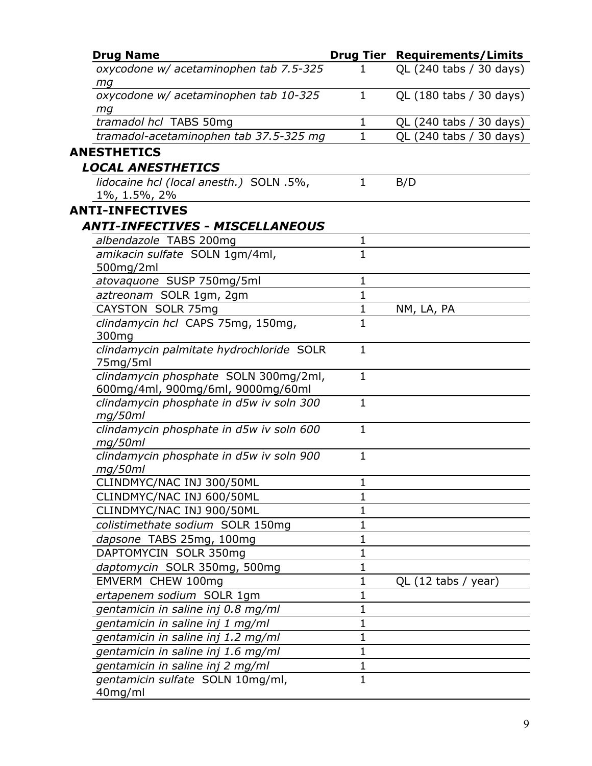| <b>Drug Name</b>                                                           |              | <b>Drug Tier Requirements/Limits</b> |
|----------------------------------------------------------------------------|--------------|--------------------------------------|
| oxycodone w/ acetaminophen tab 7.5-325<br>mg                               | 1            | QL (240 tabs / 30 days)              |
| oxycodone w/ acetaminophen tab 10-325<br>mg                                | $\mathbf{1}$ | QL (180 tabs / 30 days)              |
| tramadol hcl TABS 50mg                                                     | 1            | QL (240 tabs / 30 days)              |
| tramadol-acetaminophen tab 37.5-325 mg                                     | $\mathbf 1$  | QL (240 tabs / 30 days)              |
| <b>ANESTHETICS</b>                                                         |              |                                      |
| <b>LOCAL ANESTHETICS</b>                                                   |              |                                      |
| lidocaine hcl (local anesth.) SOLN .5%,<br>$1\%$ , 1.5%, 2%                | $\mathbf{1}$ | B/D                                  |
| <b>ANTI-INFECTIVES</b>                                                     |              |                                      |
| <b>ANTI-INFECTIVES - MISCELLANEOUS</b>                                     |              |                                      |
| albendazole TABS 200mg                                                     | 1            |                                      |
| amikacin sulfate SOLN 1gm/4ml,                                             | $\mathbf{1}$ |                                      |
| 500mg/2ml                                                                  |              |                                      |
| atovaquone SUSP 750mg/5ml                                                  | $\mathbf{1}$ |                                      |
| aztreonam SOLR 1gm, 2gm                                                    | $\mathbf{1}$ |                                      |
| CAYSTON SOLR 75mg                                                          | $\mathbf{1}$ | NM, LA, PA                           |
| clindamycin hcl CAPS 75mg, 150mg,<br>300mg                                 | $\mathbf{1}$ |                                      |
| clindamycin palmitate hydrochloride SOLR<br>75mg/5ml                       | $\mathbf{1}$ |                                      |
| clindamycin phosphate SOLN 300mg/2ml,<br>600mg/4ml, 900mg/6ml, 9000mg/60ml | $\mathbf{1}$ |                                      |
| clindamycin phosphate in d5w iv soln 300<br>mg/50ml                        | $\mathbf{1}$ |                                      |
| clindamycin phosphate in d5w iv soln 600<br>mg/50ml                        | $\mathbf{1}$ |                                      |
| clindamycin phosphate in d5w iv soln 900<br>mg/50ml                        | $\mathbf{1}$ |                                      |
| CLINDMYC/NAC INJ 300/50ML                                                  | $\mathbf 1$  |                                      |
| CLINDMYC/NAC INJ 600/50ML                                                  | $\mathbf{1}$ |                                      |
| CLINDMYC/NAC INJ 900/50ML                                                  | $\mathbf{1}$ |                                      |
| colistimethate sodium SOLR 150mg                                           | 1            |                                      |
| dapsone TABS 25mg, 100mg                                                   | 1            |                                      |
| DAPTOMYCIN SOLR 350mg                                                      | $\mathbf 1$  |                                      |
| daptomycin SOLR 350mg, 500mg                                               | 1            |                                      |
| EMVERM CHEW 100mg                                                          | $\mathbf 1$  | QL $(12 \text{ tabs} / \text{year})$ |
| ertapenem sodium SOLR 1gm                                                  | 1            |                                      |
| gentamicin in saline inj 0.8 mg/ml                                         | 1            |                                      |
| gentamicin in saline inj 1 mg/ml                                           | 1            |                                      |
| gentamicin in saline inj 1.2 mg/ml                                         | 1            |                                      |
| gentamicin in saline inj 1.6 mg/ml                                         | $\mathbf 1$  |                                      |
| gentamicin in saline inj 2 mg/ml                                           | 1            |                                      |
| gentamicin sulfate SOLN 10mg/ml,<br>40mg/ml                                | $\mathbf{1}$ |                                      |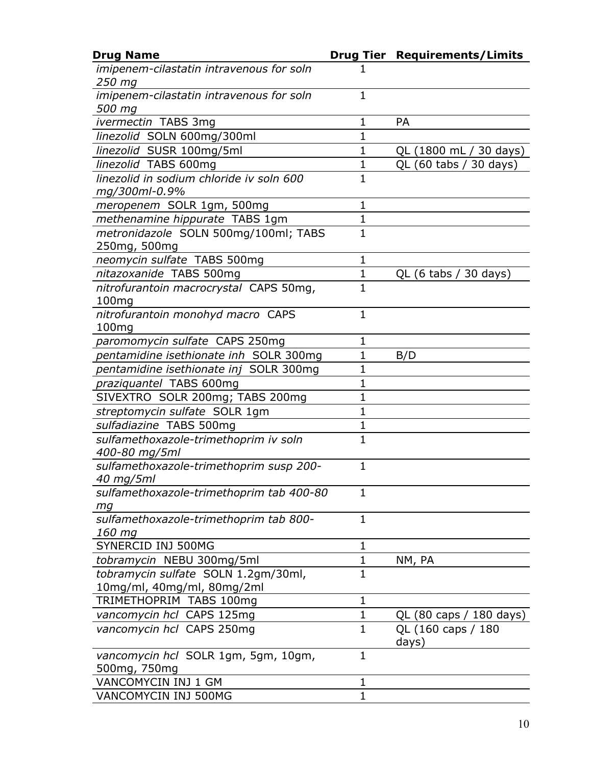| <b>Drug Name</b>                                       |              | <b>Drug Tier Requirements/Limits</b> |
|--------------------------------------------------------|--------------|--------------------------------------|
| imipenem-cilastatin intravenous for soln<br>250 mg     |              |                                      |
| imipenem-cilastatin intravenous for soln<br>500 mg     | $\mathbf{1}$ |                                      |
| ivermectin TABS 3mg                                    | 1            | <b>PA</b>                            |
| linezolid SOLN 600mg/300ml                             | $\mathbf 1$  |                                      |
| linezolid SUSR 100mg/5ml                               | 1            | QL (1800 mL / 30 days)               |
| linezolid TABS 600mg                                   | $\mathbf 1$  | QL (60 tabs / 30 days)               |
| linezolid in sodium chloride iv soln 600               | $\mathbf{1}$ |                                      |
| mg/300ml-0.9%                                          |              |                                      |
| meropenem SOLR 1gm, 500mg                              | 1            |                                      |
| methenamine hippurate TABS 1gm                         | 1            |                                      |
| metronidazole SOLN 500mg/100ml; TABS                   | $\mathbf{1}$ |                                      |
| 250mg, 500mg                                           |              |                                      |
| neomycin sulfate TABS 500mg                            | $\mathbf{1}$ |                                      |
| nitazoxanide TABS 500mg                                | $\mathbf{1}$ | QL $(6 \t{tabs} / 30 \t{days})$      |
| nitrofurantoin macrocrystal CAPS 50mg,                 | $\mathbf 1$  |                                      |
| 100 <sub>mg</sub>                                      |              |                                      |
| nitrofurantoin monohyd macro CAPS                      | $\mathbf{1}$ |                                      |
| 100mg                                                  |              |                                      |
| paromomycin sulfate CAPS 250mg                         | 1            |                                      |
| pentamidine isethionate inh SOLR 300mg                 | 1            | B/D                                  |
| pentamidine isethionate inj SOLR 300mg                 | 1            |                                      |
| praziquantel TABS 600mg                                | 1            |                                      |
| SIVEXTRO SOLR 200mg; TABS 200mg                        | $\mathbf{1}$ |                                      |
| streptomycin sulfate SOLR 1gm                          | $\mathbf{1}$ |                                      |
| sulfadiazine TABS 500mg                                | 1            |                                      |
| sulfamethoxazole-trimethoprim iv soln<br>400-80 mg/5ml | 1            |                                      |
| sulfamethoxazole-trimethoprim susp 200-<br>40 mg/5ml   | 1            |                                      |
| sulfamethoxazole-trimethoprim tab 400-80               | $\mathbf{1}$ |                                      |
| mg<br>sulfamethoxazole-trimethoprim tab 800-           | $\mathbf{1}$ |                                      |
| 160 mg                                                 |              |                                      |
| SYNERCID INJ 500MG                                     | $\mathbf 1$  |                                      |
| tobramycin NEBU 300mg/5ml                              | $\mathbf{1}$ | NM, PA                               |
| tobramycin sulfate SOLN 1.2gm/30ml,                    | $\mathbf{1}$ |                                      |
| 10mg/ml, 40mg/ml, 80mg/2ml                             |              |                                      |
| TRIMETHOPRIM TABS 100mg                                | $\mathbf 1$  |                                      |
| vancomycin hcl CAPS 125mg                              | $\mathbf 1$  | QL (80 caps / 180 days)              |
| vancomycin hcl CAPS 250mg                              | $\mathbf{1}$ | QL (160 caps / 180<br>days)          |
| vancomycin hcl SOLR 1gm, 5gm, 10gm,<br>500mg, 750mg    | $\mathbf{1}$ |                                      |
| VANCOMYCIN INJ 1 GM                                    | 1            |                                      |
| VANCOMYCIN INJ 500MG                                   | $\mathbf{1}$ |                                      |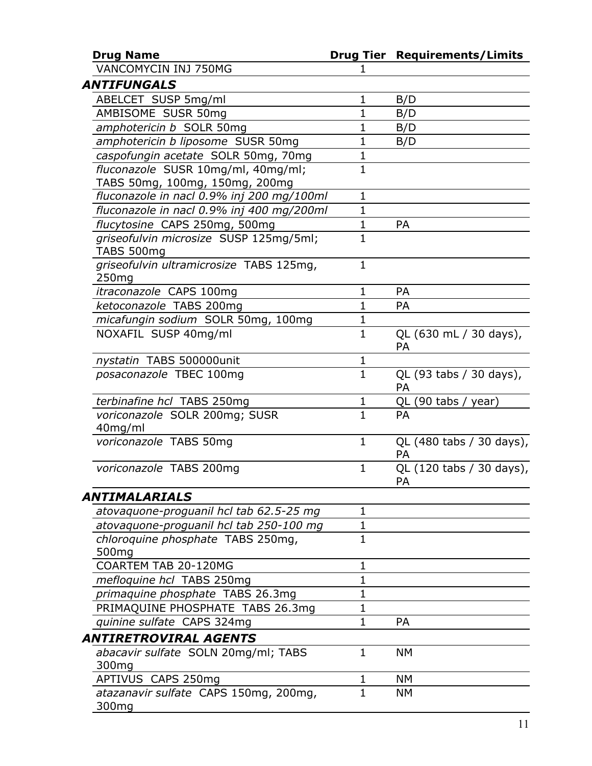| <b>Drug Name</b>                                                     |                | <b>Drug Tier Requirements/Limits</b> |
|----------------------------------------------------------------------|----------------|--------------------------------------|
| VANCOMYCIN INJ 750MG                                                 | 1              |                                      |
| <b>ANTIFUNGALS</b>                                                   |                |                                      |
| ABELCET SUSP 5mg/ml                                                  | 1              | B/D                                  |
| AMBISOME SUSR 50mg                                                   | $\mathbf{1}$   | B/D                                  |
| amphotericin b SOLR 50mg                                             | $\mathbf 1$    | B/D                                  |
| amphotericin b liposome SUSR 50mg                                    | 1              | B/D                                  |
| caspofungin acetate SOLR 50mg, 70mg                                  | $\mathbf{1}$   |                                      |
| fluconazole SUSR 10mg/ml, 40mg/ml;<br>TABS 50mg, 100mg, 150mg, 200mg | $\mathbf{1}$   |                                      |
| fluconazole in nacl 0.9% inj 200 mg/100ml                            | $\mathbf{1}$   |                                      |
| fluconazole in nacl 0.9% inj 400 mg/200ml                            | $\mathbf 1$    |                                      |
| flucytosine CAPS 250mg, 500mg                                        | $\mathbf{1}$   | PA                                   |
| griseofulvin microsize SUSP 125mg/5ml;<br><b>TABS 500mg</b>          | $\mathbf{1}$   |                                      |
| griseofulvin ultramicrosize TABS 125mg,<br>250 <sub>mg</sub>         | $\mathbf{1}$   |                                      |
| itraconazole CAPS 100mg                                              | 1              | PA                                   |
| ketoconazole TABS 200mg                                              | $\mathbf{1}$   | PA                                   |
| micafungin sodium SOLR 50mg, 100mg                                   | $\mathbf 1$    |                                      |
| NOXAFIL SUSP 40mg/ml                                                 | $\mathbf{1}$   | QL (630 mL / 30 days),<br>PA         |
| nystatin TABS 500000unit                                             | 1              |                                      |
| posaconazole TBEC 100mg                                              | $\overline{1}$ | QL (93 tabs / 30 days),<br>PA        |
| terbinafine hcl TABS 250mg                                           | 1              | QL (90 tabs / year)                  |
| voriconazole SOLR 200mg; SUSR<br>40mg/ml                             | $\mathbf{1}$   | <b>PA</b>                            |
| voriconazole TABS 50mg                                               | $\mathbf{1}$   | QL (480 tabs / 30 days),<br>PA       |
| voriconazole TABS 200mg                                              | $\mathbf{1}$   | QL (120 tabs / 30 days),<br>PA       |
| ANTIMALARIALS                                                        |                |                                      |
| atovaquone-proguanil hcl tab 62.5-25 mg                              | $\mathbf 1$    |                                      |
| atovaquone-proguanil hcl tab 250-100 mg                              | $\mathbf 1$    |                                      |
| chloroquine phosphate TABS 250mg,<br>500mg                           | $\mathbf 1$    |                                      |
| COARTEM TAB 20-120MG                                                 | 1              |                                      |
| mefloquine hcl TABS 250mg                                            | $\mathbf{1}$   |                                      |
| primaquine phosphate TABS 26.3mg                                     | 1              |                                      |
| PRIMAQUINE PHOSPHATE TABS 26.3mg                                     | 1              |                                      |
| quinine sulfate CAPS 324mg                                           | $\mathbf 1$    | <b>PA</b>                            |
| <b>ANTIRETROVIRAL AGENTS</b>                                         |                |                                      |
| abacavir sulfate SOLN 20mg/ml; TABS<br>300 <sub>mg</sub>             | 1              | NΜ                                   |
| APTIVUS CAPS 250mg                                                   | 1              | <b>NM</b>                            |
| atazanavir sulfate CAPS 150mg, 200mg,<br>300mg                       | $\mathbf{1}$   | NΜ                                   |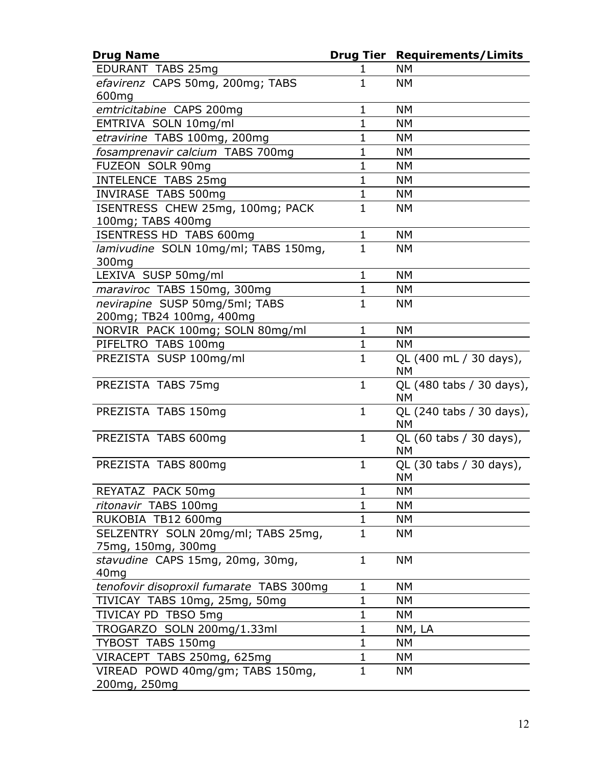| <b>Drug Name</b>                              | <b>Drug Tier</b> | <b>Requirements/Limits</b>            |
|-----------------------------------------------|------------------|---------------------------------------|
| EDURANT TABS 25mg                             | ı                | <b>NM</b>                             |
| efavirenz CAPS 50mg, 200mg; TABS              | $\mathbf{1}$     | <b>NM</b>                             |
| 600mg                                         |                  |                                       |
| emtricitabine CAPS 200mg                      | $\mathbf{1}$     | <b>NM</b>                             |
| EMTRIVA SOLN 10mg/ml                          | $\mathbf{1}$     | <b>NM</b>                             |
| etravirine TABS 100mg, 200mg                  | $\mathbf 1$      | <b>NM</b>                             |
| fosamprenavir calcium TABS 700mg              | $\mathbf{1}$     | <b>NM</b>                             |
| FUZEON SOLR 90mg                              | $\mathbf 1$      | <b>NM</b>                             |
| <b>INTELENCE TABS 25mg</b>                    | $\mathbf{1}$     | <b>NM</b>                             |
| <b>INVIRASE TABS 500mg</b>                    | $\mathbf{1}$     | <b>NM</b>                             |
| ISENTRESS CHEW 25mg, 100mg; PACK              | $\mathbf{1}$     | <b>NM</b>                             |
| 100mg; TABS 400mg                             |                  |                                       |
| ISENTRESS HD TABS 600mg                       | $\mathbf{1}$     | <b>NM</b>                             |
| lamivudine SOLN 10mg/ml; TABS 150mg,<br>300mg | $\mathbf{1}$     | <b>NM</b>                             |
| LEXIVA SUSP 50mg/ml                           | $\mathbf{1}$     | <b>NM</b>                             |
| maraviroc TABS 150mg, 300mg                   | $\mathbf 1$      | <b>NM</b>                             |
| nevirapine SUSP 50mg/5ml; TABS                | $\mathbf{1}$     | <b>NM</b>                             |
| 200mg; TB24 100mg, 400mg                      |                  |                                       |
| NORVIR PACK 100mg; SOLN 80mg/ml               | $\mathbf{1}$     | <b>NM</b>                             |
| PIFELTRO TABS 100mg                           | $\mathbf{1}$     | <b>NM</b>                             |
| PREZISTA SUSP 100mg/ml                        | $\mathbf{1}$     | QL (400 mL / 30 days),                |
|                                               |                  | <b>NM</b>                             |
| PREZISTA TABS 75mg                            | $\mathbf{1}$     | QL (480 tabs / 30 days),              |
|                                               |                  | <b>NM</b>                             |
| PREZISTA TABS 150mg                           | $\mathbf{1}$     | QL (240 tabs / 30 days),<br><b>NM</b> |
| PREZISTA TABS 600mg                           | $\mathbf{1}$     | QL (60 tabs / 30 days),               |
|                                               |                  | <b>NM</b>                             |
| PREZISTA TABS 800mg                           | $\mathbf{1}$     | QL (30 tabs / 30 days),               |
|                                               |                  | <b>NM</b>                             |
| REYATAZ PACK 50mg                             | $\mathbf 1$      | <b>NM</b>                             |
| ritonavir TABS 100mg                          | $\mathbf 1$      | <b>NM</b>                             |
| RUKOBIA TB12 600mg                            | $\mathbf{1}$     | <b>NM</b>                             |
| SELZENTRY SOLN 20mg/ml; TABS 25mg,            | $\mathbf{1}$     | <b>NM</b>                             |
| 75mg, 150mg, 300mg                            |                  |                                       |
| stavudine CAPS 15mg, 20mg, 30mg,              | $\mathbf{1}$     | <b>NM</b>                             |
| 40 <sub>mg</sub>                              |                  |                                       |
| tenofovir disoproxil fumarate TABS 300mg      | $\mathbf 1$      | <b>NM</b>                             |
| TIVICAY TABS 10mg, 25mg, 50mg                 | $\mathbf{1}$     | NΜ                                    |
| TIVICAY PD TBSO 5mg                           | $\mathbf{1}$     | <b>NM</b>                             |
| TROGARZO SOLN 200mg/1.33ml                    | $\mathbf{1}$     | NM, LA                                |
| TYBOST TABS 150mg                             | $\mathbf{1}$     | <b>NM</b>                             |
| VIRACEPT TABS 250mg, 625mg                    | $\mathbf 1$      | <b>NM</b>                             |
| VIREAD POWD 40mg/gm; TABS 150mg,              | $\mathbf{1}$     | <b>NM</b>                             |
| 200mg, 250mg                                  |                  |                                       |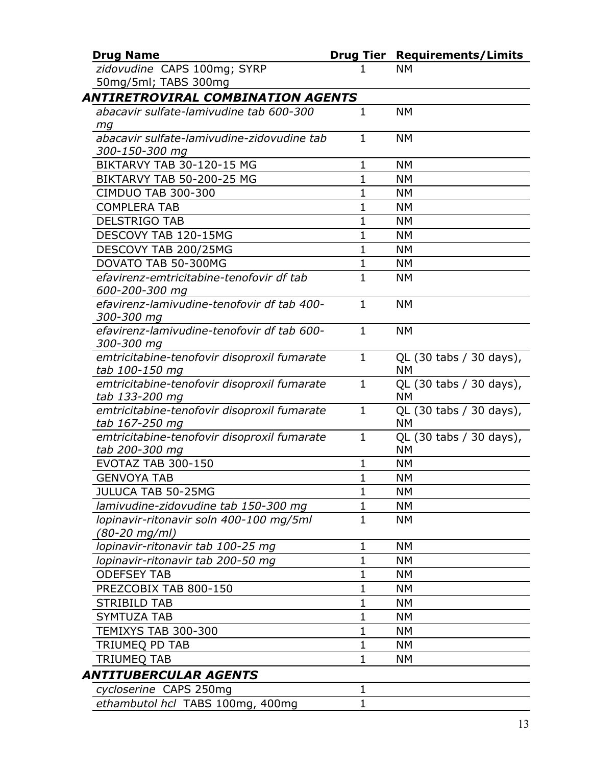| <b>Drug Name</b>                                              |              | <b>Drug Tier Requirements/Limits</b> |
|---------------------------------------------------------------|--------------|--------------------------------------|
| zidovudine CAPS 100mg; SYRP                                   |              | <b>NM</b>                            |
| 50mg/5ml; TABS 300mg                                          |              |                                      |
| ANTIRETROVIRAL COMBINATION AGENTS                             |              |                                      |
| abacavir sulfate-lamivudine tab 600-300                       | $\mathbf{1}$ | <b>NM</b>                            |
| ma                                                            |              |                                      |
| abacavir sulfate-lamivudine-zidovudine tab                    | 1            | <b>NM</b>                            |
| 300-150-300 mg                                                |              |                                      |
| BIKTARVY TAB 30-120-15 MG                                     | 1            | <b>NM</b>                            |
| BIKTARVY TAB 50-200-25 MG                                     | $\mathbf 1$  | <b>NM</b>                            |
| <b>CIMDUO TAB 300-300</b>                                     | $\mathbf{1}$ | <b>NM</b>                            |
| <b>COMPLERA TAB</b>                                           | $\mathbf{1}$ | <b>NM</b>                            |
| <b>DELSTRIGO TAB</b>                                          | $\mathbf 1$  | <b>NM</b>                            |
| DESCOVY TAB 120-15MG                                          | $\mathbf 1$  | <b>NM</b>                            |
| DESCOVY TAB 200/25MG                                          | 1            | <b>NM</b>                            |
| DOVATO TAB 50-300MG                                           | $\mathbf{1}$ | <b>NM</b>                            |
| efavirenz-emtricitabine-tenofovir df tab                      | $\mathbf{1}$ | <b>NM</b>                            |
| 600-200-300 mg                                                |              |                                      |
| efavirenz-lamivudine-tenofovir df tab 400-                    | $\mathbf{1}$ | <b>NM</b>                            |
| 300-300 mg                                                    |              |                                      |
| efavirenz-lamivudine-tenofovir df tab 600-                    | $\mathbf{1}$ | <b>NM</b>                            |
| 300-300 mg                                                    |              |                                      |
| emtricitabine-tenofovir disoproxil fumarate                   | $\mathbf{1}$ | QL (30 tabs / 30 days),              |
| tab 100-150 mg                                                |              | NΜ                                   |
| emtricitabine-tenofovir disoproxil fumarate                   | $\mathbf{1}$ | QL (30 tabs / 30 days),              |
| tab 133-200 mg                                                |              | <b>NM</b>                            |
| emtricitabine-tenofovir disoproxil fumarate                   | $\mathbf{1}$ | QL (30 tabs / 30 days),<br><b>NM</b> |
| tab 167-250 mg<br>emtricitabine-tenofovir disoproxil fumarate | $\mathbf{1}$ | QL (30 tabs / 30 days),              |
| tab 200-300 mg                                                |              | NΜ                                   |
| <b>EVOTAZ TAB 300-150</b>                                     | 1            | <b>NM</b>                            |
| <b>GENVOYA TAB</b>                                            | $\mathbf{1}$ | <b>NM</b>                            |
| JULUCA TAB 50-25MG                                            | 1            | <b>NM</b>                            |
| lamivudine-zidovudine tab 150-300 mg                          | $\mathbf 1$  | <b>NM</b>                            |
| lopinavir-ritonavir soln 400-100 mg/5ml                       | $\mathbf 1$  | <b>NM</b>                            |
| (80-20 mg/ml)                                                 |              |                                      |
| lopinavir-ritonavir tab 100-25 mg                             | 1            | <b>NM</b>                            |
| lopinavir-ritonavir tab 200-50 mg                             | 1            | NΜ                                   |
| <b>ODEFSEY TAB</b>                                            | 1            | <b>NM</b>                            |
| PREZCOBIX TAB 800-150                                         | 1            | <b>NM</b>                            |
| <b>STRIBILD TAB</b>                                           | 1            | NΜ                                   |
| <b>SYMTUZA TAB</b>                                            | 1            | <b>NM</b>                            |
| TEMIXYS TAB 300-300                                           | 1            | <b>NM</b>                            |
| TRIUMEQ PD TAB                                                | $\mathbf 1$  | <b>NM</b>                            |
| <b>TRIUMEQ TAB</b>                                            | $\mathbf 1$  | <b>NM</b>                            |
| ANTITUBERCULAR AGENTS                                         |              |                                      |
|                                                               | $\mathbf 1$  |                                      |
| cycloserine CAPS 250mg                                        |              |                                      |
| ethambutol hcl TABS 100mg, 400mg                              | $\mathbf 1$  |                                      |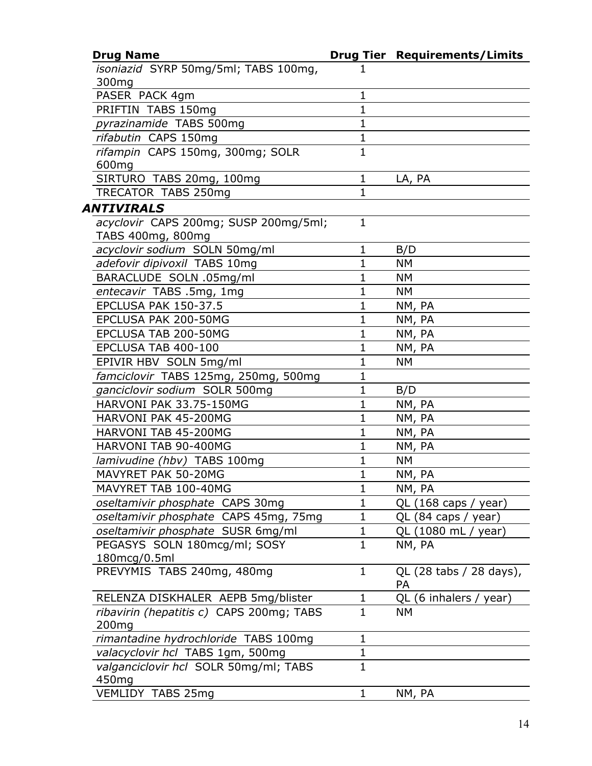| <b>Drug Name</b>                                                         |              | <b>Drug Tier Requirements/Limits</b> |
|--------------------------------------------------------------------------|--------------|--------------------------------------|
| isoniazid SYRP 50mg/5ml; TABS 100mg,                                     |              |                                      |
| 300 <sub>mg</sub>                                                        |              |                                      |
| PASER PACK 4gm                                                           | $\mathbf 1$  |                                      |
| PRIFTIN TABS 150mg                                                       | $\mathbf 1$  |                                      |
| pyrazinamide TABS 500mg                                                  | $\mathbf{1}$ |                                      |
| rifabutin CAPS 150mg                                                     | 1            |                                      |
| rifampin CAPS 150mg, 300mg; SOLR                                         | $\mathbf{1}$ |                                      |
| 600mg                                                                    |              |                                      |
| SIRTURO TABS 20mg, 100mg                                                 | 1            | LA, PA                               |
| TRECATOR TABS 250mg                                                      | 1            |                                      |
| ANTIVIRALS                                                               |              |                                      |
| acyclovir CAPS 200mg; SUSP 200mg/5ml;                                    | 1            |                                      |
| TABS 400mg, 800mg                                                        |              |                                      |
| acyclovir sodium SOLN 50mg/ml                                            | 1            | B/D                                  |
| adefovir dipivoxil TABS 10mg                                             | $\mathbf 1$  | <b>NM</b>                            |
| BARACLUDE SOLN .05mg/ml                                                  | $\mathbf{1}$ | NΜ                                   |
| entecavir TABS .5mg, 1mg                                                 | $\mathbf 1$  | <b>NM</b>                            |
| EPCLUSA PAK 150-37.5                                                     | 1            | NM, PA                               |
| EPCLUSA PAK 200-50MG                                                     | $\mathbf{1}$ | NM, PA                               |
| EPCLUSA TAB 200-50MG                                                     | $\mathbf 1$  | NM, PA                               |
| EPCLUSA TAB 400-100                                                      | $\mathbf 1$  | NM, PA                               |
| EPIVIR HBV SOLN 5mg/ml                                                   | $\mathbf 1$  | <b>NM</b>                            |
| famciclovir TABS 125mg, 250mg, 500mg                                     | $\mathbf 1$  |                                      |
| ganciclovir sodium SOLR 500mg                                            | $\mathbf 1$  | B/D                                  |
| <b>HARVONI PAK 33.75-150MG</b>                                           | 1            | NM, PA                               |
| HARVONI PAK 45-200MG                                                     | $\mathbf 1$  | NM, PA                               |
| HARVONI TAB 45-200MG                                                     | $\mathbf 1$  | NM, PA                               |
| HARVONI TAB 90-400MG                                                     | 1            | NM, PA                               |
| lamivudine (hbv) TABS 100mg                                              | $\mathbf{1}$ | <b>NM</b>                            |
| MAVYRET PAK 50-20MG                                                      | 1            | NM, PA                               |
| MAVYRET TAB 100-40MG                                                     | 1            | NM, PA                               |
| oseltamivir phosphate CAPS 30mg                                          | $\mathbf 1$  | QL (168 caps / year)                 |
| oseltamivir phosphate CAPS 45mg, 75mg                                    | $\mathbf 1$  | QL (84 caps / year)                  |
| oseltamivir phosphate SUSR 6mg/ml                                        | $\mathbf 1$  | QL (1080 mL / year)                  |
| PEGASYS SOLN 180mcg/ml; SOSY                                             | $\mathbf{1}$ | NM, PA                               |
| 180mcg/0.5ml                                                             |              |                                      |
| PREVYMIS TABS 240mg, 480mg                                               | $\mathbf{1}$ | QL (28 tabs / 28 days),              |
|                                                                          |              | <b>PA</b>                            |
| RELENZA DISKHALER AEPB 5mg/blister                                       | 1            | QL (6 inhalers / year)               |
| ribavirin (hepatitis c) CAPS 200mg; TABS                                 | $\mathbf{1}$ | <b>NM</b>                            |
| 200 <sub>mg</sub>                                                        | $\mathbf{1}$ |                                      |
| rimantadine hydrochloride TABS 100mg<br>valacyclovir hcl TABS 1gm, 500mg | $\mathbf{1}$ |                                      |
| valganciclovir hcl SOLR 50mg/ml; TABS                                    | $\mathbf 1$  |                                      |
| 450 <sub>mg</sub>                                                        |              |                                      |
| VEMLIDY TABS 25mg                                                        | $\mathbf 1$  | NM, PA                               |
|                                                                          |              |                                      |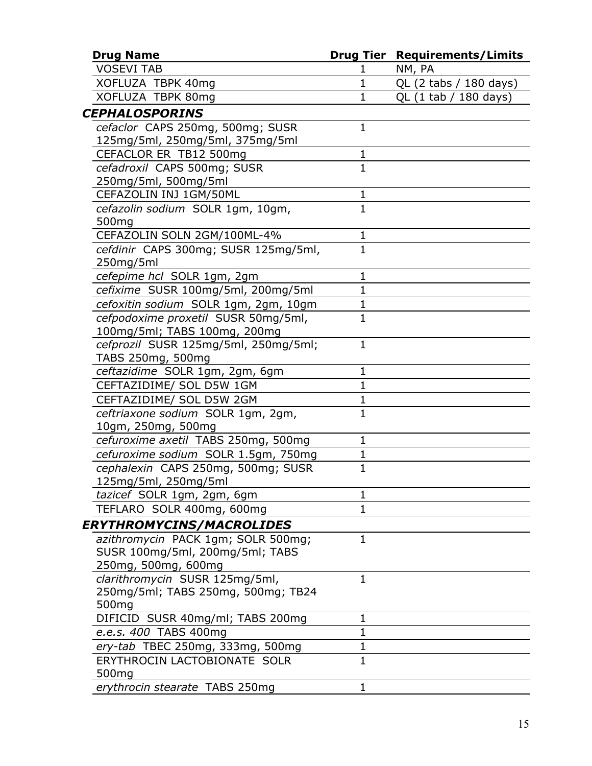| <b>Drug Name</b>                                        |                | <b>Drug Tier Requirements/Limits</b> |
|---------------------------------------------------------|----------------|--------------------------------------|
| <b>VOSEVI TAB</b>                                       | 1              | NM, PA                               |
| XOFLUZA TBPK 40mg                                       | $\mathbf 1$    | QL (2 tabs / 180 days)               |
| XOFLUZA TBPK 80mg                                       | $\mathbf 1$    | QL (1 tab / 180 days)                |
| <b>CEPHALOSPORINS</b>                                   |                |                                      |
| cefaclor CAPS 250mg, 500mg; SUSR                        | $\mathbf 1$    |                                      |
| 125mg/5ml, 250mg/5ml, 375mg/5ml                         |                |                                      |
| CEFACLOR ER TB12 500mg                                  | 1              |                                      |
| cefadroxil CAPS 500mg; SUSR                             | $\overline{1}$ |                                      |
| 250mg/5ml, 500mg/5ml                                    |                |                                      |
| CEFAZOLIN INJ 1GM/50ML                                  | 1              |                                      |
| cefazolin sodium SOLR 1gm, 10gm,<br>500 <sub>mg</sub>   | $\overline{1}$ |                                      |
| CEFAZOLIN SOLN 2GM/100ML-4%                             | 1              |                                      |
| cefdinir CAPS 300mg; SUSR 125mg/5ml,<br>250mg/5ml       | $\overline{1}$ |                                      |
| cefepime hcl SOLR 1gm, 2gm                              | 1              |                                      |
| cefixime SUSR 100mg/5ml, 200mg/5ml                      | $\mathbf 1$    |                                      |
| cefoxitin sodium SOLR 1gm, 2gm, 10gm                    | $\mathbf{1}$   |                                      |
| cefpodoxime proxetil SUSR 50mg/5ml,                     | $\mathbf{1}$   |                                      |
| 100mg/5ml; TABS 100mg, 200mg                            |                |                                      |
| cefprozil SUSR 125mg/5ml, 250mg/5ml;                    | $\mathbf{1}$   |                                      |
| TABS 250mg, 500mg                                       |                |                                      |
| ceftazidime SOLR 1gm, 2gm, 6gm                          | $\mathbf 1$    |                                      |
| CEFTAZIDIME/ SOL D5W 1GM                                | $\mathbf{1}$   |                                      |
| CEFTAZIDIME/ SOL D5W 2GM                                | $\mathbf 1$    |                                      |
| ceftriaxone sodium SOLR 1gm, 2gm,<br>10gm, 250mg, 500mg | $\mathbf{1}$   |                                      |
| cefuroxime axetil TABS 250mg, 500mg                     | 1              |                                      |
| cefuroxime sodium SOLR 1.5gm, 750mg                     | $\mathbf 1$    |                                      |
| cephalexin CAPS 250mg, 500mg; SUSR                      | 1              |                                      |
| 125mg/5ml, 250mg/5ml                                    |                |                                      |
| tazicef SOLR 1gm, 2gm, 6gm                              | 1              |                                      |
| TEFLARO SOLR 400mg, 600mg                               | $\mathbf 1$    |                                      |
| <i>ERYTHROMYCINS/MACROLIDES</i>                         |                |                                      |
| azithromycin PACK 1gm; SOLR 500mg;                      | 1              |                                      |
| SUSR 100mg/5ml, 200mg/5ml; TABS                         |                |                                      |
| 250mg, 500mg, 600mg                                     |                |                                      |
| clarithromycin SUSR 125mg/5ml,                          | 1              |                                      |
| 250mg/5ml; TABS 250mg, 500mg; TB24                      |                |                                      |
| 500 <sub>mg</sub>                                       |                |                                      |
| DIFICID SUSR 40mg/ml; TABS 200mg                        | 1              |                                      |
| e.e.s. 400 TABS 400mg                                   | $\mathbf 1$    |                                      |
| ery-tab TBEC 250mg, 333mg, 500mg                        | 1              |                                      |
| ERYTHROCIN LACTOBIONATE SOLR                            | $\overline{1}$ |                                      |
| 500 <sub>mg</sub>                                       |                |                                      |
| erythrocin stearate TABS 250mg                          | 1              |                                      |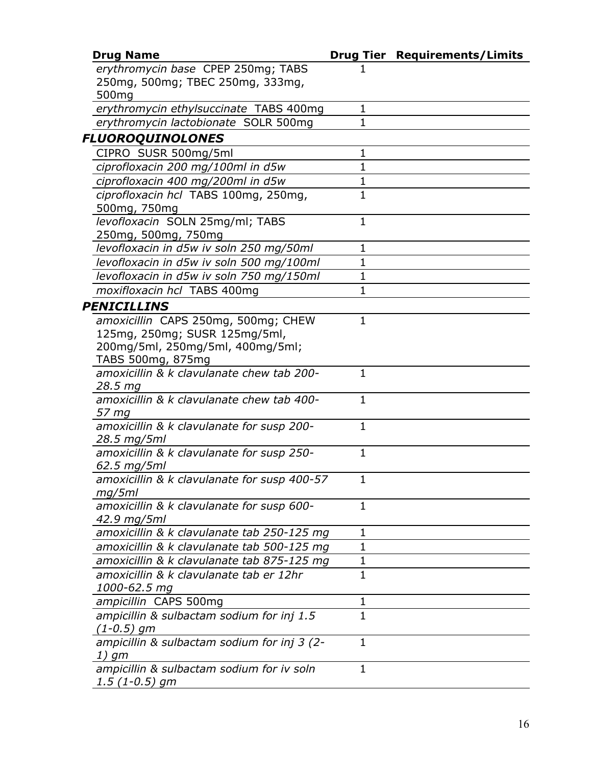| <b>Drug Name</b>                            |              | <b>Drug Tier Requirements/Limits</b> |
|---------------------------------------------|--------------|--------------------------------------|
| erythromycin base CPEP 250mg; TABS          |              |                                      |
| 250mg, 500mg; TBEC 250mg, 333mg,            |              |                                      |
| 500 <sub>mg</sub>                           |              |                                      |
| erythromycin ethylsuccinate TABS 400mg      | 1            |                                      |
| erythromycin lactobionate SOLR 500mg        | $\mathbf{1}$ |                                      |
| <b>FLUOROQUINOLONES</b>                     |              |                                      |
| CIPRO SUSR 500mg/5ml                        | 1            |                                      |
| ciprofloxacin 200 mg/100ml in d5w           | $\mathbf{1}$ |                                      |
| ciprofloxacin 400 mg/200ml in d5w           | 1            |                                      |
| ciprofloxacin hcl TABS 100mg, 250mg,        | $\mathbf{1}$ |                                      |
| 500mg, 750mg                                |              |                                      |
| levofloxacin SOLN 25mg/ml; TABS             | 1            |                                      |
| 250mg, 500mg, 750mg                         |              |                                      |
| levofloxacin in d5w iv soln 250 mg/50ml     | $\mathbf 1$  |                                      |
| levofloxacin in d5w iv soln 500 mg/100ml    | 1            |                                      |
| levofloxacin in d5w iv soln 750 mg/150ml    | $\mathbf 1$  |                                      |
| moxifloxacin hcl TABS 400mg                 | 1            |                                      |
| <b>PENICILLINS</b>                          |              |                                      |
| amoxicillin CAPS 250mg, 500mg; CHEW         | $\mathbf{1}$ |                                      |
| 125mg, 250mg; SUSR 125mg/5ml,               |              |                                      |
| 200mg/5ml, 250mg/5ml, 400mg/5ml;            |              |                                      |
| TABS 500mg, 875mg                           |              |                                      |
| amoxicillin & k clavulanate chew tab 200-   | $\mathbf{1}$ |                                      |
| 28.5 mg                                     |              |                                      |
| amoxicillin & k clavulanate chew tab 400-   | $\mathbf{1}$ |                                      |
| 57 mg                                       |              |                                      |
| amoxicillin & k clavulanate for susp 200-   | $\mathbf{1}$ |                                      |
| 28.5 mg/5ml                                 |              |                                      |
| amoxicillin & k clavulanate for susp 250-   | 1            |                                      |
| 62.5 mg/5ml                                 |              |                                      |
| amoxicillin & k clavulanate for susp 400-57 | 1            |                                      |
| mg/5ml                                      |              |                                      |
| amoxicillin & k clavulanate for susp 600-   | 1            |                                      |
| 42.9 mg/5ml                                 |              |                                      |
| amoxicillin & k clavulanate tab 250-125 mg  | 1            |                                      |
| amoxicillin & k clavulanate tab 500-125 mg  | 1            |                                      |
| amoxicillin & k clavulanate tab 875-125 mg  | 1            |                                      |
| amoxicillin & k clavulanate tab er 12hr     | 1            |                                      |
| 1000-62.5 mg                                |              |                                      |
| ampicillin CAPS 500mg                       | 1            |                                      |
| ampicillin & sulbactam sodium for inj 1.5   | 1            |                                      |
| $(1 - 0.5)$ gm                              |              |                                      |
| ampicillin & sulbactam sodium for inj 3 (2- | $\mathbf{1}$ |                                      |
| 1) gm                                       |              |                                      |
| ampicillin & sulbactam sodium for iv soln   | 1            |                                      |
| $1.5(1-0.5)$ gm                             |              |                                      |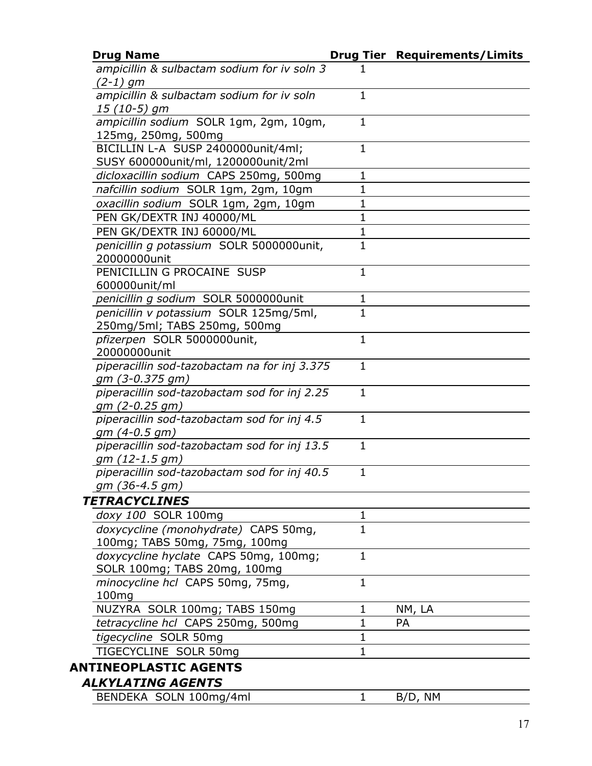| <b>Drug Name</b>                                          |              | <b>Drug Tier Requirements/Limits</b> |
|-----------------------------------------------------------|--------------|--------------------------------------|
| ampicillin & sulbactam sodium for iv soln 3<br>$(2-1)$ gm |              |                                      |
| ampicillin & sulbactam sodium for iv soln                 | 1            |                                      |
| $15(10-5)$ gm                                             |              |                                      |
| ampicillin sodium SOLR 1gm, 2gm, 10gm,                    | $\mathbf{1}$ |                                      |
| 125mg, 250mg, 500mg                                       |              |                                      |
| BICILLIN L-A SUSP 2400000unit/4ml;                        | $\mathbf{1}$ |                                      |
| SUSY 600000unit/ml, 1200000unit/2ml                       |              |                                      |
| dicloxacillin sodium CAPS 250mg, 500mg                    | 1            |                                      |
| nafcillin sodium SOLR 1gm, 2gm, 10gm                      | $\mathbf{1}$ |                                      |
| oxacillin sodium SOLR 1gm, 2gm, 10gm                      | $\mathbf 1$  |                                      |
| PEN GK/DEXTR INJ 40000/ML                                 | $\mathbf{1}$ |                                      |
| PEN GK/DEXTR INJ 60000/ML                                 | $\mathbf{1}$ |                                      |
| penicillin g potassium SOLR 5000000unit,                  | $\mathbf{1}$ |                                      |
| 20000000unit                                              |              |                                      |
| PENICILLIN G PROCAINE SUSP                                | $\mathbf{1}$ |                                      |
| 600000unit/ml                                             |              |                                      |
| penicillin q sodium SOLR 5000000unit                      | $\mathbf 1$  |                                      |
| penicillin v potassium SOLR 125mg/5ml,                    | $\mathbf{1}$ |                                      |
| 250mg/5ml; TABS 250mg, 500mg                              |              |                                      |
| pfizerpen SOLR 5000000unit,                               | $\mathbf{1}$ |                                      |
| 20000000unit                                              |              |                                      |
| piperacillin sod-tazobactam na for inj 3.375              | $\mathbf{1}$ |                                      |
| gm (3-0.375 gm)                                           |              |                                      |
| piperacillin sod-tazobactam sod for inj 2.25              | $\mathbf{1}$ |                                      |
| gm (2-0.25 gm)                                            |              |                                      |
| piperacillin sod-tazobactam sod for inj 4.5               | $\mathbf{1}$ |                                      |
| $gm(4-0.5gm)$                                             |              |                                      |
| piperacillin sod-tazobactam sod for inj 13.5              | $\mathbf{1}$ |                                      |
| gm (12-1.5 gm)                                            |              |                                      |
| piperacillin sod-tazobactam sod for inj 40.5              | $\mathbf{1}$ |                                      |
| gm (36-4.5 gm)                                            |              |                                      |
| <b>TETRACYCLINES</b>                                      |              |                                      |
| doxy 100 SOLR 100mg                                       | 1            |                                      |
| doxycycline (monohydrate) CAPS 50mg,                      | $\mathbf{1}$ |                                      |
| 100mg; TABS 50mg, 75mg, 100mg                             |              |                                      |
| doxycycline hyclate CAPS 50mg, 100mg;                     | $\mathbf{1}$ |                                      |
| SOLR 100mg; TABS 20mg, 100mg                              |              |                                      |
| minocycline hcl CAPS 50mg, 75mg,                          | $\mathbf{1}$ |                                      |
| 100mg                                                     |              |                                      |
| NUZYRA SOLR 100mg; TABS 150mg                             | 1            | NM, LA                               |
| tetracycline hcl CAPS 250mg, 500mg                        | $\mathbf 1$  | <b>PA</b>                            |
| tigecycline SOLR 50mg                                     | 1            |                                      |
| TIGECYCLINE SOLR 50mg                                     | 1            |                                      |
| <b>ANTINEOPLASTIC AGENTS</b>                              |              |                                      |
| <b>ALKYLATING AGENTS</b>                                  |              |                                      |
| BENDEKA SOLN 100mg/4ml                                    | 1            | B/D, NM                              |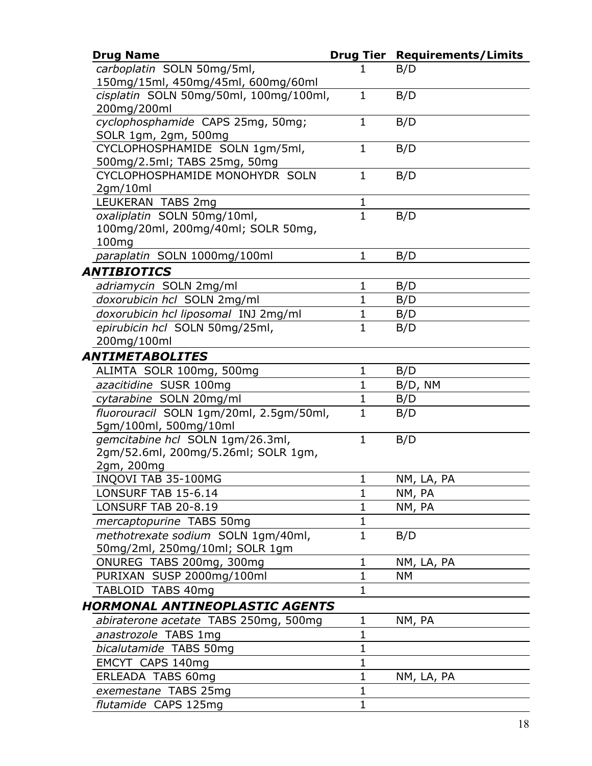| <b>Drug Name</b>                                                  |                              | <b>Drug Tier Requirements/Limits</b> |
|-------------------------------------------------------------------|------------------------------|--------------------------------------|
| carboplatin SOLN 50mg/5ml,                                        | 1                            | B/D                                  |
| 150mg/15ml, 450mg/45ml, 600mg/60ml                                |                              |                                      |
| cisplatin SOLN 50mg/50ml, 100mg/100ml,                            | $\mathbf{1}$                 | B/D                                  |
| 200mg/200ml                                                       |                              |                                      |
| cyclophosphamide CAPS 25mg, 50mg;                                 | $\mathbf{1}$                 | B/D                                  |
| SOLR 1gm, 2gm, 500mg                                              |                              |                                      |
| CYCLOPHOSPHAMIDE SOLN 1gm/5ml,                                    | $\mathbf{1}$                 | B/D                                  |
| 500mg/2.5ml; TABS 25mg, 50mg                                      |                              |                                      |
| CYCLOPHOSPHAMIDE MONOHYDR SOLN                                    | $\mathbf{1}$                 | B/D                                  |
| 2gm/10ml                                                          | $\mathbf{1}$                 |                                      |
| LEUKERAN TABS 2mg                                                 | $\mathbf{1}$                 |                                      |
| oxaliplatin SOLN 50mg/10ml,<br>100mg/20ml, 200mg/40ml; SOLR 50mg, |                              | B/D                                  |
| 100mg                                                             |                              |                                      |
| paraplatin SOLN 1000mg/100ml                                      | $\mathbf{1}$                 | B/D                                  |
| ANTIBIOTICS                                                       |                              |                                      |
|                                                                   |                              |                                      |
| adriamycin SOLN 2mg/ml                                            | $\mathbf{1}$<br>$\mathbf{1}$ | B/D                                  |
| doxorubicin hcl SOLN 2mg/ml                                       |                              | B/D                                  |
| doxorubicin hcl liposomal INJ 2mg/ml                              | $\mathbf 1$<br>$\mathbf{1}$  | B/D                                  |
| epirubicin hcl SOLN 50mg/25ml,<br>200mg/100ml                     |                              | B/D                                  |
|                                                                   |                              |                                      |
| ANTIMETABOLITES                                                   |                              |                                      |
| ALIMTA SOLR 100mg, 500mg                                          | $\mathbf{1}$<br>$\mathbf{1}$ | B/D                                  |
| azacitidine SUSR 100mg                                            |                              | B/D, NM                              |
| cytarabine SOLN 20mg/ml                                           | $\mathbf{1}$<br>$\mathbf{1}$ | B/D                                  |
| fluorouracil SOLN 1gm/20ml, 2.5gm/50ml,<br>5gm/100ml, 500mg/10ml  |                              | B/D                                  |
| gemcitabine hcl SOLN 1gm/26.3ml,                                  | $\mathbf{1}$                 | B/D                                  |
| 2gm/52.6ml, 200mg/5.26ml; SOLR 1gm,                               |                              |                                      |
| 2gm, 200mg                                                        |                              |                                      |
| INQOVI TAB 35-100MG                                               | 1                            | NM, LA, PA                           |
| LONSURF TAB 15-6.14                                               | 1                            | NM, PA                               |
| <b>LONSURF TAB 20-8.19</b>                                        | $\mathbf{1}$                 | NM, PA                               |
| mercaptopurine TABS 50mg                                          | $\mathbf{1}$                 |                                      |
| methotrexate sodium SOLN 1gm/40ml,                                | $\mathbf{1}$                 | B/D                                  |
| 50mg/2ml, 250mg/10ml; SOLR 1gm                                    |                              |                                      |
| ONUREG TABS 200mg, 300mg                                          | $\mathbf{1}$                 | NM, LA, PA                           |
| PURIXAN SUSP 2000mg/100ml                                         | $\mathbf{1}$                 | NΜ                                   |
| TABLOID TABS 40mg                                                 | $\mathbf{1}$                 |                                      |
| HORMONAL ANTINEOPLASTIC AGENTS                                    |                              |                                      |
| abiraterone acetate TABS 250mg, 500mg                             | 1                            | NM, PA                               |
| anastrozole TABS 1mg                                              | $\mathbf{1}$                 |                                      |
| bicalutamide TABS 50mg                                            | $\mathbf{1}$                 |                                      |
| EMCYT CAPS 140mg                                                  | $\mathbf 1$                  |                                      |
| ERLEADA TABS 60mg                                                 | 1                            | NM, LA, PA                           |
| exemestane TABS 25mg                                              | $\mathbf{1}$                 |                                      |
| flutamide CAPS 125mg                                              | $\mathbf{1}$                 |                                      |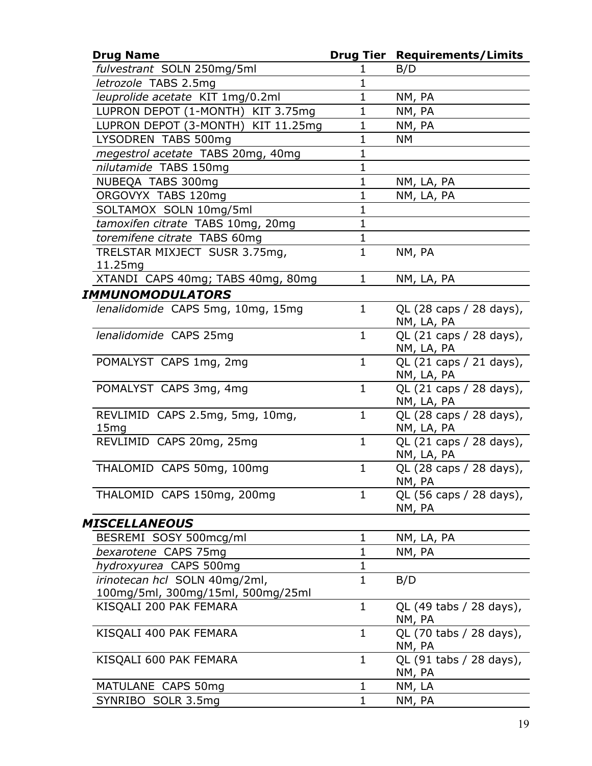| <b>Drug Name</b>                   |              | <b>Drug Tier Requirements/Limits</b> |
|------------------------------------|--------------|--------------------------------------|
| fulvestrant SOLN 250mg/5ml         | 1            | B/D                                  |
| letrozole TABS 2.5mg               | $\mathbf{1}$ |                                      |
| leuprolide acetate KIT 1mg/0.2ml   | $\mathbf 1$  | NM, PA                               |
| LUPRON DEPOT (1-MONTH) KIT 3.75mg  | $\mathbf{1}$ | NM, PA                               |
| LUPRON DEPOT (3-MONTH) KIT 11.25mg | 1            | NM, PA                               |
| LYSODREN TABS 500mg                | $\mathbf 1$  | NΜ                                   |
| megestrol acetate TABS 20mg, 40mg  | $\mathbf{1}$ |                                      |
| nilutamide TABS 150mg              | $\mathbf 1$  |                                      |
| NUBEQA TABS 300mg                  | $\mathbf{1}$ | NM, LA, PA                           |
| ORGOVYX TABS 120mg                 | $\mathbf 1$  | NM, LA, PA                           |
| SOLTAMOX SOLN 10mg/5ml             | $\mathbf{1}$ |                                      |
| tamoxifen citrate TABS 10mg, 20mg  | $\mathbf{1}$ |                                      |
| toremifene citrate TABS 60mg       | $\mathbf 1$  |                                      |
| TRELSTAR MIXJECT SUSR 3.75mg,      | $\mathbf{1}$ | NM, PA                               |
| 11.25mg                            |              |                                      |
| XTANDI CAPS 40mg; TABS 40mg, 80mg  | $\mathbf{1}$ | NM, LA, PA                           |
| IMMUNOMODULATORS                   |              |                                      |
| lenalidomide CAPS 5mg, 10mg, 15mg  | $\mathbf{1}$ | QL (28 caps / 28 days),              |
|                                    |              | NM, LA, PA                           |
| lenalidomide CAPS 25mg             | $\mathbf{1}$ | QL (21 caps / 28 days),              |
|                                    |              | NM, LA, PA                           |
| POMALYST CAPS 1mg, 2mg             | $\mathbf{1}$ | QL (21 caps / 21 days),              |
|                                    |              | NM, LA, PA                           |
| POMALYST CAPS 3mg, 4mg             | $\mathbf{1}$ | QL (21 caps / 28 days),              |
|                                    |              | NM, LA, PA                           |
| REVLIMID CAPS 2.5mg, 5mg, 10mg,    | $\mathbf{1}$ | QL (28 caps / 28 days),              |
| 15 <sub>mg</sub>                   |              | NM, LA, PA                           |
| REVLIMID CAPS 20mg, 25mg           | $\mathbf{1}$ | QL (21 caps / 28 days),              |
|                                    |              | NM, LA, PA                           |
| THALOMID CAPS 50mg, 100mg          | 1            | QL (28 caps / 28 days),              |
|                                    |              | NM, PA                               |
| THALOMID CAPS 150mg, 200mg         | $\mathbf{1}$ | QL (56 caps / 28 days),              |
|                                    |              | NM, PA                               |
| MISCELLANEOUS                      |              |                                      |
| BESREMI SOSY 500mcg/ml             | 1            | NM, LA, PA                           |
| bexarotene CAPS 75mg               | $\mathbf{1}$ | NM, PA                               |
| hydroxyurea CAPS 500mg             | 1            |                                      |
| irinotecan hcl SOLN 40mg/2ml,      | $\mathbf{1}$ | B/D                                  |
| 100mg/5ml, 300mg/15ml, 500mg/25ml  |              |                                      |
| KISQALI 200 PAK FEMARA             | 1            | QL (49 tabs / 28 days),              |
|                                    |              | NM, PA                               |
| KISQALI 400 PAK FEMARA             | 1            | QL (70 tabs / 28 days),              |
|                                    | 1            | NM, PA                               |
| KISQALI 600 PAK FEMARA             |              | QL (91 tabs / 28 days),<br>NM, PA    |
| MATULANE CAPS 50mg                 | $\mathbf 1$  | NM, LA                               |
| SYNRIBO SOLR 3.5mg                 | 1            | NM, PA                               |
|                                    |              |                                      |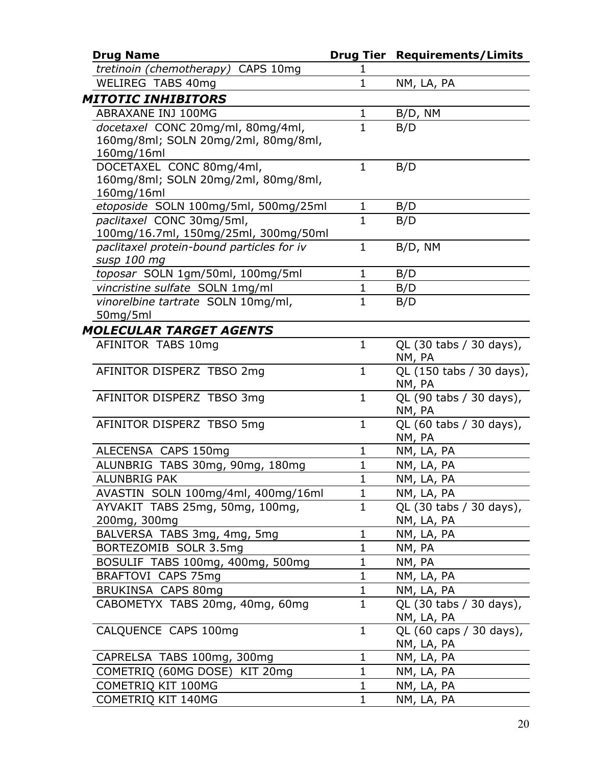| <b>Drug Name</b>                          |              | <b>Drug Tier Requirements/Limits</b> |
|-------------------------------------------|--------------|--------------------------------------|
| tretinoin (chemotherapy) CAPS 10mg        | 1            |                                      |
| <b>WELIREG TABS 40mg</b>                  | 1            | NM, LA, PA                           |
| <b>MITOTIC INHIBITORS</b>                 |              |                                      |
| ABRAXANE INJ 100MG                        | $\mathbf{1}$ | B/D, NM                              |
| docetaxel CONC 20mg/ml, 80mg/4ml,         | $\mathbf{1}$ | B/D                                  |
| 160mg/8ml; SOLN 20mg/2ml, 80mg/8ml,       |              |                                      |
| 160mg/16ml                                |              |                                      |
| DOCETAXEL CONC 80mg/4ml,                  | $\mathbf{1}$ | B/D                                  |
| 160mg/8ml; SOLN 20mg/2ml, 80mg/8ml,       |              |                                      |
| 160mg/16ml                                |              |                                      |
| etoposide SOLN 100mg/5ml, 500mg/25ml      | 1            | B/D                                  |
| paclitaxel CONC 30mg/5ml,                 | $\mathbf{1}$ | B/D                                  |
| 100mg/16.7ml, 150mg/25ml, 300mg/50ml      |              |                                      |
| paclitaxel protein-bound particles for iv | $\mathbf{1}$ | B/D, NM                              |
| susp 100 mg                               |              |                                      |
| toposar SOLN 1gm/50ml, 100mg/5ml          | 1            | B/D                                  |
| vincristine sulfate SOLN 1mg/ml           | $\mathbf{1}$ | B/D                                  |
| vinorelbine tartrate SOLN 10mg/ml,        | $\mathbf{1}$ | B/D                                  |
| 50mg/5ml                                  |              |                                      |
| <b>MOLECULAR TARGET AGENTS</b>            |              |                                      |
| AFINITOR TABS 10mg                        | $\mathbf{1}$ | QL (30 tabs / 30 days),              |
|                                           |              | NM, PA                               |
| AFINITOR DISPERZ TBSO 2mg                 | $\mathbf{1}$ | QL (150 tabs / 30 days),<br>NM, PA   |
| AFINITOR DISPERZ TBSO 3mg                 | $\mathbf{1}$ | QL (90 tabs / 30 days),              |
|                                           |              | NM, PA                               |
| AFINITOR DISPERZ TBSO 5mg                 | $\mathbf{1}$ | QL (60 tabs / 30 days),              |
|                                           |              | NM, PA                               |
| ALECENSA CAPS 150mg                       | 1            | NM, LA, PA                           |
| ALUNBRIG TABS 30mg, 90mg, 180mg           | $\mathbf 1$  | NM, LA, PA                           |
| <b>ALUNBRIG PAK</b>                       | $\mathbf{1}$ | NM, LA, PA                           |
| AVASTIN SOLN 100mg/4ml, 400mg/16ml        | 1            | NM, LA, PA                           |
| AYVAKIT TABS 25mg, 50mg, 100mg,           | $\mathbf{1}$ | QL (30 tabs / 30 days),              |
| 200mg, 300mg                              |              | NM, LA, PA                           |
| BALVERSA TABS 3mg, 4mg, 5mg               | $\mathbf 1$  | NM, LA, PA                           |
| BORTEZOMIB SOLR 3.5mg                     | 1            | NM, PA                               |
| BOSULIF TABS 100mg, 400mg, 500mg          | 1            | NM, PA                               |
| BRAFTOVI CAPS 75mg                        | 1            | NM, LA, PA                           |
| BRUKINSA CAPS 80mg                        | 1            | NM, LA, PA                           |
| CABOMETYX TABS 20mg, 40mg, 60mg           | $\mathbf{1}$ | QL (30 tabs / 30 days),              |
|                                           |              | NM, LA, PA                           |
| CALQUENCE CAPS 100mg                      | 1            | QL (60 caps / 30 days),              |
|                                           |              | NM, LA, PA                           |
| CAPRELSA TABS 100mg, 300mg                | $\mathbf 1$  | NM, LA, PA                           |
| COMETRIQ (60MG DOSE) KIT 20mg             | 1            | NM, LA, PA                           |
| COMETRIQ KIT 100MG                        | $\mathbf 1$  | NM, LA, PA                           |
| COMETRIQ KIT 140MG                        | 1            | NM, LA, PA                           |
|                                           |              |                                      |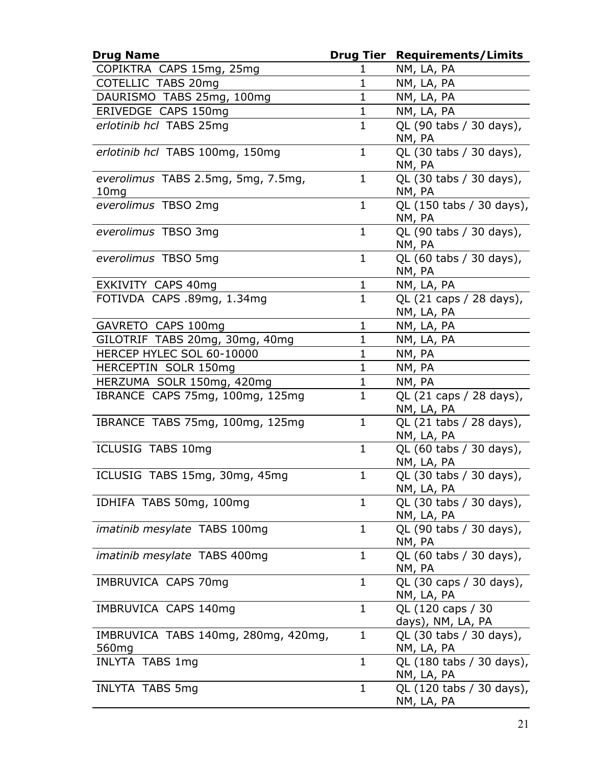| <b>Drug Name</b>                                         |              | <b>Drug Tier Requirements/Limits</b>               |
|----------------------------------------------------------|--------------|----------------------------------------------------|
| COPIKTRA CAPS 15mg, 25mg                                 | ı            | NM, LA, PA                                         |
| COTELLIC TABS 20mg                                       | $\mathbf{1}$ | NM, LA, PA                                         |
| DAURISMO TABS 25mg, 100mg                                | $\mathbf 1$  | NM, LA, PA                                         |
| ERIVEDGE CAPS 150mg                                      | $\mathbf{1}$ | NM, LA, PA                                         |
| erlotinib hcl TABS 25mg                                  | $\mathbf{1}$ | QL (90 tabs / 30 days),                            |
|                                                          |              | NM, PA                                             |
| erlotinib hcl TABS 100mg, 150mg                          | $\mathbf{1}$ | QL (30 tabs / 30 days),<br>NM, PA                  |
| everolimus TABS 2.5mg, 5mg, 7.5mg,                       | $\mathbf{1}$ | QL (30 tabs / 30 days),                            |
| 10 <sub>mg</sub>                                         |              | NM, PA                                             |
| everolimus TBSO 2mg                                      | $\mathbf{1}$ | QL (150 tabs / 30 days),<br>NM, PA                 |
| everolimus TBSO 3mg                                      | $\mathbf{1}$ | QL (90 tabs / 30 days),<br>NM, PA                  |
| everolimus TBSO 5mg                                      | $\mathbf{1}$ | QL (60 tabs / 30 days),<br>NM, PA                  |
| EXKIVITY CAPS 40mg                                       | $\mathbf{1}$ | NM, LA, PA                                         |
| FOTIVDA CAPS .89mg, 1.34mg                               | $\mathbf{1}$ | QL (21 caps / 28 days),<br>NM, LA, PA              |
| GAVRETO CAPS 100mg                                       | $\mathbf{1}$ | NM, LA, PA                                         |
| GILOTRIF TABS 20mg, 30mg, 40mg                           | $\mathbf{1}$ | NM, LA, PA                                         |
| HERCEP HYLEC SOL 60-10000                                | $\mathbf{1}$ | NM, PA                                             |
| HERCEPTIN SOLR 150mg                                     | $\mathbf{1}$ | NM, PA                                             |
| HERZUMA SOLR 150mg, 420mg                                | $\mathbf{1}$ | NM, PA                                             |
| IBRANCE CAPS 75mg, 100mg, 125mg                          | $\mathbf{1}$ | QL (21 caps / 28 days),<br>NM, LA, PA              |
| IBRANCE TABS 75mg, 100mg, 125mg                          | $\mathbf{1}$ | QL (21 tabs / 28 days),<br>NM, LA, PA              |
| ICLUSIG TABS 10mg                                        | $\mathbf{1}$ | QL (60 tabs / 30 days),<br>NM, LA, PA              |
| ICLUSIG TABS 15mg, 30mg, 45mg                            | $\mathbf{1}$ | $\overline{QL}$ (30 tabs / 30 days),<br>NM, LA, PA |
| IDHIFA TABS 50mg, 100mg                                  | 1            | QL (30 tabs / 30 days),<br>NM, LA, PA              |
| <i>imatinib mesylate</i> TABS 100mg                      | $\mathbf{1}$ | QL (90 tabs / 30 days),<br>NM, PA                  |
| <i>imatinib mesylate</i> TABS 400mg                      | $\mathbf{1}$ | QL (60 tabs / 30 days),<br>NM, PA                  |
| IMBRUVICA CAPS 70mg                                      | $\mathbf{1}$ | QL (30 caps / 30 days),<br>NM, LA, PA              |
| IMBRUVICA CAPS 140mg                                     | $\mathbf{1}$ | QL (120 caps / 30<br>days), NM, LA, PA             |
| IMBRUVICA TABS 140mg, 280mg, 420mg,<br>560 <sub>mg</sub> | $\mathbf{1}$ | QL (30 tabs / 30 days),<br>NM, LA, PA              |
| <b>INLYTA TABS 1mg</b>                                   | $\mathbf{1}$ | QL (180 tabs / 30 days),<br>NM, LA, PA             |
| <b>INLYTA TABS 5mg</b>                                   | 1            | QL (120 tabs / 30 days),<br>NM, LA, PA             |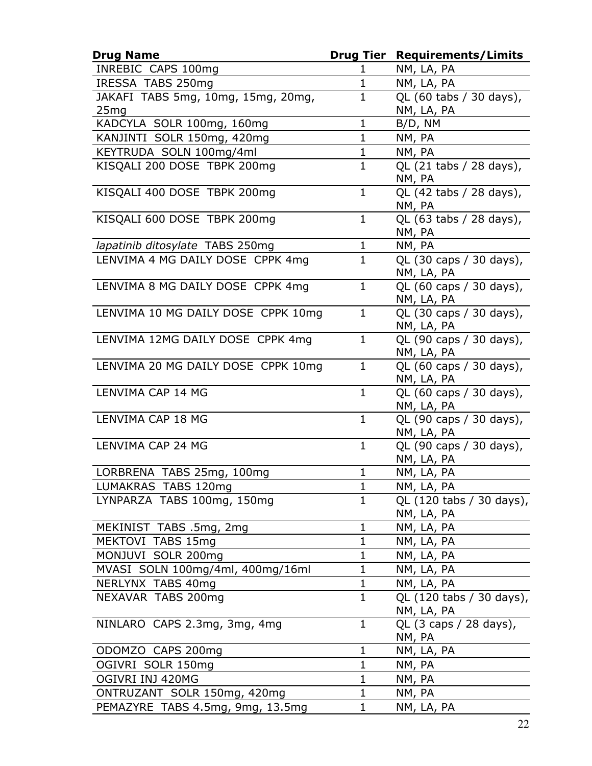| INREBIC CAPS 100mg<br>NM, LA, PA<br>1<br>$\mathbf{1}$<br>IRESSA TABS 250mg<br>NM, LA, PA<br>JAKAFI TABS 5mg, 10mg, 15mg, 20mg,<br>QL (60 tabs / 30 days),<br>$\mathbf{1}$<br>NM, LA, PA<br>25mg<br>$\mathbf{1}$<br>KADCYLA SOLR 100mg, 160mg<br>B/D, NM<br>KANJINTI SOLR 150mg, 420mg<br>NM, PA<br>$\mathbf 1$<br>$\mathbf{1}$<br>KEYTRUDA SOLN 100mg/4ml<br>NM, PA<br>$\mathbf{1}$<br>KISQALI 200 DOSE TBPK 200mg<br>QL (21 tabs / 28 days),<br>NM, PA<br>$\mathbf{1}$<br>KISQALI 400 DOSE TBPK 200mg<br>QL (42 tabs / 28 days),<br>NM, PA<br>$\mathbf{1}$<br>QL (63 tabs / 28 days),<br>KISQALI 600 DOSE TBPK 200mg<br>NM, PA<br>lapatinib ditosylate TABS 250mg<br>1<br>NM, PA<br>LENVIMA 4 MG DAILY DOSE CPPK 4mg<br>$\mathbf{1}$<br>QL (30 caps / 30 days),<br>NM, LA, PA<br>$\mathbf{1}$<br>LENVIMA 8 MG DAILY DOSE CPPK 4mg<br>QL (60 caps / 30 days),<br>NM, LA, PA<br>LENVIMA 10 MG DAILY DOSE CPPK 10mg<br>$\mathbf{1}$<br>QL (30 caps / 30 days),<br>NM, LA, PA<br>LENVIMA 12MG DAILY DOSE CPPK 4mg<br>$\mathbf{1}$<br>QL (90 caps / 30 days),<br>NM, LA, PA<br>LENVIMA 20 MG DAILY DOSE CPPK 10mg<br>$\mathbf{1}$<br>QL (60 caps / 30 days),<br>NM, LA, PA<br>LENVIMA CAP 14 MG<br>$\mathbf{1}$<br>QL (60 caps / 30 days),<br>NM, LA, PA<br>$\mathbf{1}$<br>LENVIMA CAP 18 MG<br>QL (90 caps / 30 days),<br>NM, LA, PA<br>LENVIMA CAP 24 MG<br>$\mathbf{1}$<br>QL (90 caps / 30 days),<br>NM, LA, PA<br>$\mathbf{1}$<br>LORBRENA TABS 25mg, 100mg<br>NM, LA, PA<br>LUMAKRAS TABS 120mg<br>NM, LA, PA<br>1<br>$\mathbf{1}$<br>LYNPARZA TABS 100mg, 150mg<br>QL (120 tabs / 30 days),<br>NM, LA, PA<br>MEKINIST TABS .5mg, 2mg<br>$\mathbf 1$<br>NM, LA, PA<br>$\mathbf{1}$<br>MEKTOVI TABS 15mg<br>NM, LA, PA<br>MONJUVI SOLR 200mg<br>$\mathbf 1$<br>NM, LA, PA<br>$\mathbf{1}$<br>MVASI SOLN 100mg/4ml, 400mg/16ml<br>NM, LA, PA<br>NERLYNX TABS 40mg<br>$\mathbf{1}$<br>NM, LA, PA<br>QL (120 tabs / 30 days),<br>$\mathbf{1}$<br>NEXAVAR TABS 200mg<br>NM, LA, PA<br>QL (3 caps / 28 days),<br>NINLARO CAPS 2.3mg, 3mg, 4mg<br>1<br>NM, PA<br>$\mathbf{1}$<br>NM, LA, PA<br>ODOMZO CAPS 200mg<br>OGIVRI SOLR 150mg<br>$\mathbf 1$<br>NM, PA<br>OGIVRI INJ 420MG<br>$\mathbf 1$<br>NM, PA<br>$\mathbf{1}$<br>ONTRUZANT SOLR 150mg, 420mg<br>NM, PA | <b>Drug Name</b>                 | <b>Drug Tier</b> | <b>Requirements/Limits</b> |
|------------------------------------------------------------------------------------------------------------------------------------------------------------------------------------------------------------------------------------------------------------------------------------------------------------------------------------------------------------------------------------------------------------------------------------------------------------------------------------------------------------------------------------------------------------------------------------------------------------------------------------------------------------------------------------------------------------------------------------------------------------------------------------------------------------------------------------------------------------------------------------------------------------------------------------------------------------------------------------------------------------------------------------------------------------------------------------------------------------------------------------------------------------------------------------------------------------------------------------------------------------------------------------------------------------------------------------------------------------------------------------------------------------------------------------------------------------------------------------------------------------------------------------------------------------------------------------------------------------------------------------------------------------------------------------------------------------------------------------------------------------------------------------------------------------------------------------------------------------------------------------------------------------------------------------------------------------------------------------------------------------------------------------------------------------------------------------------------------------------------------------------------------------------------------------------------------------------------------------------------------------------|----------------------------------|------------------|----------------------------|
|                                                                                                                                                                                                                                                                                                                                                                                                                                                                                                                                                                                                                                                                                                                                                                                                                                                                                                                                                                                                                                                                                                                                                                                                                                                                                                                                                                                                                                                                                                                                                                                                                                                                                                                                                                                                                                                                                                                                                                                                                                                                                                                                                                                                                                                                  |                                  |                  |                            |
|                                                                                                                                                                                                                                                                                                                                                                                                                                                                                                                                                                                                                                                                                                                                                                                                                                                                                                                                                                                                                                                                                                                                                                                                                                                                                                                                                                                                                                                                                                                                                                                                                                                                                                                                                                                                                                                                                                                                                                                                                                                                                                                                                                                                                                                                  |                                  |                  |                            |
|                                                                                                                                                                                                                                                                                                                                                                                                                                                                                                                                                                                                                                                                                                                                                                                                                                                                                                                                                                                                                                                                                                                                                                                                                                                                                                                                                                                                                                                                                                                                                                                                                                                                                                                                                                                                                                                                                                                                                                                                                                                                                                                                                                                                                                                                  |                                  |                  |                            |
|                                                                                                                                                                                                                                                                                                                                                                                                                                                                                                                                                                                                                                                                                                                                                                                                                                                                                                                                                                                                                                                                                                                                                                                                                                                                                                                                                                                                                                                                                                                                                                                                                                                                                                                                                                                                                                                                                                                                                                                                                                                                                                                                                                                                                                                                  |                                  |                  |                            |
|                                                                                                                                                                                                                                                                                                                                                                                                                                                                                                                                                                                                                                                                                                                                                                                                                                                                                                                                                                                                                                                                                                                                                                                                                                                                                                                                                                                                                                                                                                                                                                                                                                                                                                                                                                                                                                                                                                                                                                                                                                                                                                                                                                                                                                                                  |                                  |                  |                            |
|                                                                                                                                                                                                                                                                                                                                                                                                                                                                                                                                                                                                                                                                                                                                                                                                                                                                                                                                                                                                                                                                                                                                                                                                                                                                                                                                                                                                                                                                                                                                                                                                                                                                                                                                                                                                                                                                                                                                                                                                                                                                                                                                                                                                                                                                  |                                  |                  |                            |
|                                                                                                                                                                                                                                                                                                                                                                                                                                                                                                                                                                                                                                                                                                                                                                                                                                                                                                                                                                                                                                                                                                                                                                                                                                                                                                                                                                                                                                                                                                                                                                                                                                                                                                                                                                                                                                                                                                                                                                                                                                                                                                                                                                                                                                                                  |                                  |                  |                            |
|                                                                                                                                                                                                                                                                                                                                                                                                                                                                                                                                                                                                                                                                                                                                                                                                                                                                                                                                                                                                                                                                                                                                                                                                                                                                                                                                                                                                                                                                                                                                                                                                                                                                                                                                                                                                                                                                                                                                                                                                                                                                                                                                                                                                                                                                  |                                  |                  |                            |
|                                                                                                                                                                                                                                                                                                                                                                                                                                                                                                                                                                                                                                                                                                                                                                                                                                                                                                                                                                                                                                                                                                                                                                                                                                                                                                                                                                                                                                                                                                                                                                                                                                                                                                                                                                                                                                                                                                                                                                                                                                                                                                                                                                                                                                                                  |                                  |                  |                            |
|                                                                                                                                                                                                                                                                                                                                                                                                                                                                                                                                                                                                                                                                                                                                                                                                                                                                                                                                                                                                                                                                                                                                                                                                                                                                                                                                                                                                                                                                                                                                                                                                                                                                                                                                                                                                                                                                                                                                                                                                                                                                                                                                                                                                                                                                  |                                  |                  |                            |
|                                                                                                                                                                                                                                                                                                                                                                                                                                                                                                                                                                                                                                                                                                                                                                                                                                                                                                                                                                                                                                                                                                                                                                                                                                                                                                                                                                                                                                                                                                                                                                                                                                                                                                                                                                                                                                                                                                                                                                                                                                                                                                                                                                                                                                                                  |                                  |                  |                            |
|                                                                                                                                                                                                                                                                                                                                                                                                                                                                                                                                                                                                                                                                                                                                                                                                                                                                                                                                                                                                                                                                                                                                                                                                                                                                                                                                                                                                                                                                                                                                                                                                                                                                                                                                                                                                                                                                                                                                                                                                                                                                                                                                                                                                                                                                  |                                  |                  |                            |
|                                                                                                                                                                                                                                                                                                                                                                                                                                                                                                                                                                                                                                                                                                                                                                                                                                                                                                                                                                                                                                                                                                                                                                                                                                                                                                                                                                                                                                                                                                                                                                                                                                                                                                                                                                                                                                                                                                                                                                                                                                                                                                                                                                                                                                                                  |                                  |                  |                            |
|                                                                                                                                                                                                                                                                                                                                                                                                                                                                                                                                                                                                                                                                                                                                                                                                                                                                                                                                                                                                                                                                                                                                                                                                                                                                                                                                                                                                                                                                                                                                                                                                                                                                                                                                                                                                                                                                                                                                                                                                                                                                                                                                                                                                                                                                  |                                  |                  |                            |
|                                                                                                                                                                                                                                                                                                                                                                                                                                                                                                                                                                                                                                                                                                                                                                                                                                                                                                                                                                                                                                                                                                                                                                                                                                                                                                                                                                                                                                                                                                                                                                                                                                                                                                                                                                                                                                                                                                                                                                                                                                                                                                                                                                                                                                                                  |                                  |                  |                            |
|                                                                                                                                                                                                                                                                                                                                                                                                                                                                                                                                                                                                                                                                                                                                                                                                                                                                                                                                                                                                                                                                                                                                                                                                                                                                                                                                                                                                                                                                                                                                                                                                                                                                                                                                                                                                                                                                                                                                                                                                                                                                                                                                                                                                                                                                  |                                  |                  |                            |
|                                                                                                                                                                                                                                                                                                                                                                                                                                                                                                                                                                                                                                                                                                                                                                                                                                                                                                                                                                                                                                                                                                                                                                                                                                                                                                                                                                                                                                                                                                                                                                                                                                                                                                                                                                                                                                                                                                                                                                                                                                                                                                                                                                                                                                                                  |                                  |                  |                            |
|                                                                                                                                                                                                                                                                                                                                                                                                                                                                                                                                                                                                                                                                                                                                                                                                                                                                                                                                                                                                                                                                                                                                                                                                                                                                                                                                                                                                                                                                                                                                                                                                                                                                                                                                                                                                                                                                                                                                                                                                                                                                                                                                                                                                                                                                  |                                  |                  |                            |
|                                                                                                                                                                                                                                                                                                                                                                                                                                                                                                                                                                                                                                                                                                                                                                                                                                                                                                                                                                                                                                                                                                                                                                                                                                                                                                                                                                                                                                                                                                                                                                                                                                                                                                                                                                                                                                                                                                                                                                                                                                                                                                                                                                                                                                                                  |                                  |                  |                            |
|                                                                                                                                                                                                                                                                                                                                                                                                                                                                                                                                                                                                                                                                                                                                                                                                                                                                                                                                                                                                                                                                                                                                                                                                                                                                                                                                                                                                                                                                                                                                                                                                                                                                                                                                                                                                                                                                                                                                                                                                                                                                                                                                                                                                                                                                  |                                  |                  |                            |
|                                                                                                                                                                                                                                                                                                                                                                                                                                                                                                                                                                                                                                                                                                                                                                                                                                                                                                                                                                                                                                                                                                                                                                                                                                                                                                                                                                                                                                                                                                                                                                                                                                                                                                                                                                                                                                                                                                                                                                                                                                                                                                                                                                                                                                                                  |                                  |                  |                            |
|                                                                                                                                                                                                                                                                                                                                                                                                                                                                                                                                                                                                                                                                                                                                                                                                                                                                                                                                                                                                                                                                                                                                                                                                                                                                                                                                                                                                                                                                                                                                                                                                                                                                                                                                                                                                                                                                                                                                                                                                                                                                                                                                                                                                                                                                  |                                  |                  |                            |
|                                                                                                                                                                                                                                                                                                                                                                                                                                                                                                                                                                                                                                                                                                                                                                                                                                                                                                                                                                                                                                                                                                                                                                                                                                                                                                                                                                                                                                                                                                                                                                                                                                                                                                                                                                                                                                                                                                                                                                                                                                                                                                                                                                                                                                                                  |                                  |                  |                            |
|                                                                                                                                                                                                                                                                                                                                                                                                                                                                                                                                                                                                                                                                                                                                                                                                                                                                                                                                                                                                                                                                                                                                                                                                                                                                                                                                                                                                                                                                                                                                                                                                                                                                                                                                                                                                                                                                                                                                                                                                                                                                                                                                                                                                                                                                  |                                  |                  |                            |
|                                                                                                                                                                                                                                                                                                                                                                                                                                                                                                                                                                                                                                                                                                                                                                                                                                                                                                                                                                                                                                                                                                                                                                                                                                                                                                                                                                                                                                                                                                                                                                                                                                                                                                                                                                                                                                                                                                                                                                                                                                                                                                                                                                                                                                                                  |                                  |                  |                            |
|                                                                                                                                                                                                                                                                                                                                                                                                                                                                                                                                                                                                                                                                                                                                                                                                                                                                                                                                                                                                                                                                                                                                                                                                                                                                                                                                                                                                                                                                                                                                                                                                                                                                                                                                                                                                                                                                                                                                                                                                                                                                                                                                                                                                                                                                  |                                  |                  |                            |
|                                                                                                                                                                                                                                                                                                                                                                                                                                                                                                                                                                                                                                                                                                                                                                                                                                                                                                                                                                                                                                                                                                                                                                                                                                                                                                                                                                                                                                                                                                                                                                                                                                                                                                                                                                                                                                                                                                                                                                                                                                                                                                                                                                                                                                                                  |                                  |                  |                            |
|                                                                                                                                                                                                                                                                                                                                                                                                                                                                                                                                                                                                                                                                                                                                                                                                                                                                                                                                                                                                                                                                                                                                                                                                                                                                                                                                                                                                                                                                                                                                                                                                                                                                                                                                                                                                                                                                                                                                                                                                                                                                                                                                                                                                                                                                  |                                  |                  |                            |
|                                                                                                                                                                                                                                                                                                                                                                                                                                                                                                                                                                                                                                                                                                                                                                                                                                                                                                                                                                                                                                                                                                                                                                                                                                                                                                                                                                                                                                                                                                                                                                                                                                                                                                                                                                                                                                                                                                                                                                                                                                                                                                                                                                                                                                                                  |                                  |                  |                            |
|                                                                                                                                                                                                                                                                                                                                                                                                                                                                                                                                                                                                                                                                                                                                                                                                                                                                                                                                                                                                                                                                                                                                                                                                                                                                                                                                                                                                                                                                                                                                                                                                                                                                                                                                                                                                                                                                                                                                                                                                                                                                                                                                                                                                                                                                  |                                  |                  |                            |
|                                                                                                                                                                                                                                                                                                                                                                                                                                                                                                                                                                                                                                                                                                                                                                                                                                                                                                                                                                                                                                                                                                                                                                                                                                                                                                                                                                                                                                                                                                                                                                                                                                                                                                                                                                                                                                                                                                                                                                                                                                                                                                                                                                                                                                                                  |                                  |                  |                            |
|                                                                                                                                                                                                                                                                                                                                                                                                                                                                                                                                                                                                                                                                                                                                                                                                                                                                                                                                                                                                                                                                                                                                                                                                                                                                                                                                                                                                                                                                                                                                                                                                                                                                                                                                                                                                                                                                                                                                                                                                                                                                                                                                                                                                                                                                  |                                  |                  |                            |
|                                                                                                                                                                                                                                                                                                                                                                                                                                                                                                                                                                                                                                                                                                                                                                                                                                                                                                                                                                                                                                                                                                                                                                                                                                                                                                                                                                                                                                                                                                                                                                                                                                                                                                                                                                                                                                                                                                                                                                                                                                                                                                                                                                                                                                                                  |                                  |                  |                            |
|                                                                                                                                                                                                                                                                                                                                                                                                                                                                                                                                                                                                                                                                                                                                                                                                                                                                                                                                                                                                                                                                                                                                                                                                                                                                                                                                                                                                                                                                                                                                                                                                                                                                                                                                                                                                                                                                                                                                                                                                                                                                                                                                                                                                                                                                  |                                  |                  |                            |
|                                                                                                                                                                                                                                                                                                                                                                                                                                                                                                                                                                                                                                                                                                                                                                                                                                                                                                                                                                                                                                                                                                                                                                                                                                                                                                                                                                                                                                                                                                                                                                                                                                                                                                                                                                                                                                                                                                                                                                                                                                                                                                                                                                                                                                                                  | PEMAZYRE TABS 4.5mg, 9mg, 13.5mg | $\mathbf 1$      | NM, LA, PA                 |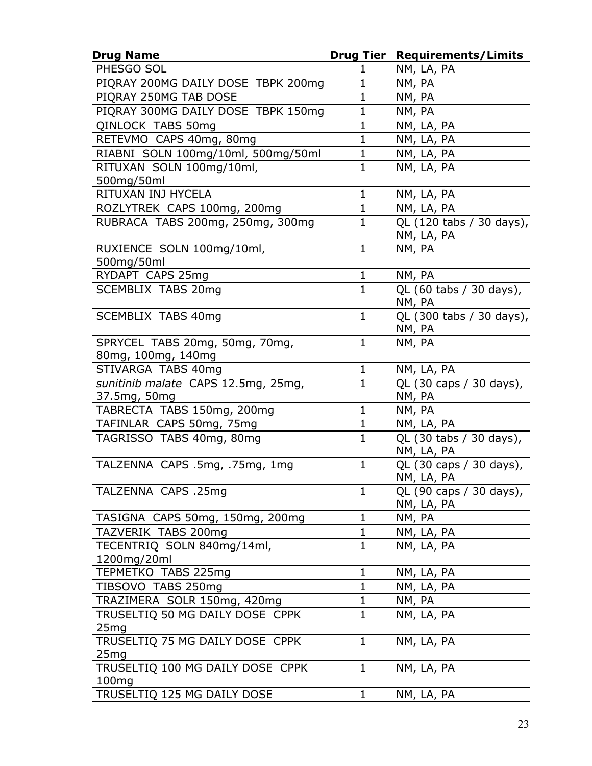| <b>Drug Name</b>                                          | <b>Drug Tier</b> | <b>Requirements/Limits</b> |
|-----------------------------------------------------------|------------------|----------------------------|
| PHESGO SOL                                                | 1                | NM, LA, PA                 |
| PIQRAY 200MG DAILY DOSE TBPK 200mg                        | $\mathbf 1$      | NM, PA                     |
| PIORAY 250MG TAB DOSE                                     | $\mathbf 1$      | NM, PA                     |
| PIQRAY 300MG DAILY DOSE TBPK 150mg                        | $\mathbf{1}$     | NM, PA                     |
| QINLOCK TABS 50mg                                         | $\mathbf 1$      | NM, LA, PA                 |
| RETEVMO CAPS 40mg, 80mg                                   | $\mathbf 1$      | NM, LA, PA                 |
| RIABNI SOLN 100mg/10ml, 500mg/50ml                        | $\mathbf 1$      | NM, LA, PA                 |
| RITUXAN SOLN 100mg/10ml,                                  | $\mathbf{1}$     | NM, LA, PA                 |
| 500mg/50ml<br>RITUXAN INJ HYCELA                          | $\mathbf{1}$     | NM, LA, PA                 |
| ROZLYTREK CAPS 100mg, 200mg                               | $\mathbf{1}$     | NM, LA, PA                 |
| RUBRACA TABS 200mg, 250mg, 300mg                          | $\mathbf{1}$     | QL (120 tabs / 30 days),   |
|                                                           |                  | NM, LA, PA                 |
| RUXIENCE SOLN 100mg/10ml,                                 | $\mathbf{1}$     | NM, PA                     |
| 500mg/50ml                                                |                  |                            |
| RYDAPT CAPS 25mg                                          | $\mathbf{1}$     | NM, PA                     |
| <b>SCEMBLIX TABS 20mg</b>                                 | $\mathbf{1}$     | QL (60 tabs / 30 days),    |
|                                                           |                  | NM, PA                     |
| <b>SCEMBLIX TABS 40mg</b>                                 | $\mathbf{1}$     | QL (300 tabs / 30 days),   |
|                                                           |                  | NM, PA                     |
| SPRYCEL TABS 20mg, 50mg, 70mg,                            | $\mathbf{1}$     | NM, PA                     |
| 80mg, 100mg, 140mg                                        | $\mathbf{1}$     | NM, LA, PA                 |
| STIVARGA TABS 40mg<br>sunitinib malate CAPS 12.5mg, 25mg, | $\mathbf{1}$     | QL (30 caps / 30 days),    |
| 37.5mg, 50mg                                              |                  | NM, PA                     |
| TABRECTA TABS 150mg, 200mg                                | $\mathbf{1}$     | NM, PA                     |
| TAFINLAR CAPS 50mg, 75mg                                  | $\mathbf{1}$     | NM, LA, PA                 |
| TAGRISSO TABS 40mg, 80mg                                  | $\mathbf{1}$     | QL (30 tabs / 30 days),    |
|                                                           |                  | NM, LA, PA                 |
| TALZENNA CAPS .5mg, .75mg, 1mg                            | $\mathbf{1}$     | QL (30 caps / 30 days),    |
|                                                           |                  | <u>NM, LA, PA</u>          |
| TALZENNA CAPS .25mg                                       | $\mathbf{1}$     | QL (90 caps / 30 days),    |
|                                                           |                  | NM, LA, PA                 |
| TASIGNA CAPS 50mg, 150mg, 200mg                           | $\mathbf{1}$     | NM, PA                     |
| TAZVERIK TABS 200mg                                       | $\mathbf{1}$     | NM, LA, PA                 |
| TECENTRIQ SOLN 840mg/14ml,                                | $\mathbf{1}$     | NM, LA, PA                 |
| 1200mg/20ml                                               |                  |                            |
| TEPMETKO TABS 225mg                                       | $\mathbf{1}$     | NM, LA, PA                 |
| TIBSOVO TABS 250mg                                        | $\mathbf 1$      | NM, LA, PA                 |
| TRAZIMERA SOLR 150mg, 420mg                               | $\mathbf{1}$     | NM, PA                     |
| TRUSELTIQ 50 MG DAILY DOSE CPPK                           | $\mathbf{1}$     | NM, LA, PA                 |
| 25mg                                                      |                  |                            |
| TRUSELTIQ 75 MG DAILY DOSE CPPK                           | $\mathbf{1}$     | NM, LA, PA                 |
| 25mg<br>TRUSELTIQ 100 MG DAILY DOSE CPPK                  | $\mathbf{1}$     | NM, LA, PA                 |
| 100mg                                                     |                  |                            |
| TRUSELTIQ 125 MG DAILY DOSE                               | $\mathbf{1}$     | NM, LA, PA                 |
|                                                           |                  |                            |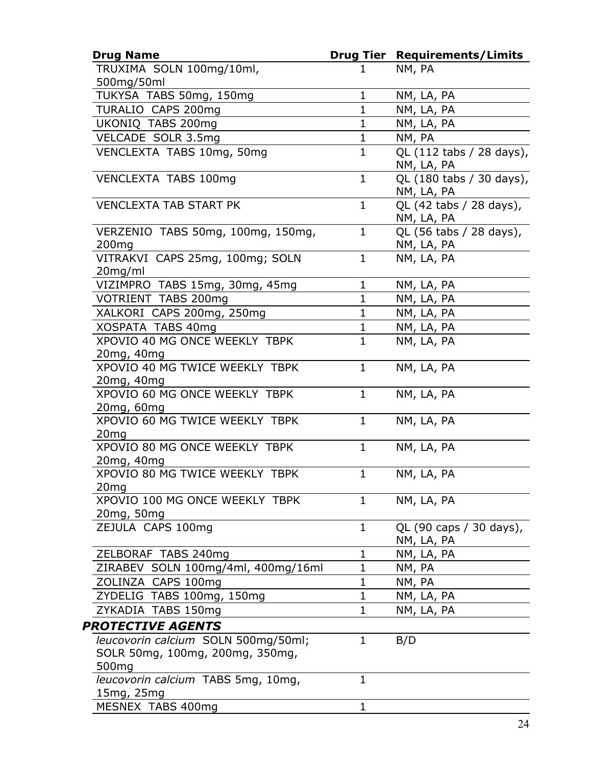| <b>Drug Name</b>                                       |              | <b>Drug Tier Requirements/Limits</b>   |
|--------------------------------------------------------|--------------|----------------------------------------|
| TRUXIMA SOLN 100mg/10ml,                               | 1            | NM, PA                                 |
| 500mg/50ml                                             |              |                                        |
| TUKYSA TABS 50mg, 150mg                                | $\mathbf{1}$ | NM, LA, PA                             |
| TURALIO CAPS 200mg                                     | $\mathbf{1}$ | NM, LA, PA                             |
| UKONIQ TABS 200mg                                      | $\mathbf{1}$ | NM, LA, PA                             |
| VELCADE SOLR 3.5mg                                     | $\mathbf{1}$ | NM, PA                                 |
| VENCLEXTA TABS 10mg, 50mg                              | $\mathbf{1}$ | QL (112 tabs / 28 days),<br>NM, LA, PA |
| VENCLEXTA TABS 100mg                                   | $\mathbf{1}$ | QL (180 tabs / 30 days),<br>NM, LA, PA |
| <b>VENCLEXTA TAB START PK</b>                          | $\mathbf{1}$ | QL (42 tabs / 28 days),<br>NM, LA, PA  |
| VERZENIO TABS 50mg, 100mg, 150mg,<br>200 <sub>mg</sub> | $\mathbf{1}$ | QL (56 tabs / 28 days),<br>NM, LA, PA  |
| VITRAKVI CAPS 25mg, 100mg; SOLN<br>20mg/ml             | $\mathbf{1}$ | NM, LA, PA                             |
| VIZIMPRO TABS 15mg, 30mg, 45mg                         | $\mathbf{1}$ | NM, LA, PA                             |
| VOTRIENT TABS 200mg                                    | $\mathbf{1}$ | NM, LA, PA                             |
| XALKORI CAPS 200mg, 250mg                              | $\mathbf{1}$ | NM, LA, PA                             |
| XOSPATA TABS 40mg                                      | $\mathbf 1$  | NM, LA, PA                             |
| XPOVIO 40 MG ONCE WEEKLY TBPK                          | $\mathbf{1}$ | NM, LA, PA                             |
| 20mg, 40mg                                             |              |                                        |
| XPOVIO 40 MG TWICE WEEKLY TBPK                         | $\mathbf{1}$ | NM, LA, PA                             |
| 20mg, 40mg                                             |              |                                        |
| XPOVIO 60 MG ONCE WEEKLY TBPK                          | $\mathbf{1}$ | NM, LA, PA                             |
| 20mg, 60mg                                             |              |                                        |
| XPOVIO 60 MG TWICE WEEKLY TBPK                         | $\mathbf{1}$ | NM, LA, PA                             |
| 20 <sub>mg</sub>                                       |              |                                        |
| XPOVIO 80 MG ONCE WEEKLY TBPK                          | $\mathbf{1}$ | NM, LA, PA                             |
| 20mg, 40mg                                             |              |                                        |
| XPOVIO 80 MG TWICE WEEKLY TBPK                         | $\mathbf{1}$ | NM, LA, PA                             |
| 20mg                                                   |              |                                        |
| XPOVIO 100 MG ONCE WEEKLY TBPK                         | 1            | NM, LA, PA                             |
| 20mg, 50mg                                             |              |                                        |
| ZEJULA CAPS 100mg                                      | $\mathbf{1}$ | QL (90 caps / 30 days),                |
|                                                        |              | NM, LA, PA                             |
| ZELBORAF TABS 240mg                                    | 1            | NM, LA, PA                             |
| ZIRABEV SOLN 100mg/4ml, 400mg/16ml                     | $\mathbf{1}$ | NM, PA                                 |
| ZOLINZA CAPS 100mg                                     | $\mathbf 1$  | NM, PA                                 |
| ZYDELIG TABS 100mg, 150mg                              | $\mathbf 1$  | NM, LA, PA                             |
| ZYKADIA TABS 150mg                                     | $\mathbf 1$  | NM, LA, PA                             |
| <b>PROTECTIVE AGENTS</b>                               |              |                                        |
| leucovorin calcium SOLN 500mg/50ml;                    | $\mathbf{1}$ | B/D                                    |
| SOLR 50mg, 100mg, 200mg, 350mg,                        |              |                                        |
| 500 <sub>mg</sub>                                      |              |                                        |
| leucovorin calcium TABS 5mg, 10mg,                     | $\mathbf{1}$ |                                        |
| 15mg, 25mg                                             |              |                                        |
| MESNEX TABS 400mg                                      | $\mathbf{1}$ |                                        |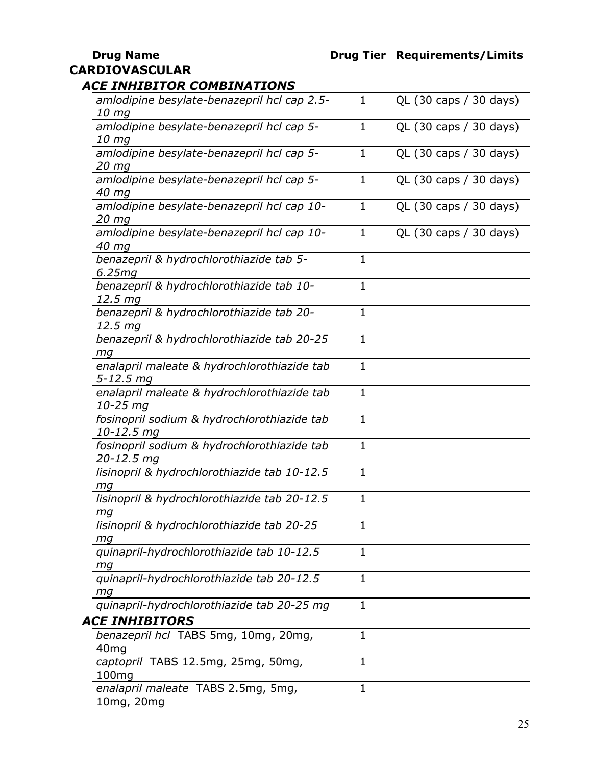#### **CARDIOVASCULAR**

#### *ACE INHIBITOR COMBINATIONS*

| amlodipine besylate-benazepril hcl cap 2.5-<br>10 mg          | 1            | QL (30 caps / 30 days) |
|---------------------------------------------------------------|--------------|------------------------|
| amlodipine besylate-benazepril hcl cap 5-<br>10 <sub>mg</sub> | 1            | QL (30 caps / 30 days) |
| amlodipine besylate-benazepril hcl cap 5-<br>20 mg            | $\mathbf 1$  | QL (30 caps / 30 days) |
| amlodipine besylate-benazepril hcl cap 5-<br>40 mg            | $\mathbf{1}$ | QL (30 caps / 30 days) |
| amlodipine besylate-benazepril hcl cap 10-<br>20 mg           | $\mathbf{1}$ | QL (30 caps / 30 days) |
| amlodipine besylate-benazepril hcl cap 10-<br>40 mg           | $\mathbf{1}$ | QL (30 caps / 30 days) |
| benazepril & hydrochlorothiazide tab 5-<br>6.25mg             | $\mathbf{1}$ |                        |
| benazepril & hydrochlorothiazide tab 10-<br>12.5 mg           | 1            |                        |
| benazepril & hydrochlorothiazide tab 20-<br>12.5 mg           | $\mathbf{1}$ |                        |
| benazepril & hydrochlorothiazide tab 20-25<br>mg              | $\mathbf{1}$ |                        |
| enalapril maleate & hydrochlorothiazide tab<br>5-12.5 mg      | $\mathbf{1}$ |                        |
| enalapril maleate & hydrochlorothiazide tab<br>10-25 mg       | $\mathbf{1}$ |                        |
| fosinopril sodium & hydrochlorothiazide tab<br>10-12.5 mg     | $\mathbf{1}$ |                        |
| fosinopril sodium & hydrochlorothiazide tab<br>20-12.5 mg     | $\mathbf{1}$ |                        |
| lisinopril & hydrochlorothiazide tab 10-12.5<br>mg            | $\mathbf 1$  |                        |
| lisinopril & hydrochlorothiazide tab 20-12.5<br>mg            | $\mathbf{1}$ |                        |
| lisinopril & hydrochlorothiazide tab 20-25<br>mg              | 1            |                        |
| quinapril-hydrochlorothiazide tab 10-12.5<br>mg               | $\mathbf{1}$ |                        |
| quinapril-hydrochlorothiazide tab 20-12.5<br>тq               | $\mathbf{1}$ |                        |
| quinapril-hydrochlorothiazide tab 20-25 mg                    | 1            |                        |
| <b>CE INHIBITORS</b>                                          |              |                        |
| benazepril hcl TABS 5mg, 10mg, 20mg,<br>40 <sub>mg</sub>      | $\mathbf{1}$ |                        |
| captopril TABS 12.5mg, 25mg, 50mg,<br>100 <sub>mg</sub>       | 1            |                        |
| enalapril maleate TABS 2.5mg, 5mg,<br>10mg, 20mg              | $\mathbf{1}$ |                        |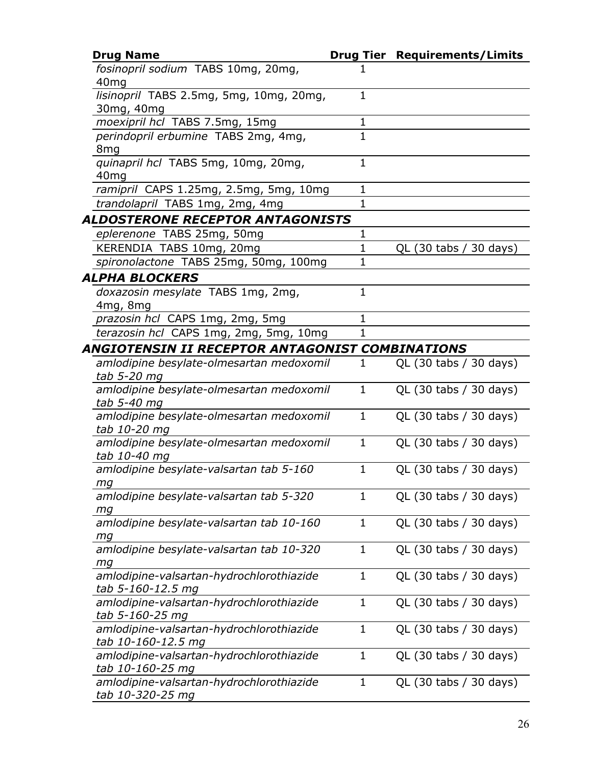| <b>Drug Name</b>                                |              | <b>Drug Tier Requirements/Limits</b> |
|-------------------------------------------------|--------------|--------------------------------------|
| fosinopril sodium TABS 10mg, 20mg,              |              |                                      |
| 40 <sub>mg</sub>                                |              |                                      |
| lisinopril TABS 2.5mg, 5mg, 10mg, 20mg,         | $\mathbf{1}$ |                                      |
| 30mg, 40mg                                      |              |                                      |
| moexipril hcl TABS 7.5mg, 15mg                  | $\mathbf 1$  |                                      |
| perindopril erbumine TABS 2mg, 4mg,             | $\mathbf{1}$ |                                      |
| 8 <sub>mg</sub>                                 |              |                                      |
| quinapril hcl TABS 5mg, 10mg, 20mg,             | $\mathbf{1}$ |                                      |
| 40 <sub>mg</sub>                                |              |                                      |
| ramipril CAPS 1.25mg, 2.5mg, 5mg, 10mg          | 1            |                                      |
| trandolapril TABS 1mg, 2mg, 4mg                 | $\mathbf{1}$ |                                      |
| ALDOSTERONE RECEPTOR ANTAGONISTS                |              |                                      |
| eplerenone TABS 25mg, 50mg                      | 1            |                                      |
| KERENDIA TABS 10mg, 20mg                        | 1            | QL (30 tabs / 30 days)               |
| spironolactone TABS 25mg, 50mg, 100mg           | 1            |                                      |
| ALPHA BLOCKERS                                  |              |                                      |
| doxazosin mesylate TABS 1mg, 2mg,               | $\mathbf{1}$ |                                      |
| 4mg, 8mg                                        |              |                                      |
| prazosin hcl CAPS 1mg, 2mg, 5mg                 | 1            |                                      |
| terazosin hcl CAPS 1mg, 2mg, 5mg, 10mg          | 1            |                                      |
| ANGIOTENSIN II RECEPTOR ANTAGONIST COMBINATIONS |              |                                      |
| amlodipine besylate-olmesartan medoxomil        | 1            | QL (30 tabs / 30 days)               |
| tab 5-20 mg                                     |              |                                      |
| amlodipine besylate-olmesartan medoxomil        | 1            | QL (30 tabs / 30 days)               |
| tab 5-40 mg                                     |              |                                      |
| amlodipine besylate-olmesartan medoxomil        | $\mathbf{1}$ | QL (30 tabs / 30 days)               |
| tab 10-20 mg                                    |              |                                      |
| amlodipine besylate-olmesartan medoxomil        | $\mathbf{1}$ | QL (30 tabs / 30 days)               |
| tab 10-40 mg                                    |              |                                      |
| amlodipine besylate-valsartan tab 5-160         | $\mathbf{1}$ | QL (30 tabs / 30 days)               |
| тq                                              |              |                                      |
| amlodipine besylate-valsartan tab 5-320         | 1            | QL (30 tabs / 30 days)               |
| mg                                              |              |                                      |
| amlodipine besylate-valsartan tab 10-160        | 1            | QL (30 tabs / 30 days)               |
| mg                                              |              |                                      |
| amlodipine besylate-valsartan tab 10-320        | 1            | QL (30 tabs / 30 days)               |
| mg                                              |              |                                      |
| amlodipine-valsartan-hydrochlorothiazide        | $\mathbf 1$  | QL (30 tabs / 30 days)               |
| tab 5-160-12.5 mg                               |              |                                      |
| amlodipine-valsartan-hydrochlorothiazide        | $\mathbf 1$  | QL (30 tabs / 30 days)               |
| tab 5-160-25 mg                                 |              |                                      |
| amlodipine-valsartan-hydrochlorothiazide        | 1            | QL (30 tabs / 30 days)               |
| tab 10-160-12.5 mg                              |              |                                      |
| amlodipine-valsartan-hydrochlorothiazide        | $\mathbf 1$  | QL (30 tabs / 30 days)               |
| tab 10-160-25 mg                                |              |                                      |
| amlodipine-valsartan-hydrochlorothiazide        | 1            | QL (30 tabs / 30 days)               |
| tab 10-320-25 mg                                |              |                                      |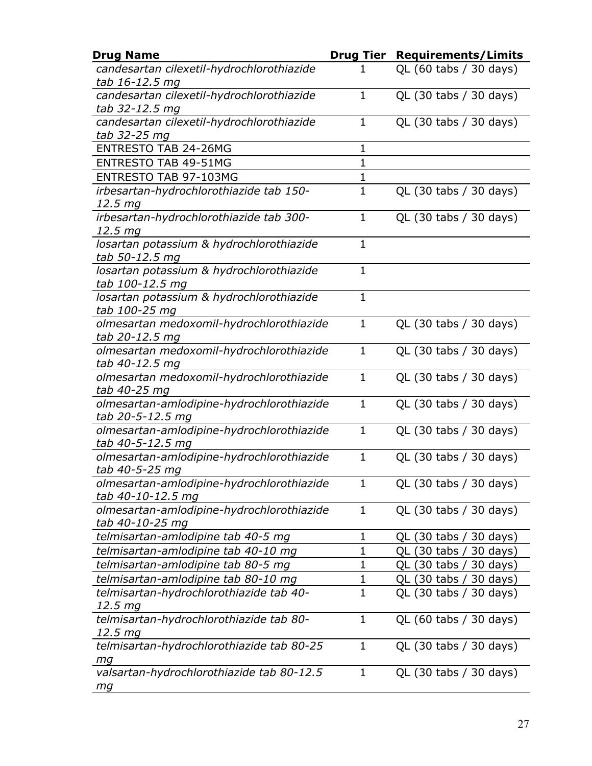| <b>Drug Name</b>                                               | <b>Drug Tier</b> | <b>Requirements/Limits</b> |
|----------------------------------------------------------------|------------------|----------------------------|
| candesartan cilexetil-hydrochlorothiazide<br>tab 16-12.5 mg    | 1                | QL (60 tabs / 30 days)     |
| candesartan cilexetil-hydrochlorothiazide                      | $\mathbf{1}$     | QL (30 tabs / 30 days)     |
| tab 32-12.5 mg<br>candesartan cilexetil-hydrochlorothiazide    | $\mathbf{1}$     | QL (30 tabs / 30 days)     |
| tab 32-25 mg                                                   |                  |                            |
| <b>ENTRESTO TAB 24-26MG</b>                                    | 1                |                            |
| <b>ENTRESTO TAB 49-51MG</b>                                    | $\mathbf{1}$     |                            |
| ENTRESTO TAB 97-103MG                                          | 1                |                            |
| irbesartan-hydrochlorothiazide tab 150-<br>12.5 mg             | $\mathbf{1}$     | QL (30 tabs / 30 days)     |
| irbesartan-hydrochlorothiazide tab 300-                        | $\mathbf{1}$     | QL (30 tabs / 30 days)     |
| 12.5 <sub>mg</sub>                                             |                  |                            |
| losartan potassium & hydrochlorothiazide<br>tab 50-12.5 mg     | $\mathbf{1}$     |                            |
| losartan potassium & hydrochlorothiazide<br>tab 100-12.5 mg    | $\mathbf{1}$     |                            |
| losartan potassium & hydrochlorothiazide                       | $\mathbf{1}$     |                            |
| tab 100-25 mg                                                  |                  |                            |
| olmesartan medoxomil-hydrochlorothiazide<br>tab 20-12.5 mg     | $\mathbf{1}$     | QL (30 tabs / 30 days)     |
| olmesartan medoxomil-hydrochlorothiazide                       | $\mathbf{1}$     | QL (30 tabs / 30 days)     |
| tab 40-12.5 mg                                                 |                  |                            |
| olmesartan medoxomil-hydrochlorothiazide<br>tab 40-25 mg       | $\mathbf{1}$     | QL (30 tabs / 30 days)     |
| olmesartan-amlodipine-hydrochlorothiazide<br>tab 20-5-12.5 mg  | $\mathbf{1}$     | QL (30 tabs / 30 days)     |
| olmesartan-amlodipine-hydrochlorothiazide<br>tab 40-5-12.5 mg  | $\mathbf{1}$     | QL (30 tabs / 30 days)     |
| olmesartan-amlodipine-hydrochlorothiazide                      | $\mathbf{1}$     | QL (30 tabs / 30 days)     |
| tab 40-5-25 mg                                                 |                  |                            |
| olmesartan-amlodipine-hydrochlorothiazide<br>tab 40-10-12.5 mg | 1                | QL (30 tabs / 30 days)     |
| olmesartan-amlodipine-hydrochlorothiazide                      | $\mathbf 1$      | QL (30 tabs / 30 days)     |
| tab 40-10-25 mg                                                |                  |                            |
| telmisartan-amlodipine tab 40-5 mq                             | 1                | QL (30 tabs / 30 days)     |
| telmisartan-amlodipine tab 40-10 mg                            | 1                | QL (30 tabs / 30 days)     |
| telmisartan-amlodipine tab 80-5 mg                             | $\mathbf 1$      | QL (30 tabs / 30 days)     |
| telmisartan-amlodipine tab 80-10 mg                            | $\mathbf 1$      | QL (30 tabs / 30 days)     |
| telmisartan-hydrochlorothiazide tab 40-                        | $\mathbf 1$      | QL (30 tabs / 30 days)     |
| 12.5 mg                                                        |                  |                            |
| telmisartan-hydrochlorothiazide tab 80-<br>12.5 mg             | $\mathbf{1}$     | QL (60 tabs / 30 days)     |
| telmisartan-hydrochlorothiazide tab 80-25                      | $\mathbf{1}$     | QL (30 tabs / 30 days)     |
| mg                                                             | $\mathbf{1}$     |                            |
| valsartan-hydrochlorothiazide tab 80-12.5<br>mg                |                  | QL (30 tabs / 30 days)     |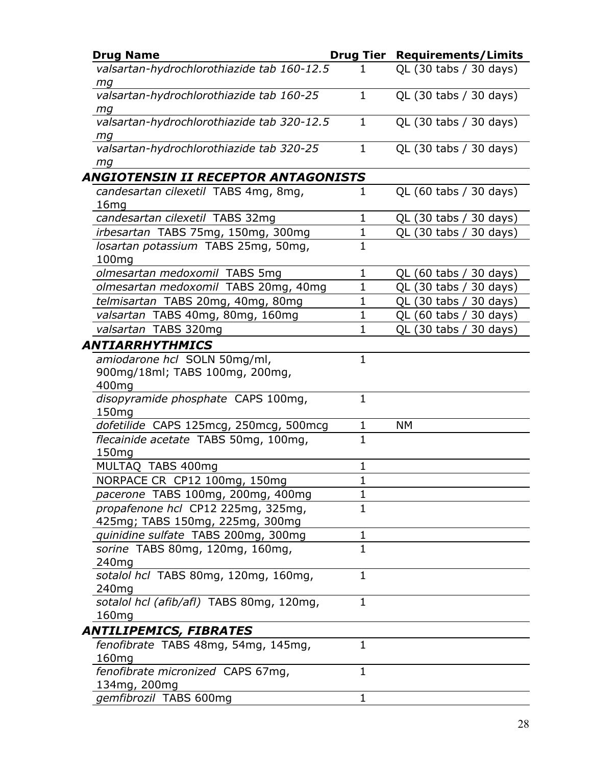| <b>Drug Name</b>                           |                | <b>Drug Tier Requirements/Limits</b> |
|--------------------------------------------|----------------|--------------------------------------|
| valsartan-hydrochlorothiazide tab 160-12.5 | 1              | QL (30 tabs / 30 days)               |
| mg                                         |                |                                      |
| valsartan-hydrochlorothiazide tab 160-25   | $\mathbf{1}$   | QL (30 tabs / 30 days)               |
| mg                                         |                |                                      |
| valsartan-hydrochlorothiazide tab 320-12.5 | $\mathbf{1}$   | QL (30 tabs / 30 days)               |
| mg                                         |                |                                      |
| valsartan-hydrochlorothiazide tab 320-25   | $\mathbf 1$    | QL (30 tabs / 30 days)               |
| mg                                         |                |                                      |
| <b>ANGIOTENSIN II RECEPTOR ANTAGONISTS</b> |                |                                      |
| candesartan cilexetil TABS 4mg, 8mg,       | 1              | QL (60 tabs / 30 days)               |
| 16mg                                       |                |                                      |
| candesartan cilexetil TABS 32mg            | 1              | QL (30 tabs / 30 days)               |
| irbesartan TABS 75mg, 150mg, 300mg         | $\mathbf{1}$   | QL (30 tabs / 30 days)               |
| losartan potassium TABS 25mg, 50mg,        | $\mathbf{1}$   |                                      |
| 100mg                                      |                |                                      |
| olmesartan medoxomil TABS 5mg              | $\mathbf{1}$   | QL (60 tabs / 30 days)               |
| olmesartan medoxomil TABS 20mg, 40mg       | $\mathbf 1$    | QL (30 tabs /<br>30 days)            |
| telmisartan TABS 20mg, 40mg, 80mg          | $\mathbf{1}$   | QL (30 tabs / 30 days)               |
| valsartan TABS 40mg, 80mg, 160mg           | $\mathbf{1}$   | QL (60 tabs /<br>30 days)            |
| valsartan TABS 320mg                       | $\mathbf{1}$   | QL (30 tabs / 30 days)               |
| <b>ANTIARRHYTHMICS</b>                     |                |                                      |
| amiodarone hcl SOLN 50mg/ml,               | $\mathbf{1}$   |                                      |
| 900mg/18ml; TABS 100mg, 200mg,             |                |                                      |
| 400mg                                      |                |                                      |
| disopyramide phosphate CAPS 100mg,         | $\mathbf{1}$   |                                      |
| 150mg                                      |                |                                      |
| dofetilide CAPS 125mcg, 250mcg, 500mcg     | $\mathbf 1$    | NΜ                                   |
| flecainide acetate TABS 50mg, 100mg,       | $\overline{1}$ |                                      |
| 150 <sub>mg</sub>                          |                |                                      |
| MULTAQ TABS 400mg                          | $\mathbf 1$    |                                      |
| NORPACE CR CP12 100mg, 150mg               | $\mathbf 1$    |                                      |
| pacerone TABS 100mg, 200mg, 400mg          | 1              |                                      |
| propafenone hcl CP12 225mg, 325mg,         | $\mathbf{1}$   |                                      |
| 425mg; TABS 150mg, 225mg, 300mg            |                |                                      |
| quinidine sulfate TABS 200mg, 300mg        | $\mathbf{1}$   |                                      |
| sorine TABS 80mg, 120mg, 160mg,            | $\mathbf{1}$   |                                      |
| 240 <sub>mg</sub>                          |                |                                      |
| sotalol hcl TABS 80mg, 120mg, 160mg,       | $\mathbf{1}$   |                                      |
| 240 <sub>mq</sub>                          |                |                                      |
| sotalol hcl (afib/afl) TABS 80mg, 120mg,   | $\mathbf{1}$   |                                      |
| 160mg                                      |                |                                      |
| <b>ANTILIPEMICS, FIBRATES</b>              |                |                                      |
| fenofibrate TABS 48mg, 54mg, 145mg,        | $\mathbf{1}$   |                                      |
| 160 <sub>mg</sub>                          |                |                                      |
| fenofibrate micronized CAPS 67mg,          | $\mathbf{1}$   |                                      |
| 134mg, 200mg                               |                |                                      |
| gemfibrozil TABS 600mg                     | $\mathbf{1}$   |                                      |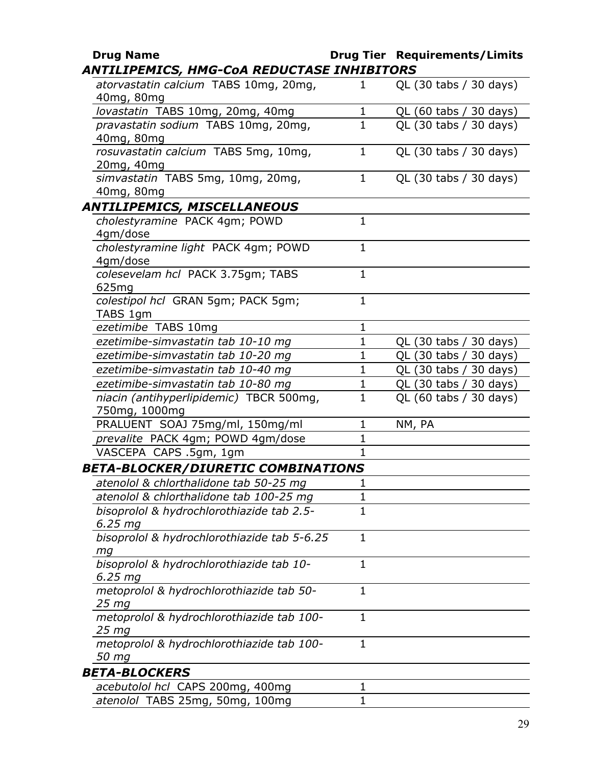| <b>Drug Name</b>                                         |              | <b>Drug Tier Requirements/Limits</b> |
|----------------------------------------------------------|--------------|--------------------------------------|
| ANTILIPEMICS, HMG-CoA REDUCTASE INHIBITORS               |              |                                      |
| atorvastatin calcium TABS 10mg, 20mg,<br>40mg, 80mg      | 1            | QL (30 tabs / 30 days)               |
| lovastatin TABS 10mg, 20mg, 40mg                         | $\mathbf{1}$ | QL (60 tabs / 30 days)               |
| pravastatin sodium TABS 10mg, 20mg,                      | $\mathbf{1}$ | QL (30 tabs / 30 days)               |
| 40mg, 80mg                                               |              |                                      |
| rosuvastatin calcium TABS 5mg, 10mg,                     | $\mathbf{1}$ | QL (30 tabs / 30 days)               |
| 20mg, 40mg                                               |              |                                      |
| simvastatin TABS 5mg, 10mg, 20mg,                        | $\mathbf{1}$ | QL (30 tabs / 30 days)               |
| 40mg, 80mg                                               |              |                                      |
| <b>ANTILIPEMICS, MISCELLANEOUS</b>                       |              |                                      |
| cholestyramine PACK 4gm; POWD                            | $\mathbf{1}$ |                                      |
| 4gm/dose                                                 |              |                                      |
| cholestyramine light PACK 4gm; POWD                      | $\mathbf{1}$ |                                      |
| 4gm/dose                                                 |              |                                      |
| colesevelam hcl PACK 3.75gm; TABS                        | $\mathbf{1}$ |                                      |
| 625 <sub>mg</sub>                                        |              |                                      |
| colestipol hcl GRAN 5gm; PACK 5gm;                       | $\mathbf{1}$ |                                      |
| TABS 1gm                                                 |              |                                      |
| ezetimibe TABS 10mg                                      | 1            |                                      |
| ezetimibe-simvastatin tab 10-10 mg                       | $\mathbf{1}$ | QL (30 tabs / 30 days)               |
| ezetimibe-simvastatin tab 10-20 mg                       | $\mathbf 1$  | QL (30 tabs / 30 days)               |
| ezetimibe-simvastatin tab 10-40 mg                       | $\mathbf{1}$ | QL (30 tabs / 30 days)               |
| ezetimibe-simvastatin tab 10-80 mg                       | $\mathbf 1$  | QL (30 tabs / 30 days)               |
| niacin (antihyperlipidemic) TBCR 500mg,<br>750mg, 1000mg | $\mathbf{1}$ | QL (60 tabs / 30 days)               |
| PRALUENT SOAJ 75mg/ml, 150mg/ml                          | $\mathbf 1$  | NM, PA                               |
| prevalite PACK 4gm; POWD 4gm/dose                        | $\mathbf{1}$ |                                      |
| VASCEPA CAPS .5gm, 1gm                                   | $\mathbf{1}$ |                                      |
| <b>BETA-BLOCKER/DIURETIC COMBINATIONS</b>                |              |                                      |
| atenolol & chlorthalidone tab 50-25 mg                   | T            |                                      |
| atenolol & chlorthalidone tab 100-25 mg                  | 1            |                                      |
| bisoprolol & hydrochlorothiazide tab 2.5-                | 1            |                                      |
| 6.25 mg                                                  |              |                                      |
| bisoprolol & hydrochlorothiazide tab 5-6.25              | 1            |                                      |
| mg                                                       |              |                                      |
| bisoprolol & hydrochlorothiazide tab 10-                 | 1            |                                      |
| $6.25$ mg                                                |              |                                      |
| metoprolol & hydrochlorothiazide tab 50-                 | $\mathbf{1}$ |                                      |
| 25 mg                                                    |              |                                      |
| metoprolol & hydrochlorothiazide tab 100-                | 1            |                                      |
| 25 mg                                                    |              |                                      |
| metoprolol & hydrochlorothiazide tab 100-                | 1            |                                      |
| 50 mg                                                    |              |                                      |
| <b>BETA-BLOCKERS</b>                                     |              |                                      |
| acebutolol hcl CAPS 200mg, 400mg                         | 1            |                                      |
| atenolol TABS 25mg, 50mg, 100mg                          | $\mathbf{1}$ |                                      |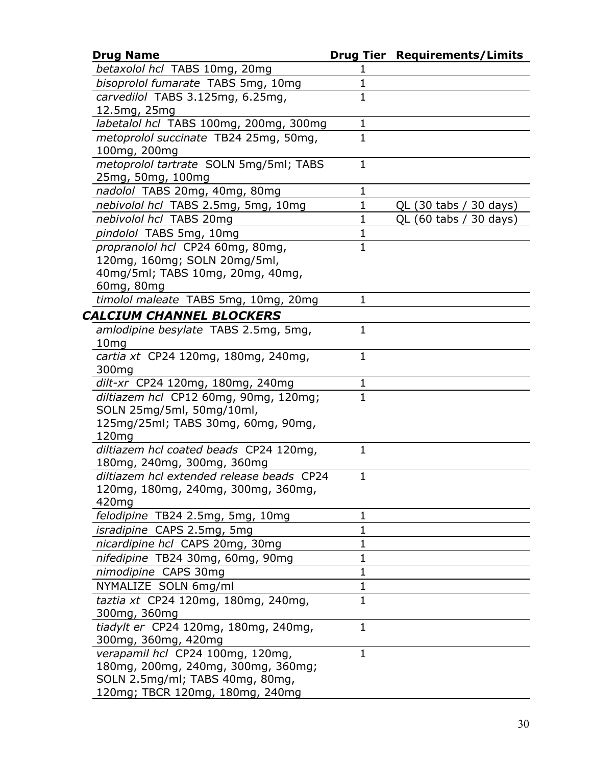| <b>Drug Name</b>                            |              | <b>Drug Tier Requirements/Limits</b> |
|---------------------------------------------|--------------|--------------------------------------|
| betaxolol hcl TABS 10mg, 20mg               | 1            |                                      |
| bisoprolol fumarate TABS 5mg, 10mg          | $\mathbf 1$  |                                      |
| carvedilol TABS 3.125mg, 6.25mg,            | $\mathbf{1}$ |                                      |
| 12.5mg, 25mg                                |              |                                      |
| labetalol hcl TABS 100mg, 200mg, 300mg      | $\mathbf 1$  |                                      |
| metoprolol succinate TB24 25mg, 50mg,       | $\mathbf{1}$ |                                      |
| 100mg, 200mg                                |              |                                      |
| metoprolol tartrate SOLN 5mg/5ml; TABS      | $\mathbf{1}$ |                                      |
| 25mg, 50mg, 100mg                           |              |                                      |
| nadolol TABS 20mg, 40mg, 80mg               | 1            |                                      |
| nebivolol hcl TABS 2.5mg, 5mg, 10mg         | $\mathbf{1}$ | QL (30 tabs / 30 days)               |
| nebivolol hcl TABS 20mg                     | 1            | QL (60 tabs / 30 days)               |
| pindolol TABS 5mg, 10mg                     | $\mathbf 1$  |                                      |
| propranolol hcl CP24 60mg, 80mg,            | $\mathbf{1}$ |                                      |
| 120mg, 160mg; SOLN 20mg/5ml,                |              |                                      |
| 40mg/5ml; TABS 10mg, 20mg, 40mg,            |              |                                      |
| 60mg, 80mg                                  |              |                                      |
| timolol maleate TABS 5mg, 10mg, 20mg        | 1            |                                      |
| <b>CALCIUM CHANNEL BLOCKERS</b>             |              |                                      |
| amlodipine besylate TABS 2.5mg, 5mg,        | $\mathbf{1}$ |                                      |
| 10 <sub>mg</sub>                            |              |                                      |
| cartia xt CP24 120mg, 180mg, 240mg,         | $\mathbf{1}$ |                                      |
| 300 <sub>mg</sub>                           |              |                                      |
| dilt-xr CP24 120mg, 180mg, 240mg            | 1            |                                      |
| diltiazem hcl CP12 60mg, 90mg, 120mg;       | $\mathbf{1}$ |                                      |
| SOLN 25mg/5ml, 50mg/10ml,                   |              |                                      |
| 125mg/25ml; TABS 30mg, 60mg, 90mg,<br>120mg |              |                                      |
| diltiazem hcl coated beads CP24 120mg,      | $\mathbf{1}$ |                                      |
| 180mg, 240mg, 300mg, 360mg                  |              |                                      |
| diltiazem hcl extended release beads CP24   | $\mathbf{1}$ |                                      |
| 120mg, 180mg, 240mg, 300mg, 360mg,          |              |                                      |
| 420mg                                       |              |                                      |
| felodipine TB24 2.5mg, 5mg, 10mg            | 1            |                                      |
| <i>isradipine</i> CAPS 2.5mg, 5mg           | $\mathbf 1$  |                                      |
| nicardipine hcl CAPS 20mg, 30mg             | $\mathbf 1$  |                                      |
| nifedipine TB24 30mg, 60mg, 90mg            | $\mathbf{1}$ |                                      |
| nimodipine CAPS 30mg                        | $\mathbf 1$  |                                      |
| NYMALIZE SOLN 6mg/ml                        | $\mathbf 1$  |                                      |
| taztia xt CP24 120mg, 180mg, 240mg,         | $\mathbf{1}$ |                                      |
| 300mg, 360mg                                |              |                                      |
| tiadylt er CP24 120mg, 180mg, 240mg,        | $\mathbf{1}$ |                                      |
| 300mg, 360mg, 420mg                         |              |                                      |
| verapamil hcl CP24 100mg, 120mg,            | $\mathbf{1}$ |                                      |
| 180mg, 200mg, 240mg, 300mg, 360mg;          |              |                                      |
| SOLN 2.5mg/ml; TABS 40mg, 80mg,             |              |                                      |
| 120mg; TBCR 120mg, 180mg, 240mg             |              |                                      |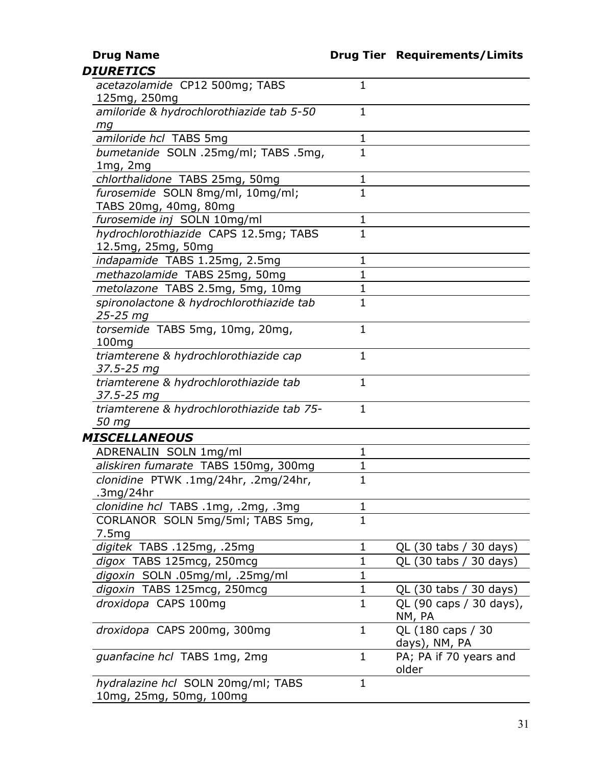|  |  | <b>DIURETICS</b> |
|--|--|------------------|
|  |  |                  |

| acetazolamide CP12 500mg; TABS<br>125mg, 250mg    | 1            |                         |
|---------------------------------------------------|--------------|-------------------------|
| amiloride & hydrochlorothiazide tab 5-50          | 1            |                         |
| mg                                                |              |                         |
| amiloride hcl TABS 5mg                            | $\mathbf 1$  |                         |
| bumetanide SOLN .25mg/ml; TABS .5mg,              | 1            |                         |
| $1mg$ , $2mg$                                     |              |                         |
| chlorthalidone TABS 25mg, 50mg                    | 1            |                         |
| furosemide SOLN 8mg/ml, 10mg/ml;                  | $\mathbf 1$  |                         |
| TABS 20mg, 40mg, 80mg                             |              |                         |
| furosemide inj SOLN 10mg/ml                       | 1            |                         |
| hydrochlorothiazide CAPS 12.5mg; TABS             | 1            |                         |
| 12.5mg, 25mg, 50mg                                |              |                         |
| indapamide TABS 1.25mg, 2.5mg                     | 1            |                         |
| methazolamide TABS 25mg, 50mg                     | $\mathbf{1}$ |                         |
| metolazone TABS 2.5mg, 5mg, 10mg                  | $\mathbf 1$  |                         |
| spironolactone & hydrochlorothiazide tab          | $\mathbf{1}$ |                         |
| 25-25 mg                                          |              |                         |
| torsemide TABS 5mg, 10mg, 20mg,                   | $\mathbf 1$  |                         |
| 100mg                                             |              |                         |
| triamterene & hydrochlorothiazide cap             | $\mathbf{1}$ |                         |
| 37.5-25 mg                                        |              |                         |
| triamterene & hydrochlorothiazide tab             | 1            |                         |
| 37.5-25 mg                                        |              |                         |
| triamterene & hydrochlorothiazide tab 75-         | $\mathbf{1}$ |                         |
| 50 mg                                             |              |                         |
| MISCELLANEOUS                                     | $\mathbf{1}$ |                         |
| ADRENALIN SOLN 1mg/ml                             |              |                         |
| aliskiren fumarate TABS 150mg, 300mg              | $\mathbf 1$  |                         |
| clonidine PTWK .1mg/24hr, .2mg/24hr,<br>.3mg/24hr | $\mathbf{1}$ |                         |
| clonidine hcl TABS .1mg, .2mg, .3mg               | 1            |                         |
| CORLANOR SOLN 5mg/5ml; TABS 5mg,                  | 1            |                         |
| 7.5mg                                             |              |                         |
| digitek TABS .125mg, .25mg                        | 1            | QL (30 tabs / 30 days)  |
| digox TABS 125mcg, 250mcg                         | $\mathbf 1$  | QL (30 tabs / 30 days)  |
| digoxin SOLN .05mg/ml, .25mg/ml                   | $\mathbf{1}$ |                         |
| digoxin TABS 125mcg, 250mcg                       | $\mathbf 1$  | QL (30 tabs / 30 days)  |
| droxidopa CAPS 100mg                              | $\mathbf{1}$ | QL (90 caps / 30 days), |
|                                                   |              | NM, PA                  |
| droxidopa CAPS 200mg, 300mg                       | $\mathbf{1}$ | QL (180 caps / 30       |
|                                                   |              | days), NM, PA           |
| guanfacine hcl TABS 1mg, 2mg                      | $\mathbf{1}$ | PA; PA if 70 years and  |
|                                                   |              | older                   |
| hydralazine hcl SOLN 20mg/ml; TABS                | 1            |                         |
| 10mg, 25mg, 50mg, 100mg                           |              |                         |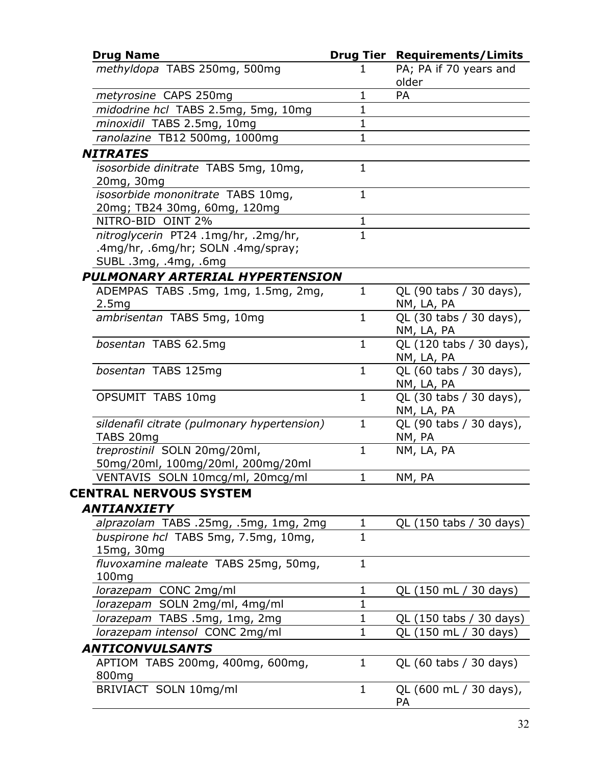| <b>Drug Name</b>                                                                                    |              | <b>Drug Tier Requirements/Limits</b>   |
|-----------------------------------------------------------------------------------------------------|--------------|----------------------------------------|
| methyldopa TABS 250mg, 500mg                                                                        | 1            | PA; PA if 70 years and<br>older        |
| metyrosine CAPS 250mg                                                                               | 1            | PA                                     |
| midodrine hcl TABS 2.5mg, 5mg, 10mg                                                                 | $\mathbf 1$  |                                        |
| minoxidil TABS 2.5mg, 10mg                                                                          | 1            |                                        |
| ranolazine TB12 500mg, 1000mg                                                                       | $\mathbf{1}$ |                                        |
| <b>NITRATES</b>                                                                                     |              |                                        |
| isosorbide dinitrate TABS 5mg, 10mg,<br>20mg, 30mg                                                  | $\mathbf{1}$ |                                        |
| isosorbide mononitrate TABS 10mg,<br>20mg; TB24 30mg, 60mg, 120mg                                   | $\mathbf{1}$ |                                        |
| NITRO-BID OINT 2%                                                                                   | 1            |                                        |
| nitroglycerin PT24 .1mg/hr, .2mg/hr,<br>.4mg/hr, .6mg/hr; SOLN .4mg/spray;<br>SUBL .3mg, .4mg, .6mg | $\mathbf{1}$ |                                        |
| <b>PULMONARY ARTERIAL HYPERTENSION</b>                                                              |              |                                        |
| ADEMPAS TABS .5mg, 1mg, 1.5mg, 2mg,<br>2.5mg                                                        | $\mathbf{1}$ | QL (90 tabs / 30 days),<br>NM, LA, PA  |
| ambrisentan TABS 5mg, 10mg                                                                          | $\mathbf{1}$ | QL (30 tabs / 30 days),<br>NM, LA, PA  |
| bosentan TABS 62.5mg                                                                                | $\mathbf{1}$ | QL (120 tabs / 30 days),<br>NM, LA, PA |
| bosentan TABS 125mg                                                                                 | $\mathbf{1}$ | QL (60 tabs / 30 days),<br>NM, LA, PA  |
| OPSUMIT TABS 10mg                                                                                   | $\mathbf{1}$ | QL (30 tabs / 30 days),<br>NM, LA, PA  |
| sildenafil citrate (pulmonary hypertension)<br>TABS 20mg                                            | $\mathbf{1}$ | QL (90 tabs / 30 days),<br>NM, PA      |
| treprostinil SOLN 20mg/20ml,<br>50mg/20ml, 100mg/20ml, 200mg/20ml                                   | $\mathbf{1}$ | NM, LA, PA                             |
| VENTAVIS SOLN 10mcg/ml, 20mcg/ml                                                                    | 1            | NM, PA                                 |
| CENTRAL NERVOUS SYSTEM<br><b>ANTIANXIETY</b>                                                        |              |                                        |
| alprazolam TABS .25mg, .5mg, 1mg, 2mg                                                               | 1            | QL (150 tabs / 30 days)                |
| buspirone hcl TABS 5mg, 7.5mg, 10mg,<br>15mg, 30mg                                                  | $\mathbf{1}$ |                                        |
| fluvoxamine maleate TABS 25mg, 50mg,<br>100mg                                                       | $\mathbf 1$  |                                        |
| lorazepam CONC 2mg/ml                                                                               | $\mathbf 1$  | QL (150 mL / 30 days)                  |
| lorazepam SOLN 2mg/ml, 4mg/ml                                                                       | 1            |                                        |
| lorazepam TABS .5mg, 1mg, 2mg                                                                       | $\mathbf 1$  | QL (150 tabs / 30 days)                |
|                                                                                                     | $\mathbf{1}$ | QL (150 mL / 30 days)                  |
| lorazepam intensol CONC 2mg/ml                                                                      |              |                                        |
|                                                                                                     |              |                                        |
| <b>ANTICONVULSANTS</b><br>APTIOM TABS 200mg, 400mg, 600mg,<br>800 <sub>mg</sub>                     | $\mathbf{1}$ | QL (60 tabs / 30 days)                 |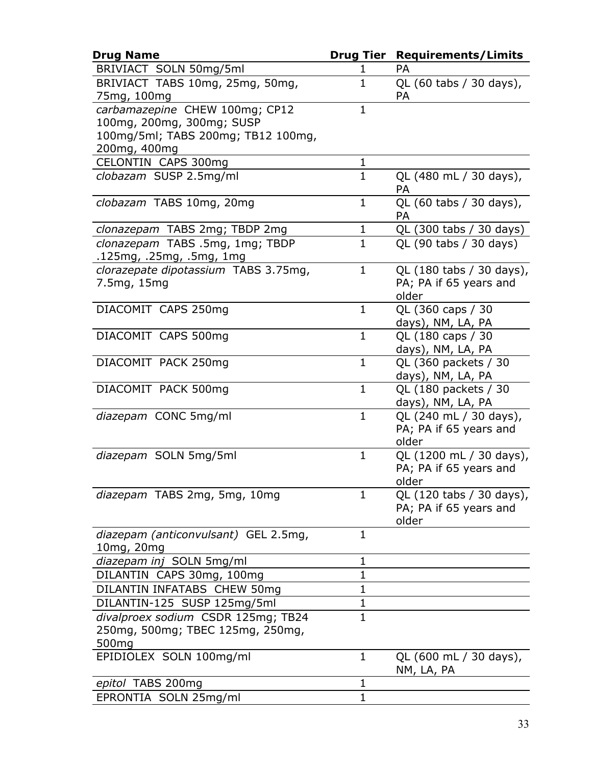| <b>Drug Name</b>                             | <b>Drug Tier</b> | <b>Requirements/Limits</b>       |
|----------------------------------------------|------------------|----------------------------------|
| BRIVIACT SOLN 50mg/5ml                       | 1                | PA                               |
| BRIVIACT TABS 10mg, 25mg, 50mg,              | $\mathbf{1}$     | QL (60 tabs / 30 days),          |
| 75mg, 100mg                                  |                  | <b>PA</b>                        |
| carbamazepine CHEW 100mg; CP12               | $\mathbf{1}$     |                                  |
| 100mg, 200mg, 300mg; SUSP                    |                  |                                  |
| 100mg/5ml; TABS 200mg; TB12 100mg,           |                  |                                  |
| 200mg, 400mg<br>CELONTIN CAPS 300mg          | $\mathbf{1}$     |                                  |
| clobazam SUSP 2.5mg/ml                       | 1                | QL (480 mL / 30 days),           |
|                                              |                  | <b>PA</b>                        |
| clobazam TABS 10mg, 20mg                     | $\mathbf{1}$     | QL (60 tabs / 30 days),          |
|                                              |                  | PA                               |
| clonazepam TABS 2mg; TBDP 2mg                | 1                | QL (300 tabs / 30 days)          |
| clonazepam TABS .5mg, 1mg; TBDP              | $\mathbf{1}$     | QL (90 tabs / 30 days)           |
| .125mg, .25mg, .5mg, 1mg                     |                  |                                  |
| clorazepate dipotassium TABS 3.75mg,         | $\mathbf{1}$     | QL (180 tabs / 30 days),         |
| 7.5mg, 15mg                                  |                  | PA; PA if 65 years and           |
| DIACOMIT CAPS 250mg                          | $\mathbf{1}$     | older<br>QL (360 caps / 30       |
|                                              |                  | days), NM, LA, PA                |
| DIACOMIT CAPS 500mg                          | $\mathbf{1}$     | QL (180 caps / 30                |
|                                              |                  | days), NM, LA, PA                |
| DIACOMIT PACK 250mg                          | $\mathbf{1}$     | QL (360 packets / 30             |
|                                              |                  | days), NM, LA, PA                |
| DIACOMIT PACK 500mg                          | $\mathbf{1}$     | QL (180 packets / 30             |
|                                              |                  | days), NM, LA, PA                |
| diazepam CONC 5mg/ml                         | $\mathbf{1}$     | QL (240 mL / 30 days),           |
|                                              |                  | PA; PA if 65 years and           |
| diazepam SOLN 5mg/5ml                        | $\mathbf{1}$     | older<br>QL (1200 mL / 30 days), |
|                                              |                  | PA; PA if 65 years and           |
|                                              |                  | older                            |
| diazepam TABS 2mg, 5mg, 10mg                 | $\mathbf{1}$     | QL (120 tabs / 30 days),         |
|                                              |                  | PA; PA if 65 years and           |
|                                              |                  | older                            |
| diazepam (anticonvulsant) GEL 2.5mg,         | $\mathbf{1}$     |                                  |
| 10mg, 20mg                                   |                  |                                  |
| diazepam inj SOLN 5mg/ml                     | 1                |                                  |
| DILANTIN CAPS 30mg, 100mg                    | $\mathbf 1$      |                                  |
| DILANTIN INFATABS CHEW 50mg                  | $\mathbf 1$      |                                  |
| DILANTIN-125 SUSP 125mg/5ml                  | $\mathbf 1$      |                                  |
| divalproex sodium CSDR 125mg; TB24           | $\mathbf{1}$     |                                  |
| 250mg, 500mg; TBEC 125mg, 250mg,             |                  |                                  |
| 500 <sub>mg</sub><br>EPIDIOLEX SOLN 100mg/ml | $\mathbf{1}$     | QL (600 mL / 30 days),           |
|                                              |                  | NM, LA, PA                       |
| epitol TABS 200mg                            | 1                |                                  |
| EPRONTIA SOLN 25mg/ml                        | $\mathbf 1$      |                                  |
|                                              |                  |                                  |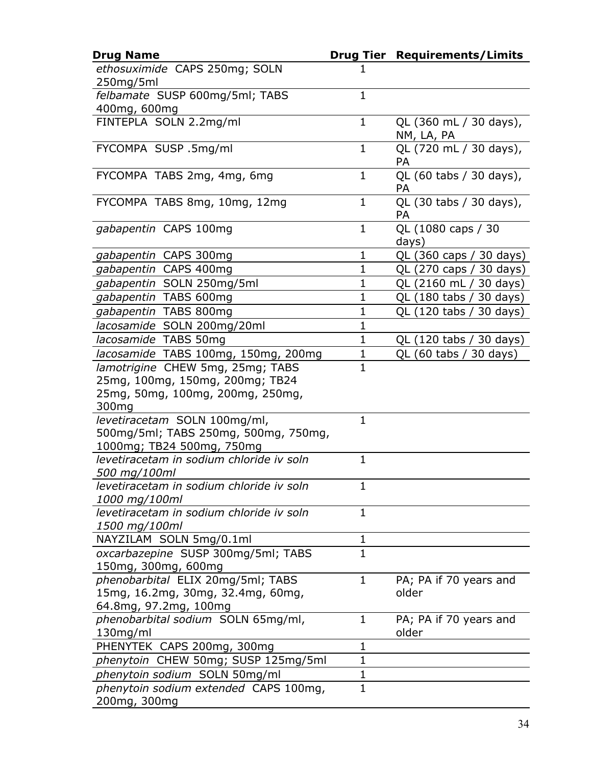| <b>Drug Name</b>                                                                                                             |              | <b>Drug Tier Requirements/Limits</b> |
|------------------------------------------------------------------------------------------------------------------------------|--------------|--------------------------------------|
| ethosuximide CAPS 250mg; SOLN                                                                                                | ı            |                                      |
| 250mg/5ml                                                                                                                    |              |                                      |
| felbamate SUSP 600mg/5ml; TABS                                                                                               | $\mathbf{1}$ |                                      |
| 400mg, 600mg                                                                                                                 |              |                                      |
| FINTEPLA SOLN 2.2mg/ml                                                                                                       | $\mathbf{1}$ | QL (360 mL / 30 days),<br>NM, LA, PA |
| FYCOMPA SUSP .5mg/ml                                                                                                         | $\mathbf 1$  | QL (720 mL / 30 days),<br><b>PA</b>  |
| FYCOMPA TABS 2mg, 4mg, 6mg                                                                                                   | $\mathbf{1}$ | QL (60 tabs / 30 days),<br><b>PA</b> |
| FYCOMPA TABS 8mg, 10mg, 12mg                                                                                                 | $\mathbf{1}$ | QL (30 tabs / 30 days),<br>PA        |
| gabapentin CAPS 100mg                                                                                                        | $\mathbf{1}$ | QL (1080 caps / 30<br>days)          |
| gabapentin CAPS 300mg                                                                                                        | $\mathbf 1$  | QL (360 caps / 30 days)              |
| gabapentin CAPS 400mg                                                                                                        | 1            | QL (270 caps / 30 days)              |
| gabapentin SOLN 250mg/5ml                                                                                                    | $\mathbf 1$  | QL (2160 mL / 30 days)               |
| gabapentin TABS 600mg                                                                                                        | $\mathbf{1}$ | QL (180 tabs / 30 days)              |
| gabapentin TABS 800mg                                                                                                        | 1            | QL (120 tabs / 30 days)              |
| lacosamide SOLN 200mg/20ml                                                                                                   | $\mathbf{1}$ |                                      |
| lacosamide TABS 50mg                                                                                                         | $\mathbf 1$  | QL (120 tabs / 30 days)              |
| lacosamide TABS 100mg, 150mg, 200mg                                                                                          | $\mathbf 1$  | QL (60 tabs / 30 days)               |
| lamotrigine CHEW 5mg, 25mg; TABS<br>25mg, 100mg, 150mg, 200mg; TB24<br>25mg, 50mg, 100mg, 200mg, 250mg,<br>300 <sub>mg</sub> | $\mathbf{1}$ |                                      |
| levetiracetam SOLN 100mg/ml,<br>500mg/5ml; TABS 250mg, 500mg, 750mg,<br>1000mg; TB24 500mg, 750mg                            | $\mathbf{1}$ |                                      |
| levetiracetam in sodium chloride iv soln<br>500 mg/100ml                                                                     | $\mathbf{1}$ |                                      |
| levetiracetam in sodium chloride iv soln<br>1000 mg/100ml                                                                    | 1            |                                      |
| levetiracetam in sodium chloride iv soln<br>1500 mg/100ml                                                                    | 1            |                                      |
| NAYZILAM SOLN 5mg/0.1ml                                                                                                      | $\mathbf 1$  |                                      |
| oxcarbazepine SUSP 300mg/5ml; TABS<br>150mg, 300mg, 600mg                                                                    | $\mathbf{1}$ |                                      |
| phenobarbital ELIX 20mg/5ml; TABS<br>15mg, 16.2mg, 30mg, 32.4mg, 60mg,<br>64.8mg, 97.2mg, 100mg                              | $\mathbf{1}$ | PA; PA if 70 years and<br>older      |
| phenobarbital sodium SOLN 65mg/ml,<br>130mg/ml                                                                               | $\mathbf 1$  | PA; PA if 70 years and<br>older      |
| PHENYTEK CAPS 200mg, 300mg                                                                                                   | 1            |                                      |
| phenytoin CHEW 50mg; SUSP 125mg/5ml                                                                                          | $\mathbf 1$  |                                      |
| phenytoin sodium SOLN 50mg/ml                                                                                                | $\mathbf 1$  |                                      |
| phenytoin sodium extended CAPS 100mg,<br>200mg, 300mg                                                                        | $\mathbf{1}$ |                                      |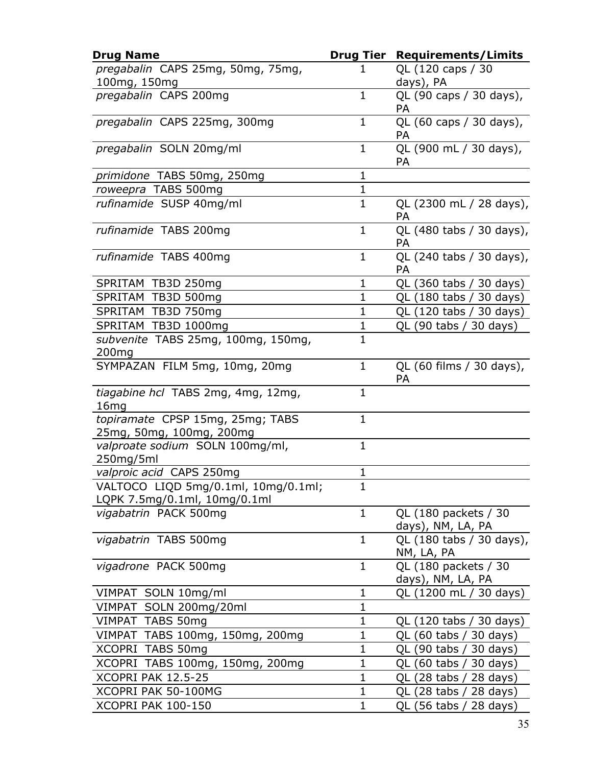| <b>Drug Name</b>                                                    | <b>Drug Tier</b> | <b>Requirements/Limits</b>                |
|---------------------------------------------------------------------|------------------|-------------------------------------------|
| pregabalin CAPS 25mg, 50mg, 75mg,<br>100mg, 150mg                   |                  | QL (120 caps / 30<br>days), PA            |
| pregabalin CAPS 200mg                                               | $\mathbf 1$      | QL (90 caps / 30 days),<br>PA             |
| pregabalin CAPS 225mg, 300mg                                        | $\mathbf 1$      | QL (60 caps / 30 days),<br><b>PA</b>      |
| pregabalin SOLN 20mg/ml                                             | $\mathbf{1}$     | QL (900 mL / 30 days),<br>PA              |
| primidone TABS 50mg, 250mg                                          | $\mathbf{1}$     |                                           |
| roweepra TABS 500mg                                                 | $\mathbf 1$      |                                           |
| rufinamide SUSP 40mg/ml                                             | $\mathbf{1}$     | QL (2300 mL / 28 days),<br>PA             |
| rufinamide TABS 200mg                                               | $\mathbf 1$      | QL (480 tabs / 30 days),<br><b>PA</b>     |
| rufinamide TABS 400mg                                               | $\mathbf{1}$     | QL (240 tabs / 30 days),<br>PA            |
| SPRITAM TB3D 250mg                                                  | $\mathbf{1}$     | QL (360 tabs / 30 days)                   |
| SPRITAM TB3D 500mg                                                  | $\mathbf 1$      | QL (180 tabs / 30 days)                   |
| SPRITAM TB3D 750mg                                                  | $\mathbf 1$      | QL (120 tabs / 30 days)                   |
| SPRITAM TB3D 1000mg                                                 | $\mathbf{1}$     | QL (90 tabs / 30 days)                    |
| subvenite TABS 25mg, 100mg, 150mg,<br>200 <sub>mg</sub>             | $\mathbf{1}$     |                                           |
| SYMPAZAN FILM 5mg, 10mg, 20mg                                       | $\mathbf{1}$     | QL (60 films / 30 days),<br>PA            |
| tiagabine hcl TABS 2mg, 4mg, 12mg,<br>16mg                          | $\mathbf{1}$     |                                           |
| topiramate CPSP 15mg, 25mg; TABS<br>25mg, 50mg, 100mg, 200mg        | $\mathbf{1}$     |                                           |
| valproate sodium SOLN 100mg/ml,<br>250mg/5ml                        | $\mathbf{1}$     |                                           |
| valproic acid CAPS 250mg                                            | $\mathbf 1$      |                                           |
| VALTOCO LIQD 5mg/0.1ml, 10mg/0.1ml;<br>LQPK 7.5mg/0.1ml, 10mg/0.1ml | 1                |                                           |
| vigabatrin PACK 500mg                                               | 1                | QL (180 packets / 30<br>days), NM, LA, PA |
| vigabatrin TABS 500mg                                               | $\mathbf{1}$     | QL (180 tabs / 30 days),<br>NM, LA, PA    |
| vigadrone PACK 500mg                                                | $\mathbf{1}$     | QL (180 packets / 30<br>days), NM, LA, PA |
| VIMPAT SOLN 10mg/ml                                                 | 1                | QL (1200 mL / 30 days)                    |
| VIMPAT SOLN 200mg/20ml                                              | $\mathbf 1$      |                                           |
| VIMPAT TABS 50mg                                                    | $\mathbf 1$      | QL (120 tabs / 30 days)                   |
| VIMPAT TABS 100mg, 150mg, 200mg                                     | 1                | QL (60 tabs / 30 days)                    |
| XCOPRI TABS 50mg                                                    | $\mathbf{1}$     | QL (90 tabs / 30 days)                    |
| XCOPRI TABS 100mg, 150mg, 200mg                                     | 1                | QL (60 tabs /<br>30 days)                 |
| XCOPRI PAK 12.5-25                                                  | $\mathbf{1}$     | QL (28 tabs / 28 days)                    |
| XCOPRI PAK 50-100MG                                                 | $\mathbf 1$      | QL (28 tabs / 28 days)                    |
| <b>XCOPRI PAK 100-150</b>                                           | $\mathbf 1$      | QL (56 tabs / 28 days)                    |
|                                                                     |                  |                                           |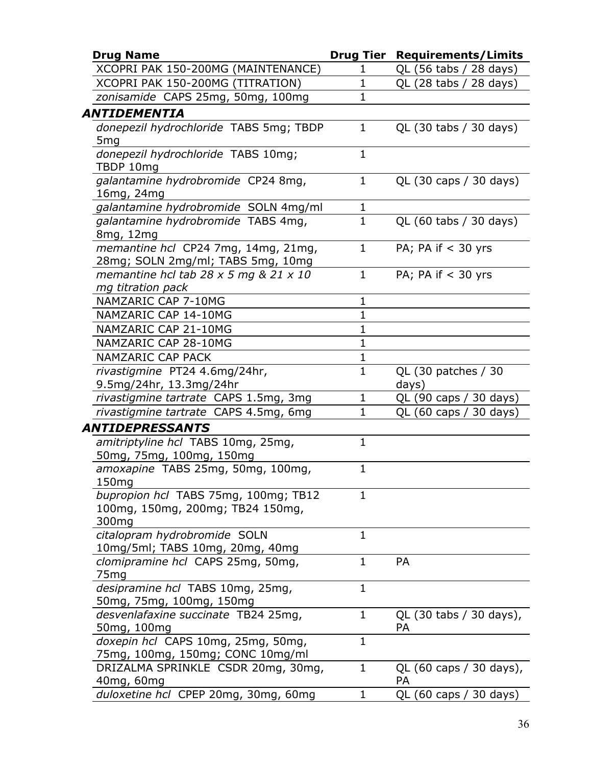| <b>Drug Name</b>                                                                  |              | <b>Drug Tier Requirements/Limits</b> |
|-----------------------------------------------------------------------------------|--------------|--------------------------------------|
| XCOPRI PAK 150-200MG (MAINTENANCE)                                                | ı            | QL (56 tabs / 28 days)               |
| XCOPRI PAK 150-200MG (TITRATION)                                                  | $\mathbf{1}$ | QL (28 tabs / 28 days)               |
| zonisamide CAPS 25mg, 50mg, 100mg                                                 | $\mathbf 1$  |                                      |
| ANTIDEMENTIA                                                                      |              |                                      |
| donepezil hydrochloride TABS 5mg; TBDP<br>5 <sub>mg</sub>                         | $\mathbf{1}$ | QL (30 tabs / 30 days)               |
| donepezil hydrochloride TABS 10mg;<br>TBDP 10mg                                   | $\mathbf{1}$ |                                      |
| galantamine hydrobromide CP24 8mg,<br>16mg, 24mg                                  | $\mathbf{1}$ | QL (30 caps / 30 days)               |
| galantamine hydrobromide SOLN 4mg/ml                                              | $\mathbf{1}$ |                                      |
| galantamine hydrobromide TABS 4mg,<br>8mg, 12mg                                   | $\mathbf{1}$ | QL (60 tabs / 30 days)               |
| memantine hcl CP24 7mg, 14mg, 21mg,<br>28mg; SOLN 2mg/ml; TABS 5mg, 10mg          | $\mathbf{1}$ | PA; PA if $<$ 30 yrs                 |
| memantine hcl tab $28 \times 5$ mg & $21 \times 10$<br>mg titration pack          | $\mathbf{1}$ | PA; PA if $<$ 30 yrs                 |
| NAMZARIC CAP 7-10MG                                                               | $\mathbf{1}$ |                                      |
| NAMZARIC CAP 14-10MG                                                              | $\mathbf{1}$ |                                      |
| NAMZARIC CAP 21-10MG                                                              | $\mathbf 1$  |                                      |
| NAMZARIC CAP 28-10MG                                                              | $\mathbf{1}$ |                                      |
| <b>NAMZARIC CAP PACK</b>                                                          | 1            |                                      |
| rivastigmine PT24 4.6mg/24hr,<br>9.5mg/24hr, 13.3mg/24hr                          | $\mathbf{1}$ | QL (30 patches / 30<br>days)         |
| rivastigmine tartrate CAPS 1.5mg, 3mg                                             | $\mathbf{1}$ | QL (90 caps / 30 days)               |
| rivastigmine tartrate CAPS 4.5mg, 6mg                                             | $\mathbf{1}$ | QL (60 caps / 30 days)               |
| <b>ANTIDEPRESSANTS</b>                                                            |              |                                      |
| amitriptyline hcl TABS 10mg, 25mg,<br>50mg, 75mg, 100mg, 150mg                    | $\mathbf{1}$ |                                      |
| amoxapine TABS 25mg, 50mg, 100mg,<br>150mg                                        | 1            |                                      |
| bupropion hcl TABS 75mg, 100mg; TB12<br>100mg, 150mg, 200mg; TB24 150mg,<br>300mg | 1            |                                      |
| citalopram hydrobromide SOLN<br>10mg/5ml; TABS 10mg, 20mg, 40mg                   | $\mathbf{1}$ |                                      |
| clomipramine hcl CAPS 25mg, 50mg,<br>75 <sub>mg</sub>                             | $\mathbf{1}$ | PA                                   |
| desipramine hcl TABS 10mg, 25mg,                                                  | $\mathbf{1}$ |                                      |
| 50mg, 75mg, 100mg, 150mg                                                          |              |                                      |
| desvenlafaxine succinate TB24 25mg,                                               | $\mathbf{1}$ | QL (30 tabs / 30 days),              |
| 50mg, 100mg                                                                       |              | <b>PA</b>                            |
| doxepin hcl CAPS 10mg, 25mg, 50mg,<br>75mg, 100mg, 150mg; CONC 10mg/ml            | $\mathbf 1$  |                                      |
| DRIZALMA SPRINKLE CSDR 20mg, 30mg,<br>40mg, 60mg                                  | $\mathbf{1}$ | QL (60 caps / 30 days),<br>PA        |
| duloxetine hcl CPEP 20mg, 30mg, 60mg                                              | $\mathbf{1}$ | QL (60 caps / 30 days)               |
|                                                                                   |              |                                      |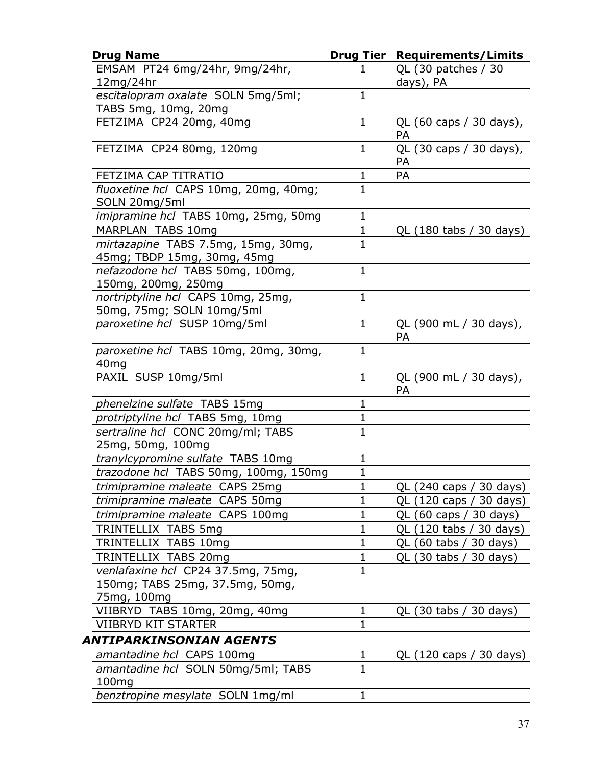| <b>Drug Name</b>                                                   | Drug Tier      | <b>Requirements/Limits</b>           |
|--------------------------------------------------------------------|----------------|--------------------------------------|
| EMSAM PT24 6mg/24hr, 9mg/24hr,<br>12mg/24hr                        | 1              | QL (30 patches / 30<br>days), PA     |
| escitalopram oxalate SOLN 5mg/5ml;                                 | $\mathbf{1}$   |                                      |
| TABS 5mg, 10mg, 20mg                                               |                |                                      |
| FETZIMA CP24 20mg, 40mg                                            | $\mathbf{1}$   | QL (60 caps / 30 days),<br>PA        |
| FETZIMA CP24 80mg, 120mg                                           | 1              | QL (30 caps / 30 days),<br><b>PA</b> |
| FETZIMA CAP TITRATIO                                               | 1              | PA                                   |
| fluoxetine hcl CAPS 10mg, 20mg, 40mg;<br>SOLN 20mg/5ml             | $\mathbf 1$    |                                      |
| <i>imipramine hcl</i> TABS 10mg, 25mg, 50mg                        | $\mathbf{1}$   |                                      |
| MARPLAN TABS 10mg                                                  | $\mathbf{1}$   | QL (180 tabs / 30 days)              |
| mirtazapine TABS 7.5mg, 15mg, 30mg,<br>45mg; TBDP 15mg, 30mg, 45mg | $\mathbf{1}$   |                                      |
| nefazodone hcl TABS 50mg, 100mg,<br>150mg, 200mg, 250mg            | $\mathbf 1$    |                                      |
| nortriptyline hcl CAPS 10mg, 25mg,<br>50mg, 75mg; SOLN 10mg/5ml    | $\mathbf{1}$   |                                      |
| paroxetine hcl SUSP 10mg/5ml                                       | $\mathbf{1}$   | QL (900 mL / 30 days),<br>PA         |
| paroxetine hcl TABS 10mg, 20mg, 30mg,<br>40 <sub>mg</sub>          | $\mathbf{1}$   |                                      |
| PAXIL SUSP 10mg/5ml                                                | $\mathbf{1}$   | QL (900 mL / 30 days),<br><b>PA</b>  |
| phenelzine sulfate TABS 15mg                                       | 1              |                                      |
| protriptyline hcl TABS 5mg, 10mg                                   | $\mathbf{1}$   |                                      |
| sertraline hcl CONC 20mg/ml; TABS<br>25mg, 50mg, 100mg             | $\mathbf{1}$   |                                      |
| tranylcypromine sulfate TABS 10mg                                  | $\mathbf{1}$   |                                      |
| trazodone hcl TABS 50mg, 100mg, 150mg                              | $\mathbf{1}$   |                                      |
| trimipramine maleate CAPS 25mg                                     | 1              | QL (240 caps / 30 days)              |
| trimipramine maleate CAPS 50mg                                     | $\mathbf{1}$   | QL (120 caps / 30 days)              |
| trimipramine maleate CAPS 100mg                                    | $\mathbf 1$    | QL (60 caps / 30 days)               |
| TRINTELLIX TABS 5mg                                                | $\mathbf{1}$   | QL (120 tabs / 30 days)              |
| TRINTELLIX TABS 10mg                                               | $\mathbf 1$    | QL (60 tabs / 30 days)               |
| TRINTELLIX TABS 20mg                                               | $\mathbf{1}$   | QL (30 tabs / 30 days)               |
| venlafaxine hcl CP24 37.5mg, 75mg,                                 | $\mathbf{1}$   |                                      |
| 150mg; TABS 25mg, 37.5mg, 50mg,                                    |                |                                      |
| 75mg, 100mg                                                        |                |                                      |
| VIIBRYD TABS 10mg, 20mg, 40mg                                      | $\mathbf{1}$   | QL (30 tabs / 30 days)               |
| <b>VIIBRYD KIT STARTER</b>                                         | $\overline{1}$ |                                      |
| ANTIPARKINSONIAN AGENTS                                            |                |                                      |
| amantadine hcl CAPS 100mg                                          | 1              | QL (120 caps / 30 days)              |
| amantadine hcl SOLN 50mg/5ml; TABS<br>100mg                        | $\mathbf{1}$   |                                      |
| benztropine mesylate SOLN 1mg/ml                                   | $\mathbf{1}$   |                                      |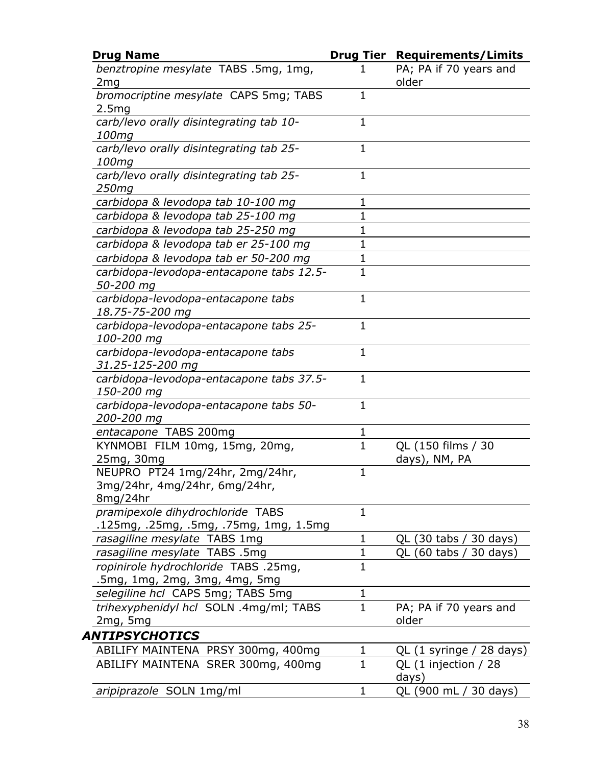| <b>Drug Name</b>                                                             | <b>Drug Tier</b> | <b>Requirements/Limits</b>          |
|------------------------------------------------------------------------------|------------------|-------------------------------------|
| benztropine mesylate TABS .5mg, 1mg,<br>2 <sub>mg</sub>                      | 1                | PA; PA if 70 years and<br>older     |
| bromocriptine mesylate CAPS 5mg; TABS<br>2.5mg                               | $\mathbf{1}$     |                                     |
| carb/levo orally disintegrating tab 10-<br>100mg                             | $\mathbf{1}$     |                                     |
| carb/levo orally disintegrating tab 25-<br>100mg                             | 1                |                                     |
| carb/levo orally disintegrating tab 25-<br>250mg                             | $\mathbf{1}$     |                                     |
| carbidopa & levodopa tab 10-100 mg                                           | 1                |                                     |
| carbidopa & levodopa tab 25-100 mg                                           | $\mathbf 1$      |                                     |
| carbidopa & levodopa tab 25-250 mg                                           | $\mathbf 1$      |                                     |
| carbidopa & levodopa tab er 25-100 mg                                        | $\mathbf 1$      |                                     |
| carbidopa & levodopa tab er 50-200 mg                                        | $\mathbf 1$      |                                     |
| carbidopa-levodopa-entacapone tabs 12.5-<br>50-200 mg                        | $\mathbf{1}$     |                                     |
| carbidopa-levodopa-entacapone tabs<br>18.75-75-200 mg                        | $\mathbf{1}$     |                                     |
| carbidopa-levodopa-entacapone tabs 25-<br>100-200 mg                         | $\mathbf{1}$     |                                     |
| carbidopa-levodopa-entacapone tabs<br>31.25-125-200 mg                       | $\mathbf{1}$     |                                     |
| carbidopa-levodopa-entacapone tabs 37.5-<br>150-200 mg                       | $\mathbf{1}$     |                                     |
| carbidopa-levodopa-entacapone tabs 50-<br>200-200 mg                         | $\mathbf{1}$     |                                     |
| entacapone TABS 200mg                                                        | 1                |                                     |
| KYNMOBI FILM 10mg, 15mg, 20mg,<br>25mg, 30mg                                 | $\mathbf{1}$     | QL (150 films / 30<br>days), NM, PA |
| NEUPRO PT24 1mg/24hr, 2mg/24hr,<br>3mg/24hr, 4mg/24hr, 6mg/24hr,<br>8mg/24hr | $\mathbf{1}$     |                                     |
| pramipexole dihydrochloride TABS<br>.125mg, .25mg, .5mg, .75mg, 1mg, 1.5mg   | $\mathbf{1}$     |                                     |
| rasagiline mesylate TABS 1mg                                                 | $\mathbf 1$      | QL (30 tabs / 30 days)              |
| rasagiline mesylate TABS .5mg                                                | $\mathbf 1$      | QL (60 tabs / 30 days)              |
| ropinirole hydrochloride TABS .25mg,<br>.5mg, 1mg, 2mg, 3mg, 4mg, 5mg        | $\mathbf{1}$     |                                     |
| selegiline hcl CAPS 5mg; TABS 5mg                                            | $\mathbf 1$      |                                     |
| trihexyphenidyl hcl SOLN .4mg/ml; TABS<br>2mg, 5mg                           | $\mathbf 1$      | PA; PA if 70 years and<br>older     |
| ANTIPSYCHOTICS                                                               |                  |                                     |
| ABILIFY MAINTENA PRSY 300mg, 400mg                                           | $\mathbf{1}$     | QL (1 syringe / 28 days)            |
| ABILIFY MAINTENA SRER 300mg, 400mg                                           | $\mathbf{1}$     | QL (1 injection / 28<br>days)       |
| aripiprazole SOLN 1mg/ml                                                     | $\mathbf{1}$     | QL (900 mL / 30 days)               |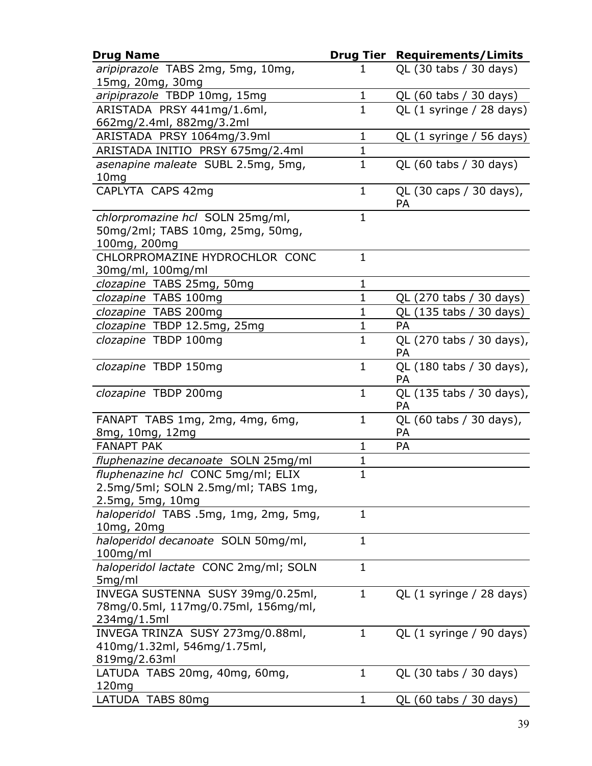| <b>Drug Name</b>                                                                     | Drug Tier    | <b>Requirements/Limits</b>            |
|--------------------------------------------------------------------------------------|--------------|---------------------------------------|
| aripiprazole TABS 2mg, 5mg, 10mg,                                                    |              | QL (30 tabs / 30 days)                |
| 15mg, 20mg, 30mg                                                                     |              |                                       |
| aripiprazole TBDP 10mg, 15mg                                                         | 1            | QL (60 tabs / 30 days)                |
| ARISTADA PRSY 441mg/1.6ml,                                                           | $\mathbf{1}$ | QL (1 syringe / 28 days)              |
| 662mg/2.4ml, 882mg/3.2ml                                                             |              |                                       |
| ARISTADA PRSY 1064mg/3.9ml                                                           | $\mathbf{1}$ | QL (1 syringe / 56 days)              |
| ARISTADA INITIO PRSY 675mg/2.4ml                                                     | $\mathbf{1}$ |                                       |
| asenapine maleate SUBL 2.5mg, 5mg,<br>10 <sub>mg</sub>                               | $\mathbf{1}$ | QL (60 tabs / 30 days)                |
| CAPLYTA CAPS 42mg                                                                    | $\mathbf{1}$ | QL (30 caps / 30 days),<br><b>PA</b>  |
| chlorpromazine hcl SOLN 25mg/ml,<br>50mg/2ml; TABS 10mg, 25mg, 50mg,<br>100mg, 200mg | $\mathbf{1}$ |                                       |
| CHLORPROMAZINE HYDROCHLOR CONC                                                       | $\mathbf{1}$ |                                       |
| 30mg/ml, 100mg/ml                                                                    |              |                                       |
| clozapine TABS 25mg, 50mg                                                            | $\mathbf{1}$ |                                       |
| clozapine TABS 100mg                                                                 | $\mathbf{1}$ | QL (270 tabs / 30 days)               |
| clozapine TABS 200mg                                                                 | 1            | QL (135 tabs / 30 days)               |
| clozapine TBDP 12.5mg, 25mg                                                          | $\mathbf{1}$ | <b>PA</b>                             |
| clozapine TBDP 100mg                                                                 | $\mathbf 1$  | QL (270 tabs / 30 days),              |
|                                                                                      |              | PA                                    |
| clozapine TBDP 150mg                                                                 | $\mathbf{1}$ | QL (180 tabs / 30 days),<br><b>PA</b> |
| clozapine TBDP 200mg                                                                 | $\mathbf{1}$ | QL (135 tabs / 30 days),<br><b>PA</b> |
| FANAPT TABS 1mg, 2mg, 4mg, 6mg,                                                      | $\mathbf{1}$ | QL (60 tabs / 30 days),               |
| 8mg, 10mg, 12mg                                                                      |              | PA                                    |
| <b>FANAPT PAK</b>                                                                    | $\mathbf{1}$ | PA                                    |
| fluphenazine decanoate SOLN 25mg/ml                                                  | 1            |                                       |
| fluphenazine hcl CONC 5mg/ml; ELIX                                                   | $\mathbf{1}$ |                                       |
| 2.5mg/5ml; SOLN 2.5mg/ml; TABS 1mg,                                                  |              |                                       |
| 2.5mg, 5mg, 10mg                                                                     |              |                                       |
| haloperidol TABS .5mg, 1mg, 2mg, 5mg,                                                | 1            |                                       |
| 10mg, 20mg                                                                           |              |                                       |
| haloperidol decanoate SOLN 50mg/ml,                                                  | $\mathbf{1}$ |                                       |
| $100$ mg/ml                                                                          |              |                                       |
| haloperidol lactate CONC 2mg/ml; SOLN                                                | $\mathbf 1$  |                                       |
| 5mg/ml                                                                               |              |                                       |
| INVEGA SUSTENNA SUSY 39mg/0.25ml,                                                    | 1            | QL (1 syringe / 28 days)              |
| 78mg/0.5ml, 117mg/0.75ml, 156mg/ml,                                                  |              |                                       |
| 234mg/1.5ml                                                                          |              |                                       |
| INVEGA TRINZA SUSY 273mg/0.88ml,                                                     | $\mathbf{1}$ | QL (1 syringe / 90 days)              |
| 410mg/1.32ml, 546mg/1.75ml,                                                          |              |                                       |
| 819mg/2.63ml                                                                         |              |                                       |
| LATUDA TABS 20mg, 40mg, 60mg,                                                        | $\mathbf{1}$ | QL (30 tabs / 30 days)                |
| 120mg                                                                                |              |                                       |
| LATUDA TABS 80mg                                                                     | 1            | QL (60 tabs / 30 days)                |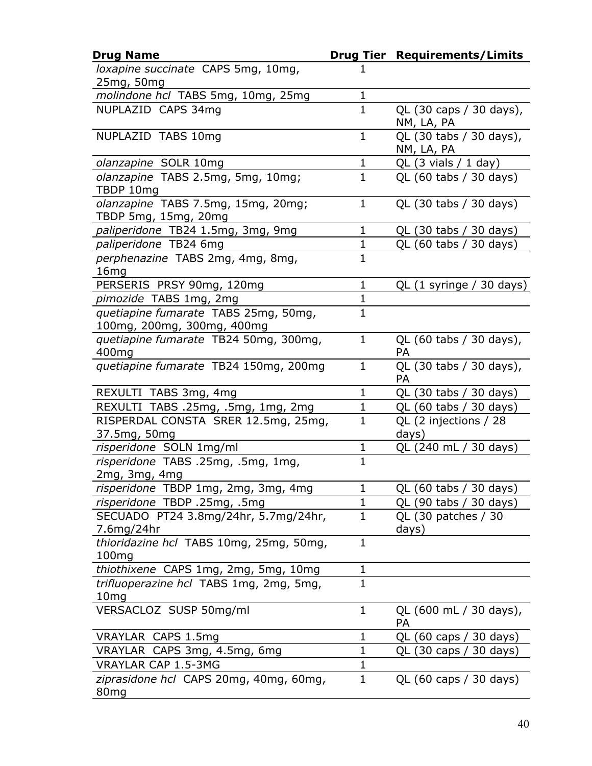| <b>Drug Name</b>                        |              | <b>Drug Tier Requirements/Limits</b>  |
|-----------------------------------------|--------------|---------------------------------------|
| loxapine succinate CAPS 5mg, 10mg,      | 1            |                                       |
| 25mg, 50mg                              |              |                                       |
| molindone hcl TABS 5mg, 10mg, 25mg      | 1            |                                       |
| NUPLAZID CAPS 34mg                      | $\mathbf 1$  | QL (30 caps / 30 days),<br>NM, LA, PA |
| NUPLAZID TABS 10mg                      | 1            | QL (30 tabs / 30 days),<br>NM, LA, PA |
| olanzapine SOLR 10mg                    | $\mathbf 1$  | $QL$ (3 vials / 1 day)                |
| olanzapine TABS 2.5mg, 5mg, 10mg;       | $\mathbf 1$  | QL (60 tabs / 30 days)                |
| TBDP 10mg                               |              |                                       |
| olanzapine TABS 7.5mg, 15mg, 20mg;      | $\mathbf{1}$ | QL (30 tabs / 30 days)                |
| TBDP 5mg, 15mg, 20mg                    |              |                                       |
| paliperidone TB24 1.5mg, 3mg, 9mg       | 1            | QL (30 tabs / 30 days)                |
| paliperidone TB24 6mg                   | $\mathbf{1}$ | QL (60 tabs / 30 days)                |
| perphenazine TABS 2mg, 4mg, 8mg,        | $\mathbf 1$  |                                       |
| 16mg                                    |              |                                       |
| PERSERIS PRSY 90mg, 120mg               | $\mathbf 1$  | QL (1 syringe / 30 days)              |
| pimozide TABS 1mg, 2mg                  | 1            |                                       |
| quetiapine fumarate TABS 25mg, 50mg,    | $\mathbf{1}$ |                                       |
| 100mg, 200mg, 300mg, 400mg              |              |                                       |
| quetiapine fumarate TB24 50mg, 300mg,   | $\mathbf 1$  | QL (60 tabs / 30 days),               |
| 400mg                                   | $\mathbf{1}$ | PA                                    |
| quetiapine fumarate TB24 150mg, 200mg   |              | QL (30 tabs / 30 days),<br><b>PA</b>  |
| REXULTI TABS 3mg, 4mg                   | 1            | QL (30 tabs / 30 days)                |
| REXULTI TABS .25mg, .5mg, 1mg, 2mg      | $\mathbf{1}$ | QL (60 tabs / 30 days)                |
| RISPERDAL CONSTA SRER 12.5mg, 25mg,     | 1            | QL (2 injections / 28                 |
| 37.5mg, 50mg                            |              | days)                                 |
| risperidone SOLN 1mg/ml                 | $\mathbf{1}$ | QL (240 mL / 30 days)                 |
| risperidone TABS .25mg, .5mg, 1mg,      | $\mathbf{1}$ |                                       |
| 2mg, 3mg, 4mg                           |              |                                       |
| risperidone TBDP 1mg, 2mg, 3mg, 4mg     | 1            | QL (60 tabs / 30 days)                |
| risperidone TBDP .25mg, .5mg            | $\mathbf 1$  | QL (90 tabs / 30 days)                |
| SECUADO PT24 3.8mg/24hr, 5.7mg/24hr,    | $\mathbf{1}$ | QL (30 patches / 30                   |
| 7.6mg/24hr                              |              | days)                                 |
| thioridazine hcl TABS 10mg, 25mg, 50mg, | $\mathbf 1$  |                                       |
| 100mg                                   |              |                                       |
| thiothixene CAPS 1mg, 2mg, 5mg, 10mg    | $\mathbf 1$  |                                       |
| trifluoperazine hcl TABS 1mg, 2mg, 5mg, | $\mathbf{1}$ |                                       |
| 10 <sub>mg</sub>                        | $\mathbf{1}$ |                                       |
| VERSACLOZ SUSP 50mg/ml                  |              | QL (600 mL / 30 days),<br><b>PA</b>   |
| VRAYLAR CAPS 1.5mg                      | 1            | QL (60 caps / 30 days)                |
| VRAYLAR CAPS 3mg, 4.5mg, 6mg            | $\mathbf 1$  | QL (30 caps / 30 days)                |
| <b>VRAYLAR CAP 1.5-3MG</b>              | $\mathbf 1$  |                                       |
| ziprasidone hcl CAPS 20mg, 40mg, 60mg,  | $\mathbf 1$  | QL (60 caps / 30 days)                |
| 80 <sub>mg</sub>                        |              |                                       |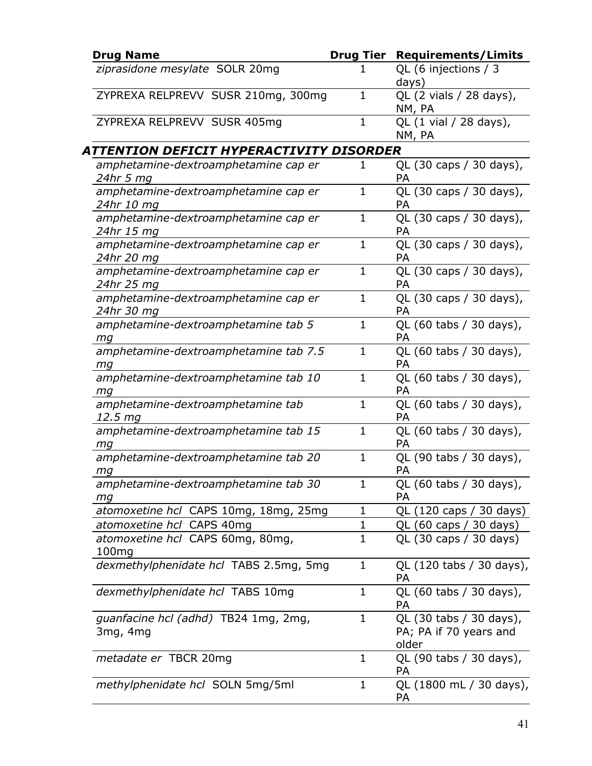| <b>Drug Name</b>                                      |              | <b>Drug Tier Requirements/Limits</b>                       |
|-------------------------------------------------------|--------------|------------------------------------------------------------|
| ziprasidone mesylate SOLR 20mg                        |              | QL (6 injections / 3<br>days)                              |
| ZYPREXA RELPREVV SUSR 210mg, 300mg                    | $\mathbf{1}$ | QL (2 vials / 28 days),<br>NM, PA                          |
| ZYPREXA RELPREVV SUSR 405mg                           | $\mathbf{1}$ | QL (1 vial / 28 days),<br>NM, PA                           |
| ATTENTION DEFICIT HYPERACTIVITY DISORDER              |              |                                                            |
| amphetamine-dextroamphetamine cap er<br>24hr 5 mg     | 1            | QL (30 caps / 30 days),<br><b>PA</b>                       |
| amphetamine-dextroamphetamine cap er<br>24hr 10 mg    | $\mathbf{1}$ | QL (30 caps / 30 days),<br>PA                              |
| amphetamine-dextroamphetamine cap er<br>24hr 15 mg    | $\mathbf{1}$ | QL (30 caps / 30 days),<br>PA                              |
| amphetamine-dextroamphetamine cap er<br>24hr 20 mg    | $\mathbf 1$  | QL (30 caps / 30 days),<br><b>PA</b>                       |
| amphetamine-dextroamphetamine cap er<br>24hr 25 mg    | $\mathbf 1$  | QL (30 caps / 30 days),<br>PA                              |
| amphetamine-dextroamphetamine cap er<br>24hr 30 mg    | $\mathbf{1}$ | QL (30 caps / 30 days),<br><b>PA</b>                       |
| amphetamine-dextroamphetamine tab 5<br>mg             | $\mathbf 1$  | QL (60 tabs / 30 days),<br>PA                              |
| amphetamine-dextroamphetamine tab 7.5<br>mg           | $\mathbf{1}$ | QL (60 tabs / 30 days),<br>PA                              |
| amphetamine-dextroamphetamine tab 10<br>ma            | $\mathbf{1}$ | QL (60 tabs / 30 days),<br>PA                              |
| amphetamine-dextroamphetamine tab<br>12.5 mg          | $\mathbf 1$  | QL (60 tabs / 30 days),<br>PA                              |
| amphetamine-dextroamphetamine tab 15<br>mg            | $\mathbf{1}$ | QL (60 tabs / 30 days),<br>PA                              |
| amphetamine-dextroamphetamine tab 20<br>mg            | $\mathbf 1$  | QL (90 tabs / 30 days),<br>PA                              |
| amphetamine-dextroamphetamine tab 30<br>mg            | $\mathbf{1}$ | QL (60 tabs / 30 days),<br>PA                              |
| atomoxetine hcl CAPS 10mg, 18mg, 25mg                 | 1            | QL (120 caps / 30 days)                                    |
| atomoxetine hcl CAPS 40mg                             | $\mathbf 1$  | QL (60 caps / 30 days)                                     |
| atomoxetine hcl CAPS 60mg, 80mg,<br>100 <sub>mg</sub> | $\mathbf{1}$ | QL (30 caps / 30 days)                                     |
| dexmethylphenidate hcl TABS 2.5mg, 5mg                | 1            | QL (120 tabs / 30 days),<br><b>PA</b>                      |
| dexmethylphenidate hcl TABS 10mg                      | $\mathbf{1}$ | QL (60 tabs / 30 days),<br>PA                              |
| guanfacine hcl (adhd) TB24 1mg, 2mg,<br>3mg, 4mg      | $\mathbf 1$  | QL (30 tabs / 30 days),<br>PA; PA if 70 years and<br>older |
| <i>metadate er</i> TBCR 20mg                          | $\mathbf{1}$ | QL (90 tabs / 30 days),<br><b>PA</b>                       |
| methylphenidate hcl SOLN 5mg/5ml                      | $\mathbf{1}$ | QL (1800 mL / 30 days),<br><b>PA</b>                       |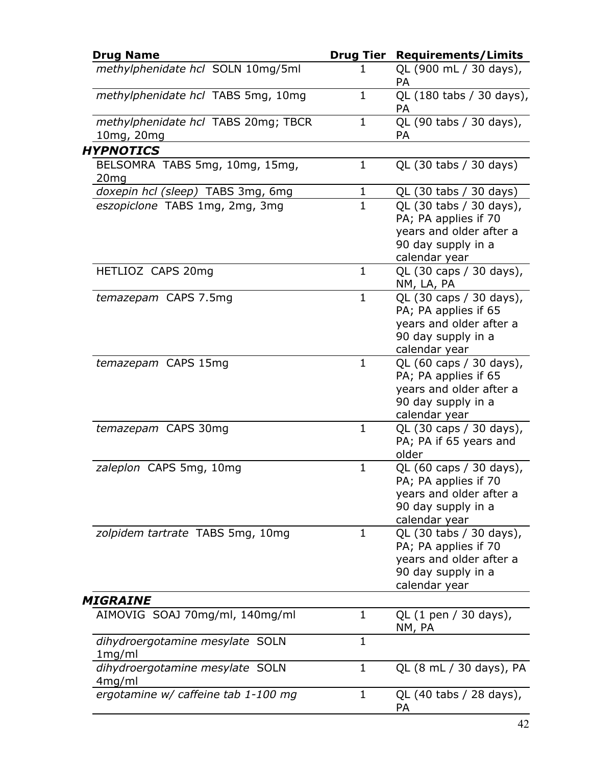| <b>Drug Name</b>                                   | <b>Drug Tier</b> | <b>Requirements/Limits</b>                                                                                        |
|----------------------------------------------------|------------------|-------------------------------------------------------------------------------------------------------------------|
| methylphenidate hcl SOLN 10mg/5ml                  | 1                | QL (900 mL / 30 days),<br>PA                                                                                      |
| methylphenidate hcl TABS 5mg, 10mg                 | $\mathbf{1}$     | QL (180 tabs / 30 days),<br>PA                                                                                    |
| methylphenidate hcl TABS 20mg; TBCR<br>10mg, 20mg  | $\mathbf{1}$     | QL (90 tabs / 30 days),<br>PA                                                                                     |
| <b>HYPNOTICS</b>                                   |                  |                                                                                                                   |
| BELSOMRA TABS 5mg, 10mg, 15mg,<br>20 <sub>mg</sub> | $\mathbf{1}$     | QL (30 tabs / 30 days)                                                                                            |
| doxepin hcl (sleep) TABS 3mg, 6mg                  | $\mathbf{1}$     | QL (30 tabs / 30 days)                                                                                            |
| eszopiclone TABS 1mg, 2mg, 3mg                     | $\mathbf{1}$     | QL (30 tabs / 30 days),<br>PA; PA applies if 70<br>years and older after a<br>90 day supply in a<br>calendar year |
| HETLIOZ CAPS 20mg                                  | $\mathbf{1}$     | QL (30 caps / 30 days),<br>NM, LA, PA                                                                             |
| temazepam CAPS 7.5mg                               | $\mathbf{1}$     | QL (30 caps / 30 days),<br>PA; PA applies if 65<br>years and older after a<br>90 day supply in a<br>calendar year |
| temazepam CAPS 15mg                                | $\mathbf{1}$     | QL (60 caps / 30 days),<br>PA; PA applies if 65<br>years and older after a<br>90 day supply in a<br>calendar year |
| temazepam CAPS 30mg                                | $\mathbf{1}$     | QL (30 caps / 30 days),<br>PA; PA if 65 years and<br>older                                                        |
| zaleplon CAPS 5mg, 10mg                            | $\mathbf{1}$     | QL (60 caps / 30 days),<br>PA; PA applies if 70<br>years and older after a<br>90 day supply in a<br>calendar year |
| zolpidem tartrate TABS 5mg, 10mg                   | $\mathbf{1}$     | QL (30 tabs / 30 days),<br>PA; PA applies if 70<br>years and older after a<br>90 day supply in a<br>calendar year |
| <b>MIGRAINE</b>                                    |                  |                                                                                                                   |
| AIMOVIG SOAJ 70mg/ml, 140mg/ml                     | $\mathbf{1}$     | QL (1 pen / 30 days),<br>NM, PA                                                                                   |
| dihydroergotamine mesylate SOLN<br>1mg/ml          | $\mathbf{1}$     |                                                                                                                   |
| dihydroergotamine mesylate SOLN<br>4mg/ml          | $\mathbf 1$      | QL (8 mL / 30 days), PA                                                                                           |
| ergotamine w/ caffeine tab 1-100 mg                | $\mathbf{1}$     | QL (40 tabs / 28 days),<br>PA                                                                                     |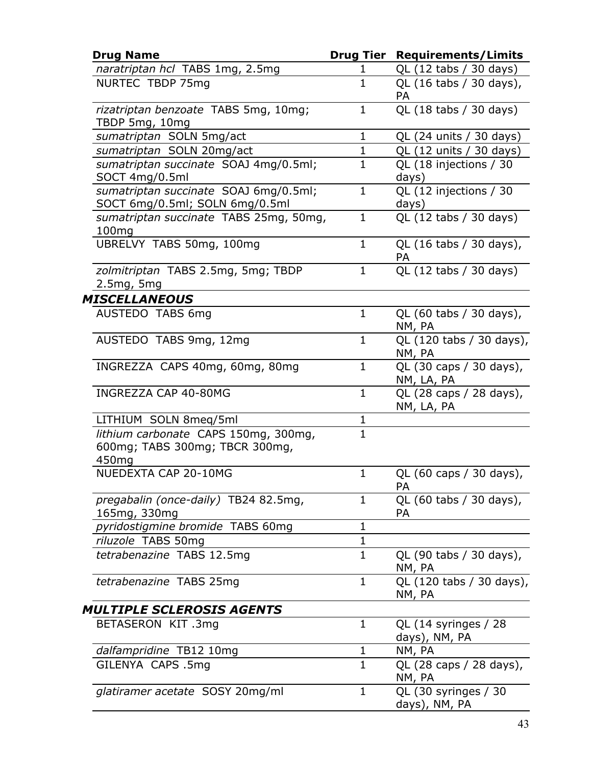| <b>Drug Name</b>                                                                            |              | <b>Drug Tier Requirements/Limits</b>  |
|---------------------------------------------------------------------------------------------|--------------|---------------------------------------|
| naratriptan hcl TABS 1mg, 2.5mg                                                             | 1            | QL (12 tabs / 30 days)                |
| NURTEC TBDP 75mg                                                                            | $\mathbf{1}$ | QL (16 tabs / 30 days),<br>PA         |
| rizatriptan benzoate TABS 5mg, 10mg;<br>TBDP 5mg, 10mg                                      | $\mathbf{1}$ | QL (18 tabs / 30 days)                |
| sumatriptan SOLN 5mg/act                                                                    | $\mathbf{1}$ | QL (24 units / 30 days)               |
| sumatriptan SOLN 20mg/act                                                                   | $\mathbf{1}$ | QL (12 units / 30 days)               |
| sumatriptan succinate SOAJ 4mg/0.5ml;<br>SOCT 4mg/0.5ml                                     | $\mathbf{1}$ | QL (18 injections / 30<br>days)       |
| sumatriptan succinate SOAJ 6mg/0.5ml;<br>SOCT 6mg/0.5ml; SOLN 6mg/0.5ml                     | $\mathbf{1}$ | QL (12 injections / 30<br>days)       |
| sumatriptan succinate TABS 25mg, 50mg,<br>100mg                                             | $\mathbf{1}$ | QL (12 tabs / 30 days)                |
| UBRELVY TABS 50mg, 100mg                                                                    | $\mathbf{1}$ | QL (16 tabs / 30 days),<br>PA         |
| zolmitriptan TABS 2.5mg, 5mg; TBDP<br>2.5mg, 5mg                                            | $\mathbf{1}$ | QL (12 tabs / 30 days)                |
| <b>MISCELLANEOUS</b>                                                                        |              |                                       |
| AUSTEDO TABS 6mg                                                                            | $\mathbf{1}$ | QL (60 tabs / 30 days),<br>NM, PA     |
| AUSTEDO TABS 9mg, 12mg                                                                      | $\mathbf{1}$ | QL (120 tabs / 30 days),<br>NM, PA    |
| INGREZZA CAPS 40mg, 60mg, 80mg                                                              | $\mathbf{1}$ | QL (30 caps / 30 days),<br>NM, LA, PA |
| INGREZZA CAP 40-80MG                                                                        | $\mathbf{1}$ | QL (28 caps / 28 days),<br>NM, LA, PA |
| LITHIUM SOLN 8meq/5ml                                                                       | $\mathbf 1$  |                                       |
| lithium carbonate CAPS 150mg, 300mg,<br>600mg; TABS 300mg; TBCR 300mg,<br>450 <sub>mg</sub> | $\mathbf{1}$ |                                       |
| NUEDEXTA CAP 20-10MG                                                                        | $\mathbf{1}$ | QL (60 caps / 30 days),<br>PA         |
| pregabalin (once-daily) TB24 82.5mg,<br>165mg, 330mg                                        | 1            | QL (60 tabs / 30 days),<br><b>PA</b>  |
| pyridostigmine bromide TABS 60mg                                                            | 1            |                                       |
| riluzole TABS 50mg                                                                          | $\mathbf{1}$ |                                       |
| tetrabenazine TABS 12.5mg                                                                   | $\mathbf{1}$ | QL (90 tabs / 30 days),<br>NM, PA     |
| tetrabenazine TABS 25mg                                                                     | $\mathbf{1}$ | QL (120 tabs / 30 days),<br>NM, PA    |
| MULTIPLE SCLEROSIS AGENTS                                                                   |              |                                       |
| BETASERON KIT.3mg                                                                           | $\mathbf{1}$ | QL (14 syringes / 28<br>days), NM, PA |
| dalfampridine TB12 10mg                                                                     | $\mathbf{1}$ | NM, PA                                |
| GILENYA CAPS .5mg                                                                           | $\mathbf{1}$ | QL (28 caps / 28 days),<br>NM, PA     |
| glatiramer acetate SOSY 20mg/ml                                                             | $\mathbf{1}$ | QL (30 syringes / 30<br>days), NM, PA |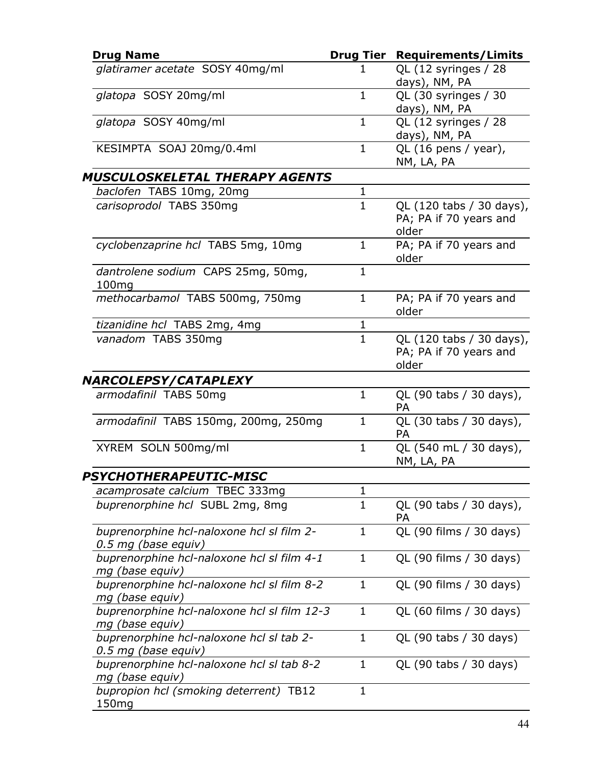| <b>Drug Name</b>                                                 | <b>Drug Tier</b> | <b>Requirements/Limits</b>                                  |
|------------------------------------------------------------------|------------------|-------------------------------------------------------------|
| glatiramer acetate SOSY 40mg/ml                                  | 1                | QL (12 syringes / 28<br>days), NM, PA                       |
| glatopa SOSY 20mg/ml                                             | $\mathbf{1}$     | QL (30 syringes / 30<br>days), NM, PA                       |
| glatopa SOSY 40mg/ml                                             | $\mathbf{1}$     | QL (12 syringes / 28<br>days), NM, PA                       |
| KESIMPTA SOAJ 20mg/0.4ml                                         | $\mathbf{1}$     | QL (16 pens / year),<br>NM, LA, PA                          |
| <b>MUSCULOSKELETAL THERAPY AGENTS</b>                            |                  |                                                             |
| baclofen TABS 10mg, 20mg                                         | $\mathbf{1}$     |                                                             |
| carisoprodol TABS 350mg                                          | $\mathbf{1}$     | QL (120 tabs / 30 days),<br>PA; PA if 70 years and<br>older |
| cyclobenzaprine hcl TABS 5mg, 10mg                               | $\mathbf{1}$     | PA; PA if 70 years and<br>older                             |
| dantrolene sodium CAPS 25mg, 50mg,<br>100 <sub>mg</sub>          | $\mathbf{1}$     |                                                             |
| methocarbamol TABS 500mg, 750mg                                  | $\mathbf{1}$     | PA; PA if 70 years and<br>older                             |
| tizanidine hcl TABS 2mg, 4mg                                     | 1                |                                                             |
| vanadom TABS 350mg                                               | $\mathbf{1}$     | QL (120 tabs / 30 days),<br>PA; PA if 70 years and<br>older |
| <b>NARCOLEPSY/CATAPLEXY</b>                                      |                  |                                                             |
| armodafinil TABS 50mg                                            | $\mathbf{1}$     | QL (90 tabs / 30 days),<br><b>PA</b>                        |
| armodafinil TABS 150mg, 200mg, 250mg                             | $\mathbf 1$      | QL (30 tabs / 30 days),<br>PA                               |
| XYREM SOLN 500mg/ml                                              | $\mathbf{1}$     | QL (540 mL / 30 days),<br>NM, LA, PA                        |
| PSYCHOTHERAPEUTIC-MISC                                           |                  |                                                             |
| acamprosate calcium TBEC 333mg                                   | 1                |                                                             |
| buprenorphine hcl SUBL 2mg, 8mg                                  | $\mathbf{1}$     | QL (90 tabs / 30 days),<br><b>PA</b>                        |
| buprenorphine hcl-naloxone hcl sl film 2-<br>0.5 mg (base equiv) | $\mathbf{1}$     | QL (90 films / 30 days)                                     |
| buprenorphine hcl-naloxone hcl sl film 4-1<br>mg (base equiv)    | $\mathbf{1}$     | QL (90 films / 30 days)                                     |
| buprenorphine hcl-naloxone hcl sl film 8-2<br>mg (base equiv)    | 1                | QL (90 films / 30 days)                                     |
| buprenorphine hcl-naloxone hcl sl film 12-3<br>mg (base equiv)   | $\mathbf{1}$     | QL (60 films / 30 days)                                     |
| buprenorphine hcl-naloxone hcl sl tab 2-<br>0.5 mg (base equiv)  | $\mathbf{1}$     | QL (90 tabs / 30 days)                                      |
| buprenorphine hcl-naloxone hcl sl tab 8-2<br>mg (base equiv)     | 1                | QL (90 tabs / 30 days)                                      |
| bupropion hcl (smoking deterrent) TB12<br>150 <sub>mg</sub>      | $\mathbf{1}$     |                                                             |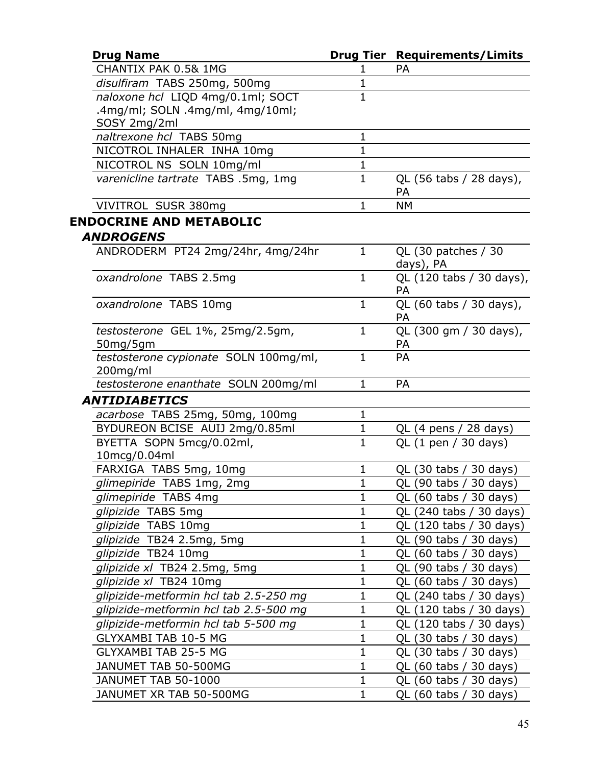| <b>Drug Name</b>                                  |              | <b>Drug Tier Requirements/Limits</b>  |
|---------------------------------------------------|--------------|---------------------------------------|
| CHANTIX PAK 0.5& 1MG                              | 1            | <b>PA</b>                             |
| disulfiram TABS 250mg, 500mg                      | $\mathbf{1}$ |                                       |
| naloxone hcl LIQD 4mg/0.1ml; SOCT                 | $\mathbf{1}$ |                                       |
| .4mg/ml; SOLN .4mg/ml, 4mg/10ml;                  |              |                                       |
| SOSY 2mg/2ml                                      |              |                                       |
| naltrexone hcl TABS 50mg                          | 1            |                                       |
| NICOTROL INHALER INHA 10mg                        | $\mathbf{1}$ |                                       |
| NICOTROL NS SOLN 10mg/ml                          | $\mathbf{1}$ |                                       |
| varenicline tartrate TABS .5mg, 1mg               | $\mathbf{1}$ | QL (56 tabs / 28 days),<br>PA         |
| VIVITROL SUSR 380mg                               | $\mathbf{1}$ | <b>NM</b>                             |
| <b>ENDOCRINE AND METABOLIC</b>                    |              |                                       |
| <b>ANDROGENS</b>                                  |              |                                       |
| ANDRODERM PT24 2mg/24hr, 4mg/24hr                 | $\mathbf{1}$ | QL (30 patches / 30<br>days), PA      |
| oxandrolone TABS 2.5mg                            | $\mathbf{1}$ | QL (120 tabs / 30 days),<br><b>PA</b> |
| oxandrolone TABS 10mg                             | $\mathbf{1}$ | QL (60 tabs / 30 days),<br>PA         |
| testosterone GEL 1%, 25mg/2.5gm,<br>50mg/5gm      | $\mathbf{1}$ | QL (300 gm / 30 days),<br>PA          |
| testosterone cypionate SOLN 100mg/ml,<br>200mg/ml | $\mathbf{1}$ | PA                                    |
| testosterone enanthate SOLN 200mg/ml              | $\mathbf{1}$ | <b>PA</b>                             |
| <b>ANTIDIABETICS</b>                              |              |                                       |
| acarbose TABS 25mg, 50mg, 100mg                   | $\mathbf{1}$ |                                       |
| BYDUREON BCISE AUIJ 2mg/0.85ml                    | $\mathbf{1}$ | $QL$ (4 pens / 28 days)               |
| BYETTA SOPN 5mcg/0.02ml,                          | $\mathbf{1}$ | QL (1 pen / 30 days)                  |
| 10mcg/0.04ml                                      |              |                                       |
| FARXIGA TABS 5mg, 10mg                            | $\mathbf{1}$ | QL (30 tabs / 30 days)                |
| glimepiride TABS 1mg, 2mg                         | $\mathbf{1}$ | QL (90 tabs / 30 days)                |
| glimepiride TABS 4mg                              | 1            | QL (60 tabs / 30 days)                |
| glipizide TABS 5mg                                | 1            | QL (240 tabs / 30 days)               |
| glipizide TABS 10mg                               | 1            | QL (120 tabs / 30 days)               |
| glipizide TB24 2.5mg, 5mg                         | $\mathbf 1$  | QL (90 tabs / 30 days)                |
| glipizide TB24 10mg                               | 1            | QL (60 tabs / 30 days)                |
| glipizide xl TB24 2.5mg, 5mg                      | $\mathbf 1$  | QL (90 tabs / 30 days)                |
| glipizide xl TB24 10mg                            | 1            | QL (60 tabs / 30 days)                |
| glipizide-metformin hcl tab 2.5-250 mg            | 1            | QL (240 tabs / 30 days)               |
| glipizide-metformin hcl tab 2.5-500 mg            | 1            | QL (120 tabs / 30 days)               |
| glipizide-metformin hcl tab 5-500 mg              | $\mathbf 1$  | QL (120 tabs / 30 days)               |
| GLYXAMBI TAB 10-5 MG                              | 1            | QL (30 tabs / 30 days)                |
| <b>GLYXAMBI TAB 25-5 MG</b>                       | 1            | QL (30 tabs / 30 days)                |
| JANUMET TAB 50-500MG                              | 1            | QL (60 tabs / 30 days)                |
| JANUMET TAB 50-1000                               | $\mathbf{1}$ | QL (60 tabs / 30 days)                |
| JANUMET XR TAB 50-500MG                           | $\mathbf 1$  | QL (60 tabs / 30 days)                |
|                                                   |              |                                       |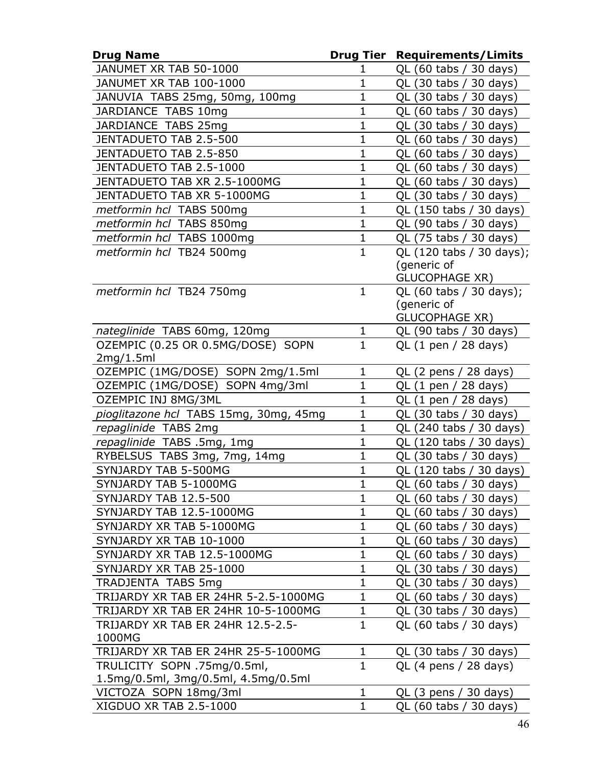| <b>Drug Name</b>                       | Drug Tier    | <b>Requirements/Limits</b>              |
|----------------------------------------|--------------|-----------------------------------------|
| JANUMET XR TAB 50-1000                 | 1            | QL (60 tabs / 30 days)                  |
| JANUMET XR TAB 100-1000                | $\mathbf{1}$ | QL (30 tabs / 30 days)                  |
| JANUVIA TABS 25mg, 50mg, 100mg         | $\mathbf 1$  | QL (30 tabs / 30 days)                  |
| JARDIANCE TABS 10mg                    | $\mathbf{1}$ | QL (60 tabs / 30 days)                  |
| JARDIANCE TABS 25mg                    | $\mathbf{1}$ | QL (30 tabs / 30 days)                  |
| JENTADUETO TAB 2.5-500                 | $\mathbf{1}$ | QL (60 tabs / 30 days)                  |
| JENTADUETO TAB 2.5-850                 | $\mathbf{1}$ | QL (60 tabs / 30 days)                  |
| JENTADUETO TAB 2.5-1000                | $\mathbf 1$  | QL (60 tabs / 30 days)                  |
| JENTADUETO TAB XR 2.5-1000MG           | $\mathbf{1}$ | QL (60 tabs / 30 days)                  |
| JENTADUETO TAB XR 5-1000MG             | $\mathbf{1}$ | QL (30 tabs / 30 days)                  |
| metformin hcl TABS 500mg               | $\mathbf{1}$ | QL (150 tabs / 30 days)                 |
| metformin hcl TABS 850mg               | $\mathbf{1}$ | QL (90 tabs / 30 days)                  |
| metformin hcl TABS 1000mg              | 1            | QL (75 tabs / 30 days)                  |
| metformin hcl TB24 500mg               | $\mathbf{1}$ | QL (120 tabs / 30 days);                |
|                                        |              | (generic of                             |
|                                        |              | <b>GLUCOPHAGE XR)</b>                   |
| metformin hcl TB24 750mg               | $\mathbf{1}$ | QL (60 tabs / 30 days);                 |
|                                        |              | (generic of                             |
|                                        |              | <b>GLUCOPHAGE XR)</b>                   |
| nateglinide TABS 60mg, 120mg           | 1            | QL (90 tabs / 30 days)                  |
| OZEMPIC (0.25 OR 0.5MG/DOSE) SOPN      | $\mathbf{1}$ | QL $(1$ pen $/$ 28 days)                |
| 2mg/1.5ml                              |              |                                         |
| OZEMPIC (1MG/DOSE) SOPN 2mg/1.5ml      | $\mathbf 1$  | QL $(2 \text{ pens} / 28 \text{ days})$ |
| OZEMPIC (1MG/DOSE) SOPN 4mg/3ml        | $\mathbf 1$  | QL (1 pen / 28 days)                    |
| OZEMPIC INJ 8MG/3ML                    | $\mathbf{1}$ | QL $(1$ pen $/$ 28 days)                |
| pioglitazone hcl TABS 15mg, 30mg, 45mg | $\mathbf{1}$ | QL (30 tabs / 30 days)                  |
| repaglinide TABS 2mg                   | $\mathbf{1}$ | QL (240 tabs / 30 days)                 |
| repaglinide TABS .5mg, 1mg             | $\mathbf{1}$ | QL (120 tabs / 30 days)                 |
| RYBELSUS TABS 3mg, 7mg, 14mg           | $\mathbf 1$  | QL (30 tabs / 30 days)                  |
| SYNJARDY TAB 5-500MG                   | $\mathbf{1}$ | QL (120 tabs / 30 days)                 |
| SYNJARDY TAB 5-1000MG                  | $\mathbf 1$  | QL (60 tabs / 30 days)                  |
| SYNJARDY TAB 12.5-500                  | 1            | QL (60 tabs / 30 days)                  |
| SYNJARDY TAB 12.5-1000MG               | $\mathbf 1$  | QL (60 tabs / 30 days)                  |
| SYNJARDY XR TAB 5-1000MG               | $\mathbf 1$  | QL (60 tabs / 30 days)                  |
| SYNJARDY XR TAB 10-1000                | $\mathbf{1}$ | QL (60 tabs / 30 days)                  |
| SYNJARDY XR TAB 12.5-1000MG            | $\mathbf 1$  | QL (60 tabs / 30 days)                  |
| SYNJARDY XR TAB 25-1000                | 1            | QL (30 tabs / 30 days)                  |
| <b>TRADJENTA TABS 5mg</b>              | $\mathbf{1}$ | QL (30 tabs / 30 days)                  |
| TRIJARDY XR TAB ER 24HR 5-2.5-1000MG   | $\mathbf 1$  | QL (60 tabs / 30 days)                  |
| TRIJARDY XR TAB ER 24HR 10-5-1000MG    | $\mathbf{1}$ | QL (30 tabs / 30 days)                  |
| TRIJARDY XR TAB ER 24HR 12.5-2.5-      | $\mathbf{1}$ | QL (60 tabs / 30 days)                  |
| 1000MG                                 |              |                                         |
| TRIJARDY XR TAB ER 24HR 25-5-1000MG    | 1            | QL (30 tabs / 30 days)                  |
| TRULICITY SOPN .75mg/0.5ml,            | $\mathbf{1}$ | QL $(4$ pens $/ 28$ days)               |
| 1.5mg/0.5ml, 3mg/0.5ml, 4.5mg/0.5ml    |              |                                         |
| VICTOZA SOPN 18mg/3ml                  | $\mathbf{1}$ | QL (3 pens / 30 days)                   |
| XIGDUO XR TAB 2.5-1000                 | $\mathbf{1}$ | QL (60 tabs / 30 days)                  |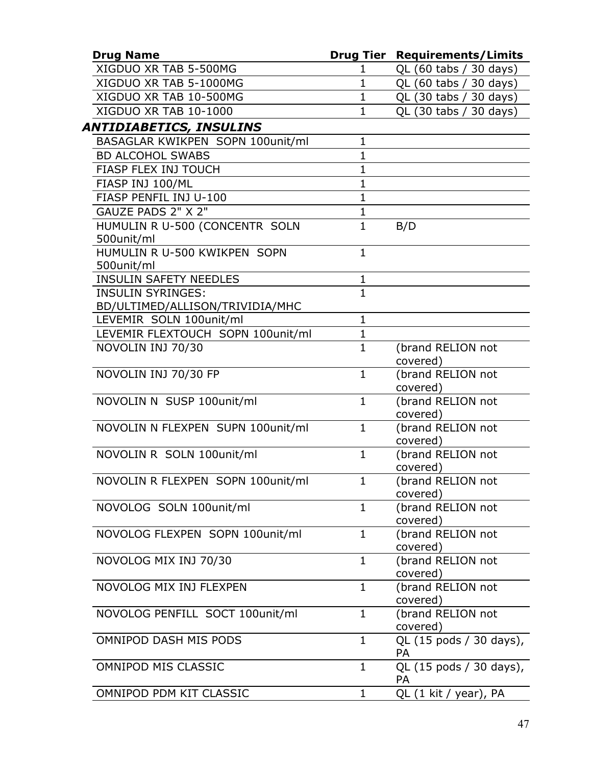| <b>Drug Name</b>                  |                | <b>Drug Tier Requirements/Limits</b> |
|-----------------------------------|----------------|--------------------------------------|
| XIGDUO XR TAB 5-500MG             | 1              | QL (60 tabs / 30 days)               |
| XIGDUO XR TAB 5-1000MG            | $\mathbf{1}$   | QL (60 tabs / 30 days)               |
| XIGDUO XR TAB 10-500MG            | 1              | QL (30 tabs / 30 days)               |
| XIGDUO XR TAB 10-1000             | $\mathbf{1}$   | QL (30 tabs / 30 days)               |
| ANTIDIABETICS, INSULINS           |                |                                      |
| BASAGLAR KWIKPEN SOPN 100unit/ml  | 1              |                                      |
| <b>BD ALCOHOL SWABS</b>           | $\mathbf{1}$   |                                      |
| FIASP FLEX INJ TOUCH              | $\mathbf{1}$   |                                      |
| FIASP INJ 100/ML                  | $\mathbf 1$    |                                      |
| FIASP PENFIL INJ U-100            | $\mathbf{1}$   |                                      |
| GAUZE PADS 2" X 2"                | $\mathbf{1}$   |                                      |
| HUMULIN R U-500 (CONCENTR SOLN    | $\mathbf{1}$   | B/D                                  |
| 500unit/ml                        |                |                                      |
| HUMULIN R U-500 KWIKPEN SOPN      | $\mathbf{1}$   |                                      |
| 500unit/ml                        |                |                                      |
| <b>INSULIN SAFETY NEEDLES</b>     | $\mathbf{1}$   |                                      |
| <b>INSULIN SYRINGES:</b>          | $\overline{1}$ |                                      |
| BD/ULTIMED/ALLISON/TRIVIDIA/MHC   |                |                                      |
| LEVEMIR SOLN 100unit/ml           | $\mathbf{1}$   |                                      |
| LEVEMIR FLEXTOUCH SOPN 100unit/ml | $\mathbf{1}$   |                                      |
| NOVOLIN INJ 70/30                 | $\mathbf{1}$   | (brand RELION not                    |
|                                   |                | covered)                             |
| NOVOLIN INJ 70/30 FP              | $\mathbf{1}$   | (brand RELION not                    |
|                                   |                | covered)                             |
| NOVOLIN N SUSP 100unit/ml         | $\mathbf{1}$   | (brand RELION not                    |
|                                   |                | covered)                             |
| NOVOLIN N FLEXPEN SUPN 100unit/ml | $\mathbf{1}$   | (brand RELION not<br>covered)        |
| NOVOLIN R SOLN 100unit/ml         | $\mathbf{1}$   | (brand RELION not                    |
|                                   |                | covered)                             |
| NOVOLIN R FLEXPEN SOPN 100unit/ml | $\mathbf{1}$   | (brand RELION not                    |
|                                   |                | covered)                             |
| NOVOLOG SOLN 100unit/ml           | $\mathbf{1}$   | (brand RELION not                    |
|                                   |                | covered)                             |
| NOVOLOG FLEXPEN SOPN 100unit/ml   | $\mathbf{1}$   | (brand RELION not                    |
|                                   |                | covered)                             |
| NOVOLOG MIX INJ 70/30             | $\mathbf{1}$   | (brand RELION not                    |
|                                   |                | covered)                             |
| NOVOLOG MIX INJ FLEXPEN           | $\mathbf{1}$   | (brand RELION not                    |
|                                   |                | covered)                             |
| NOVOLOG PENFILL SOCT 100unit/ml   | $\mathbf{1}$   | (brand RELION not                    |
|                                   |                | covered)                             |
| OMNIPOD DASH MIS PODS             | $\mathbf{1}$   | QL (15 pods / 30 days),              |
|                                   |                | <b>PA</b>                            |
| OMNIPOD MIS CLASSIC               | 1              | QL (15 pods / 30 days),              |
|                                   |                | PA                                   |
| OMNIPOD PDM KIT CLASSIC           | 1              | QL (1 kit / year), PA                |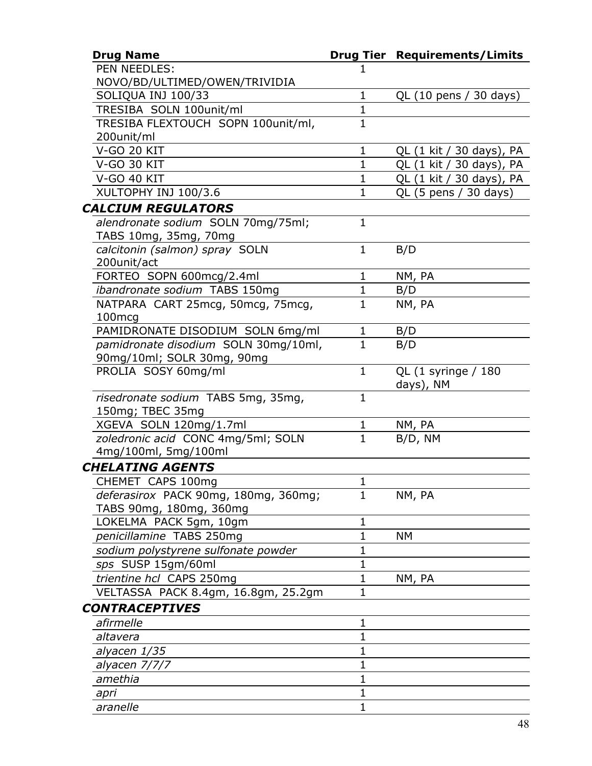| <b>Drug Name</b>                     |                     | <b>Drug Tier Requirements/Limits</b> |
|--------------------------------------|---------------------|--------------------------------------|
| PEN NEEDLES:                         |                     |                                      |
| NOVO/BD/ULTIMED/OWEN/TRIVIDIA        |                     |                                      |
| SOLIQUA INJ 100/33                   | $\mathbf{1}$        | QL (10 pens / 30 days)               |
| TRESIBA SOLN 100unit/ml              | $\mathbf{1}$        |                                      |
| TRESIBA FLEXTOUCH SOPN 100unit/ml,   | 1                   |                                      |
| 200unit/ml                           |                     |                                      |
| <b>V-GO 20 KIT</b>                   | $\mathbf{1}$        | QL (1 kit / 30 days), PA             |
| V-GO 30 KIT                          | $\mathbf 1$         | QL (1 kit / 30 days), PA             |
| <b>V-GO 40 KIT</b>                   | $\mathbf{1}$        | QL (1 kit / 30 days), PA             |
| XULTOPHY INJ 100/3.6                 | $\mathbf{1}$        | QL (5 pens / 30 days)                |
| <b>CALCIUM REGULATORS</b>            |                     |                                      |
| alendronate sodium SOLN 70mg/75ml;   | $\mathbf{1}$        |                                      |
| TABS 10mg, 35mg, 70mg                |                     |                                      |
| calcitonin (salmon) spray SOLN       | $\mathbf{1}$        | B/D                                  |
| 200unit/act                          |                     |                                      |
| FORTEO SOPN 600mcg/2.4ml             | $\mathbf{1}$        | NM, PA                               |
| ibandronate sodium TABS 150mg        | $\mathbf{1}$        | B/D                                  |
| NATPARA CART 25mcg, 50mcg, 75mcg,    | $\mathbf{1}$        | NM, PA                               |
| 100 <sub>mcq</sub>                   |                     |                                      |
| PAMIDRONATE DISODIUM SOLN 6mg/ml     | $\mathbf{1}$        | B/D                                  |
| pamidronate disodium SOLN 30mg/10ml, | $\mathbf{1}$        | B/D                                  |
| 90mg/10ml; SOLR 30mg, 90mg           |                     |                                      |
| PROLIA SOSY 60mg/ml                  | $\mathbf{1}$        | QL (1 syringe / 180                  |
|                                      |                     | days), NM                            |
| risedronate sodium TABS 5mg, 35mg,   | $\mathbf{1}$        |                                      |
| 150mg; TBEC 35mg                     |                     |                                      |
| XGEVA SOLN 120mg/1.7ml               | 1                   | NM, PA                               |
| zoledronic acid CONC 4mg/5ml; SOLN   | $\mathbf{1}$        | B/D, NM                              |
| 4mg/100ml, 5mg/100ml                 |                     |                                      |
| <b>CHELATING AGENTS</b>              |                     |                                      |
| CHEMET CAPS 100mg                    | $\blacksquare$<br>T |                                      |
| deferasirox PACK 90mg, 180mg, 360mg; | $\mathbf{1}$        | NM, PA                               |
| TABS 90mg, 180mg, 360mg              |                     |                                      |
| LOKELMA PACK 5gm, 10gm               | $\mathbf 1$         |                                      |
| penicillamine TABS 250mg             | 1                   | NΜ                                   |
| sodium polystyrene sulfonate powder  | 1                   |                                      |
| sps SUSP 15gm/60ml                   | 1                   |                                      |
| trientine hcl CAPS 250mg             | $\mathbf 1$         | NM, PA                               |
| VELTASSA PACK 8.4gm, 16.8gm, 25.2gm  | $\mathbf 1$         |                                      |
| <b>CONTRACEPTIVES</b>                |                     |                                      |
| afirmelle                            | 1                   |                                      |
| altavera                             | $\mathbf 1$         |                                      |
| alyacen 1/35                         | 1                   |                                      |
| alyacen 7/7/7                        | 1                   |                                      |
| amethia                              | 1                   |                                      |
| apri                                 | 1                   |                                      |
| aranelle                             | 1                   |                                      |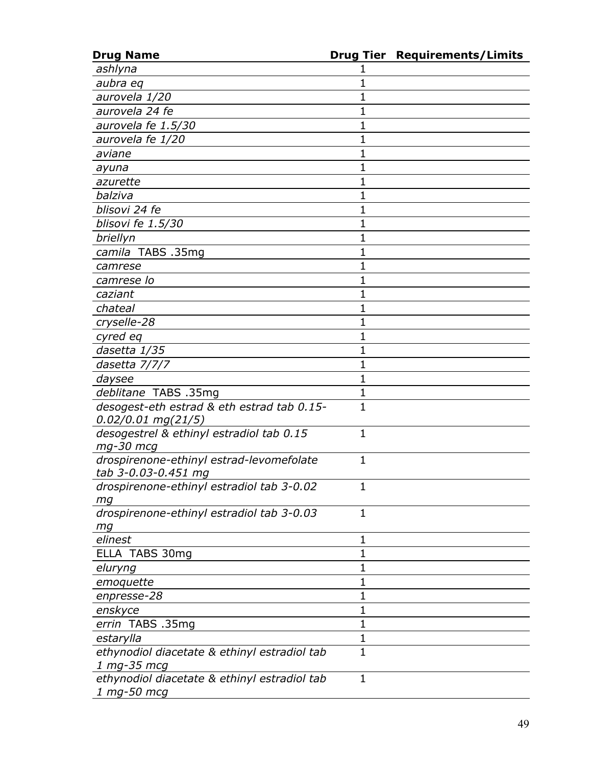| <b>Drug Name</b>                             |              | <b>Drug Tier Requirements/Limits</b> |
|----------------------------------------------|--------------|--------------------------------------|
| ashlyna                                      |              |                                      |
| aubra eq                                     | 1            |                                      |
| aurovela 1/20                                | 1            |                                      |
| aurovela 24 fe                               | $\mathbf 1$  |                                      |
| aurovela fe 1.5/30                           | 1            |                                      |
| aurovela fe 1/20                             | 1            |                                      |
| aviane                                       | 1            |                                      |
| ayuna                                        | 1            |                                      |
| azurette                                     | $\mathbf 1$  |                                      |
| balziva                                      | 1            |                                      |
| blisovi 24 fe                                | 1            |                                      |
| blisovi fe 1.5/30                            | 1            |                                      |
| briellyn                                     | 1            |                                      |
| camila TABS .35mg                            | $\mathbf 1$  |                                      |
| camrese                                      | 1            |                                      |
| camrese lo                                   | 1            |                                      |
| caziant                                      | 1            |                                      |
| chateal                                      | 1            |                                      |
| cryselle-28                                  | $\mathbf 1$  |                                      |
| cyred eq                                     | 1            |                                      |
| dasetta 1/35                                 | 1            |                                      |
| dasetta 7/7/7                                | 1            |                                      |
| daysee                                       | $\mathbf 1$  |                                      |
| deblitane TABS .35mg                         | $\mathbf{1}$ |                                      |
| desogest-eth estrad & eth estrad tab 0.15-   | $\mathbf{1}$ |                                      |
| $0.02/0.01$ mg(21/5)                         |              |                                      |
| desogestrel & ethinyl estradiol tab 0.15     | $\mathbf 1$  |                                      |
| mg-30 mcg                                    |              |                                      |
| drospirenone-ethinyl estrad-levomefolate     | $\mathbf{1}$ |                                      |
| tab 3-0.03-0.451 mg                          |              |                                      |
| drospirenone-ethinyl estradiol tab 3-0.02    | 1            |                                      |
| mg                                           |              |                                      |
| drospirenone-ethinyl estradiol tab 3-0.03    | $\mathbf{1}$ |                                      |
| mg                                           |              |                                      |
| elinest                                      | 1            |                                      |
| ELLA TABS 30mg                               | $\mathbf 1$  |                                      |
| eluryng                                      | $\mathbf 1$  |                                      |
| emoquette                                    | $\mathbf{1}$ |                                      |
| enpresse-28                                  | $\mathbf 1$  |                                      |
| enskyce                                      | 1            |                                      |
| errin TABS .35mg                             | $\mathbf{1}$ |                                      |
| estarylla                                    | $\mathbf 1$  |                                      |
| ethynodiol diacetate & ethinyl estradiol tab | $\mathbf{1}$ |                                      |
| 1 mg-35 mcg                                  |              |                                      |
| ethynodiol diacetate & ethinyl estradiol tab | 1            |                                      |
| 1 mg-50 mcg                                  |              |                                      |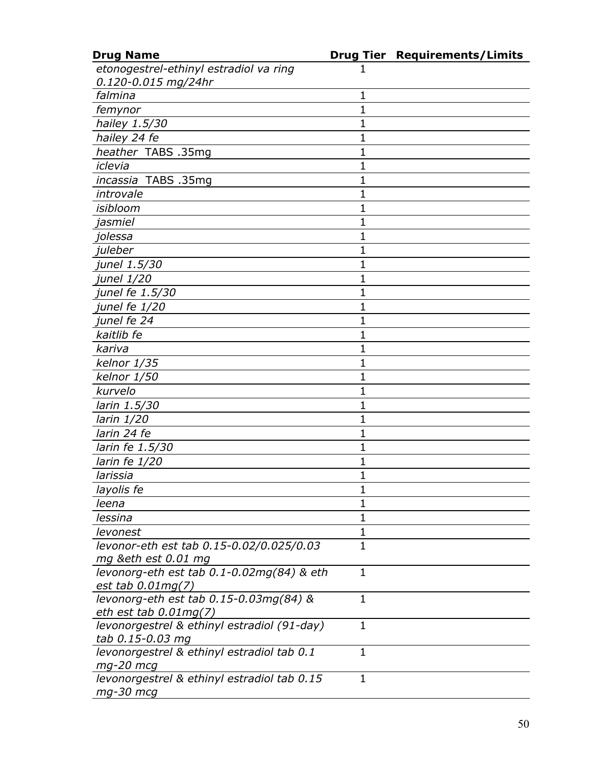| <b>Drug Name</b>                            |              | <b>Drug Tier Requirements/Limits</b> |
|---------------------------------------------|--------------|--------------------------------------|
| etonogestrel-ethinyl estradiol va ring      |              |                                      |
| 0.120-0.015 mg/24hr                         |              |                                      |
| falmina                                     | $\mathbf{1}$ |                                      |
| femynor                                     | 1            |                                      |
| hailey 1.5/30                               | 1            |                                      |
| hailey 24 fe                                | 1            |                                      |
| heather TABS .35mg                          | 1            |                                      |
| iclevia                                     | $\mathbf{1}$ |                                      |
| incassia TABS .35mg                         | 1            |                                      |
| introvale                                   | 1            |                                      |
| isibloom                                    | 1            |                                      |
| jasmiel                                     | 1            |                                      |
| jolessa                                     | $\mathbf 1$  |                                      |
| juleber                                     | 1            |                                      |
| junel 1.5/30                                | 1            |                                      |
| junel 1/20                                  | 1            |                                      |
| junel fe 1.5/30                             | 1            |                                      |
| junel fe 1/20                               | $\mathbf 1$  |                                      |
| junel fe 24                                 | 1            |                                      |
| kaitlib fe                                  | 1            |                                      |
| kariva                                      | 1            |                                      |
| kelnor 1/35                                 | 1            |                                      |
| kelnor 1/50                                 | 1            |                                      |
| kurvelo                                     | 1            |                                      |
| larin 1.5/30                                | 1            |                                      |
| larin 1/20                                  | 1            |                                      |
| larin 24 fe                                 | 1            |                                      |
| larin fe 1.5/30                             | $\mathbf 1$  |                                      |
| larin fe 1/20                               | 1            |                                      |
| larissia                                    | $\mathbf{1}$ |                                      |
| layolis fe                                  | 1            |                                      |
| leena                                       | 1            |                                      |
| lessina                                     | $\mathbf{1}$ |                                      |
| levonest                                    | 1            |                                      |
| levonor-eth est tab 0.15-0.02/0.025/0.03    | $\mathbf{1}$ |                                      |
| mg ð est 0.01 mg                            |              |                                      |
| levonorg-eth est tab 0.1-0.02mg(84) & eth   | $\mathbf{1}$ |                                      |
| est tab $0.01$ mg $(7)$                     |              |                                      |
| levonorg-eth est tab 0.15-0.03mg(84) &      | $\mathbf{1}$ |                                      |
| eth est tab $0.01$ mg $(7)$                 |              |                                      |
| levonorgestrel & ethinyl estradiol (91-day) | $\mathbf{1}$ |                                      |
| tab 0.15-0.03 mg                            |              |                                      |
| levonorgestrel & ethinyl estradiol tab 0.1  | $\mathbf{1}$ |                                      |
| $mg-20$ mcg                                 |              |                                      |
| levonorgestrel & ethinyl estradiol tab 0.15 | $\mathbf{1}$ |                                      |
| mg-30 mcg                                   |              |                                      |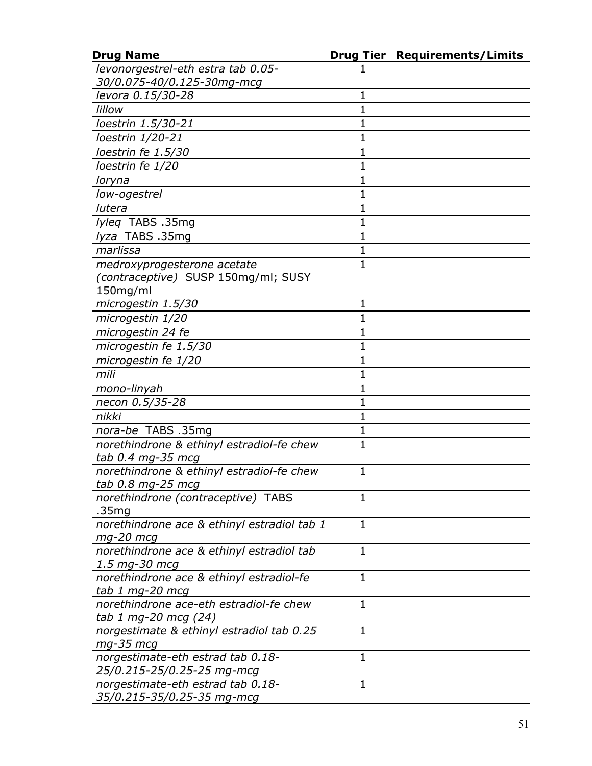| <b>Drug Name</b>                            |              | <b>Drug Tier Requirements/Limits</b> |
|---------------------------------------------|--------------|--------------------------------------|
| levonorgestrel-eth estra tab 0.05-          |              |                                      |
| 30/0.075-40/0.125-30mg-mcg                  |              |                                      |
| levora 0.15/30-28                           | $\mathbf{1}$ |                                      |
| lillow                                      | 1            |                                      |
| loestrin 1.5/30-21                          | 1            |                                      |
| loestrin 1/20-21                            | 1            |                                      |
| loestrin fe 1.5/30                          | 1            |                                      |
| loestrin fe 1/20                            | $\mathbf{1}$ |                                      |
| loryna                                      | 1            |                                      |
| low-ogestrel                                | 1            |                                      |
| lutera                                      | 1            |                                      |
| lyleq TABS .35mg                            | $\mathbf 1$  |                                      |
| lyza TABS .35mg                             | $\mathbf{1}$ |                                      |
| marlissa                                    | $\mathbf 1$  |                                      |
| medroxyprogesterone acetate                 | $\mathbf{1}$ |                                      |
| (contraceptive) SUSP 150mg/ml; SUSY         |              |                                      |
| 150mg/ml                                    |              |                                      |
| microgestin 1.5/30                          | $\mathbf 1$  |                                      |
| microgestin 1/20                            | 1            |                                      |
| microgestin 24 fe                           | 1            |                                      |
| microgestin fe 1.5/30                       | 1            |                                      |
| microgestin fe 1/20                         | 1            |                                      |
| mili                                        | 1            |                                      |
| mono-linyah                                 | 1            |                                      |
| necon 0.5/35-28                             | $\mathbf 1$  |                                      |
| nikki                                       | 1            |                                      |
| nora-be TABS .35mg                          | $\mathbf{1}$ |                                      |
| norethindrone & ethinyl estradiol-fe chew   | $\mathbf{1}$ |                                      |
| tab 0.4 mg-35 mcg                           |              |                                      |
| norethindrone & ethinyl estradiol-fe chew   | $\mathbf{1}$ |                                      |
| tab 0.8 mg-25 mcg                           |              |                                      |
| norethindrone (contraceptive) TABS          | $\mathbf 1$  |                                      |
| .35mg                                       |              |                                      |
| norethindrone ace & ethinyl estradiol tab 1 | $\mathbf{1}$ |                                      |
| mg-20 mcg                                   |              |                                      |
| norethindrone ace & ethinyl estradiol tab   | $\mathbf{1}$ |                                      |
| 1.5 mg-30 mcg                               |              |                                      |
| norethindrone ace & ethinyl estradiol-fe    | $\mathbf{1}$ |                                      |
| tab 1 mg-20 mcg                             |              |                                      |
| norethindrone ace-eth estradiol-fe chew     | $\mathbf{1}$ |                                      |
| tab 1 mg-20 mcg (24)                        |              |                                      |
| norgestimate & ethinyl estradiol tab 0.25   | $\mathbf{1}$ |                                      |
| $mg-35$ mcg                                 |              |                                      |
| norgestimate-eth estrad tab 0.18-           | $\mathbf 1$  |                                      |
| 25/0.215-25/0.25-25 mg-mcg                  |              |                                      |
| norgestimate-eth estrad tab 0.18-           | $\mathbf{1}$ |                                      |
| 35/0.215-35/0.25-35 mg-mcg                  |              |                                      |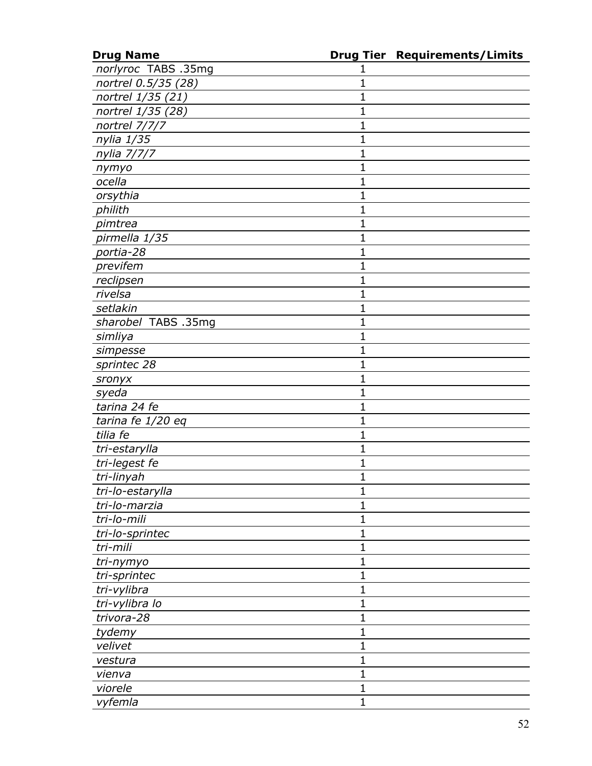| <b>Drug Name</b>    |              | <b>Drug Tier Requirements/Limits</b> |
|---------------------|--------------|--------------------------------------|
| norlyroc TABS .35mg | 1            |                                      |
| nortrel 0.5/35 (28) | 1            |                                      |
| nortrel 1/35 (21)   | $\mathbf 1$  |                                      |
| nortrel 1/35 (28)   | $\mathbf 1$  |                                      |
| nortrel 7/7/7       | $\mathbf{1}$ |                                      |
| nylia 1/35          | 1            |                                      |
| nylia 7/7/7         | $\mathbf 1$  |                                      |
| nymyo               | $\mathbf 1$  |                                      |
| ocella              | $\mathbf 1$  |                                      |
| orsythia            | $\mathbf 1$  |                                      |
| philith             | $\mathbf 1$  |                                      |
| pimtrea             | $\mathbf 1$  |                                      |
| pirmella 1/35       | $\mathbf 1$  |                                      |
| portia-28           | $\mathbf 1$  |                                      |
| previfem            | $\mathbf 1$  |                                      |
| reclipsen           | $\mathbf 1$  |                                      |
| rivelsa             | $\mathbf 1$  |                                      |
| setlakin            | $\mathbf 1$  |                                      |
| sharobel TABS .35mg | $\mathbf 1$  |                                      |
| simliya             | $\mathbf 1$  |                                      |
| simpesse            | 1            |                                      |
| sprintec 28         | $\mathbf 1$  |                                      |
| sronyx              | $\mathbf 1$  |                                      |
| syeda               | $\mathbf 1$  |                                      |
| tarina 24 fe        | $\mathbf 1$  |                                      |
| tarina fe 1/20 eq   | $\mathbf 1$  |                                      |
| tilia fe            | $\mathbf 1$  |                                      |
| tri-estarylla       | $\mathbf 1$  |                                      |
| tri-legest fe       | 1            |                                      |
| tri-linyah          | $\mathbf{1}$ |                                      |
| tri-lo-estarylla    | 1            |                                      |
| tri-lo-marzia       | $\mathbf{1}$ |                                      |
| tri-lo-mili         | $\mathbf 1$  |                                      |
| tri-lo-sprintec     | $\mathbf{1}$ |                                      |
| tri-mili            | $\mathbf 1$  |                                      |
| tri-nymyo           | $\mathbf 1$  |                                      |
| tri-sprintec        | 1            |                                      |
| tri-vylibra         | $\mathbf 1$  |                                      |
| tri-vylibra lo      | $\mathbf 1$  |                                      |
| trivora-28          | $\mathbf{1}$ |                                      |
| tydemy              | 1            |                                      |
| velivet             | $\mathbf 1$  |                                      |
| vestura             | $\mathbf 1$  |                                      |
| vienva              | $\mathbf 1$  |                                      |
| viorele             | $\mathbf 1$  |                                      |
| vyfemla             | 1            |                                      |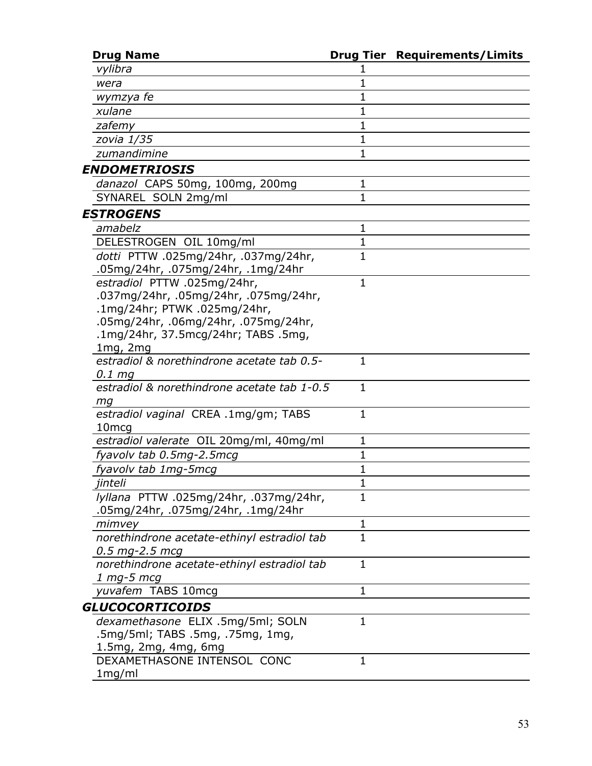| <b>Drug Name</b>                                          |              | <b>Drug Tier Requirements/Limits</b> |
|-----------------------------------------------------------|--------------|--------------------------------------|
| vylibra                                                   |              |                                      |
| wera                                                      | 1            |                                      |
| wymzya fe                                                 | 1            |                                      |
| xulane                                                    | 1            |                                      |
| zafemy                                                    | 1            |                                      |
| zovia 1/35                                                | 1            |                                      |
| zumandimine                                               | 1            |                                      |
| ENDOMETRIOSIS                                             |              |                                      |
| danazol CAPS 50mg, 100mg, 200mg                           | $\mathbf 1$  |                                      |
| SYNAREL SOLN 2mg/ml                                       | 1            |                                      |
| <i><b>ESTROGENS</b></i>                                   |              |                                      |
| amabelz                                                   | 1            |                                      |
| DELESTROGEN OIL 10mg/ml                                   | $\mathbf{1}$ |                                      |
| dotti PTTW .025mg/24hr, .037mg/24hr,                      | 1            |                                      |
| .05mg/24hr, .075mg/24hr, .1mg/24hr                        |              |                                      |
| estradiol PTTW .025mg/24hr,                               | 1            |                                      |
| .037mg/24hr, .05mg/24hr, .075mg/24hr,                     |              |                                      |
| .1mg/24hr; PTWK .025mg/24hr,                              |              |                                      |
| .05mg/24hr, .06mg/24hr, .075mg/24hr,                      |              |                                      |
| .1mg/24hr, 37.5mcg/24hr; TABS .5mg,                       |              |                                      |
| $1mg$ , $2mg$                                             |              |                                      |
| estradiol & norethindrone acetate tab 0.5-                | 1            |                                      |
| $0.1$ mg                                                  |              |                                      |
| estradiol & norethindrone acetate tab 1-0.5               | 1            |                                      |
| mq                                                        |              |                                      |
| estradiol vaginal CREA .1mg/gm; TABS<br>10 <sub>mcg</sub> | 1            |                                      |
| estradiol valerate OIL 20mg/ml, 40mg/ml                   | 1            |                                      |
| fyavolv tab 0.5mg-2.5mcg                                  | 1            |                                      |
| fyavolv tab 1mg-5mcg                                      | 1            |                                      |
| jinteli                                                   | 1            |                                      |
| lyllana PTTW .025mg/24hr, .037mg/24hr,                    | $\mathbf{1}$ |                                      |
| .05mg/24hr, .075mg/24hr, .1mg/24hr                        |              |                                      |
| mimvey                                                    | $\mathbf{1}$ |                                      |
| norethindrone acetate-ethinyl estradiol tab               | 1            |                                      |
| $0.5$ mg-2.5 mcg                                          |              |                                      |
| norethindrone acetate-ethinyl estradiol tab               | $\mathbf{1}$ |                                      |
| $1$ mg-5 mcg                                              |              |                                      |
| yuvafem TABS 10mcg                                        | 1            |                                      |
| GLUCOCORTICOIDS                                           |              |                                      |
| dexamethasone ELIX .5mg/5ml; SOLN                         | 1            |                                      |
| .5mg/5ml; TABS .5mg, .75mg, 1mg,                          |              |                                      |
| 1.5mg, 2mg, 4mg, 6mg                                      |              |                                      |
| DEXAMETHASONE INTENSOL CONC                               | 1            |                                      |
| 1mg/ml                                                    |              |                                      |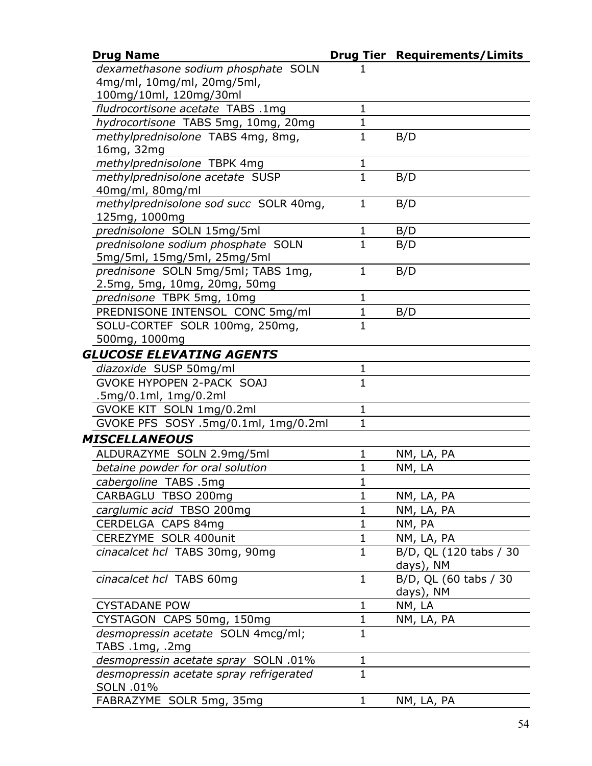| <b>Drug Name</b>                        |              | <b>Drug Tier Requirements/Limits</b> |
|-----------------------------------------|--------------|--------------------------------------|
| dexamethasone sodium phosphate SOLN     |              |                                      |
| 4mg/ml, 10mg/ml, 20mg/5ml,              |              |                                      |
| 100mg/10ml, 120mg/30ml                  |              |                                      |
| fludrocortisone acetate TABS .1mg       | $\mathbf{1}$ |                                      |
| hydrocortisone TABS 5mg, 10mg, 20mg     | $\mathbf 1$  |                                      |
| methylprednisolone TABS 4mg, 8mg,       | $\mathbf{1}$ | B/D                                  |
| 16mg, 32mg                              |              |                                      |
| methylprednisolone TBPK 4mg             | 1            |                                      |
| methylprednisolone acetate SUSP         | $\mathbf{1}$ | B/D                                  |
| 40mg/ml, 80mg/ml                        |              |                                      |
| methylprednisolone sod succ SOLR 40mg,  | $\mathbf{1}$ | B/D                                  |
| 125mg, 1000mg                           |              |                                      |
| prednisolone SOLN 15mg/5ml              | $\mathbf{1}$ | B/D                                  |
| prednisolone sodium phosphate SOLN      | $\mathbf{1}$ | B/D                                  |
| 5mg/5ml, 15mg/5ml, 25mg/5ml             |              |                                      |
| prednisone SOLN 5mg/5ml; TABS 1mg,      | $\mathbf{1}$ | B/D                                  |
| 2.5mg, 5mg, 10mg, 20mg, 50mg            |              |                                      |
| prednisone TBPK 5mg, 10mg               | 1            |                                      |
| PREDNISONE INTENSOL CONC 5mg/ml         | $\mathbf{1}$ | B/D                                  |
| SOLU-CORTEF SOLR 100mg, 250mg,          | 1            |                                      |
| 500mg, 1000mg                           |              |                                      |
| <b>GLUCOSE ELEVATING AGENTS</b>         |              |                                      |
| diazoxide SUSP 50mg/ml                  | 1            |                                      |
| <b>GVOKE HYPOPEN 2-PACK SOAJ</b>        | $\mathbf{1}$ |                                      |
| .5mg/0.1ml, 1mg/0.2ml                   |              |                                      |
| GVOKE KIT SOLN 1mg/0.2ml                | 1            |                                      |
| GVOKE PFS SOSY .5mg/0.1ml, 1mg/0.2ml    | $\mathbf{1}$ |                                      |
| <b>MISCELLANEOUS</b>                    |              |                                      |
| ALDURAZYME SOLN 2.9mg/5ml               | 1            | NM, LA, PA                           |
| betaine powder for oral solution        | $\mathbf{1}$ | NM, LA                               |
| cabergoline TABS .5mg                   |              |                                      |
| CARBAGLU TBSO 200mg                     | 1            | NM, LA, PA                           |
| carglumic acid TBSO 200mg               | $\mathbf 1$  | NM, LA, PA                           |
| CERDELGA CAPS 84mg                      | $\mathbf 1$  | NM, PA                               |
| CEREZYME SOLR 400unit                   | $\mathbf{1}$ | NM, LA, PA                           |
| cinacalcet hcl TABS 30mg, 90mg          | 1            | B/D, QL (120 tabs / 30               |
|                                         |              | days), NM                            |
| cinacalcet hcl TABS 60mg                | $\mathbf{1}$ | B/D, QL (60 tabs / 30                |
|                                         |              | days), NM                            |
| <b>CYSTADANE POW</b>                    | 1            | NM, LA                               |
| CYSTAGON CAPS 50mg, 150mg               | $\mathbf{1}$ | NM, LA, PA                           |
| desmopressin acetate SOLN 4mcg/ml;      | 1            |                                      |
| TABS .1mg, .2mg                         |              |                                      |
| desmopressin acetate spray SOLN .01%    | 1            |                                      |
| desmopressin acetate spray refrigerated | $\mathbf{1}$ |                                      |
| SOLN .01%                               |              |                                      |
| FABRAZYME SOLR 5mg, 35mg                | 1            | NM, LA, PA                           |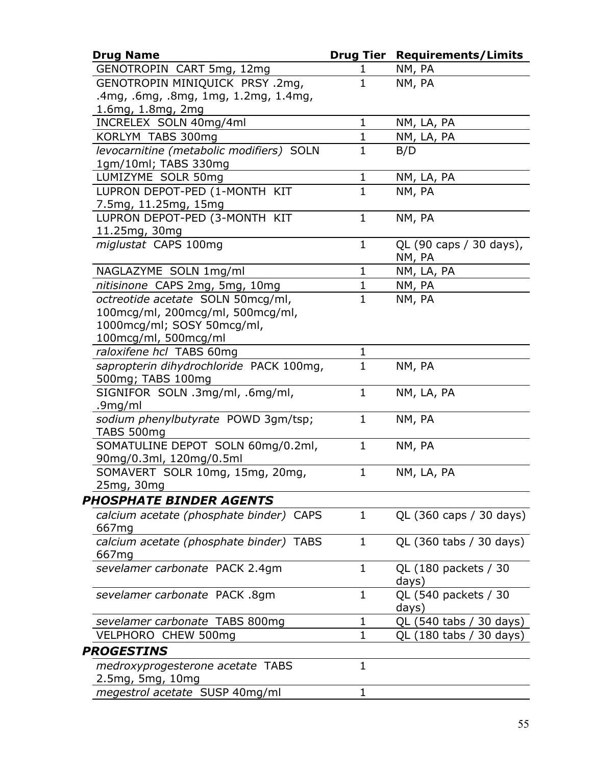| <b>Drug Name</b>                         |              | <b>Drug Tier Requirements/Limits</b> |
|------------------------------------------|--------------|--------------------------------------|
| GENOTROPIN CART 5mg, 12mg                | 1            | NM, PA                               |
| GENOTROPIN MINIQUICK PRSY .2mg,          | $\mathbf{1}$ | NM, PA                               |
| .4mg, .6mg, .8mg, 1mg, 1.2mg, 1.4mg,     |              |                                      |
| 1.6mg, 1.8mg, 2mg                        |              |                                      |
| INCRELEX SOLN 40mg/4ml                   | $\mathbf{1}$ | NM, LA, PA                           |
| KORLYM TABS 300mg                        | $\mathbf{1}$ | NM, LA, PA                           |
| levocarnitine (metabolic modifiers) SOLN | $\mathbf{1}$ | B/D                                  |
| 1gm/10ml; TABS 330mg                     |              |                                      |
| LUMIZYME SOLR 50mg                       | $\mathbf{1}$ | NM, LA, PA                           |
| LUPRON DEPOT-PED (1-MONTH KIT            | $\mathbf{1}$ | NM, PA                               |
| 7.5mg, 11.25mg, 15mg                     |              |                                      |
| LUPRON DEPOT-PED (3-MONTH KIT            | $\mathbf{1}$ | NM, PA                               |
| 11.25mg, 30mg                            |              |                                      |
| miglustat CAPS 100mg                     | $\mathbf{1}$ | QL (90 caps / 30 days),              |
|                                          |              | NM, PA                               |
| NAGLAZYME SOLN 1mg/ml                    | 1            | NM, LA, PA                           |
| nitisinone CAPS 2mg, 5mg, 10mg           | $\mathbf{1}$ | NM, PA                               |
| octreotide acetate SOLN 50mcq/ml,        | $\mathbf{1}$ | NM, PA                               |
| 100mcg/ml, 200mcg/ml, 500mcg/ml,         |              |                                      |
| 1000mcg/ml; SOSY 50mcg/ml,               |              |                                      |
| 100mcg/ml, 500mcg/ml                     |              |                                      |
| raloxifene hcl TABS 60mg                 | 1            |                                      |
| sapropterin dihydrochloride PACK 100mg,  | $\mathbf{1}$ | NM, PA                               |
| 500mg; TABS 100mg                        |              |                                      |
| SIGNIFOR SOLN.3mg/ml,.6mg/ml,            | $\mathbf{1}$ | NM, LA, PA                           |
| .9mg/ml                                  |              |                                      |
| sodium phenylbutyrate POWD 3gm/tsp;      | $\mathbf{1}$ | NM, PA                               |
| TABS 500mg                               |              |                                      |
| SOMATULINE DEPOT SOLN 60mg/0.2ml,        | $\mathbf{1}$ | NM, PA                               |
| 90mg/0.3ml, 120mg/0.5ml                  |              |                                      |
| SOMAVERT SOLR 10mg, 15mg, 20mg,          | $\mathbf{1}$ | NM, LA, PA                           |
| 25mg, 30mg                               |              |                                      |
| <b>PHOSPHATE BINDER AGENTS</b>           |              |                                      |
| calcium acetate (phosphate binder) CAPS  | 1            | QL (360 caps / 30 days)              |
| 667 <sub>mg</sub>                        |              |                                      |
| calcium acetate (phosphate binder) TABS  | $\mathbf{1}$ | QL (360 tabs / 30 days)              |
| 667mg                                    |              |                                      |
| sevelamer carbonate PACK 2.4gm           | $\mathbf{1}$ | QL (180 packets / 30                 |
|                                          |              | days)                                |
| sevelamer carbonate PACK .8gm            | 1            | QL (540 packets / 30                 |
|                                          |              | days)                                |
| sevelamer carbonate TABS 800mg           | 1            | QL (540 tabs / 30 days)              |
| VELPHORO CHEW 500mg                      | 1            | QL (180 tabs / 30 days)              |
| PROGESTINS                               |              |                                      |
| medroxyprogesterone acetate TABS         | 1            |                                      |
| 2.5mg, 5mg, 10mg                         |              |                                      |
| megestrol acetate SUSP 40mg/ml           | 1            |                                      |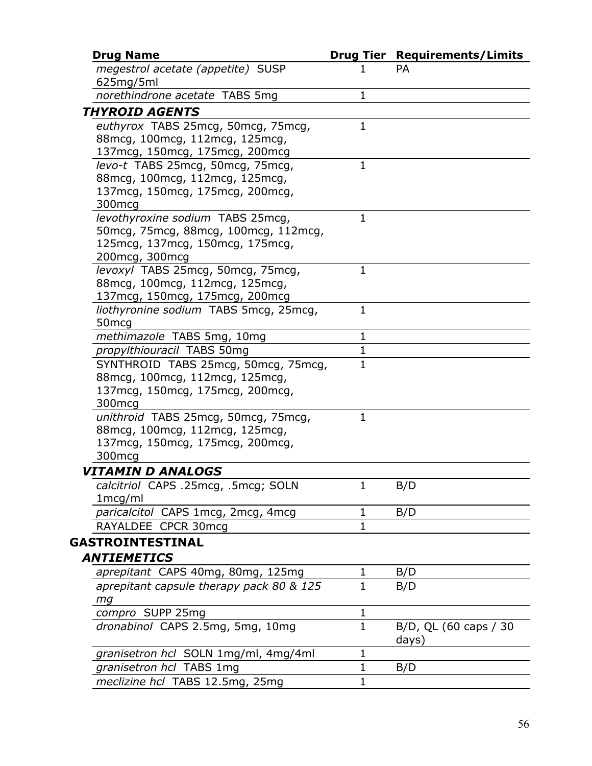| <b>Drug Name</b>                                           |              | <b>Drug Tier Requirements/Limits</b> |
|------------------------------------------------------------|--------------|--------------------------------------|
| megestrol acetate (appetite) SUSP<br>625mg/5ml             | 1            | <b>PA</b>                            |
| norethindrone acetate TABS 5mg                             | $\mathbf{1}$ |                                      |
| <i><b>THYROID AGENTS</b></i>                               |              |                                      |
| euthyrox TABS 25mcg, 50mcg, 75mcg,                         | $\mathbf{1}$ |                                      |
| 88mcg, 100mcg, 112mcg, 125mcg,                             |              |                                      |
| 137mcg, 150mcg, 175mcg, 200mcg                             |              |                                      |
| levo-t TABS 25mcg, 50mcg, 75mcg,                           | $\mathbf{1}$ |                                      |
| 88mcg, 100mcg, 112mcg, 125mcg,                             |              |                                      |
| 137 mcg, 150 mcg, 175 mcg, 200 mcg,                        |              |                                      |
| 300 <sub>mcq</sub>                                         |              |                                      |
| levothyroxine sodium TABS 25mcg,                           | $\mathbf{1}$ |                                      |
| 50 mcg, 75 mcg, 88 mcg, 100 mcg, 112 mcg,                  |              |                                      |
| 125 mcg, 137 mcg, 150 mcg, 175 mcg,                        |              |                                      |
| 200mcg, 300mcg                                             |              |                                      |
| levoxyl TABS 25mcg, 50mcg, 75mcg,                          | $\mathbf{1}$ |                                      |
| 88mcg, 100mcg, 112mcg, 125mcg,                             |              |                                      |
| 137mcg, 150mcg, 175mcg, 200mcg                             | $\mathbf{1}$ |                                      |
| liothyronine sodium TABS 5mcg, 25mcg,<br>50 <sub>mcg</sub> |              |                                      |
| methimazole TABS 5mg, 10mg                                 | $\mathbf{1}$ |                                      |
| propylthiouracil TABS 50mg                                 | $\mathbf 1$  |                                      |
| SYNTHROID TABS 25mcg, 50mcg, 75mcg,                        | $\mathbf{1}$ |                                      |
| 88mcg, 100mcg, 112mcg, 125mcg,                             |              |                                      |
| 137 mcg, 150 mcg, 175 mcg, 200 mcg,                        |              |                                      |
| 300 <sub>mcg</sub>                                         |              |                                      |
| unithroid TABS 25mcg, 50mcg, 75mcg,                        | $\mathbf{1}$ |                                      |
| 88 mcg, 100 mcg, 112 mcg, 125 mcg,                         |              |                                      |
| 137 mcg, 150 mcg, 175 mcg, 200 mcg,                        |              |                                      |
| 300 <sub>mcg</sub>                                         |              |                                      |
| VITAMIN D ANALOGS                                          |              |                                      |
| calcitriol CAPS .25mcg, .5mcg; SOLN                        | $\mathbf 1$  | B/D                                  |
| 1mcg/ml                                                    |              |                                      |
| paricalcitol CAPS 1mcg, 2mcg, 4mcg                         | $\mathbf{1}$ | B/D                                  |
| RAYALDEE CPCR 30mcg                                        | $\mathbf{1}$ |                                      |
| GASTROINTESTINAL                                           |              |                                      |
| <b>ANTIEMETICS</b>                                         |              |                                      |
| aprepitant CAPS 40mg, 80mg, 125mg                          | 1            | B/D                                  |
| aprepitant capsule therapy pack 80 & 125                   | $\mathbf{1}$ | B/D                                  |
| mg                                                         |              |                                      |
| compro SUPP 25mg                                           | 1            |                                      |
| dronabinol CAPS 2.5mg, 5mg, 10mg                           | $\mathbf{1}$ | B/D, QL (60 caps / 30                |
|                                                            |              | days)                                |
| granisetron hcl SOLN 1mg/ml, 4mg/4ml                       | 1            |                                      |
| granisetron hcl TABS 1mg                                   | 1            | B/D                                  |
| meclizine hcl TABS 12.5mg, 25mg                            | $\mathbf 1$  |                                      |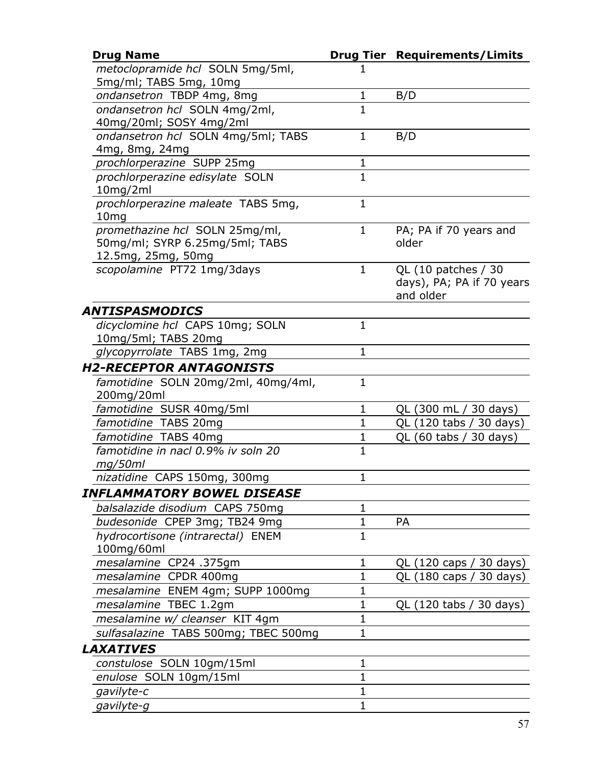| <b>Drug Name</b>                                                 |                | <b>Drug Tier Requirements/Limits</b> |
|------------------------------------------------------------------|----------------|--------------------------------------|
| metoclopramide hcl SOLN 5mg/5ml,                                 |                |                                      |
| 5mg/ml; TABS 5mg, 10mg                                           |                |                                      |
| ondansetron TBDP 4mg, 8mg                                        | 1              | B/D                                  |
| ondansetron hcl SOLN 4mg/2ml,                                    | $\mathbf{1}$   |                                      |
| 40mg/20ml; SOSY 4mg/2ml                                          |                |                                      |
| ondansetron hcl SOLN 4mg/5ml; TABS                               | 1              | B/D                                  |
| 4mg, 8mg, 24mg                                                   |                |                                      |
| prochlorperazine SUPP 25mg                                       | 1              |                                      |
| prochlorperazine edisylate SOLN                                  | $\overline{1}$ |                                      |
| 10mg/2ml                                                         |                |                                      |
| prochlorperazine maleate TABS 5mg,                               | $\mathbf{1}$   |                                      |
| 10 <sub>mg</sub>                                                 |                |                                      |
| promethazine hcl SOLN 25mg/ml,<br>50mg/ml; SYRP 6.25mg/5ml; TABS | $\mathbf 1$    | PA; PA if 70 years and<br>older      |
| 12.5mg, 25mg, 50mg                                               |                |                                      |
| scopolamine PT72 1mg/3days                                       | $\mathbf{1}$   | QL (10 patches / 30                  |
|                                                                  |                | days), PA; PA if 70 years            |
|                                                                  |                | and older                            |
| ANTISPASMODICS                                                   |                |                                      |
| dicyclomine hcl CAPS 10mg; SOLN                                  | $\mathbf{1}$   |                                      |
| 10mg/5ml; TABS 20mg                                              |                |                                      |
| glycopyrrolate TABS 1mg, 2mg                                     | 1              |                                      |
| <i><b>H2-RECEPTOR ANTAGONISTS</b></i>                            |                |                                      |
| famotidine SOLN 20mg/2ml, 40mg/4ml,                              | 1              |                                      |
| 200mg/20ml                                                       |                |                                      |
| famotidine SUSR 40mg/5ml                                         | $\mathbf 1$    | QL (300 mL / 30 days)                |
| famotidine TABS 20mg                                             | $\mathbf 1$    | QL (120 tabs / 30 days)              |
| famotidine TABS 40mg                                             | $\mathbf{1}$   | QL (60 tabs / 30 days)               |
| famotidine in nacl 0.9% iv soln 20                               | $\mathbf{1}$   |                                      |
| mg/50ml                                                          |                |                                      |
| nizatidine CAPS 150mg, 300mg                                     | $\mathbf 1$    |                                      |
| INFLAMMATORY BOWEL DISEASE                                       |                |                                      |
| balsalazide disodium CAPS 750mg                                  | 1              |                                      |
| budesonide CPEP 3mg; TB24 9mg                                    | 1              | PA                                   |
| hydrocortisone (intrarectal) ENEM                                | $\mathbf{1}$   |                                      |
| 100mg/60ml                                                       |                |                                      |
| mesalamine CP24 .375gm                                           | $\mathbf 1$    | QL (120 caps / 30 days)              |
| mesalamine CPDR 400mg                                            | $\mathbf 1$    | QL (180 caps / 30 days)              |
| mesalamine ENEM 4gm; SUPP 1000mg                                 | $\mathbf 1$    |                                      |
| mesalamine TBEC 1.2gm                                            | $\mathbf 1$    | QL (120 tabs / 30 days)              |
| mesalamine w/ cleanser KIT 4gm                                   | $\mathbf{1}$   |                                      |
| sulfasalazine TABS 500mg; TBEC 500mg                             | $\mathbf 1$    |                                      |
| <b>LAXATIVES</b>                                                 |                |                                      |
| constulose SOLN 10gm/15ml                                        | $\mathbf 1$    |                                      |
| enulose SOLN 10gm/15ml                                           | 1              |                                      |
| gavilyte-c                                                       | $\mathbf{1}$   |                                      |
| gavilyte-g                                                       | $\mathbf 1$    |                                      |
|                                                                  |                |                                      |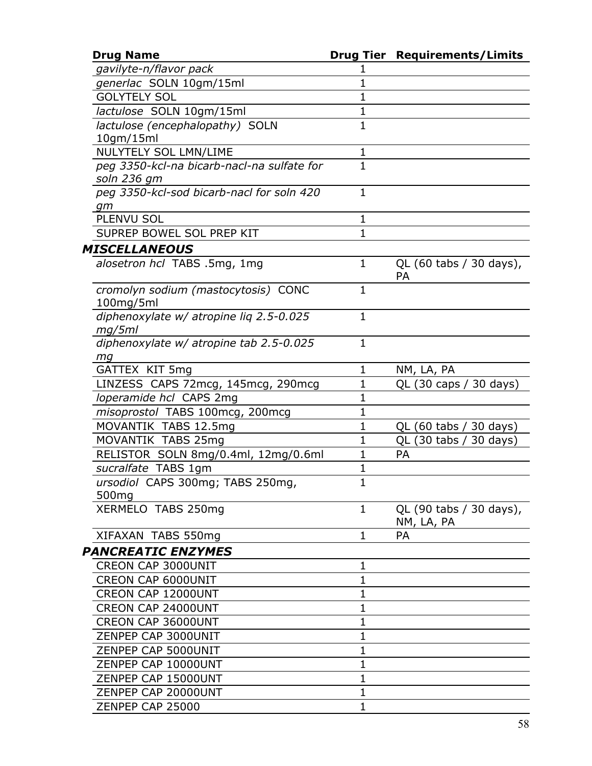| <b>Drug Name</b>                           |              | <b>Drug Tier Requirements/Limits</b> |
|--------------------------------------------|--------------|--------------------------------------|
| gavilyte-n/flavor pack                     |              |                                      |
| generlac SOLN 10gm/15ml                    | 1            |                                      |
| <b>GOLYTELY SOL</b>                        | 1            |                                      |
| lactulose SOLN 10gm/15ml                   | 1            |                                      |
| lactulose (encephalopathy) SOLN            | $\mathbf{1}$ |                                      |
| 10gm/15ml                                  |              |                                      |
| NULYTELY SOL LMN/LIME                      | 1            |                                      |
| peg 3350-kcl-na bicarb-nacl-na sulfate for | $\mathbf{1}$ |                                      |
| soln 236 gm                                |              |                                      |
| peg 3350-kcl-sod bicarb-nacl for soln 420  | $\mathbf{1}$ |                                      |
| gm                                         |              |                                      |
| PLENVU SOL                                 | 1            |                                      |
| SUPREP BOWEL SOL PREP KIT                  | $\mathbf{1}$ |                                      |
| MISCELLANEOUS                              |              |                                      |
| alosetron hcl TABS .5mg, 1mg               | 1            | QL (60 tabs / 30 days),              |
|                                            |              | <b>PA</b>                            |
| cromolyn sodium (mastocytosis) CONC        | $\mathbf{1}$ |                                      |
| $100$ mg/5ml                               |              |                                      |
| diphenoxylate w/ atropine lig 2.5-0.025    | $\mathbf{1}$ |                                      |
| mg/5ml                                     |              |                                      |
| diphenoxylate w/ atropine tab 2.5-0.025    | $\mathbf{1}$ |                                      |
| mg                                         |              |                                      |
| GATTEX KIT 5mg                             | 1            | NM, LA, PA                           |
| LINZESS CAPS 72mcg, 145mcg, 290mcg         | 1            | QL (30 caps / 30 days)               |
| loperamide hcl CAPS 2mg                    | $\mathbf 1$  |                                      |
| misoprostol TABS 100mcg, 200mcg            | $\mathbf 1$  |                                      |
| MOVANTIK TABS 12.5mg                       | $\mathbf 1$  | QL (60 tabs / 30 days)               |
| MOVANTIK TABS 25mg                         | $\mathbf{1}$ | QL (30 tabs / 30 days)               |
| RELISTOR SOLN 8mg/0.4ml, 12mg/0.6ml        | 1            | <b>PA</b>                            |
| sucralfate TABS 1gm                        | 1            |                                      |
| ursodiol CAPS 300mg; TABS 250mg,           | 1            |                                      |
| 500 <sub>mg</sub>                          |              |                                      |
| XERMELO TABS 250mg                         | $\mathbf{1}$ | QL (90 tabs / 30 days),              |
|                                            |              | NM, LA, PA                           |
| XIFAXAN TABS 550mg                         | $\mathbf{1}$ | <b>PA</b>                            |
| <b>PANCREATIC ENZYMES</b>                  |              |                                      |
| <b>CREON CAP 3000UNIT</b>                  | 1            |                                      |
| <b>CREON CAP 6000UNIT</b>                  | $\mathbf 1$  |                                      |
| CREON CAP 12000UNT                         | $\mathbf{1}$ |                                      |
| CREON CAP 24000UNT                         | 1            |                                      |
| CREON CAP 36000UNT                         | $\mathbf 1$  |                                      |
| ZENPEP CAP 3000UNIT                        | $\mathbf 1$  |                                      |
| ZENPEP CAP 5000UNIT                        | $\mathbf 1$  |                                      |
| ZENPEP CAP 10000UNT                        | $\mathbf{1}$ |                                      |
| ZENPEP CAP 15000UNT                        | 1            |                                      |
| ZENPEP CAP 20000UNT                        | $\mathbf 1$  |                                      |
| ZENPEP CAP 25000                           | $\mathbf{1}$ |                                      |
|                                            |              |                                      |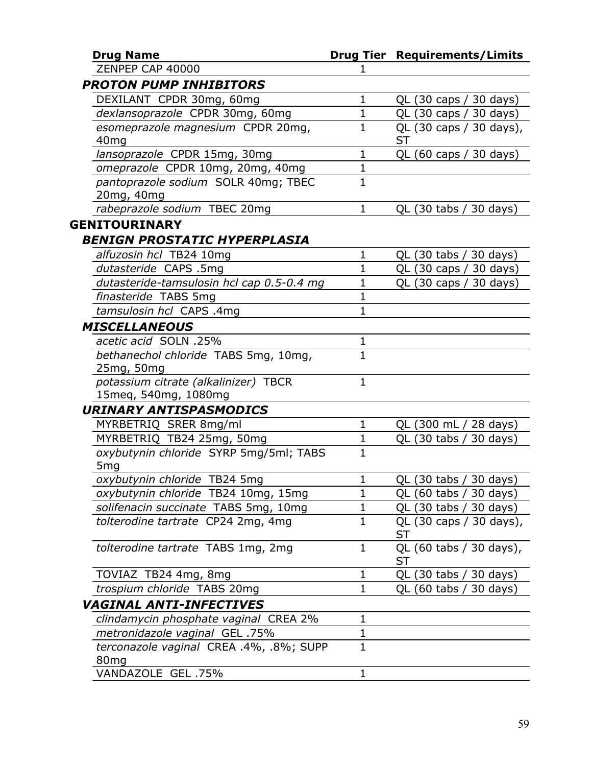| <b>Drug Name</b>                          |              | <b>Drug Tier Requirements/Limits</b> |
|-------------------------------------------|--------------|--------------------------------------|
| ZENPEP CAP 40000                          | 1            |                                      |
| <b>PROTON PUMP INHIBITORS</b>             |              |                                      |
| DEXILANT CPDR 30mg, 60mg                  | $\mathbf 1$  | QL (30 caps / 30 days)               |
| dexlansoprazole CPDR 30mg, 60mg           | $\mathbf 1$  | QL (30 caps / 30 days)               |
| esomeprazole magnesium CPDR 20mq,         | 1            | QL (30 caps / 30 days),              |
| 40 <sub>mg</sub>                          |              | <b>ST</b>                            |
| lansoprazole CPDR 15mg, 30mg              | $\mathbf 1$  | QL (60 caps / 30 days)               |
| omeprazole CPDR 10mg, 20mg, 40mg          | $\mathbf 1$  |                                      |
| pantoprazole sodium SOLR 40mg; TBEC       | $\mathbf{1}$ |                                      |
| 20mg, 40mg                                |              |                                      |
| rabeprazole sodium TBEC 20mg              | 1            | QL (30 tabs / 30 days)               |
| <b>GENITOURINARY</b>                      |              |                                      |
| <b>BENIGN PROSTATIC HYPERPLASIA</b>       |              |                                      |
| alfuzosin hcl TB24 10mg                   | 1            | QL (30 tabs / 30 days)               |
| dutasteride CAPS .5mg                     | $\mathbf{1}$ | QL (30 caps / 30 days)               |
| dutasteride-tamsulosin hcl cap 0.5-0.4 mg | $\mathbf 1$  | QL (30 caps / 30 days)               |
| finasteride TABS 5mg                      | $\mathbf{1}$ |                                      |
| tamsulosin hcl CAPS .4mg                  | $\mathbf{1}$ |                                      |
| <b>MISCELLANEOUS</b>                      |              |                                      |
| acetic acid SOLN .25%                     | $\mathbf{1}$ |                                      |
| bethanechol chloride TABS 5mg, 10mg,      | $\mathbf{1}$ |                                      |
| 25mg, 50mg                                |              |                                      |
| potassium citrate (alkalinizer) TBCR      | $\mathbf{1}$ |                                      |
| 15meq, 540mg, 1080mg                      |              |                                      |
| <b>URINARY ANTISPASMODICS</b>             |              |                                      |
| MYRBETRIQ SRER 8mg/ml                     | $\mathbf{1}$ | QL (300 mL / 28 days)                |
| MYRBETRIQ TB24 25mg, 50mg                 | 1            | QL (30 tabs / 30 days)               |
| oxybutynin chloride SYRP 5mg/5ml; TABS    | $\mathbf{1}$ |                                      |
| 5 <sub>mg</sub>                           |              |                                      |
| oxybutynin chloride TB24 5mg              | $\mathbf 1$  | QL (30 tabs / 30 days)               |
| oxybutynin chloride TB24 10mg, 15mg       | 1            | QL (60 tabs / 30 days)               |
| solifenacin succinate TABS 5mg, 10mg      | 1            | QL $(30 \t{tabs} / 30 \t{days})$     |
| tolterodine tartrate CP24 2mg, 4mg        | $\mathbf 1$  | QL (30 caps / 30 days),              |
|                                           |              | <b>ST</b>                            |
| tolterodine tartrate TABS 1mg, 2mg        | 1            | QL (60 tabs / 30 days),              |
|                                           |              | ST                                   |
| TOVIAZ TB24 4mg, 8mg                      | $\mathbf 1$  | QL (30 tabs / 30 days)               |
| trospium chloride TABS 20mg               | $\mathbf{1}$ | QL (60 tabs / 30 days)               |
| VAGINAL ANTI-INFECTIVES                   |              |                                      |
| clindamycin phosphate vaginal CREA 2%     | 1            |                                      |
| metronidazole vaginal GEL .75%            | $\mathbf 1$  |                                      |
| terconazole vaginal CREA .4%, .8%; SUPP   | $\mathbf 1$  |                                      |
| 80 <sub>mg</sub>                          |              |                                      |
| VANDAZOLE GEL .75%                        | 1            |                                      |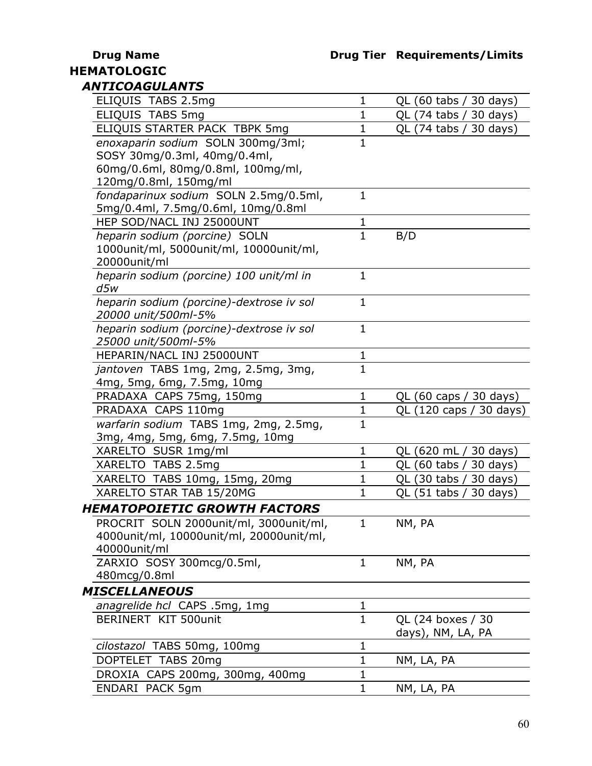## **HEMATOLOGIC** *ANTICOAGULANTS*

| ELIQUIS TABS 2.5mg                                              | $\mathbf{1}$ | QL (60 tabs / 30 days)      |
|-----------------------------------------------------------------|--------------|-----------------------------|
| ELIQUIS TABS 5mg                                                | $\mathbf 1$  | QL (74 tabs / 30 days)      |
| ELIQUIS STARTER PACK TBPK 5mg                                   | $\mathbf 1$  | QL (74 tabs / 30 days)      |
| enoxaparin sodium SOLN 300mg/3ml;                               | 1            |                             |
| SOSY 30mg/0.3ml, 40mg/0.4ml,                                    |              |                             |
| 60mg/0.6ml, 80mg/0.8ml, 100mg/ml,                               |              |                             |
| 120mg/0.8ml, 150mg/ml                                           |              |                             |
| fondaparinux sodium SOLN 2.5mg/0.5ml,                           | $\mathbf{1}$ |                             |
| 5mg/0.4ml, 7.5mg/0.6ml, 10mg/0.8ml                              |              |                             |
| HEP SOD/NACL INJ 25000UNT                                       | 1            |                             |
| heparin sodium (porcine) SOLN                                   | $\mathbf{1}$ | B/D                         |
| 1000unit/ml, 5000unit/ml, 10000unit/ml,                         |              |                             |
| 20000unit/ml                                                    |              |                             |
| heparin sodium (porcine) 100 unit/ml in                         | $\mathbf{1}$ |                             |
| d5w                                                             | $\mathbf{1}$ |                             |
| heparin sodium (porcine)-dextrose iv sol<br>20000 unit/500ml-5% |              |                             |
| heparin sodium (porcine)-dextrose iv sol                        | $\mathbf{1}$ |                             |
| 25000 unit/500ml-5%                                             |              |                             |
| HEPARIN/NACL INJ 25000UNT                                       | $\mathbf 1$  |                             |
| jantoven TABS 1mg, 2mg, 2.5mg, 3mg,                             | $\mathbf{1}$ |                             |
| 4mg, 5mg, 6mg, 7.5mg, 10mg                                      |              |                             |
| PRADAXA CAPS 75mg, 150mg                                        | $\mathbf{1}$ | QL (60 caps / 30 days)      |
| PRADAXA CAPS 110mg                                              | $\mathbf{1}$ | QL (120 caps / 30 days)     |
| warfarin sodium TABS 1mg, 2mg, 2.5mg,                           | $\mathbf{1}$ |                             |
| 3mg, 4mg, 5mg, 6mg, 7.5mg, 10mg                                 |              |                             |
| XARELTO SUSR 1mg/ml                                             | $\mathbf 1$  | QL (620 mL / 30 days)       |
| XARELTO TABS 2.5mg                                              | $\mathbf{1}$ | QL (60 tabs / 30 days)      |
| XARELTO TABS 10mg, 15mg, 20mg                                   | $\mathbf{1}$ | QL (30 tabs / 30 days)      |
| XARELTO STAR TAB 15/20MG                                        | 1            | QL $(51$ tabs /<br>30 days) |
| <b>HEMATOPOIETIC GROWTH FACTORS</b>                             |              |                             |
| PROCRIT SOLN 2000unit/ml, 3000unit/ml,                          | 1            | NM,<br>PA                   |
| 4000unit/ml, 10000unit/ml, 20000unit/ml,                        |              |                             |
| 40000unit/ml                                                    |              |                             |
| ZARXIO SOSY 300mcg/0.5ml,                                       | $\mathbf{1}$ | NM, PA                      |
| 480mcg/0.8ml                                                    |              |                             |
| MISCELLANEOUS                                                   |              |                             |
| anagrelide hcl CAPS .5mg, 1mg                                   | $\mathbf 1$  |                             |
| BERINERT KIT 500unit                                            | $\mathbf{1}$ | QL (24 boxes / 30           |
|                                                                 |              | days), NM, LA, PA           |
| cilostazol TABS 50mg, 100mg                                     | $\mathbf 1$  |                             |
| DOPTELET TABS 20mg                                              | $\mathbf 1$  | NM, LA, PA                  |
| DROXIA CAPS 200mg, 300mg, 400mg                                 | $\mathbf 1$  |                             |
| ENDARI PACK 5gm                                                 | $\mathbf{1}$ | NM, LA, PA                  |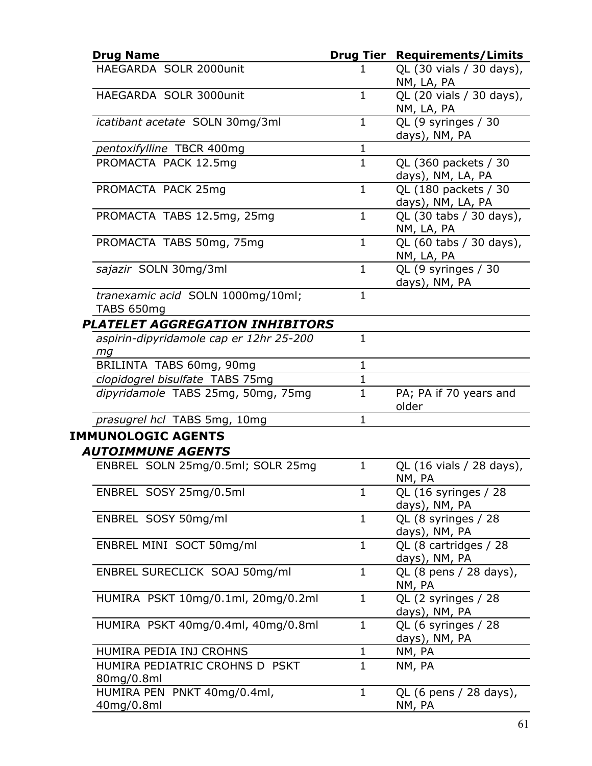| <b>Drug Name</b>                                |              | <b>Drug Tier Requirements/Limits</b>      |
|-------------------------------------------------|--------------|-------------------------------------------|
| HAEGARDA SOLR 2000unit                          | 1            | QL (30 vials / 30 days),<br>NM, LA, PA    |
| HAEGARDA SOLR 3000unit                          | $\mathbf{1}$ | QL (20 vials / 30 days),<br>NM, LA, PA    |
| icatibant acetate SOLN 30mg/3ml                 | $\mathbf{1}$ | QL (9 syringes / 30<br>days), NM, PA      |
| pentoxifylline TBCR 400mg                       | $\mathbf{1}$ |                                           |
| PROMACTA PACK 12.5mg                            | $\mathbf{1}$ | QL (360 packets / 30<br>days), NM, LA, PA |
| PROMACTA PACK 25mg                              | $\mathbf{1}$ | QL (180 packets / 30<br>days), NM, LA, PA |
| PROMACTA TABS 12.5mg, 25mg                      | $\mathbf{1}$ | QL (30 tabs / 30 days),<br>NM, LA, PA     |
| PROMACTA TABS 50mg, 75mg                        | $\mathbf{1}$ | QL (60 tabs / 30 days),<br>NM, LA, PA     |
| sajazir SOLN 30mg/3ml                           | $\mathbf{1}$ | QL (9 syringes / 30<br>days), NM, PA      |
| tranexamic acid SOLN 1000mg/10ml;<br>TABS 650mg | $\mathbf{1}$ |                                           |
| <b>PLATELET AGGREGATION INHIBITORS</b>          |              |                                           |
| aspirin-dipyridamole cap er 12hr 25-200<br>mq   | $\mathbf{1}$ |                                           |
| BRILINTA TABS 60mg, 90mg                        | $\mathbf{1}$ |                                           |
| clopidogrel bisulfate TABS 75mg                 | $\mathbf{1}$ |                                           |
| dipyridamole TABS 25mg, 50mg, 75mg              | $\mathbf{1}$ | PA; PA if 70 years and<br>older           |
| prasugrel hcl TABS 5mg, 10mg                    | $\mathbf{1}$ |                                           |
| <b>IMMUNOLOGIC AGENTS</b>                       |              |                                           |
| <b>AUTOIMMUNE AGENTS</b>                        |              |                                           |
| ENBREL SOLN 25mg/0.5ml; SOLR 25mg               | $\mathbf{1}$ | QL (16 vials / 28 days),<br>NM, PA        |
| ENBREL SOSY 25mg/0.5ml                          | $\mathbf{1}$ | QL (16 syringes / 28<br>days), NM, PA     |
| ENBREL SOSY 50mg/ml                             | $\mathbf{1}$ | QL (8 syringes / 28<br>days), NM, PA      |
| ENBREL MINI SOCT 50mg/ml                        | $\mathbf{1}$ | QL (8 cartridges / 28<br>days), NM, PA    |
| ENBREL SURECLICK SOAJ 50mg/ml                   | $\mathbf{1}$ | QL (8 pens / 28 days),<br>NM, PA          |
| HUMIRA PSKT 10mg/0.1ml, 20mg/0.2ml              | $\mathbf{1}$ | QL (2 syringes / 28<br>days), NM, PA      |
| HUMIRA PSKT 40mg/0.4ml, 40mg/0.8ml              | $\mathbf{1}$ | QL (6 syringes / 28<br>days), NM, PA      |
| HUMIRA PEDIA INJ CROHNS                         | 1            | NM, PA                                    |
| HUMIRA PEDIATRIC CROHNS D PSKT<br>80mg/0.8ml    | $\mathbf{1}$ | NM, PA                                    |
| HUMIRA PEN PNKT 40mg/0.4ml,<br>40mg/0.8ml       | $\mathbf{1}$ | QL (6 pens / 28 days),<br>NM, PA          |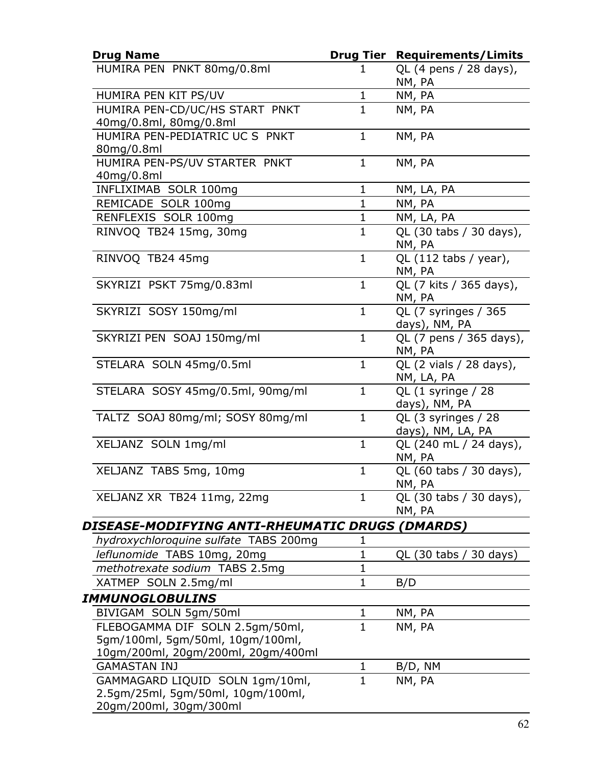| <b>Drug Name</b>                                            |              | <b>Drug Tier Requirements/Limits</b>     |
|-------------------------------------------------------------|--------------|------------------------------------------|
| HUMIRA PEN PNKT 80mg/0.8ml                                  | 1            | QL (4 pens / 28 days),<br>NM, PA         |
| HUMIRA PEN KIT PS/UV                                        | $\mathbf{1}$ | NM, PA                                   |
| HUMIRA PEN-CD/UC/HS START PNKT<br>40mg/0.8ml, 80mg/0.8ml    | $\mathbf{1}$ | NM, PA                                   |
| HUMIRA PEN-PEDIATRIC UC S PNKT<br>80mg/0.8ml                | $\mathbf{1}$ | NM, PA                                   |
| HUMIRA PEN-PS/UV STARTER PNKT<br>40mg/0.8ml                 | $\mathbf{1}$ | NM, PA                                   |
| INFLIXIMAB SOLR 100mg                                       | $\mathbf{1}$ | NM, LA, PA                               |
| REMICADE SOLR 100mg                                         | $\mathbf{1}$ | NM, PA                                   |
| RENFLEXIS SOLR 100mg                                        | $\mathbf{1}$ | NM, LA, PA                               |
| RINVOQ TB24 15mg, 30mg                                      | $\mathbf{1}$ | QL (30 tabs / 30 days),<br>NM, PA        |
| RINVOQ TB24 45mq                                            | $\mathbf{1}$ | QL $(112$ tabs / year),<br>NM, PA        |
| SKYRIZI PSKT 75mg/0.83ml                                    | $\mathbf{1}$ | QL (7 kits / 365 days),<br>NM, PA        |
| SKYRIZI SOSY 150mg/ml                                       | $\mathbf{1}$ | QL (7 syringes / 365<br>days), NM, PA    |
| SKYRIZI PEN SOAJ 150mg/ml                                   | $\mathbf{1}$ | QL (7 pens / 365 days),<br>NM, PA        |
| STELARA SOLN 45mg/0.5ml                                     | $\mathbf{1}$ | QL (2 vials / 28 days),<br>NM, LA, PA    |
| STELARA SOSY 45mg/0.5ml, 90mg/ml                            | $\mathbf{1}$ | QL (1 syringe / 28<br>days), NM, PA      |
| TALTZ SOAJ 80mg/ml; SOSY 80mg/ml                            | $\mathbf{1}$ | QL (3 syringes / 28<br>days), NM, LA, PA |
| XELJANZ SOLN 1mg/ml                                         | $\mathbf{1}$ | QL (240 mL / 24 days),<br>NM, PA         |
| XELJANZ TABS 5mg, 10mg                                      | $\mathbf{1}$ | QL (60 tabs / 30 days),<br>NM, PA        |
| XELJANZ XR TB24 11mg, 22mg                                  | $\mathbf{1}$ | QL (30 tabs / 30 days),<br>NM, PA        |
| DISEASE-MODIFYING ANTI-RHEUMATIC DRUGS (DMARDS)             |              |                                          |
| hydroxychloroquine sulfate TABS 200mg                       | 1            |                                          |
| leflunomide TABS 10mg, 20mg                                 | $\mathbf 1$  | QL (30 tabs / 30 days)                   |
| methotrexate sodium TABS 2.5mg                              | $\mathbf{1}$ |                                          |
| XATMEP SOLN 2.5mg/ml                                        | $\mathbf{1}$ | B/D                                      |
| IMMUNOGLOBULINS                                             |              |                                          |
| BIVIGAM SOLN 5gm/50ml                                       | $\mathbf{1}$ | NM, PA                                   |
| FLEBOGAMMA DIF SOLN 2.5gm/50ml,                             | $\mathbf{1}$ | NM, PA                                   |
| 5gm/100ml, 5gm/50ml, 10gm/100ml,                            |              |                                          |
| 10gm/200ml, 20gm/200ml, 20gm/400ml                          |              |                                          |
| <b>GAMASTAN INJ</b>                                         | $\mathbf{1}$ | B/D, NM                                  |
| GAMMAGARD LIQUID SOLN 1gm/10ml,                             | $\mathbf{1}$ | NM, PA                                   |
| 2.5gm/25ml, 5gm/50ml, 10gm/100ml,<br>20gm/200ml, 30gm/300ml |              |                                          |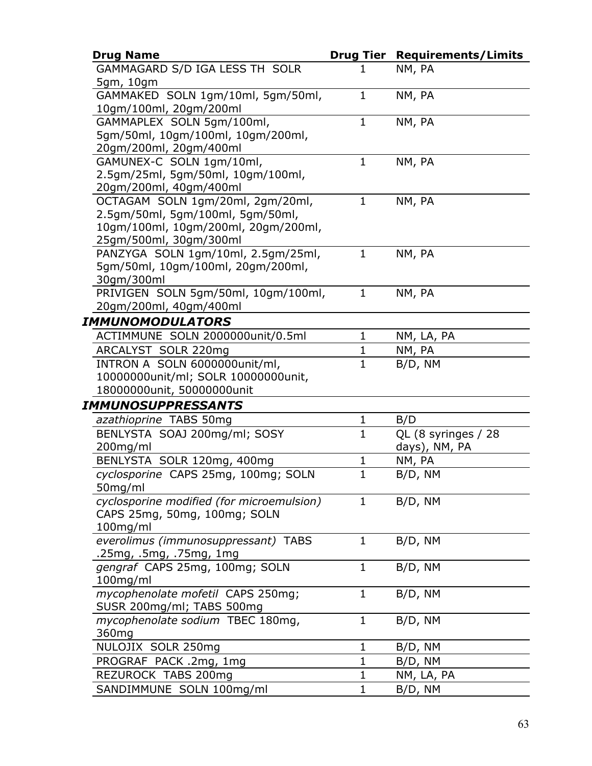| <b>Drug Name</b>                                                     |              | <b>Drug Tier Requirements/Limits</b> |
|----------------------------------------------------------------------|--------------|--------------------------------------|
| GAMMAGARD S/D IGA LESS TH SOLR                                       | 1            | NM, PA                               |
| 5gm, 10gm                                                            |              |                                      |
| GAMMAKED SOLN 1gm/10ml, 5gm/50ml,                                    | $\mathbf{1}$ | NM, PA                               |
| 10gm/100ml, 20gm/200ml                                               |              |                                      |
| GAMMAPLEX SOLN 5gm/100ml,                                            | $\mathbf{1}$ | NM, PA                               |
| 5gm/50ml, 10gm/100ml, 10gm/200ml,                                    |              |                                      |
| 20gm/200ml, 20gm/400ml                                               |              |                                      |
| GAMUNEX-C SOLN 1gm/10ml,                                             | $\mathbf{1}$ | NM, PA                               |
| 2.5gm/25ml, 5gm/50ml, 10gm/100ml,                                    |              |                                      |
| 20gm/200ml, 40gm/400ml                                               | $\mathbf{1}$ |                                      |
| OCTAGAM SOLN 1gm/20ml, 2gm/20ml,<br>2.5gm/50ml, 5gm/100ml, 5gm/50ml, |              | NM, PA                               |
| 10gm/100ml, 10gm/200ml, 20gm/200ml,                                  |              |                                      |
| 25gm/500ml, 30gm/300ml                                               |              |                                      |
| PANZYGA SOLN 1gm/10ml, 2.5gm/25ml,                                   | $\mathbf{1}$ | NM, PA                               |
| 5gm/50ml, 10gm/100ml, 20gm/200ml,                                    |              |                                      |
| 30gm/300ml                                                           |              |                                      |
| PRIVIGEN SOLN 5gm/50ml, 10gm/100ml,                                  | 1            | NM, PA                               |
| 20gm/200ml, 40gm/400ml                                               |              |                                      |
| IMMUNOMODULATORS                                                     |              |                                      |
| ACTIMMUNE SOLN 2000000unit/0.5ml                                     | $\mathbf 1$  | NM, LA, PA                           |
| ARCALYST SOLR 220mg                                                  | 1            | NM, PA                               |
| INTRON A SOLN 6000000unit/ml,                                        | $\mathbf{1}$ | B/D, NM                              |
| 10000000unit/ml; SOLR 10000000unit,                                  |              |                                      |
| 18000000unit, 50000000unit                                           |              |                                      |
| IMMUNOSUPPRESSANTS                                                   |              |                                      |
| azathioprine TABS 50mg                                               | $\mathbf{1}$ | B/D                                  |
| BENLYSTA SOAJ 200mg/ml; SOSY                                         | $\mathbf{1}$ | QL (8 syringes / 28                  |
| 200mg/ml                                                             |              | days), NM, PA                        |
| BENLYSTA SOLR 120mg, 400mg                                           | 1            | NM, PA                               |
| cyclosporine CAPS 25mg, 100mg; SOLN                                  | $\mathbf{1}$ | B/D, NM                              |
| 50mg/ml                                                              |              |                                      |
| cyclosporine modified (for microemulsion)                            | 1            | B/D, NM                              |
| CAPS 25mg, 50mg, 100mg; SOLN                                         |              |                                      |
| $100$ mg/ml                                                          |              |                                      |
| everolimus (immunosuppressant) TABS                                  | $\mathbf 1$  | B/D, NM                              |
| .25mg, .5mg, .75mg, 1mg                                              |              |                                      |
| gengraf CAPS 25mg, 100mg; SOLN                                       | $\mathbf{1}$ | B/D, NM                              |
| $100$ mg/ml                                                          |              |                                      |
| mycophenolate mofetil CAPS 250mg;                                    | $\mathbf 1$  | B/D, NM                              |
| SUSR 200mg/ml; TABS 500mg                                            |              |                                      |
| mycophenolate sodium TBEC 180mg,                                     | $\mathbf 1$  | B/D, NM                              |
| 360 <sub>mg</sub>                                                    |              |                                      |
| NULOJIX SOLR 250mg                                                   | 1            | B/D, NM                              |
| PROGRAF PACK .2mg, 1mg                                               | $\mathbf{1}$ | B/D, NM                              |
| REZUROCK TABS 200mg                                                  | $\mathbf 1$  | NM, LA, PA                           |
| SANDIMMUNE SOLN 100mg/ml                                             | $\mathbf 1$  | B/D, NM                              |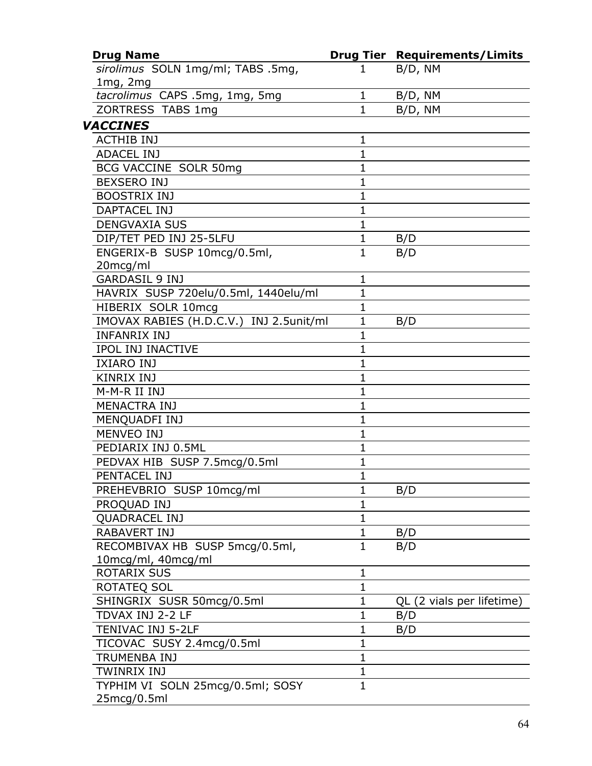| <b>Drug Name</b>                        |              | <b>Drug Tier Requirements/Limits</b> |
|-----------------------------------------|--------------|--------------------------------------|
| sirolimus SOLN 1mg/ml; TABS .5mg,       | 1            | B/D, NM                              |
| 1mg, 2mg                                |              |                                      |
| tacrolimus CAPS .5mg, 1mg, 5mg          | $\mathbf{1}$ | B/D, NM                              |
| ZORTRESS TABS 1mg                       | $\mathbf{1}$ | B/D, NM                              |
| <b>VACCINES</b>                         |              |                                      |
| <b>ACTHIB INJ</b>                       | $\mathbf 1$  |                                      |
| <b>ADACEL INJ</b>                       | $\mathbf{1}$ |                                      |
| BCG VACCINE SOLR 50mg                   | $\mathbf{1}$ |                                      |
| <b>BEXSERO INJ</b>                      | $\mathbf 1$  |                                      |
| <b>BOOSTRIX INJ</b>                     | $\mathbf{1}$ |                                      |
| <b>DAPTACEL INJ</b>                     | $\mathbf{1}$ |                                      |
| <b>DENGVAXIA SUS</b>                    | $\mathbf{1}$ |                                      |
| DIP/TET PED INJ 25-5LFU                 | $\mathbf{1}$ | B/D                                  |
| ENGERIX-B SUSP 10mcg/0.5ml,             | $\mathbf{1}$ | B/D                                  |
| 20mcg/ml                                |              |                                      |
| <b>GARDASIL 9 INJ</b>                   | $\mathbf{1}$ |                                      |
| HAVRIX SUSP 720elu/0.5ml, 1440elu/ml    | $\mathbf 1$  |                                      |
| HIBERIX SOLR 10mcq                      | $\mathbf{1}$ |                                      |
| IMOVAX RABIES (H.D.C.V.) INJ 2.5unit/ml | $\mathbf{1}$ | B/D                                  |
| <b>INFANRIX INJ</b>                     | 1            |                                      |
| <b>IPOL INJ INACTIVE</b>                | $\mathbf{1}$ |                                      |
| <b>IXIARO INJ</b>                       | $\mathbf{1}$ |                                      |
| <b>KINRIX INJ</b>                       | $\mathbf{1}$ |                                      |
| M-M-R II INJ                            | 1            |                                      |
| <b>MENACTRA INJ</b>                     | $\mathbf{1}$ |                                      |
| MENQUADFI INJ                           | $\mathbf 1$  |                                      |
| <b>MENVEO INJ</b>                       | $\mathbf{1}$ |                                      |
| PEDIARIX INJ 0.5ML                      | $\mathbf{1}$ |                                      |
| PEDVAX HIB SUSP 7.5mcg/0.5ml            | $\mathbf{1}$ |                                      |
| PENTACEL INJ                            | $\mathbf{1}$ |                                      |
| PREHEVBRIO SUSP 10mcg/ml                | $\mathbf{1}$ | B/D                                  |
| PROQUAD INJ                             | $\mathbf 1$  |                                      |
| <b>QUADRACEL INJ</b>                    | $\mathbf{1}$ |                                      |
| <b>RABAVERT INJ</b>                     | $\mathbf{1}$ | B/D                                  |
| RECOMBIVAX HB SUSP 5mcg/0.5ml,          | $\mathbf{1}$ | B/D                                  |
| 10mcg/ml, 40mcg/ml                      |              |                                      |
| <b>ROTARIX SUS</b>                      | $\mathbf{1}$ |                                      |
| ROTATEQ SOL                             | $\mathbf{1}$ |                                      |
| SHINGRIX SUSR 50mcg/0.5ml               | $\mathbf{1}$ | QL (2 vials per lifetime)            |
| TDVAX INJ 2-2 LF                        | 1            | B/D                                  |
| TENIVAC INJ 5-2LF                       | 1            | B/D                                  |
| TICOVAC SUSY 2.4mcg/0.5ml               | $\mathbf{1}$ |                                      |
| TRUMENBA INJ                            | $\mathbf{1}$ |                                      |
| TWINRIX INJ                             | $\mathbf 1$  |                                      |
| TYPHIM VI SOLN 25mcg/0.5ml; SOSY        | $\mathbf{1}$ |                                      |
| 25mcg/0.5ml                             |              |                                      |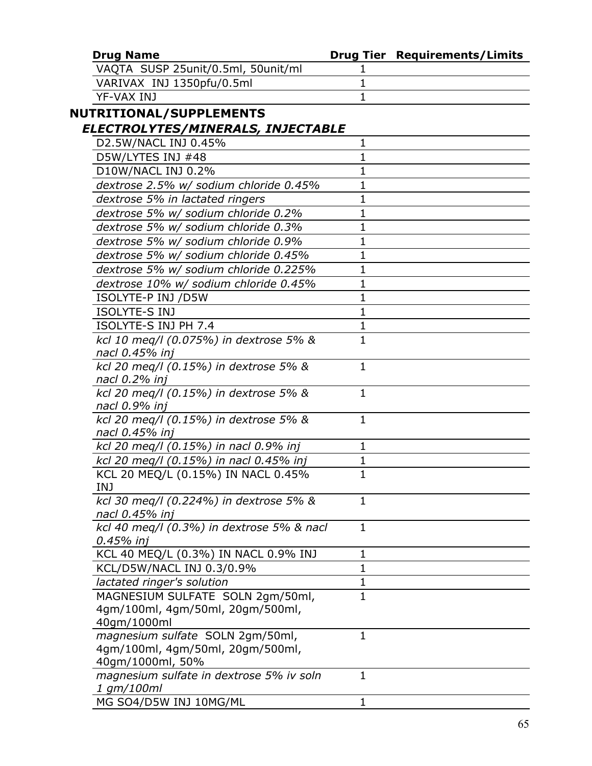| <b>Drug Name</b>                                                                         |              | <b>Drug Tier Requirements/Limits</b> |
|------------------------------------------------------------------------------------------|--------------|--------------------------------------|
| VAQTA SUSP 25unit/0.5ml, 50unit/ml                                                       | 1            |                                      |
| VARIVAX INJ 1350pfu/0.5ml                                                                | 1            |                                      |
| YF-VAX INJ                                                                               | 1            |                                      |
| <b>NUTRITIONAL/SUPPLEMENTS</b>                                                           |              |                                      |
| ELECTROLYTES/MINERALS, INJECTABLE                                                        |              |                                      |
| D2.5W/NACL INJ 0.45%                                                                     | 1            |                                      |
| D5W/LYTES INJ #48                                                                        | $\mathbf{1}$ |                                      |
| D10W/NACL INJ 0.2%                                                                       | 1            |                                      |
| dextrose 2.5% w/ sodium chloride 0.45%                                                   | 1            |                                      |
| dextrose 5% in lactated ringers                                                          | 1            |                                      |
| dextrose 5% w/ sodium chloride 0.2%                                                      | 1            |                                      |
| dextrose 5% w/ sodium chloride 0.3%                                                      | 1            |                                      |
| dextrose 5% w/ sodium chloride 0.9%                                                      | 1            |                                      |
| dextrose 5% w/ sodium chloride 0.45%                                                     | 1            |                                      |
| dextrose 5% w/ sodium chloride 0.225%                                                    | 1            |                                      |
| dextrose 10% w/ sodium chloride 0.45%                                                    | $\mathbf{1}$ |                                      |
| ISOLYTE-P INJ /D5W                                                                       | 1            |                                      |
| ISOLYTE-S INJ                                                                            | $\mathbf{1}$ |                                      |
| ISOLYTE-S INJ PH 7.4                                                                     | 1            |                                      |
| kcl 10 meg/l (0.075%) in dextrose 5% &<br>nacl 0.45% inj                                 | $\mathbf{1}$ |                                      |
| kcl 20 meq/l (0.15%) in dextrose 5% &                                                    | 1            |                                      |
| nacl 0.2% inj<br>kcl 20 meg/l (0.15%) in dextrose 5% &<br>nacl 0.9% inj                  | $\mathbf{1}$ |                                      |
| kcl 20 meq/l (0.15%) in dextrose 5% &<br>nacl 0.45% inj                                  | $\mathbf{1}$ |                                      |
| kcl 20 meq/l (0.15%) in nacl 0.9% inj                                                    | 1            |                                      |
| kcl 20 meg/l (0.15%) in nacl 0.45% inj                                                   | 1            |                                      |
| KCL 20 MEQ/L (0.15%) IN NACL 0.45%<br><b>INJ</b>                                         | $\mathbf{1}$ |                                      |
| kcl 30 meg/l (0.224%) in dextrose 5% &<br>nacl 0.45% inj                                 | 1            |                                      |
| kcl 40 meq/l (0.3%) in dextrose 5% & nacl<br>0.45% inj                                   | 1            |                                      |
| KCL 40 MEQ/L (0.3%) IN NACL 0.9% INJ                                                     | 1            |                                      |
| KCL/D5W/NACL INJ 0.3/0.9%                                                                | $\mathbf{1}$ |                                      |
| lactated ringer's solution                                                               | $\mathbf{1}$ |                                      |
| MAGNESIUM SULFATE SOLN 2gm/50ml,                                                         | $\mathbf{1}$ |                                      |
| 4gm/100ml, 4gm/50ml, 20gm/500ml,<br>40gm/1000ml                                          |              |                                      |
| magnesium sulfate SOLN 2gm/50ml,<br>4qm/100ml, 4gm/50ml, 20gm/500ml,<br>40gm/1000ml, 50% | $\mathbf{1}$ |                                      |
| magnesium sulfate in dextrose 5% iv soln<br>1 gm/100ml                                   | 1            |                                      |
| MG SO4/D5W INJ 10MG/ML                                                                   | 1            |                                      |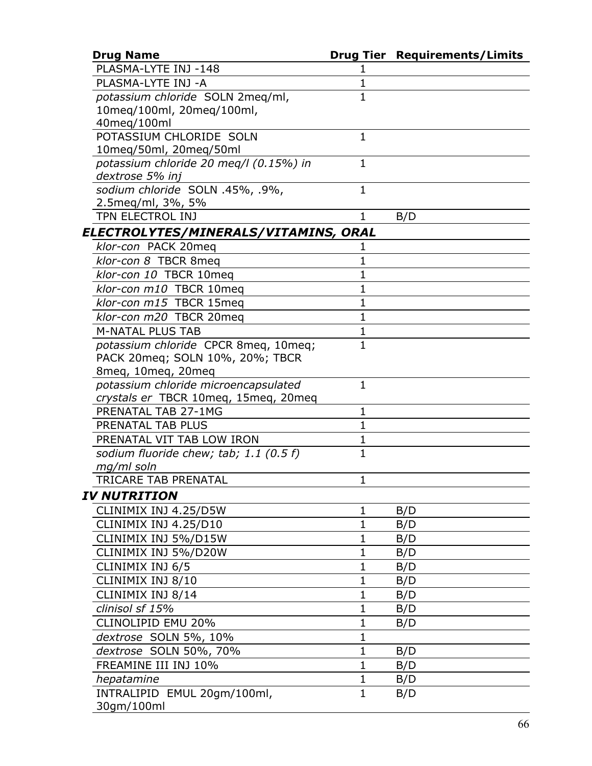| <b>Drug Name</b>                       |              | <b>Drug Tier Requirements/Limits</b> |
|----------------------------------------|--------------|--------------------------------------|
| PLASMA-LYTE INJ -148                   |              |                                      |
| PLASMA-LYTE INJ -A                     | 1            |                                      |
| potassium chloride SOLN 2meq/ml,       | $\mathbf{1}$ |                                      |
| 10meg/100ml, 20meg/100ml,              |              |                                      |
| 40meg/100ml                            |              |                                      |
| POTASSIUM CHLORIDE SOLN                | 1            |                                      |
| 10meq/50ml, 20meq/50ml                 |              |                                      |
| potassium chloride 20 meg/l (0.15%) in | $\mathbf{1}$ |                                      |
| dextrose 5% inj                        |              |                                      |
| sodium chloride SOLN .45%, .9%,        | $\mathbf{1}$ |                                      |
| 2.5 meg/ml, 3%, 5%                     |              |                                      |
| TPN ELECTROL INJ                       | 1            | B/D                                  |
| ELECTROLYTES/MINERALS/VITAMINS, ORAL   |              |                                      |
| klor-con PACK 20meq                    | 1            |                                      |
| klor-con 8 TBCR 8meg                   | 1            |                                      |
| klor-con 10 TBCR 10meg                 | 1            |                                      |
| klor-con m10 TBCR 10meg                | 1            |                                      |
| klor-con m15 TBCR 15meg                | $\mathbf{1}$ |                                      |
| klor-con m20 TBCR 20meg                | 1            |                                      |
| <b>M-NATAL PLUS TAB</b>                | $\mathbf{1}$ |                                      |
| potassium chloride CPCR 8meq, 10meq;   | $\mathbf{1}$ |                                      |
| PACK 20meg; SOLN 10%, 20%; TBCR        |              |                                      |
| 8meq, 10meq, 20meq                     |              |                                      |
| potassium chloride microencapsulated   | $\mathbf{1}$ |                                      |
| crystals er TBCR 10meg, 15meg, 20meg   |              |                                      |
| PRENATAL TAB 27-1MG                    | $\mathbf{1}$ |                                      |
| PRENATAL TAB PLUS                      | 1            |                                      |
| PRENATAL VIT TAB LOW IRON              | 1            |                                      |
| sodium fluoride chew; tab; 1.1 (0.5 f) | 1            |                                      |
| mg/ml soln                             |              |                                      |
| TRICARE TAB PRENATAL                   | 1            |                                      |
| <b>IV NUTRITION</b>                    |              |                                      |
| CLINIMIX INJ 4.25/D5W                  | $\mathbf{1}$ | B/D                                  |
| CLINIMIX INJ 4.25/D10                  | 1            | B/D                                  |
| CLINIMIX INJ 5%/D15W                   | 1            | B/D                                  |
| CLINIMIX INJ 5%/D20W                   | 1            | B/D                                  |
| CLINIMIX INJ 6/5                       | 1            | B/D                                  |
| CLINIMIX INJ 8/10                      | 1            | B/D                                  |
| CLINIMIX INJ 8/14                      | 1            | B/D                                  |
| clinisol sf 15%                        | 1            | B/D                                  |
| CLINOLIPID EMU 20%                     | $\mathbf 1$  | B/D                                  |
| dextrose SOLN 5%, 10%                  | 1            |                                      |
| dextrose SOLN 50%, 70%                 | $\mathbf{1}$ | B/D                                  |
| FREAMINE III INJ 10%                   | $\mathbf{1}$ | B/D                                  |
| hepatamine                             | 1            | B/D                                  |
| INTRALIPID EMUL 20gm/100ml,            | $\mathbf{1}$ | B/D                                  |
| 30gm/100ml                             |              |                                      |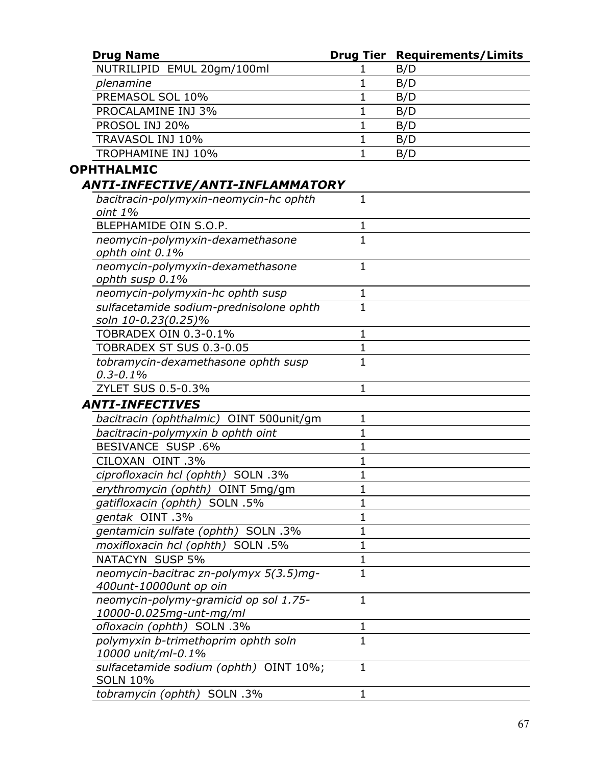| <b>Drug Name</b>                                                 |                | <b>Drug Tier Requirements/Limits</b> |
|------------------------------------------------------------------|----------------|--------------------------------------|
| NUTRILIPID EMUL 20gm/100ml                                       |                | B/D                                  |
| plenamine                                                        | 1              | B/D                                  |
| PREMASOL SOL 10%                                                 | 1              | B/D                                  |
| PROCALAMINE INJ 3%                                               | 1              | B/D                                  |
| PROSOL INJ 20%                                                   | 1              | B/D                                  |
| TRAVASOL INJ 10%                                                 | $\mathbf 1$    | B/D                                  |
| TROPHAMINE INJ 10%                                               | 1              | B/D                                  |
| <b>OPHTHALMIC</b>                                                |                |                                      |
| ANTI-INFECTIVE/ANTI-INFLAMMATORY                                 |                |                                      |
| bacitracin-polymyxin-neomycin-hc ophth<br>oint 1%                | 1              |                                      |
| BLEPHAMIDE OIN S.O.P.                                            | 1              |                                      |
| neomycin-polymyxin-dexamethasone<br>ophth oint 0.1%              | $\overline{1}$ |                                      |
| neomycin-polymyxin-dexamethasone<br>ophth susp 0.1%              | $\mathbf 1$    |                                      |
| neomycin-polymyxin-hc ophth susp                                 | 1              |                                      |
| sulfacetamide sodium-prednisolone ophth<br>soln 10-0.23(0.25)%   | $\overline{1}$ |                                      |
| TOBRADEX OIN 0.3-0.1%                                            | 1              |                                      |
| TOBRADEX ST SUS 0.3-0.05                                         | 1              |                                      |
| tobramycin-dexamethasone ophth susp<br>$0.3 - 0.1\%$             | $\mathbf{1}$   |                                      |
| ZYLET SUS 0.5-0.3%                                               | $\mathbf{1}$   |                                      |
| <b>ANTI-INFECTIVES</b>                                           |                |                                      |
| bacitracin (ophthalmic) OINT 500unit/qm                          | 1              |                                      |
| bacitracin-polymyxin b ophth oint                                | $\mathbf{1}$   |                                      |
| <b>BESIVANCE SUSP .6%</b>                                        | 1              |                                      |
| CILOXAN OINT .3%                                                 | 1              |                                      |
| ciprofloxacin hcl (ophth) SOLN .3%                               | $\mathbf{1}$   |                                      |
| erythromycin (ophth) OINT 5mg/gm                                 | 1              |                                      |
| gatifloxacin (ophth) SOLN .5%                                    | 1              |                                      |
| gentak OINT.3%                                                   | 1              |                                      |
| gentamicin sulfate (ophth) SOLN .3%                              | 1              |                                      |
| moxifloxacin hcl (ophth) SOLN .5%                                | 1              |                                      |
| <b>NATACYN SUSP 5%</b>                                           | $\mathbf 1$    |                                      |
| neomycin-bacitrac zn-polymyx 5(3.5)mg-<br>400unt-10000unt op oin | 1              |                                      |
| neomycin-polymy-gramicid op sol 1.75-<br>10000-0.025mg-unt-mg/ml | $\mathbf{1}$   |                                      |
| ofloxacin (ophth) SOLN .3%                                       | 1              |                                      |
| polymyxin b-trimethoprim ophth soln<br>10000 unit/ml-0.1%        | $\mathbf{1}$   |                                      |
| sulfacetamide sodium (ophth) OINT 10%;<br><b>SOLN 10%</b>        | $\mathbf{1}$   |                                      |
| tobramycin (ophth) SOLN .3%                                      | 1              |                                      |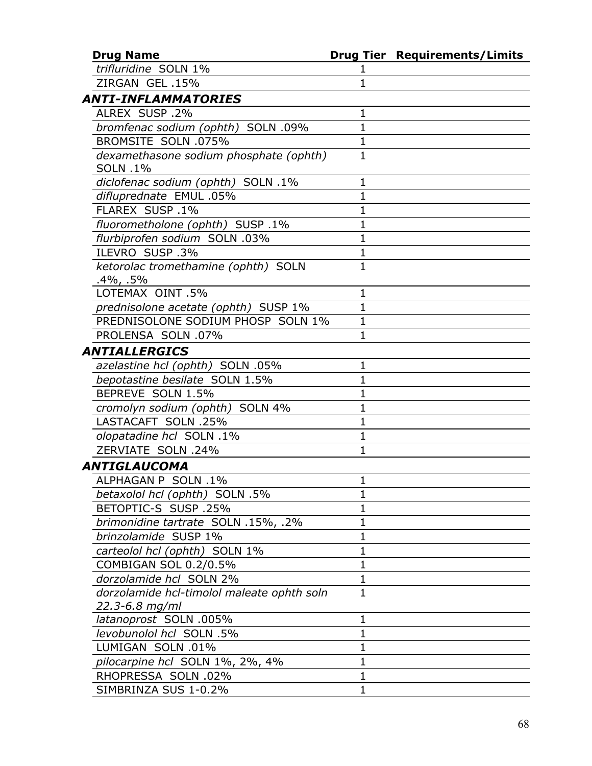| <b>Drug Name</b>                                             |              | <b>Drug Tier Requirements/Limits</b> |
|--------------------------------------------------------------|--------------|--------------------------------------|
| trifluridine SOLN 1%                                         | 1            |                                      |
| ZIRGAN GEL .15%                                              | $\mathbf 1$  |                                      |
| ANTI-INFLAMMATORIES                                          |              |                                      |
| ALREX SUSP.2%                                                | $\mathbf{1}$ |                                      |
| bromfenac sodium (ophth) SOLN .09%                           | $\mathbf{1}$ |                                      |
| <b>BROMSITE SOLN .075%</b>                                   | $\mathbf{1}$ |                                      |
| dexamethasone sodium phosphate (ophth)<br><b>SOLN .1%</b>    | $\mathbf{1}$ |                                      |
| diclofenac sodium (ophth) SOLN .1%                           | $\mathbf{1}$ |                                      |
| difluprednate EMUL .05%                                      | $\mathbf{1}$ |                                      |
| FLAREX SUSP.1%                                               | 1            |                                      |
| fluorometholone (ophth) SUSP .1%                             | $\mathbf{1}$ |                                      |
| flurbiprofen sodium SOLN .03%                                | $\mathbf 1$  |                                      |
| ILEVRO SUSP.3%                                               | $\mathbf{1}$ |                                      |
| ketorolac tromethamine (ophth) SOLN<br>$.4\%$ , .5%          | $\mathbf{1}$ |                                      |
| LOTEMAX OINT .5%                                             | $\mathbf{1}$ |                                      |
| prednisolone acetate (ophth) SUSP 1%                         | $\mathbf{1}$ |                                      |
| PREDNISOLONE SODIUM PHOSP SOLN 1%                            | $\mathbf{1}$ |                                      |
| PROLENSA SOLN .07%                                           | $\mathbf{1}$ |                                      |
| ANTIALLERGICS                                                |              |                                      |
| azelastine hcl (ophth) SOLN .05%                             | $\mathbf{1}$ |                                      |
| bepotastine besilate SOLN 1.5%                               | $\mathbf{1}$ |                                      |
| BEPREVE SOLN 1.5%                                            | $\mathbf 1$  |                                      |
| cromolyn sodium (ophth) SOLN 4%                              | $\mathbf{1}$ |                                      |
| LASTACAFT SOLN .25%                                          | $\mathbf{1}$ |                                      |
| olopatadine hcl SOLN .1%                                     | $\mathbf{1}$ |                                      |
| ZERVIATE SOLN .24%                                           | 1            |                                      |
| ANTIGLAUCOMA                                                 |              |                                      |
| ALPHAGAN P SOLN .1%                                          | 1            |                                      |
| betaxolol hcl (ophth) SOLN .5%                               | 1            |                                      |
| <b>BETOPTIC-S SUSP .25%</b>                                  | $\mathbf 1$  |                                      |
| brimonidine tartrate SOLN .15%, .2%                          | $\mathbf 1$  |                                      |
| brinzolamide SUSP 1%                                         | $\mathbf{1}$ |                                      |
| carteolol hcl (ophth) SOLN 1%                                | $\mathbf{1}$ |                                      |
| COMBIGAN SOL 0.2/0.5%                                        | $\mathbf{1}$ |                                      |
| dorzolamide hcl SOLN 2%                                      | $\mathbf 1$  |                                      |
| dorzolamide hcl-timolol maleate ophth soln<br>22.3-6.8 mg/ml | $\mathbf{1}$ |                                      |
| latanoprost SOLN .005%                                       | $\mathbf{1}$ |                                      |
| levobunolol hcl SOLN .5%                                     | $\mathbf{1}$ |                                      |
| LUMIGAN SOLN .01%                                            | $\mathbf 1$  |                                      |
| pilocarpine hcl SOLN 1%, 2%, 4%                              | $\mathbf{1}$ |                                      |
| RHOPRESSA SOLN .02%                                          | $\mathbf{1}$ |                                      |
| SIMBRINZA SUS 1-0.2%                                         | $\mathbf{1}$ |                                      |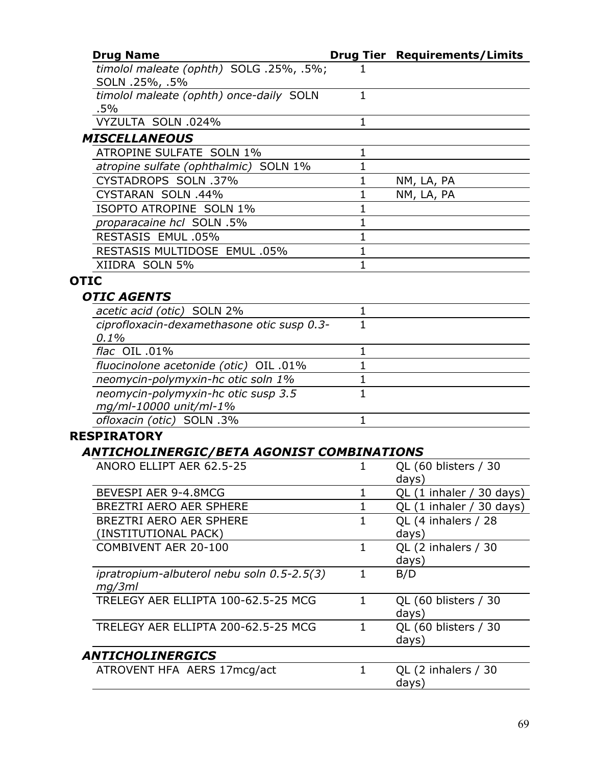| <b>Drug Name</b>                                              |              | <b>Drug Tier Requirements/Limits</b> |
|---------------------------------------------------------------|--------------|--------------------------------------|
| timolol maleate (ophth) SOLG .25%, .5%;<br>SOLN .25%, .5%     |              |                                      |
| timolol maleate (ophth) once-daily SOLN<br>$.5\%$             | $\mathbf{1}$ |                                      |
| VYZULTA SOLN .024%                                            | $\mathbf{1}$ |                                      |
| <b>MISCELLANEOUS</b>                                          |              |                                      |
| <b>ATROPINE SULFATE SOLN 1%</b>                               | $\mathbf 1$  |                                      |
| atropine sulfate (ophthalmic) SOLN 1%                         | $\mathbf{1}$ |                                      |
| CYSTADROPS SOLN .37%                                          | $\mathbf 1$  | NM, LA, PA                           |
| CYSTARAN SOLN .44%                                            | $\mathbf{1}$ | NM, LA, PA                           |
| ISOPTO ATROPINE SOLN 1%                                       | 1            |                                      |
| proparacaine hcl SOLN .5%                                     | $\mathbf{1}$ |                                      |
| RESTASIS EMUL .05%                                            | $\mathbf{1}$ |                                      |
| RESTASIS MULTIDOSE EMUL .05%                                  | $\mathbf 1$  |                                      |
| XIIDRA SOLN 5%                                                | $\mathbf{1}$ |                                      |
| <b>OTIC</b>                                                   |              |                                      |
| <b>OTIC AGENTS</b>                                            |              |                                      |
| acetic acid (otic) SOLN 2%                                    | 1            |                                      |
| ciprofloxacin-dexamethasone otic susp 0.3-                    | $\mathbf{1}$ |                                      |
| 0.1%                                                          |              |                                      |
| flac OIL .01%                                                 | 1            |                                      |
| fluocinolone acetonide (otic) OIL .01%                        | $\mathbf{1}$ |                                      |
| neomycin-polymyxin-hc otic soln 1%                            | 1            |                                      |
| neomycin-polymyxin-hc otic susp 3.5<br>mg/ml-10000 unit/ml-1% | $\mathbf{1}$ |                                      |
| ofloxacin (otic) SOLN .3%                                     | $\mathbf{1}$ |                                      |
| <b>RESPIRATORY</b>                                            |              |                                      |
| ANTICHOLINERGIC/BETA AGONIST COMBINATIONS                     |              |                                      |
| ANORO ELLIPT AER 62.5-25                                      | 1            | QL (60 blisters / 30                 |
|                                                               |              | days)                                |
| BEVESPI AER 9-4.8MCG                                          | 1            | QL (1 inhaler / 30 days)             |
| BREZTRI AERO AER SPHERE                                       | 1            | QL (1 inhaler / 30 days)             |
| BREZTRI AERO AER SPHERE                                       | $\mathbf{1}$ | QL (4 inhalers / 28                  |
| (INSTITUTIONAL PACK)                                          |              | days)                                |
| COMBIVENT AER 20-100                                          | $\mathbf{1}$ | QL (2 inhalers / 30<br>days)         |
| ipratropium-albuterol nebu soln 0.5-2.5(3)<br>mg/3ml          | $\mathbf{1}$ | B/D                                  |
| TRELEGY AER ELLIPTA 100-62.5-25 MCG                           | $\mathbf{1}$ | QL (60 blisters / 30<br>days)        |
| TRELEGY AER ELLIPTA 200-62.5-25 MCG                           | $\mathbf{1}$ | QL (60 blisters / 30<br>days)        |
| <b>ANTICHOLINERGICS</b>                                       |              |                                      |
| ATROVENT HFA AERS 17mcg/act                                   | $\mathbf{1}$ | QL (2 inhalers / 30<br>days)         |
|                                                               |              |                                      |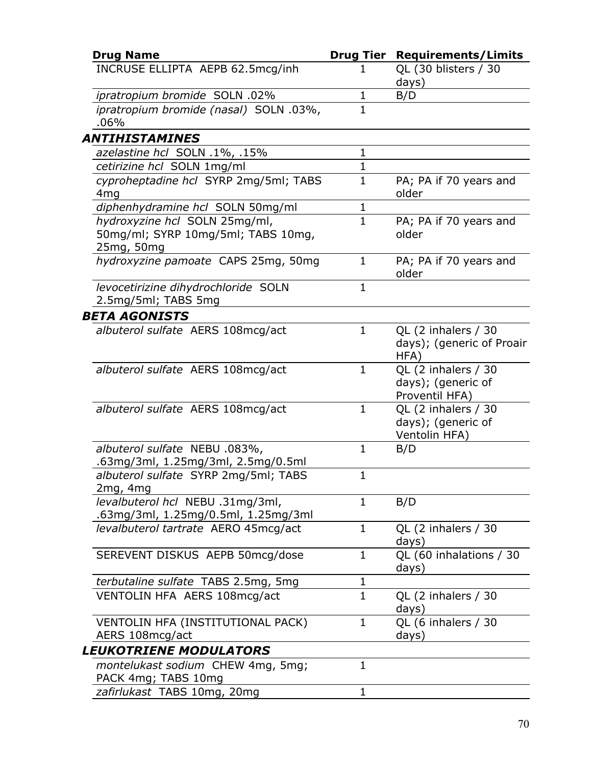| <b>Drug Name</b>                                                                  | <b>Drug Tier</b> | <b>Requirements/Limits</b>                                  |
|-----------------------------------------------------------------------------------|------------------|-------------------------------------------------------------|
| INCRUSE ELLIPTA AEPB 62.5mcg/inh                                                  |                  | QL (30 blisters / 30<br>days)                               |
| ipratropium bromide SOLN .02%                                                     | 1                | B/D                                                         |
| ipratropium bromide (nasal) SOLN .03%,<br>.06%                                    | $\mathbf{1}$     |                                                             |
| <b>ANTIHISTAMINES</b>                                                             |                  |                                                             |
| azelastine hcl SOLN .1%, .15%                                                     | $\mathbf 1$      |                                                             |
| cetirizine hcl SOLN 1mg/ml                                                        | $\mathbf{1}$     |                                                             |
| cyproheptadine hcl SYRP 2mg/5ml; TABS<br>4 <sub>mg</sub>                          | $\mathbf{1}$     | PA; PA if 70 years and<br>older                             |
| diphenhydramine hcl SOLN 50mg/ml                                                  | $\mathbf{1}$     |                                                             |
| hydroxyzine hcl SOLN 25mg/ml,<br>50mg/ml; SYRP 10mg/5ml; TABS 10mg,<br>25mg, 50mg | $\mathbf{1}$     | PA; PA if 70 years and<br>older                             |
| hydroxyzine pamoate CAPS 25mg, 50mg                                               | $\mathbf{1}$     | PA; PA if 70 years and<br>older                             |
| levocetirizine dihydrochloride SOLN<br>2.5mg/5ml; TABS 5mg                        | $\mathbf{1}$     |                                                             |
| <b>BETA AGONISTS</b>                                                              |                  |                                                             |
| albuterol sulfate AERS 108mcg/act                                                 | $\mathbf{1}$     | QL (2 inhalers / 30<br>days); (generic of Proair<br>HFA)    |
| albuterol sulfate AERS 108mcg/act                                                 | $\mathbf{1}$     | QL (2 inhalers / 30<br>days); (generic of<br>Proventil HFA) |
| albuterol sulfate AERS 108mcg/act                                                 | $\mathbf{1}$     | QL (2 inhalers / 30<br>days); (generic of<br>Ventolin HFA)  |
| albuterol sulfate NEBU .083%,<br>.63mg/3ml, 1.25mg/3ml, 2.5mg/0.5ml               | $\mathbf 1$      | B/D                                                         |
| albuterol sulfate SYRP 2mg/5ml; TABS<br>2mg, 4mg                                  | $\mathbf{1}$     |                                                             |
| levalbuterol hcl NEBU .31mg/3ml,<br>.63mg/3ml, 1.25mg/0.5ml, 1.25mg/3ml           | 1                | B/D                                                         |
| levalbuterol tartrate AERO 45mcg/act                                              | $\mathbf{1}$     | QL (2 inhalers / 30<br>days)                                |
| SEREVENT DISKUS AEPB 50mcg/dose                                                   | $\mathbf{1}$     | QL (60 inhalations / 30<br>days)                            |
| terbutaline sulfate TABS 2.5mg, 5mg                                               | 1                |                                                             |
| VENTOLIN HFA AERS 108mcg/act                                                      | $\mathbf{1}$     | QL (2 inhalers / 30<br>days)                                |
| VENTOLIN HFA (INSTITUTIONAL PACK)<br>AERS 108mcg/act                              | $\mathbf{1}$     | QL (6 inhalers / 30<br>days)                                |
| <i><b>LEUKOTRIENE MODULATORS</b></i>                                              |                  |                                                             |
| montelukast sodium CHEW 4mg, 5mg;<br>PACK 4mg; TABS 10mg                          | 1                |                                                             |
| zafirlukast TABS 10mg, 20mg                                                       | 1                |                                                             |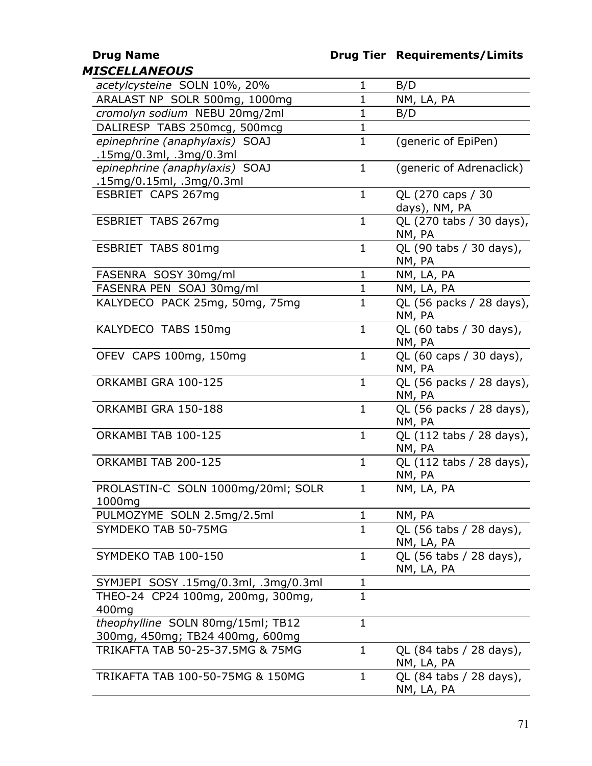## **Drug Name Drug Tier Requirements/Limits**

| <b>MISCELLANEOUS</b>                                                 |              |                                       |
|----------------------------------------------------------------------|--------------|---------------------------------------|
| acetylcysteine SOLN 10%, 20%                                         | $\mathbf{1}$ | B/D                                   |
| ARALAST NP SOLR 500mg, 1000mg                                        | $\mathbf{1}$ | NM, LA, PA                            |
| cromolyn sodium NEBU 20mg/2ml                                        | $\mathbf{1}$ | B/D                                   |
| DALIRESP TABS 250mcg, 500mcg                                         | 1            |                                       |
| epinephrine (anaphylaxis) SOAJ                                       | $\mathbf{1}$ | (generic of EpiPen)                   |
| .15mg/0.3ml, .3mg/0.3ml                                              |              |                                       |
| epinephrine (anaphylaxis) SOAJ                                       | $\mathbf{1}$ | (generic of Adrenaclick)              |
| .15mg/0.15ml, .3mg/0.3ml                                             |              |                                       |
| ESBRIET CAPS 267mg                                                   | $\mathbf{1}$ | QL (270 caps / 30<br>days), NM, PA    |
| ESBRIET TABS 267mg                                                   | $\mathbf{1}$ | QL (270 tabs / 30 days),<br>NM, PA    |
| ESBRIET TABS 801mg                                                   | $\mathbf{1}$ | QL (90 tabs / 30 days),<br>NM, PA     |
| FASENRA SOSY 30mg/ml                                                 | $\mathbf{1}$ | NM, LA, PA                            |
| FASENRA PEN SOAJ 30mg/ml                                             | $\mathbf{1}$ | NM, LA, PA                            |
| KALYDECO PACK 25mg, 50mg, 75mg                                       | $\mathbf{1}$ | QL (56 packs / 28 days),<br>NM, PA    |
| KALYDECO TABS 150mg                                                  | $\mathbf{1}$ | QL (60 tabs / 30 days),<br>NM, PA     |
| OFEV CAPS 100mg, 150mg                                               | $\mathbf{1}$ | QL (60 caps / 30 days),<br>NM, PA     |
| ORKAMBI GRA 100-125                                                  | $\mathbf{1}$ | QL (56 packs / 28 days),<br>NM, PA    |
| ORKAMBI GRA 150-188                                                  | $\mathbf{1}$ | QL (56 packs / 28 days),<br>NM, PA    |
| ORKAMBI TAB 100-125                                                  | $\mathbf{1}$ | QL (112 tabs / 28 days),<br>NM, PA    |
| ORKAMBI TAB 200-125                                                  | $\mathbf{1}$ | QL (112 tabs / 28 days),<br>NM, PA    |
| PROLASTIN-C SOLN 1000mg/20ml; SOLR<br>1000mg                         | 1            | NM, LA, PA                            |
| PULMOZYME SOLN 2.5mg/2.5ml                                           | $\mathbf{1}$ | NM, PA                                |
| SYMDEKO TAB 50-75MG                                                  | $\mathbf{1}$ | QL (56 tabs / 28 days),<br>NM, LA, PA |
| SYMDEKO TAB 100-150                                                  | $\mathbf{1}$ | QL (56 tabs / 28 days),<br>NM, LA, PA |
| SYMJEPI SOSY .15mg/0.3ml, .3mg/0.3ml                                 | $\mathbf 1$  |                                       |
| THEO-24 CP24 100mg, 200mg, 300mg,<br>400mg                           | $\mathbf{1}$ |                                       |
| theophylline SOLN 80mg/15ml; TB12<br>300mg, 450mg; TB24 400mg, 600mg | $\mathbf{1}$ |                                       |
| TRIKAFTA TAB 50-25-37.5MG & 75MG                                     | $\mathbf 1$  | QL (84 tabs / 28 days),<br>NM, LA, PA |
| TRIKAFTA TAB 100-50-75MG & 150MG                                     | $\mathbf{1}$ | QL (84 tabs / 28 days),<br>NM, LA, PA |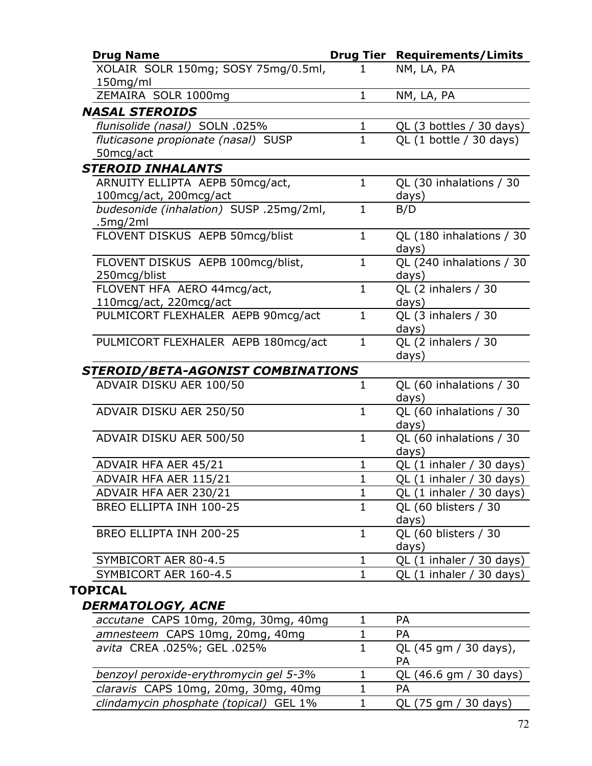| <b>Drug Name</b>                        |              | <b>Drug Tier Requirements/Limits</b>        |
|-----------------------------------------|--------------|---------------------------------------------|
| XOLAIR SOLR 150mg; SOSY 75mg/0.5ml,     | ı            | NM, LA, PA                                  |
| 150mg/ml                                |              |                                             |
| ZEMAIRA SOLR 1000mg                     | $\mathbf{1}$ | NM, LA, PA                                  |
| <b>NASAL STEROIDS</b>                   |              |                                             |
| flunisolide (nasal) SOLN .025%          | 1            | QL (3 bottles / 30 days)                    |
| fluticasone propionate (nasal) SUSP     | $\mathbf{1}$ | QL $(1 \text{ bottle} / 30 \text{ days})$   |
| 50mcg/act                               |              |                                             |
| <b>STEROID INHALANTS</b>                |              |                                             |
| ARNUITY ELLIPTA AEPB 50mcg/act,         | $\mathbf{1}$ | QL (30 inhalations / 30                     |
| 100mcg/act, 200mcg/act                  |              | days)                                       |
| budesonide (inhalation) SUSP .25mg/2ml, | $\mathbf{1}$ | B/D                                         |
| .5mg/2ml                                |              |                                             |
| FLOVENT DISKUS AEPB 50mcg/blist         | $\mathbf{1}$ | QL (180 inhalations / 30                    |
|                                         |              | days)                                       |
| FLOVENT DISKUS AEPB 100mcg/blist,       | $\mathbf{1}$ | QL (240 inhalations / 30                    |
| 250mcg/blist                            |              | days)                                       |
| FLOVENT HFA AERO 44mcg/act,             | $\mathbf{1}$ | QL (2 inhalers / 30                         |
| 110mcg/act, 220mcg/act                  | $\mathbf{1}$ | days)                                       |
| PULMICORT FLEXHALER AEPB 90mcg/act      |              | QL (3 inhalers / 30                         |
| PULMICORT FLEXHALER AEPB 180mcg/act     | $\mathbf{1}$ | days)<br>QL (2 inhalers / 30                |
|                                         |              | days)                                       |
| STEROID/BETA-AGONIST COMBINATIONS       |              |                                             |
| ADVAIR DISKU AER 100/50                 | $\mathbf{1}$ | QL (60 inhalations / 30                     |
|                                         |              | days)                                       |
| ADVAIR DISKU AER 250/50                 | $\mathbf{1}$ | QL (60 inhalations / 30                     |
|                                         |              | days)                                       |
| ADVAIR DISKU AER 500/50                 | $\mathbf 1$  | QL (60 inhalations / 30                     |
|                                         |              | days)                                       |
| ADVAIR HFA AER 45/21                    | $\mathbf{1}$ | QL (1 inhaler / 30 days)                    |
| ADVAIR HFA AER 115/21                   | 1            | QL (1 inhaler / 30 days)                    |
| ADVAIR HFA AER 230/21                   | 1            | $QL(1)$ inhaler / 30 days)                  |
| BREO ELLIPTA INH 100-25                 | $\mathbf{1}$ | QL (60 blisters / 30                        |
|                                         |              | days)                                       |
| BREO ELLIPTA INH 200-25                 | $\mathbf{1}$ | QL (60 blisters / 30                        |
|                                         |              | days)                                       |
| SYMBICORT AER 80-4.5                    | 1            | QL $(1 \text{ inhaler } / 30 \text{ days})$ |
| SYMBICORT AER 160-4.5                   | 1            | QL (1 inhaler / 30 days)                    |
| <b>TOPICAL</b>                          |              |                                             |
| <b>DERMATOLOGY, ACNE</b>                |              |                                             |
| accutane CAPS 10mg, 20mg, 30mg, 40mg    | 1            | <b>PA</b>                                   |
| amnesteem CAPS 10mg, 20mg, 40mg         | 1            | <b>PA</b>                                   |
| avita CREA .025%; GEL .025%             | $\mathbf{1}$ | QL (45 gm / 30 days),                       |
|                                         |              | PA                                          |
| benzoyl peroxide-erythromycin gel 5-3%  | 1            | QL (46.6 gm / 30 days)                      |
| claravis CAPS 10mg, 20mg, 30mg, 40mg    | 1            | <b>PA</b>                                   |

*clindamycin phosphate (topical)* GEL 1% 1 QL (75 gm / 30 days)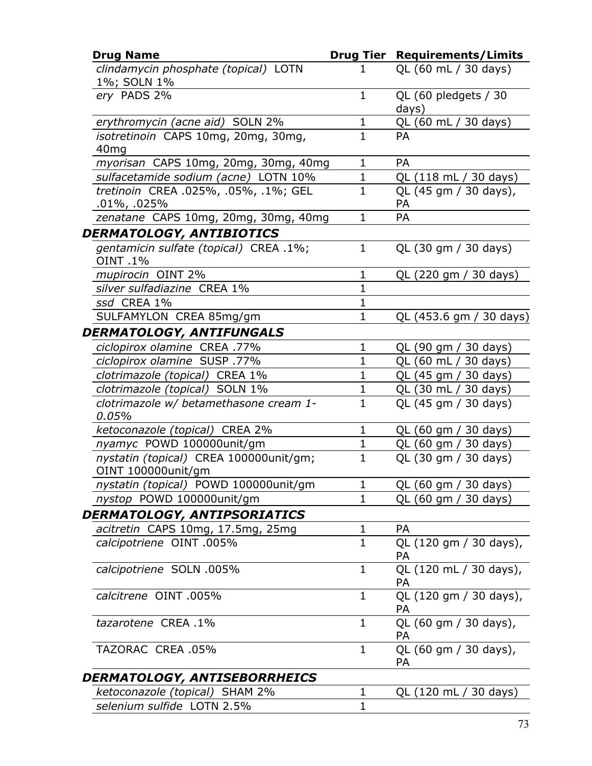| <b>Drug Name</b>                                             |              | <b>Drug Tier Requirements/Limits</b> |
|--------------------------------------------------------------|--------------|--------------------------------------|
| clindamycin phosphate (topical) LOTN<br>1%; SOLN 1%          | 1            | QL (60 mL / 30 days)                 |
| ery PADS 2%                                                  | $\mathbf 1$  | QL (60 pledgets / 30<br>days)        |
| erythromycin (acne aid) SOLN 2%                              | $\mathbf 1$  | QL (60 mL / 30 days)                 |
| isotretinoin CAPS 10mg, 20mg, 30mg,<br>40 <sub>mg</sub>      | $\mathbf{1}$ | PA                                   |
| myorisan CAPS 10mg, 20mg, 30mg, 40mg                         | 1            | PA                                   |
| sulfacetamide sodium (acne) LOTN 10%                         | $\mathbf 1$  | QL (118 mL / 30 days)                |
| tretinoin CREA .025%, .05%, .1%; GEL<br>$.01\%$ , .025%      | $\mathbf{1}$ | QL (45 gm / 30 days),<br>PA          |
| zenatane CAPS 10mg, 20mg, 30mg, 40mg                         | $\mathbf 1$  | PA                                   |
| DERMATOLOGY, ANTIBIOTICS                                     |              |                                      |
| gentamicin sulfate (topical) CREA .1%;<br><b>OINT.1%</b>     | $\mathbf{1}$ | QL (30 gm / 30 days)                 |
| mupirocin OINT 2%                                            | 1            | QL (220 gm / 30 days)                |
| silver sulfadiazine CREA 1%                                  | $\mathbf{1}$ |                                      |
| ssd CREA 1%                                                  | $\mathbf{1}$ |                                      |
| SULFAMYLON CREA 85mg/gm                                      | $\mathbf{1}$ | QL (453.6 gm / 30 days)              |
| DERMATOLOGY, ANTIFUNGALS                                     |              |                                      |
| ciclopirox olamine CREA .77%                                 | $\mathbf 1$  | QL (90 gm / 30 days)                 |
| ciclopirox olamine SUSP .77%                                 | $\mathbf{1}$ | QL (60 mL / 30 days)                 |
| clotrimazole (topical) CREA 1%                               | $\mathbf 1$  | QL (45 gm / 30 days)                 |
| clotrimazole (topical) SOLN 1%                               | $\mathbf 1$  | QL (30 mL / 30 days)                 |
| clotrimazole w/ betamethasone cream 1-<br>0.05%              | $\mathbf{1}$ | QL (45 gm / 30 days)                 |
| ketoconazole (topical) CREA 2%                               | $\mathbf 1$  | QL (60 gm / 30 days)                 |
| nyamyc POWD 100000unit/gm                                    | $\mathbf 1$  | QL (60 gm / 30 days)                 |
| nystatin (topical) CREA 100000unit/gm;<br>OINT 100000unit/gm | $\mathbf{1}$ | QL (30 gm / 30 days)                 |
| nystatin (topical) POWD 100000unit/gm                        | 1            | QL (60 gm / 30 days)                 |
| nystop POWD 100000unit/gm                                    | $\mathbf{1}$ | QL (60 gm / 30 days)                 |
| DERMATOLOGY, ANTIPSORIATICS                                  |              |                                      |
| acitretin CAPS 10mg, 17.5mg, 25mg                            | 1            | <b>PA</b>                            |
| calcipotriene OINT .005%                                     | $\mathbf{1}$ | QL (120 gm / 30 days),<br>PA         |
| calcipotriene SOLN .005%                                     | $\mathbf{1}$ | QL (120 mL / 30 days),<br>PА         |
| calcitrene OINT .005%                                        | $\mathbf{1}$ | QL (120 gm / 30 days),<br>PA         |
| tazarotene CREA .1%                                          | $\mathbf{1}$ | QL (60 gm / 30 days),<br>PA          |
| TAZORAC CREA .05%                                            | $\mathbf{1}$ | QL (60 gm / 30 days),<br><b>PA</b>   |
| DERMATOLOGY, ANTISEBORRHEICS                                 |              |                                      |
| ketoconazole (topical) SHAM 2%                               | 1            | QL (120 mL / 30 days)                |
| selenium sulfide LOTN 2.5%                                   | $\mathbf{1}$ |                                      |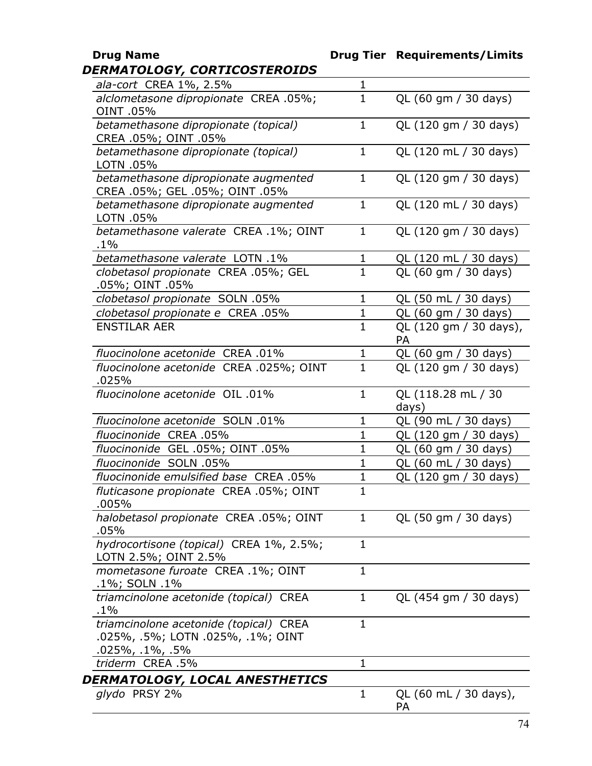## **Drug Name Drug Tier Requirements/Limits** *DERMATOLOGY, CORTICOSTEROIDS*

| ala-cort CREA 1%, 2.5%                                          | $\mathbf{1}$                |                        |
|-----------------------------------------------------------------|-----------------------------|------------------------|
| alclometasone dipropionate CREA .05%;                           | $\mathbf{1}$                | QL (60 gm / 30 days)   |
| <b>OINT.05%</b>                                                 |                             |                        |
| betamethasone dipropionate (topical)                            | $\mathbf{1}$                | QL (120 gm / 30 days)  |
| CREA .05%; OINT .05%                                            |                             |                        |
| betamethasone dipropionate (topical)                            | $\mathbf{1}$                | QL (120 mL / 30 days)  |
| LOTN .05%                                                       |                             |                        |
| betamethasone dipropionate augmented                            | $\mathbf{1}$                | QL (120 gm / 30 days)  |
| CREA .05%; GEL .05%; OINT .05%                                  |                             |                        |
| betamethasone dipropionate augmented                            | $\mathbf{1}$                | QL (120 mL / 30 days)  |
| LOTN .05%                                                       |                             |                        |
| betamethasone valerate CREA .1%; OINT                           | $\mathbf{1}$                | QL (120 gm / 30 days)  |
| $.1\%$                                                          |                             |                        |
| betamethasone valerate LOTN .1%                                 | $\mathbf{1}$                | QL (120 mL / 30 days)  |
| clobetasol propionate CREA .05%; GEL                            | $\mathbf{1}$                | QL (60 gm / 30 days)   |
| .05%; OINT .05%                                                 |                             |                        |
| clobetasol propionate SOLN .05%                                 | $\mathbf{1}$                | QL (50 mL / 30 days)   |
| clobetasol propionate e CREA .05%                               | $\mathbf 1$                 | QL (60 gm / 30 days)   |
| <b>ENSTILAR AER</b>                                             | $\mathbf{1}$                | QL (120 gm / 30 days), |
|                                                                 |                             | PA                     |
| fluocinolone acetonide CREA .01%                                | $\mathbf 1$                 | QL (60 gm / 30 days)   |
| fluocinolone acetonide CREA .025%; OINT                         | $\mathbf{1}$                | QL (120 gm / 30 days)  |
| .025%                                                           | $\mathbf{1}$                |                        |
| fluocinolone acetonide OIL .01%                                 |                             | QL (118.28 mL / 30     |
| fluocinolone acetonide SOLN .01%                                | $\mathbf 1$                 | days)                  |
|                                                                 |                             | QL (90 mL / 30 days)   |
| fluocinonide CREA .05%                                          | $\mathbf 1$<br>$\mathbf{1}$ | QL (120 gm / 30 days)  |
| fluocinonide GEL .05%; OINT .05%<br>fluocinonide SOLN .05%      |                             | QL (60 gm / 30 days)   |
|                                                                 | $\mathbf{1}$                | QL (60 mL / 30 days)   |
| fluocinonide emulsified base CREA .05%                          | $\mathbf{1}$                | QL (120 gm / 30 days)  |
| fluticasone propionate CREA .05%; OINT                          | $\mathbf{1}$                |                        |
| .005%                                                           |                             |                        |
| halobetasol propionate CREA .05%; OINT                          | 1                           | QL (50 gm / 30 days)   |
| .05%                                                            | $\mathbf{1}$                |                        |
| hydrocortisone (topical) CREA 1%, 2.5%;<br>LOTN 2.5%; OINT 2.5% |                             |                        |
| mometasone furoate CREA .1%; OINT                               | $\mathbf 1$                 |                        |
| .1%; SOLN .1%                                                   |                             |                        |
| triamcinolone acetonide (topical) CREA                          | 1                           | QL (454 gm / 30 days)  |
| $.1\%$                                                          |                             |                        |
| triamcinolone acetonide (topical) CREA                          | 1                           |                        |
| .025%, .5%; LOTN .025%, .1%; OINT                               |                             |                        |
| .025%, .1%, .5%                                                 |                             |                        |
| triderm CREA .5%                                                | 1                           |                        |
| DERMATOLOGY, LOCAL ANESTHETICS                                  |                             |                        |
| glydo PRSY 2%                                                   | 1                           | QL (60 mL / 30 days),  |
|                                                                 |                             | PA                     |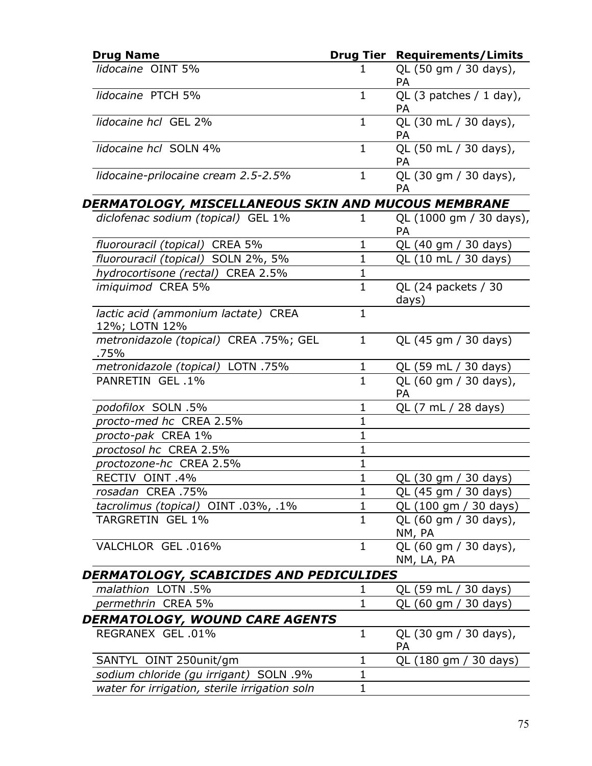| <b>Drug Name</b>                                     |              | <b>Drug Tier Requirements/Limits</b> |
|------------------------------------------------------|--------------|--------------------------------------|
| lidocaine OINT 5%                                    | 1            | QL (50 gm / 30 days),<br><b>PA</b>   |
| lidocaine PTCH 5%                                    | $\mathbf{1}$ | QL $(3$ patches $/ 1$ day),<br>PA    |
| lidocaine hcl GEL 2%                                 | $\mathbf{1}$ | QL (30 mL / 30 days),<br><b>PA</b>   |
| lidocaine hcl SOLN 4%                                | $\mathbf{1}$ | QL (50 mL / 30 days),<br><b>PA</b>   |
| lidocaine-prilocaine cream 2.5-2.5%                  | $\mathbf{1}$ | QL (30 gm / 30 days),<br>PA          |
| DERMATOLOGY, MISCELLANEOUS SKIN AND MUCOUS MEMBRANE  |              |                                      |
| diclofenac sodium (topical) GEL 1%                   | 1            | QL (1000 gm / 30 days),<br>PA        |
| fluorouracil (topical) CREA 5%                       | 1            | QL (40 gm / 30 days)                 |
| fluorouracil (topical) SOLN 2%, 5%                   | $\mathbf 1$  | QL (10 mL / 30 days)                 |
| hydrocortisone (rectal) CREA 2.5%                    | $\mathbf{1}$ |                                      |
| imiquimod CREA 5%                                    | $\mathbf{1}$ | QL (24 packets / 30<br>days)         |
| lactic acid (ammonium lactate) CREA<br>12%; LOTN 12% | $\mathbf{1}$ |                                      |
| metronidazole (topical) CREA .75%; GEL<br>.75%       | $\mathbf{1}$ | QL (45 gm / 30 days)                 |
| metronidazole (topical) LOTN .75%                    | $\mathbf{1}$ | QL (59 mL / 30 days)                 |
| PANRETIN GEL .1%                                     | $\mathbf{1}$ | QL (60 gm / 30 days),<br>PA          |
| podofilox SOLN .5%                                   | $\mathbf{1}$ | QL (7 mL / 28 days)                  |
| procto-med hc CREA 2.5%                              | 1            |                                      |
| procto-pak CREA 1%                                   | $\mathbf{1}$ |                                      |
| proctosol hc CREA 2.5%                               | $\mathbf{1}$ |                                      |
| proctozone-hc CREA 2.5%                              | $\mathbf{1}$ |                                      |
| RECTIV OINT .4%                                      | $\mathbf{1}$ | QL (30 gm / 30 days)                 |
| rosadan CREA .75%                                    | $\mathbf{1}$ | QL (45 gm / 30 days)                 |
| tacrolimus (topical) OINT .03%, .1%                  | $\mathbf{1}$ | QL (100 gm / 30 days)                |
| TARGRETIN GEL 1%                                     | $\mathbf{1}$ | QL (60 gm / 30 days),<br>NM, PA      |
| VALCHLOR GEL 016%                                    | $\mathbf{1}$ | QL (60 gm / 30 days),<br>NM, LA, PA  |
| DERMATOLOGY, SCABICIDES AND PEDICULIDES              |              |                                      |
| malathion LOTN .5%                                   | 1            | QL (59 mL / 30 days)                 |
| permethrin CREA 5%                                   | $\mathbf 1$  | QL (60 gm / 30 days)                 |
| DERMATOLOGY, WOUND CARE AGENTS                       |              |                                      |
| REGRANEX GEL 01%                                     | $\mathbf{1}$ | QL (30 gm / 30 days),<br>PA          |
| SANTYL OINT 250unit/gm                               | $\mathbf{1}$ | QL (180 gm / 30 days)                |
| sodium chloride (gu irrigant) SOLN .9%               | $\mathbf 1$  |                                      |
| water for irrigation, sterile irrigation soln        | $\mathbf 1$  |                                      |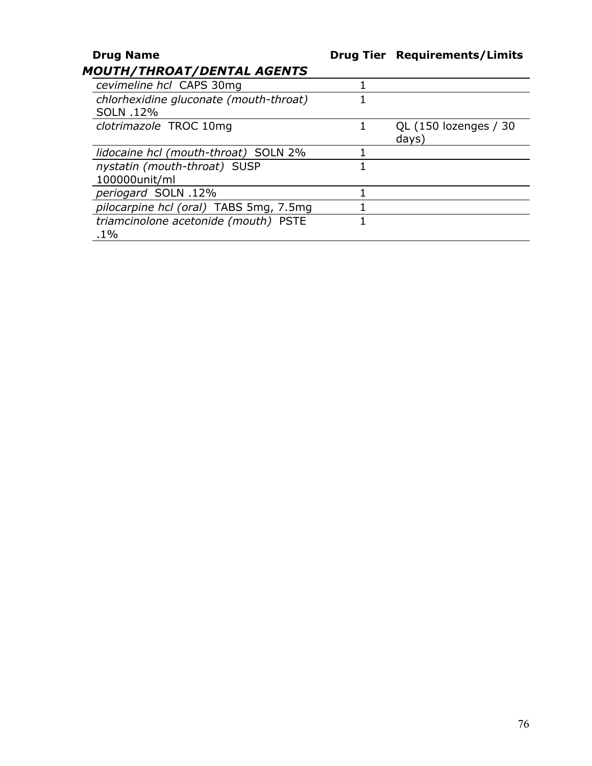| <b>Drug Name</b>                                    | <b>Drug Tier Requirements/Limits</b> |
|-----------------------------------------------------|--------------------------------------|
| <i><b>MOUTH/THROAT/DENTAL AGENTS</b></i>            |                                      |
| cevimeline hcl CAPS 30mg                            |                                      |
| chlorhexidine gluconate (mouth-throat)<br>SOLN .12% |                                      |
| clotrimazole TROC 10mg                              | QL (150 lozenges / 30<br>days)       |
| lidocaine hcl (mouth-throat) SOLN 2%                |                                      |
| nystatin (mouth-throat) SUSP<br>100000unit/ml       |                                      |
| periogard SOLN .12%                                 |                                      |
| pilocarpine hcl (oral) TABS 5mg, 7.5mg              |                                      |
| triamcinolone acetonide (mouth) PSTE<br>$.1\%$      |                                      |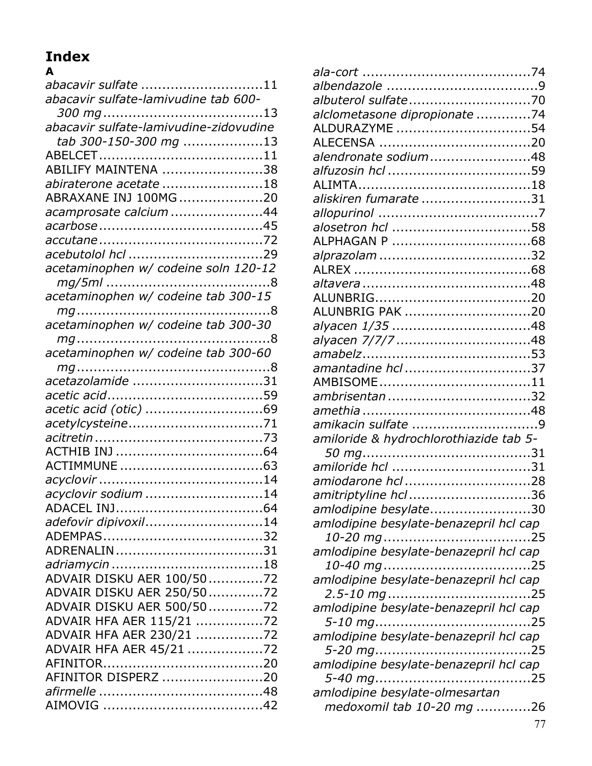## **Index**

| A                                      |
|----------------------------------------|
| abacavir sulfate 11                    |
| abacavir sulfate-lamivudine tab 600-   |
|                                        |
| abacavir sulfate-lamivudine-zidovudine |
| tab 300-150-300 mg 13                  |
|                                        |
| ABILIFY MAINTENA 38                    |
| abiraterone acetate 18                 |
| ABRAXANE INJ 100MG 20                  |
| acamprosate calcium 44                 |
|                                        |
|                                        |
|                                        |
| acetaminophen w/ codeine soln 120-12   |
|                                        |
|                                        |
| acetaminophen w/ codeine tab 300-15    |
|                                        |
|                                        |
|                                        |
| acetaminophen w/ codeine tab 300-60    |
|                                        |
|                                        |
|                                        |
| acetic acid (otic) 69                  |
|                                        |
|                                        |
|                                        |
|                                        |
|                                        |
| acyclovir sodium 14                    |
|                                        |
| adefovir dipivoxil14                   |
|                                        |
|                                        |
|                                        |
| ADVAIR DISKU AER 100/5072              |
| ADVAIR DISKU AER 250/5072              |
| ADVAIR DISKU AER 500/5072              |
| ADVAIR HFA AER 115/21 72               |
| ADVAIR HFA AER 230/21 72               |
| ADVAIR HFA AER 45/21 72                |
|                                        |
| AFINITOR DISPERZ 20                    |
|                                        |
|                                        |
|                                        |

| albuterol sulfate70                    |  |
|----------------------------------------|--|
| alclometasone dipropionate 74          |  |
| ALDURAZYME 54                          |  |
|                                        |  |
| alendronate sodium48                   |  |
|                                        |  |
|                                        |  |
| aliskiren fumarate 31                  |  |
|                                        |  |
|                                        |  |
|                                        |  |
|                                        |  |
|                                        |  |
|                                        |  |
|                                        |  |
| ALUNBRIG PAK 20                        |  |
|                                        |  |
|                                        |  |
|                                        |  |
| amantadine hcl 37                      |  |
|                                        |  |
|                                        |  |
|                                        |  |
|                                        |  |
| amiloride & hydrochlorothiazide tab 5- |  |
|                                        |  |
|                                        |  |
|                                        |  |
|                                        |  |
| amitriptyline hcl 36                   |  |
| amlodipine besylate30                  |  |
| amlodipine besylate-benazepril hcl cap |  |
|                                        |  |
| amlodipine besylate-benazepril hcl cap |  |
|                                        |  |
| amlodipine besylate-benazepril hcl cap |  |
|                                        |  |
| amlodipine besylate-benazepril hcl cap |  |
|                                        |  |
| amlodipine besylate-benazepril hcl cap |  |
|                                        |  |
| amlodipine besylate-benazepril hcl cap |  |
|                                        |  |
| amlodipine besylate-olmesartan         |  |
| medoxomil tab 10-20 mg 26              |  |
|                                        |  |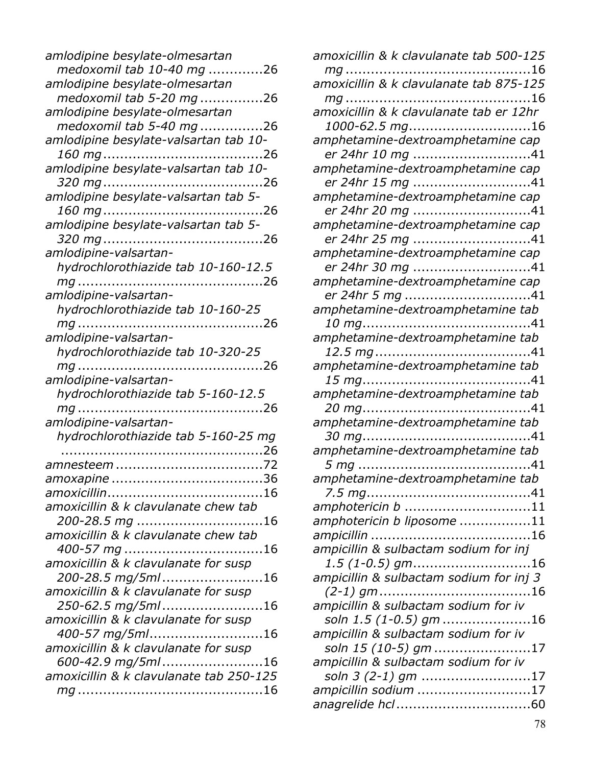| amlodipine besylate-olmesartan          |
|-----------------------------------------|
| medoxomil tab 10-40 mg 26               |
| amlodipine besylate-olmesartan          |
| medoxomil tab 5-20 mg 26                |
| amlodipine besylate-olmesartan          |
| medoxomil tab 5-40 mg 26                |
| amlodipine besylate-valsartan tab 10-   |
|                                         |
| amlodipine besylate-valsartan tab 10-   |
|                                         |
| amlodipine besylate-valsartan tab 5-    |
|                                         |
| amlodipine besylate-valsartan tab 5-    |
|                                         |
| amlodipine-valsartan-                   |
| hydrochlorothiazide tab 10-160-12.5     |
|                                         |
| amlodipine-valsartan-                   |
| hydrochlorothiazide tab 10-160-25       |
|                                         |
| amlodipine-valsartan-                   |
| hydrochlorothiazide tab 10-320-25       |
|                                         |
|                                         |
|                                         |
| amlodipine-valsartan-                   |
| hydrochlorothiazide tab 5-160-12.5      |
|                                         |
| amlodipine-valsartan-                   |
| hydrochlorothiazide tab 5-160-25 mg     |
|                                         |
|                                         |
|                                         |
|                                         |
| amoxicillin & k clavulanate chew tab    |
| 200-28.5 mg 16                          |
| amoxicillin & k clavulanate chew tab    |
|                                         |
| amoxicillin & k clavulanate for susp    |
| 200-28.5 mg/5ml16                       |
| amoxicillin & k clavulanate for susp    |
| 250-62.5 mg/5ml16                       |
| amoxicillin & k clavulanate for susp    |
| 400-57 mg/5ml16                         |
| amoxicillin & k clavulanate for susp    |
| 600-42.9 mg/5ml16                       |
| amoxicillin & k clavulanate tab 250-125 |

| amoxicillin & k clavulanate tab 500-125              |
|------------------------------------------------------|
|                                                      |
| amoxicillin & k clavulanate tab 875-125              |
|                                                      |
| amoxicillin & k clavulanate tab er 12hr              |
| 1000-62.5 mg16<br>amphetamine-dextroamphetamine cap  |
| er 24hr 10 mg 41                                     |
| amphetamine-dextroamphetamine cap                    |
| er 24hr 15 mg 41                                     |
| amphetamine-dextroamphetamine cap                    |
| er 24hr 20 mg 41                                     |
| amphetamine-dextroamphetamine cap                    |
| er 24hr 25 mg 41                                     |
| amphetamine-dextroamphetamine cap                    |
| er 24hr 30 mg 41                                     |
| amphetamine-dextroamphetamine cap<br>er 24hr 5 mg 41 |
| amphetamine-dextroamphetamine tab                    |
|                                                      |
| amphetamine-dextroamphetamine tab                    |
|                                                      |
| amphetamine-dextroamphetamine tab                    |
|                                                      |
| amphetamine-dextroamphetamine tab                    |
|                                                      |
| amphetamine-dextroamphetamine tab                    |
| amphetamine-dextroamphetamine tab                    |
|                                                      |
| amphetamine-dextroamphetamine tab                    |
|                                                      |
| amphotericin b 11                                    |
| amphotericin b liposome 11                           |
|                                                      |
| ampicillin & sulbactam sodium for inj                |
| $1.5$ (1-0.5) gm16                                   |
| ampicillin & sulbactam sodium for inj 3              |
| ampicillin & sulbactam sodium for iv                 |
| soln 1.5 (1-0.5) gm 16                               |
| ampicillin & sulbactam sodium for iv                 |
| soln 15 (10-5) gm 17                                 |
| ampicillin & sulbactam sodium for iv                 |
| soln 3 (2-1) gm 17                                   |
| ampicillin sodium 17                                 |
|                                                      |
|                                                      |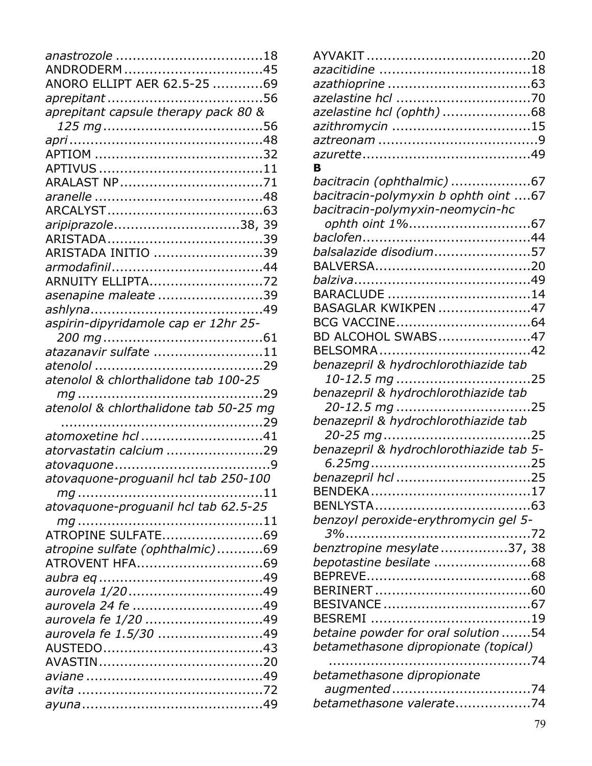| ANDRODERM45                            |  |
|----------------------------------------|--|
| ANORO ELLIPT AER 62.5-25 69            |  |
|                                        |  |
| aprepitant capsule therapy pack 80 &   |  |
|                                        |  |
|                                        |  |
|                                        |  |
|                                        |  |
|                                        |  |
|                                        |  |
|                                        |  |
| aripiprazole38, 39                     |  |
|                                        |  |
| ARISTADA INITIO 39                     |  |
|                                        |  |
| ARNUITY ELLIPTA72                      |  |
| asenapine maleate 39                   |  |
|                                        |  |
| aspirin-dipyridamole cap er 12hr 25-   |  |
|                                        |  |
| atazanavir sulfate 11                  |  |
|                                        |  |
| atenolol & chlorthalidone tab 100-25   |  |
|                                        |  |
| atenolol & chlorthalidone tab 50-25 mg |  |
|                                        |  |
| atomoxetine hcl 41                     |  |
| atorvastatin calcium 29                |  |
|                                        |  |
| atovaquone-proguanil hcl tab 250-100   |  |
|                                        |  |
| atovaquone-proguanil hcl tab 62.5-25   |  |
|                                        |  |
| ATROPINE SULFATE69                     |  |
| atropine sulfate (ophthalmic)69        |  |
| ATROVENT HFA69                         |  |
|                                        |  |
|                                        |  |
|                                        |  |
| aurovela fe 1/20 49                    |  |
| aurovela fe 1.5/30 49                  |  |
|                                        |  |
|                                        |  |
|                                        |  |
|                                        |  |
|                                        |  |
|                                        |  |

| azelastine hcl (ophth) 68<br>azithromycin 15<br>в                                              |  |
|------------------------------------------------------------------------------------------------|--|
| bacitracin (ophthalmic) 67<br>bacitracin-polymyxin b ophth oint 67                             |  |
| bacitracin-polymyxin-neomycin-hc<br>ophth oint 1%67<br>balsalazide disodium57                  |  |
| BARACLUDE 14<br>BASAGLAR KWIKPEN 47                                                            |  |
| BD ALCOHOL SWABS47                                                                             |  |
| benazepril & hydrochlorothiazide tab<br>benazepril & hydrochlorothiazide tab                   |  |
| benazepril & hydrochlorothiazide tab                                                           |  |
| benazepril & hydrochlorothiazide tab 5-                                                        |  |
|                                                                                                |  |
| benzoyl peroxide-erythromycin gel 5-<br>benztropine mesylate 37, 38<br>bepotastine besilate 68 |  |
| betaine powder for oral solution 54<br>betamethasone dipropionate (topical)                    |  |
| betamethasone dipropionate<br>betamethasone valerate74                                         |  |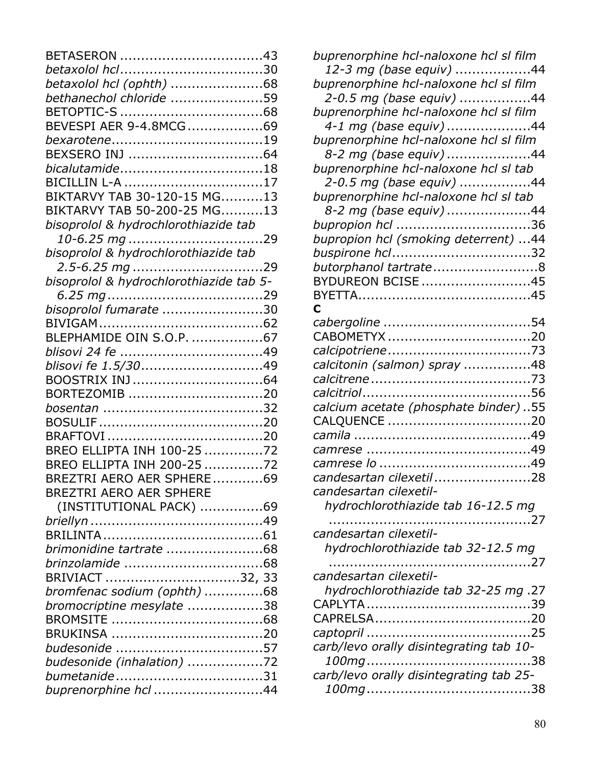| BETASERON 43                            |  |
|-----------------------------------------|--|
|                                         |  |
|                                         |  |
| bethanechol chloride 59                 |  |
|                                         |  |
| BEVESPI AER 9-4.8MCG69                  |  |
|                                         |  |
|                                         |  |
| bicalutamide18                          |  |
| BICILLIN L-A 17                         |  |
| BIKTARVY TAB 30-120-15 MG13             |  |
| BIKTARVY TAB 50-200-25 MG13             |  |
| bisoprolol & hydrochlorothiazide tab    |  |
|                                         |  |
| bisoprolol & hydrochlorothiazide tab    |  |
|                                         |  |
| bisoprolol & hydrochlorothiazide tab 5- |  |
|                                         |  |
| bisoprolol fumarate 30                  |  |
|                                         |  |
| BLEPHAMIDE OIN S.O.P. 67                |  |
|                                         |  |
| blisovi fe 1.5/3049                     |  |
| BOOSTRIX INJ64                          |  |
| BORTEZOMIB 20                           |  |
|                                         |  |
|                                         |  |
|                                         |  |
| BREO ELLIPTA INH 100-25 72              |  |
| BREO ELLIPTA INH 200-25 72              |  |
| BREZTRI AERO AER SPHERE69               |  |
| <b>BREZTRI AERO AER SPHERE</b>          |  |
| (INSTITUTIONAL PACK) 69                 |  |
|                                         |  |
|                                         |  |
|                                         |  |
|                                         |  |
| BRIVIACT 32, 33                         |  |
| bromfenac sodium (ophth) 68             |  |
| bromocriptine mesylate 38               |  |
|                                         |  |
|                                         |  |
|                                         |  |
| budesonide (inhalation) 72              |  |
|                                         |  |
| buprenorphine hcl 44                    |  |
|                                         |  |

| buprenorphine hcl-naloxone hcl sl film  |
|-----------------------------------------|
| 12-3 mg (base equiv) 44                 |
| buprenorphine hcl-naloxone hcl sl film  |
| 2-0.5 mg (base equiv) 44                |
| buprenorphine hcl-naloxone hcl sl film  |
| 4-1 mg (base equiv) 44                  |
| buprenorphine hcl-naloxone hcl sl film  |
| 8-2 mg (base equiv) 44                  |
| buprenorphine hcl-naloxone hcl sl tab   |
| 2-0.5 mg (base equiv) 44                |
| buprenorphine hcl-naloxone hcl sl tab   |
| 8-2 mg (base equiv) 44                  |
| bupropion hcl 36                        |
| bupropion hcl (smoking deterrent) 44    |
| buspirone hcl32                         |
| butorphanol tartrate8                   |
| BYDUREON BCISE 45                       |
|                                         |
| C                                       |
|                                         |
| CABOMETYX 20                            |
|                                         |
| calcitonin (salmon) spray 48            |
|                                         |
|                                         |
| calcium acetate (phosphate binder)55    |
|                                         |
|                                         |
|                                         |
|                                         |
| candesartan cilexetil 28                |
| candesartan cilexetil-                  |
| hydrochlorothiazide tab 16-12.5 mg      |
| . 27                                    |
| candesartan cilexetil-                  |
| hydrochlorothiazide tab 32-12.5 mg      |
|                                         |
| candesartan cilexetil-                  |
| hydrochlorothiazide tab 32-25 mg.27     |
|                                         |
|                                         |
|                                         |
| carb/levo orally disintegrating tab 10- |
|                                         |
| carb/levo orally disintegrating tab 25- |
|                                         |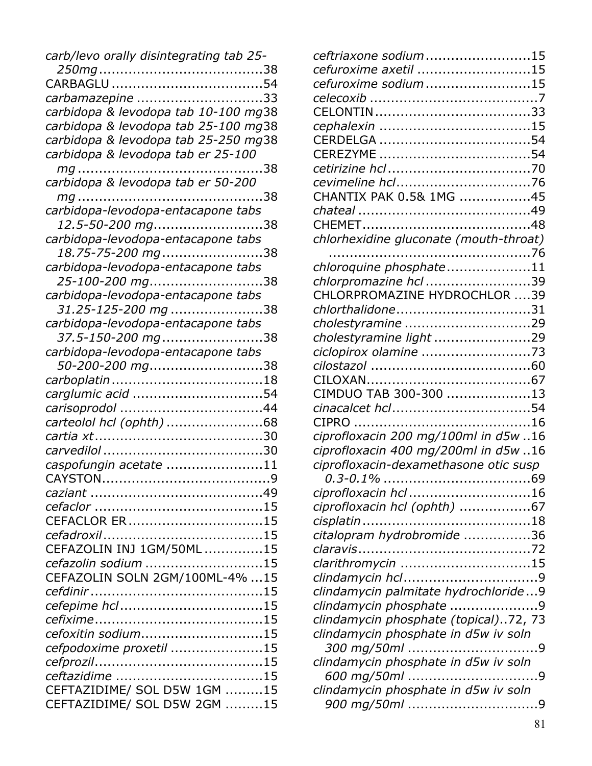| carb/levo orally disintegrating tab 25- |
|-----------------------------------------|
|                                         |
|                                         |
| carbamazepine 33                        |
| carbidopa & levodopa tab 10-100 mg38    |
| carbidopa & levodopa tab 25-100 mg38    |
| carbidopa & levodopa tab 25-250 mg38    |
| carbidopa & levodopa tab er 25-100      |
|                                         |
| carbidopa & levodopa tab er 50-200      |
|                                         |
| carbidopa-levodopa-entacapone tabs      |
| <i>12.5-50-200 mg</i> ……………………38        |
| carbidopa-levodopa-entacapone tabs      |
| 18.75-75-200 mg38                       |
| carbidopa-levodopa-entacapone tabs      |
| 25-100-200 mg38                         |
| carbidopa-levodopa-entacapone tabs      |
| 31.25-125-200 mg 38                     |
| carbidopa-levodopa-entacapone tabs      |
| 37.5-150-200 mg38                       |
| carbidopa-levodopa-entacapone tabs      |
| <i>50-200-200 mg</i> 38                 |
|                                         |
| carglumic acid 54                       |
|                                         |
| carteolol hcl (ophth) 68                |
|                                         |
|                                         |
| caspofungin acetate 11                  |
| <b>CAYSTON</b><br>9                     |
|                                         |
|                                         |
| CEFACLOR ER15                           |
|                                         |
| CEFAZOLIN INJ 1GM/50ML 15               |
| cefazolin sodium 15                     |
| CEFAZOLIN SOLN 2GM/100ML-4% 15          |
|                                         |
|                                         |
|                                         |
| cefoxitin sodium15                      |
| cefpodoxime proxetil 15                 |
|                                         |
|                                         |
| CEFTAZIDIME/ SOL D5W 1GM 15             |
| CEFTAZIDIME/ SOL D5W 2GM 15             |

| ceftriaxone sodium15<br>cefuroxime axetil 15<br>cefuroxime sodium 15<br>CHANTIX PAK 0.5& 1MG 45<br>chlorhexidine gluconate (mouth-throat)<br>chloroquine phosphate11<br>chlorpromazine hcl 39<br>CHLORPROMAZINE HYDROCHLOR 39<br>chlorthalidone31<br>cholestyramine 29<br>cholestyramine light 29<br>ciclopirox olamine 73<br>CIMDUO TAB 300-300 13<br>ciprofloxacin 200 mg/100ml in d5w 16<br>ciprofloxacin 400 mg/200ml in d5w 16<br>ciprofloxacin-dexamethasone otic susp<br>ciprofloxacin hcl 16<br>ciprofloxacin hcl (ophth) 67<br>citalopram hydrobromide 36<br>clarithromycin 15<br>clindamycin palmitate hydrochloride9<br>clindamycin phosphate 9<br>clindamycin phosphate (topical)72, 73<br>clindamycin phosphate in d5w iv soln<br>clindamycin phosphate in d5w iv soln<br>clindamycin phosphate in d5w iv soln |  |
|-----------------------------------------------------------------------------------------------------------------------------------------------------------------------------------------------------------------------------------------------------------------------------------------------------------------------------------------------------------------------------------------------------------------------------------------------------------------------------------------------------------------------------------------------------------------------------------------------------------------------------------------------------------------------------------------------------------------------------------------------------------------------------------------------------------------------------|--|
|                                                                                                                                                                                                                                                                                                                                                                                                                                                                                                                                                                                                                                                                                                                                                                                                                             |  |
|                                                                                                                                                                                                                                                                                                                                                                                                                                                                                                                                                                                                                                                                                                                                                                                                                             |  |
|                                                                                                                                                                                                                                                                                                                                                                                                                                                                                                                                                                                                                                                                                                                                                                                                                             |  |
|                                                                                                                                                                                                                                                                                                                                                                                                                                                                                                                                                                                                                                                                                                                                                                                                                             |  |
|                                                                                                                                                                                                                                                                                                                                                                                                                                                                                                                                                                                                                                                                                                                                                                                                                             |  |
|                                                                                                                                                                                                                                                                                                                                                                                                                                                                                                                                                                                                                                                                                                                                                                                                                             |  |
|                                                                                                                                                                                                                                                                                                                                                                                                                                                                                                                                                                                                                                                                                                                                                                                                                             |  |
|                                                                                                                                                                                                                                                                                                                                                                                                                                                                                                                                                                                                                                                                                                                                                                                                                             |  |
|                                                                                                                                                                                                                                                                                                                                                                                                                                                                                                                                                                                                                                                                                                                                                                                                                             |  |
|                                                                                                                                                                                                                                                                                                                                                                                                                                                                                                                                                                                                                                                                                                                                                                                                                             |  |
|                                                                                                                                                                                                                                                                                                                                                                                                                                                                                                                                                                                                                                                                                                                                                                                                                             |  |
|                                                                                                                                                                                                                                                                                                                                                                                                                                                                                                                                                                                                                                                                                                                                                                                                                             |  |
|                                                                                                                                                                                                                                                                                                                                                                                                                                                                                                                                                                                                                                                                                                                                                                                                                             |  |
|                                                                                                                                                                                                                                                                                                                                                                                                                                                                                                                                                                                                                                                                                                                                                                                                                             |  |
|                                                                                                                                                                                                                                                                                                                                                                                                                                                                                                                                                                                                                                                                                                                                                                                                                             |  |
|                                                                                                                                                                                                                                                                                                                                                                                                                                                                                                                                                                                                                                                                                                                                                                                                                             |  |
|                                                                                                                                                                                                                                                                                                                                                                                                                                                                                                                                                                                                                                                                                                                                                                                                                             |  |
|                                                                                                                                                                                                                                                                                                                                                                                                                                                                                                                                                                                                                                                                                                                                                                                                                             |  |
|                                                                                                                                                                                                                                                                                                                                                                                                                                                                                                                                                                                                                                                                                                                                                                                                                             |  |
|                                                                                                                                                                                                                                                                                                                                                                                                                                                                                                                                                                                                                                                                                                                                                                                                                             |  |
|                                                                                                                                                                                                                                                                                                                                                                                                                                                                                                                                                                                                                                                                                                                                                                                                                             |  |
|                                                                                                                                                                                                                                                                                                                                                                                                                                                                                                                                                                                                                                                                                                                                                                                                                             |  |
|                                                                                                                                                                                                                                                                                                                                                                                                                                                                                                                                                                                                                                                                                                                                                                                                                             |  |
|                                                                                                                                                                                                                                                                                                                                                                                                                                                                                                                                                                                                                                                                                                                                                                                                                             |  |
|                                                                                                                                                                                                                                                                                                                                                                                                                                                                                                                                                                                                                                                                                                                                                                                                                             |  |
|                                                                                                                                                                                                                                                                                                                                                                                                                                                                                                                                                                                                                                                                                                                                                                                                                             |  |
|                                                                                                                                                                                                                                                                                                                                                                                                                                                                                                                                                                                                                                                                                                                                                                                                                             |  |
|                                                                                                                                                                                                                                                                                                                                                                                                                                                                                                                                                                                                                                                                                                                                                                                                                             |  |
|                                                                                                                                                                                                                                                                                                                                                                                                                                                                                                                                                                                                                                                                                                                                                                                                                             |  |
|                                                                                                                                                                                                                                                                                                                                                                                                                                                                                                                                                                                                                                                                                                                                                                                                                             |  |
|                                                                                                                                                                                                                                                                                                                                                                                                                                                                                                                                                                                                                                                                                                                                                                                                                             |  |
|                                                                                                                                                                                                                                                                                                                                                                                                                                                                                                                                                                                                                                                                                                                                                                                                                             |  |
|                                                                                                                                                                                                                                                                                                                                                                                                                                                                                                                                                                                                                                                                                                                                                                                                                             |  |
|                                                                                                                                                                                                                                                                                                                                                                                                                                                                                                                                                                                                                                                                                                                                                                                                                             |  |
|                                                                                                                                                                                                                                                                                                                                                                                                                                                                                                                                                                                                                                                                                                                                                                                                                             |  |
|                                                                                                                                                                                                                                                                                                                                                                                                                                                                                                                                                                                                                                                                                                                                                                                                                             |  |
|                                                                                                                                                                                                                                                                                                                                                                                                                                                                                                                                                                                                                                                                                                                                                                                                                             |  |
|                                                                                                                                                                                                                                                                                                                                                                                                                                                                                                                                                                                                                                                                                                                                                                                                                             |  |
|                                                                                                                                                                                                                                                                                                                                                                                                                                                                                                                                                                                                                                                                                                                                                                                                                             |  |
|                                                                                                                                                                                                                                                                                                                                                                                                                                                                                                                                                                                                                                                                                                                                                                                                                             |  |
|                                                                                                                                                                                                                                                                                                                                                                                                                                                                                                                                                                                                                                                                                                                                                                                                                             |  |
|                                                                                                                                                                                                                                                                                                                                                                                                                                                                                                                                                                                                                                                                                                                                                                                                                             |  |
|                                                                                                                                                                                                                                                                                                                                                                                                                                                                                                                                                                                                                                                                                                                                                                                                                             |  |
|                                                                                                                                                                                                                                                                                                                                                                                                                                                                                                                                                                                                                                                                                                                                                                                                                             |  |
|                                                                                                                                                                                                                                                                                                                                                                                                                                                                                                                                                                                                                                                                                                                                                                                                                             |  |
|                                                                                                                                                                                                                                                                                                                                                                                                                                                                                                                                                                                                                                                                                                                                                                                                                             |  |
|                                                                                                                                                                                                                                                                                                                                                                                                                                                                                                                                                                                                                                                                                                                                                                                                                             |  |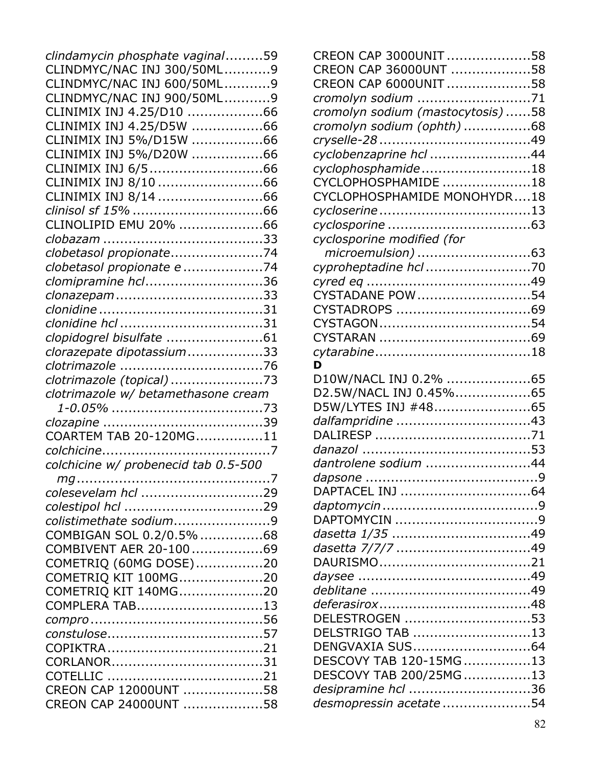| clindamycin phosphate vaginal59      |  |
|--------------------------------------|--|
| CLINDMYC/NAC INJ 300/50ML9           |  |
| CLINDMYC/NAC INJ 600/50ML9           |  |
| CLINDMYC/NAC INJ 900/50ML9           |  |
| CLINIMIX INJ 4.25/D10 66             |  |
| CLINIMIX INJ 4.25/D5W 66             |  |
| CLINIMIX INJ 5%/D15W 66              |  |
| CLINIMIX INJ 5%/D20W 66              |  |
|                                      |  |
| CLINIMIX INJ 8/10 66                 |  |
|                                      |  |
|                                      |  |
| CLINOLIPID EMU 20% 66                |  |
|                                      |  |
|                                      |  |
| clobetasol propionate74              |  |
| clobetasol propionate e 74           |  |
| clomipramine hcl36                   |  |
|                                      |  |
|                                      |  |
|                                      |  |
|                                      |  |
| clorazepate dipotassium33            |  |
|                                      |  |
| clotrimazole (topical) 73            |  |
| clotrimazole w/ betamethasone cream  |  |
|                                      |  |
|                                      |  |
| COARTEM TAB 20-120MG11               |  |
|                                      |  |
| colchicine w/ probenecid tab 0.5-500 |  |
|                                      |  |
| colesevelam hcl 29                   |  |
|                                      |  |
| colistimethate sodium9               |  |
| COMBIGAN SOL 0.2/0.5% 68             |  |
| COMBIVENT AER 20-10069               |  |
| COMETRIQ (60MG DOSE)20               |  |
| COMETRIQ KIT 100MG20                 |  |
| COMETRIQ KIT 140MG20                 |  |
| COMPLERA TAB13                       |  |
|                                      |  |
|                                      |  |
|                                      |  |
|                                      |  |
|                                      |  |
| CREON CAP 12000UNT 58                |  |
|                                      |  |
| CREON CAP 24000UNT 58                |  |

| CREON CAP 3000UNIT58                            |  |
|-------------------------------------------------|--|
| CREON CAP 36000UNT 58                           |  |
| CREON CAP 6000UNIT 58                           |  |
| cromolyn sodium 71                              |  |
| cromolyn sodium (mastocytosis) 58               |  |
| cromolyn sodium (ophth) 68                      |  |
|                                                 |  |
| cyclobenzaprine hcl 44                          |  |
| cyclophosphamide18                              |  |
| CYCLOPHOSPHAMIDE 18                             |  |
| CYCLOPHOSPHAMIDE MONOHYDR18                     |  |
|                                                 |  |
|                                                 |  |
| cyclosporine modified (for                      |  |
| microemulsion) 63                               |  |
|                                                 |  |
|                                                 |  |
| CYSTADANE POW 54                                |  |
|                                                 |  |
|                                                 |  |
|                                                 |  |
|                                                 |  |
| D                                               |  |
| D10W/NACL INJ 0.2% 65<br>D2.5W/NACL INJ 0.45%65 |  |
| D5W/LYTES INJ #4865                             |  |
| dalfampridine 43                                |  |
|                                                 |  |
|                                                 |  |
| dantrolene sodium 44                            |  |
|                                                 |  |
|                                                 |  |
|                                                 |  |
|                                                 |  |
|                                                 |  |
|                                                 |  |
|                                                 |  |
|                                                 |  |
|                                                 |  |
|                                                 |  |
| DELESTROGEN 53                                  |  |
| DELSTRIGO TAB 13                                |  |
| DENGVAXIA SUS64                                 |  |
| DESCOVY TAB 120-15MG13                          |  |
| DESCOVY TAB 200/25MG13                          |  |
| desipramine hcl 36                              |  |
| desmopressin acetate 54                         |  |
|                                                 |  |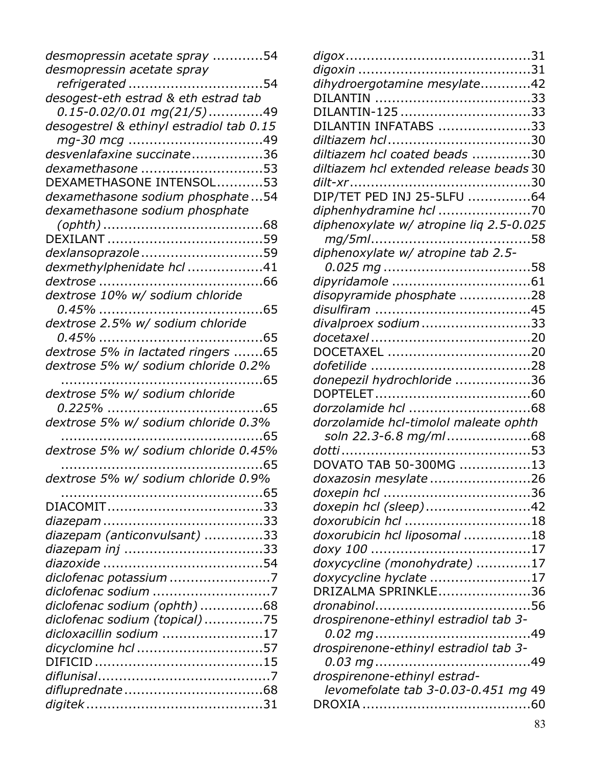| desmopressin acetate spray 54            |  |
|------------------------------------------|--|
| desmopressin acetate spray               |  |
| refrigerated 54                          |  |
| desogest-eth estrad & eth estrad tab     |  |
| <i>0.15-0.02/0.01 mg(21/5)</i> .49       |  |
| desogestrel & ethinyl estradiol tab 0.15 |  |
|                                          |  |
| desvenlafaxine succinate36               |  |
| dexamethasone 53                         |  |
| DEXAMETHASONE INTENSOL53                 |  |
| dexamethasone sodium phosphate54         |  |
| dexamethasone sodium phosphate           |  |
|                                          |  |
|                                          |  |
| dexlansoprazole 59                       |  |
| dexmethylphenidate hcl 41                |  |
|                                          |  |
| dextrose 10% w/ sodium chloride          |  |
|                                          |  |
| dextrose 2.5% w/ sodium chloride         |  |
|                                          |  |
| dextrose 5% in lactated ringers 65       |  |
| dextrose 5% w/ sodium chloride 0.2%      |  |
| . 65                                     |  |
| dextrose 5% w/ sodium chloride           |  |
|                                          |  |
| dextrose 5% w/ sodium chloride 0.3%      |  |
| . 65                                     |  |
| dextrose 5% w/ sodium chloride 0.45%     |  |
| 65                                       |  |
| dextrose 5% w/ sodium chloride 0.9%      |  |
|                                          |  |
|                                          |  |
|                                          |  |
| diazepam (anticonvulsant) 33             |  |
| diazepam inj 33                          |  |
|                                          |  |
| diclofenac potassium 7                   |  |
|                                          |  |
| diclofenac sodium (ophth) 68             |  |
| diclofenac sodium (topical) 75           |  |
| dicloxacillin sodium 17                  |  |
| dicyclomine hcl 57                       |  |
|                                          |  |
|                                          |  |
|                                          |  |
|                                          |  |
|                                          |  |

| dihydroergotamine mesylate42            |  |
|-----------------------------------------|--|
|                                         |  |
| DILANTIN-125 33                         |  |
| DILANTIN INFATABS 33                    |  |
|                                         |  |
| diltiazem hcl coated beads 30           |  |
| diltiazem hcl extended release beads 30 |  |
|                                         |  |
| DIP/TET PED INJ 25-5LFU 64              |  |
| diphenhydramine hcl 70                  |  |
| diphenoxylate w/ atropine liq 2.5-0.025 |  |
|                                         |  |
| diphenoxylate w/ atropine tab 2.5-      |  |
|                                         |  |
|                                         |  |
|                                         |  |
| disopyramide phosphate 28               |  |
| divalproex sodium33                     |  |
|                                         |  |
|                                         |  |
| DOCETAXEL 20                            |  |
|                                         |  |
| donepezil hydrochloride 36              |  |
|                                         |  |
|                                         |  |
| dorzolamide hcl-timolol maleate ophth   |  |
| soln 22.3-6.8 mg/ml68                   |  |
|                                         |  |
| DOVATO TAB 50-300MG 13                  |  |
| doxazosin mesylate 26                   |  |
|                                         |  |
| doxepin hcl (sleep)42                   |  |
| doxorubicin hcl 18                      |  |
| doxorubicin hcl liposomal 18            |  |
|                                         |  |
| doxycycline (monohydrate) 17            |  |
| doxycycline hyclate 17                  |  |
| DRIZALMA SPRINKLE36                     |  |
|                                         |  |
| drospirenone-ethinyl estradiol tab 3-   |  |
|                                         |  |
| drospirenone-ethinyl estradiol tab 3-   |  |
|                                         |  |
| drospirenone-ethinyl estrad-            |  |
| levomefolate tab 3-0.03-0.451 mg 49     |  |
|                                         |  |
|                                         |  |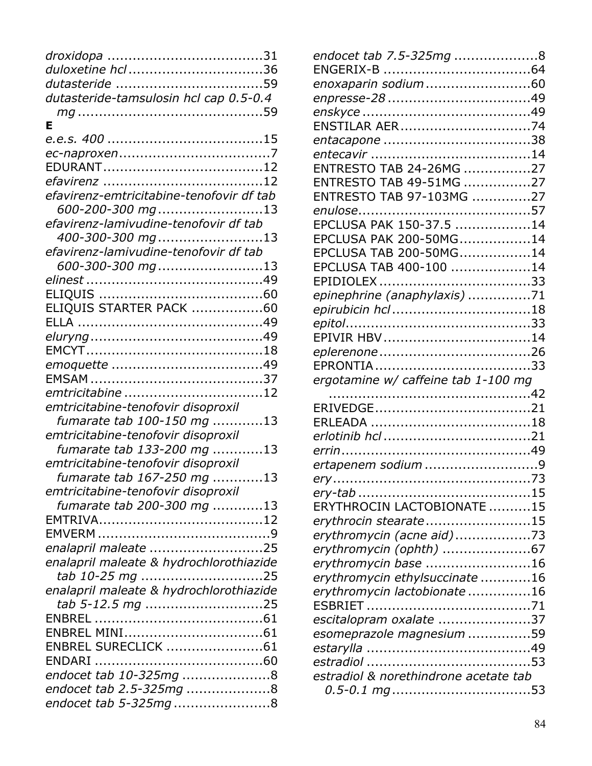| duloxetine hcl 36                        |
|------------------------------------------|
|                                          |
| dutasteride-tamsulosin hcl cap 0.5-0.4   |
|                                          |
| Е                                        |
|                                          |
|                                          |
|                                          |
|                                          |
| efavirenz-emtricitabine-tenofovir df tab |
| 600-200-300 mg13                         |
| efavirenz-lamivudine-tenofovir df tab    |
| 400-300-300 mg13                         |
| efavirenz-lamivudine-tenofovir df tab    |
| 600-300-300 mg13                         |
|                                          |
|                                          |
| ELIQUIS STARTER PACK 60                  |
|                                          |
|                                          |
|                                          |
|                                          |
|                                          |
| emtricitabine 12                         |
| emtricitabine-tenofovir disoproxil       |
| fumarate tab 100-150 mg 13               |
| emtricitabine-tenofovir disoproxil       |
| fumarate tab 133-200 mg 13               |
| emtricitabine-tenofovir disoproxil       |
| fumarate tab 167-250 mg 13               |
| emtricitabine-tenofovir disoproxil       |
| fumarate tab 200-300 mg 13               |
|                                          |
|                                          |
| enalapril maleate 25                     |
| enalapril maleate & hydrochlorothiazide  |
| tab 10-25 mg 25                          |
| enalapril maleate & hydrochlorothiazide  |
| tab 5-12.5 mg 25                         |
|                                          |
|                                          |
| ENBREL SURECLICK 61                      |
|                                          |
|                                          |
| endocet tab 10-325mg 8                   |
| endocet tab 2.5-325mg 8                  |
| endocet tab 5-325mg8                     |

| endocet tab 7.5-325mg 8               |  |
|---------------------------------------|--|
|                                       |  |
| enoxaparin sodium60                   |  |
|                                       |  |
|                                       |  |
|                                       |  |
|                                       |  |
|                                       |  |
| ENTRESTO TAB 24-26MG 27               |  |
| ENTRESTO TAB 49-51MG 27               |  |
| ENTRESTO TAB 97-103MG 27              |  |
|                                       |  |
| EPCLUSA PAK 150-37.5 14               |  |
| EPCLUSA PAK 200-50MG14                |  |
| EPCLUSA TAB 200-50MG14                |  |
| EPCLUSA TAB 400-100 14                |  |
|                                       |  |
| epinephrine (anaphylaxis) 71          |  |
|                                       |  |
|                                       |  |
| EPIVIR HBV14                          |  |
|                                       |  |
|                                       |  |
| ergotamine w/ caffeine tab 1-100 mg   |  |
|                                       |  |
|                                       |  |
|                                       |  |
|                                       |  |
| ertapenem sodium 9                    |  |
|                                       |  |
|                                       |  |
|                                       |  |
|                                       |  |
| ERYTHROCIN LACTOBIONATE 15            |  |
| erythrocin stearate15                 |  |
| erythromycin (acne aid)73             |  |
| erythromycin (ophth) 67               |  |
| erythromycin base 16                  |  |
| erythromycin ethylsuccinate 16        |  |
| erythromycin lactobionate 16          |  |
| escitalopram oxalate 37               |  |
| esomeprazole magnesium 59             |  |
|                                       |  |
|                                       |  |
| estradiol & norethindrone acetate tab |  |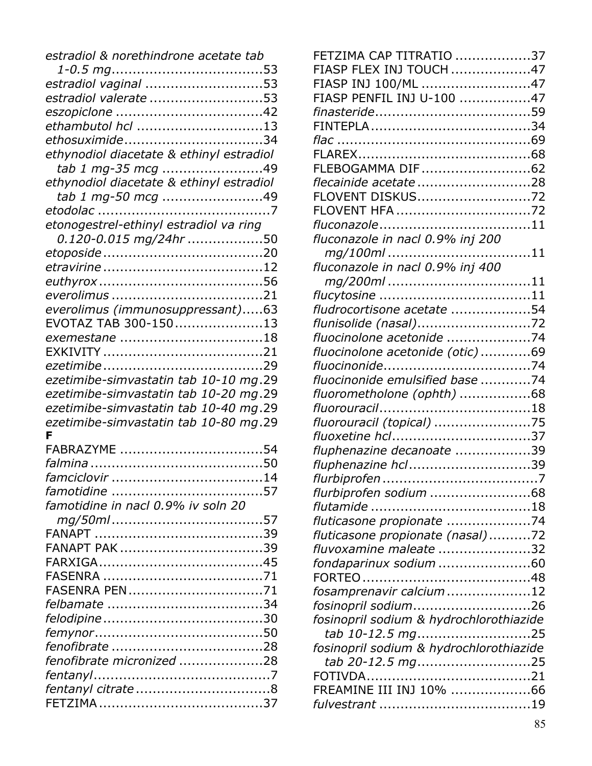| estradiol & norethindrone acetate tab    |  |
|------------------------------------------|--|
|                                          |  |
| estradiol vaginal 53                     |  |
| estradiol valerate 53                    |  |
|                                          |  |
| ethambutol hcl 13                        |  |
| ethosuximide34                           |  |
| ethynodiol diacetate & ethinyl estradiol |  |
| tab 1 mg-35 mcg 49                       |  |
| ethynodiol diacetate & ethinyl estradiol |  |
| tab 1 mg-50 mcg 49                       |  |
|                                          |  |
| etonogestrel-ethinyl estradiol va ring   |  |
| 0.120-0.015 mg/24hr 50                   |  |
|                                          |  |
|                                          |  |
|                                          |  |
|                                          |  |
| everolimus (immunosuppressant)63         |  |
| EVOTAZ TAB 300-15013                     |  |
|                                          |  |
|                                          |  |
|                                          |  |
| ezetimibe-simvastatin tab 10-10 mg.29    |  |
| ezetimibe-simvastatin tab 10-20 mg.29    |  |
| ezetimibe-simvastatin tab 10-40 mg.29    |  |
| ezetimibe-simvastatin tab 10-80 mg.29    |  |
| F                                        |  |
| FABRAZYME 54                             |  |
|                                          |  |
| famciclovir                              |  |
|                                          |  |
| famotidine in nacl 0.9% iv soln 20       |  |
|                                          |  |
|                                          |  |
|                                          |  |
|                                          |  |
|                                          |  |
| FASENRA PEN71                            |  |
|                                          |  |
|                                          |  |
|                                          |  |
|                                          |  |
| fenofibrate micronized 28                |  |
|                                          |  |
|                                          |  |
|                                          |  |

| FETZIMA CAP TITRATIO 37                 |  |
|-----------------------------------------|--|
| FIASP FLEX INJ TOUCH 47                 |  |
| FIASP INJ 100/ML 47                     |  |
| FIASP PENFIL INJ U-100 47               |  |
|                                         |  |
|                                         |  |
|                                         |  |
|                                         |  |
| FLEBOGAMMA DIF62                        |  |
| flecainide acetate 28                   |  |
| FLOVENT DISKUS72                        |  |
| FLOVENT HFA 72                          |  |
|                                         |  |
| fluconazole in nacl 0.9% inj 200        |  |
| mg/100ml11                              |  |
| fluconazole in nacl 0.9% inj 400        |  |
| mg/200ml11                              |  |
|                                         |  |
| fludrocortisone acetate 54              |  |
| flunisolide (nasal)72                   |  |
| fluocinolone acetonide 74               |  |
| fluocinolone acetonide (otic)69         |  |
|                                         |  |
| fluocinonide emulsified base 74         |  |
| fluorometholone (ophth) 68              |  |
|                                         |  |
| fluorouracil (topical) 75               |  |
| fluoxetine hcl37                        |  |
| fluphenazine decanoate 39               |  |
| fluphenazine hcl39                      |  |
|                                         |  |
| flurbiprofen sodium 68                  |  |
|                                         |  |
| fluticasone propionate 74               |  |
| fluticasone propionate (nasal)72        |  |
| fluvoxamine maleate 32                  |  |
| fondaparinux sodium 60                  |  |
|                                         |  |
| fosamprenavir calcium12                 |  |
| fosinopril sodium26                     |  |
| fosinopril sodium & hydrochlorothiazide |  |
| tab 10-12.5 mg25                        |  |
| fosinopril sodium & hydrochlorothiazide |  |
| tab 20-12.5 mg25                        |  |
|                                         |  |
| FREAMINE III INJ 10% 66                 |  |
|                                         |  |
|                                         |  |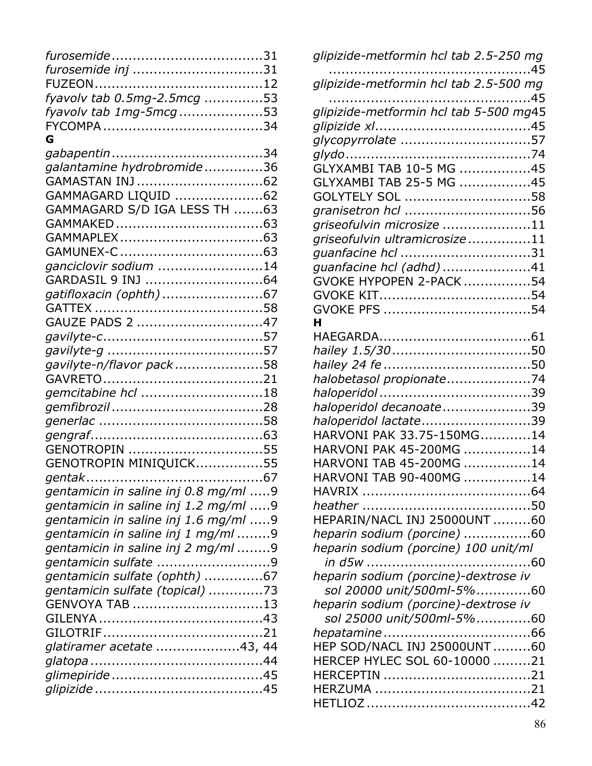| furosemide inj 31                    |  |
|--------------------------------------|--|
|                                      |  |
| fyavolv tab 0.5mg-2.5mcg 53          |  |
| fyavolv tab 1mg-5mcg53               |  |
|                                      |  |
| G                                    |  |
|                                      |  |
| galantamine hydrobromide36           |  |
|                                      |  |
| GAMMAGARD LIQUID 62                  |  |
| GAMMAGARD S/D IGA LESS TH 63         |  |
|                                      |  |
|                                      |  |
|                                      |  |
| ganciclovir sodium 14                |  |
| GARDASIL 9 INJ 64                    |  |
| gatifloxacin (ophth) 67              |  |
|                                      |  |
| GAUZE PADS 2 47                      |  |
|                                      |  |
|                                      |  |
| gavilyte-n/flavor pack58             |  |
|                                      |  |
| gemcitabine hcl 18                   |  |
|                                      |  |
|                                      |  |
|                                      |  |
| GENOTROPIN 55                        |  |
| GENOTROPIN MINIQUICK55               |  |
|                                      |  |
| gentamicin in saline inj 0.8 mg/ml 9 |  |
| gentamicin in saline inj 1.2 mg/ml 9 |  |
| gentamicin in saline inj 1.6 mg/ml 9 |  |
| gentamicin in saline inj 1 mg/ml 9   |  |
| gentamicin in saline inj 2 mg/ml 9   |  |
|                                      |  |
| gentamicin sulfate (ophth) 67        |  |
| gentamicin sulfate (topical) 73      |  |
| GENVOYA TAB 13                       |  |
|                                      |  |
|                                      |  |
| glatiramer acetate 43, 44            |  |
|                                      |  |
|                                      |  |
|                                      |  |
|                                      |  |

| glipizide-metformin hcl tab 2.5-250 mg                              |
|---------------------------------------------------------------------|
| glipizide-metformin hcl tab 2.5-500 mg                              |
| glipizide-metformin hcl tab 5-500 mg45                              |
| glycopyrrolate 57                                                   |
| GLYXAMBI TAB 10-5 MG 45<br>GLYXAMBI TAB 25-5 MG 45                  |
| GOLYTELY SOL 58                                                     |
| granisetron hcl 56<br>griseofulvin microsize 11                     |
| griseofulvin ultramicrosize11<br>guanfacine hcl 31                  |
| quanfacine hcl (adhd)41                                             |
| GVOKE HYPOPEN 2-PACK 54                                             |
|                                                                     |
| н                                                                   |
|                                                                     |
| halobetasol propionate74                                            |
| haloperidol decanoate39                                             |
| haloperidol lactate39<br>HARVONI PAK 33.75-150MG14                  |
| HARVONI PAK 45-200MG 14                                             |
| HARVONI TAB 45-200MG 14<br>HARVONI TAB 90-400MG 14                  |
|                                                                     |
| HEPARIN/NACL INJ 25000UNT 60                                        |
| heparin sodium (porcine) 60<br>heparin sodium (porcine) 100 unit/ml |
|                                                                     |
| heparin sodium (porcine)-dextrose iv<br>sol 20000 unit/500ml-5%60   |
| heparin sodium (porcine)-dextrose iv                                |
|                                                                     |
| HEP SOD/NACL INJ 25000UNT60<br>HERCEP HYLEC SOL 60-10000 21         |
|                                                                     |
|                                                                     |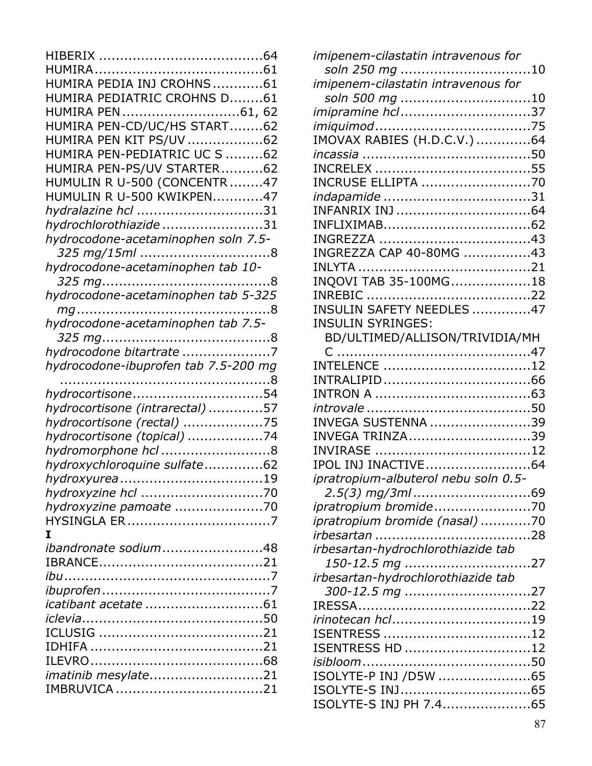| HUMIRA PEDIA INJ CROHNS 61           |
|--------------------------------------|
| HUMIRA PEDIATRIC CROHNS D61          |
| HUMIRA PEN 61, 62                    |
| HUMIRA PEN-CD/UC/HS START62          |
| HUMIRA PEN KIT PS/UV 62              |
| HUMIRA PEN-PEDIATRIC UC S 62         |
| HUMIRA PEN-PS/UV STARTER62           |
| HUMULIN R U-500 (CONCENTR47          |
| HUMULIN R U-500 KWIKPEN47            |
| hydralazine hcl 31                   |
| hydrochlorothiazide31                |
| hydrocodone-acetaminophen soln 7.5-  |
| 325 mg/15ml 8                        |
| hydrocodone-acetaminophen tab 10-    |
|                                      |
| hydrocodone-acetaminophen tab 5-325  |
|                                      |
| hydrocodone-acetaminophen tab 7.5-   |
|                                      |
| hydrocodone bitartrate 7             |
| hydrocodone-ibuprofen tab 7.5-200 mg |
|                                      |
| hydrocortisone54                     |
| hydrocortisone (intrarectal) 57      |
| hydrocortisone (rectal) 75           |
| hydrocortisone (topical) 74          |
| hydromorphone hcl 8                  |
| hydroxychloroquine sulfate62         |
| hydroxyurea19                        |
|                                      |
| hydroxyzine pamoate 70               |
|                                      |
| I                                    |
| ibandronate sodium48                 |
|                                      |
|                                      |
|                                      |
|                                      |
|                                      |
|                                      |
|                                      |
|                                      |
| imatinib mesylate21                  |
|                                      |
|                                      |

| imipenem-cilastatin intravenous for  |
|--------------------------------------|
| soln 250 mg 10                       |
| imipenem-cilastatin intravenous for  |
| soln 500 mg 10                       |
| imipramine hcl37                     |
|                                      |
| IMOVAX RABIES (H.D.C.V.) 64          |
|                                      |
|                                      |
| <b>INCRUSE ELLIPTA 70</b>            |
|                                      |
|                                      |
|                                      |
|                                      |
| INGREZZA CAP 40-80MG 43              |
|                                      |
| INQOVI TAB 35-100MG18                |
|                                      |
| INSULIN SAFETY NEEDLES 47            |
| <b>INSULIN SYRINGES:</b>             |
| BD/ULTIMED/ALLISON/TRIVIDIA/MH       |
|                                      |
|                                      |
|                                      |
|                                      |
|                                      |
| INVEGA SUSTENNA 39                   |
| INVEGA TRINZA39                      |
| IPOL INJ INACTIVE64                  |
|                                      |
| ipratropium-albuterol nebu soln 0.5- |
| ipratropium bromide70                |
|                                      |
| ipratropium bromide (nasal) 70       |
| irbesartan-hydrochlorothiazide tab   |
| 150-12.5 mg 27                       |
| irbesartan-hydrochlorothiazide tab   |
| 300-12.5 mg 27                       |
|                                      |
| irinotecan hcl19                     |
|                                      |
| ISENTRESS HD 12                      |
|                                      |
| ISOLYTE-P INJ /D5W 65                |
| ISOLYTE-S INJ65                      |
| ISOLYTE-S INJ PH 7.465               |
|                                      |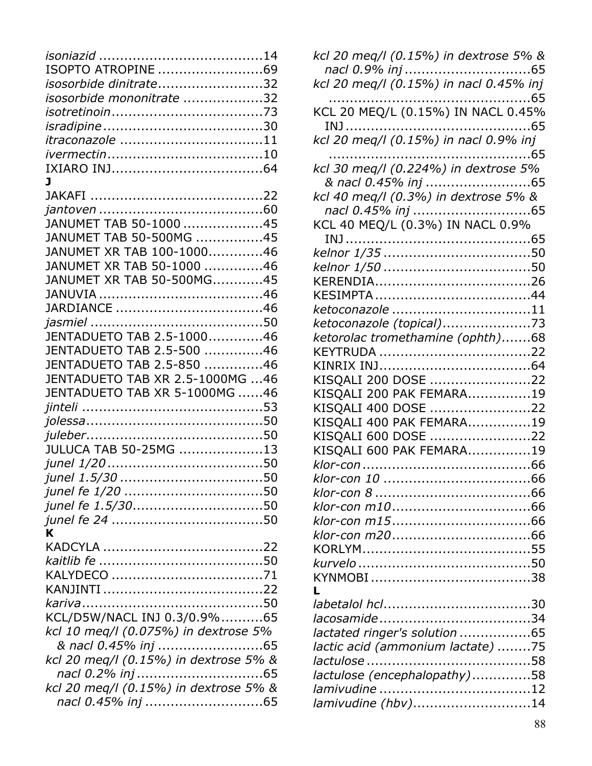| ISOPTO ATROPINE 69                    |  |
|---------------------------------------|--|
| isosorbide dinitrate32                |  |
| isosorbide mononitrate 32             |  |
|                                       |  |
|                                       |  |
| itraconazole 11                       |  |
|                                       |  |
|                                       |  |
| J                                     |  |
|                                       |  |
| JANUMET TAB 50-1000 45                |  |
| JANUMET TAB 50-500MG 45               |  |
| JANUMET XR TAB 100-100046             |  |
| JANUMET XR TAB 50-1000 46             |  |
| JANUMET XR TAB 50-500MG45             |  |
|                                       |  |
|                                       |  |
|                                       |  |
| JENTADUETO TAB 2.5-100046             |  |
| JENTADUETO TAB 2.5-500 46             |  |
| JENTADUETO TAB 2.5-850 46             |  |
| JENTADUETO TAB XR 2.5-1000MG 46       |  |
| JENTADUETO TAB XR 5-1000MG 46         |  |
|                                       |  |
|                                       |  |
|                                       |  |
| JULUCA TAB 50-25MG 13                 |  |
|                                       |  |
|                                       |  |
|                                       |  |
|                                       |  |
| junel fe 1.5/3050                     |  |
| K                                     |  |
|                                       |  |
|                                       |  |
|                                       |  |
|                                       |  |
|                                       |  |
| KCL/D5W/NACL INJ 0.3/0.9%65           |  |
|                                       |  |
| kcl 10 meg/l (0.075%) in dextrose 5%  |  |
| & nacl 0.45% inj 65                   |  |
| kcl 20 meq/l (0.15%) in dextrose 5% & |  |
|                                       |  |
| kcl 20 meg/l (0.15%) in dextrose 5% & |  |
|                                       |  |

| kcl 20 meq/l (0.15%) in dextrose 5% &                       |
|-------------------------------------------------------------|
| kcl 20 meg/l (0.15%) in nacl 0.45% inj                      |
|                                                             |
| KCL 20 MEQ/L (0.15%) IN NACL 0.45%                          |
|                                                             |
|                                                             |
| kcl 30 meg/l (0.224%) in dextrose 5%                        |
| & nacl 0.45% inj 65<br>kcl 40 meq/l (0.3%) in dextrose 5% & |
| nacl 0.45% inj 65                                           |
| KCL 40 MEQ/L (0.3%) IN NACL 0.9%                            |
|                                                             |
|                                                             |
|                                                             |
| ketoconazole 11                                             |
| ketoconazole (topical)73                                    |
| ketorolac tromethamine (ophth)68                            |
|                                                             |
| KISQALI 200 DOSE 22                                         |
| KISQALI 200 PAK FEMARA19                                    |
| KISQALI 400 DOSE 22                                         |
| KISQALI 400 PAK FEMARA19<br>KISQALI 600 DOSE 22             |
| KISQALI 600 PAK FEMARA19                                    |
|                                                             |
|                                                             |
|                                                             |
|                                                             |
|                                                             |
|                                                             |
|                                                             |
|                                                             |
|                                                             |
| lactated ringer's solution 65                               |
| lactic acid (ammonium lactate) 75                           |
| lactulose (encephalopathy)58                                |
| lamivudine (hbv)14                                          |
|                                                             |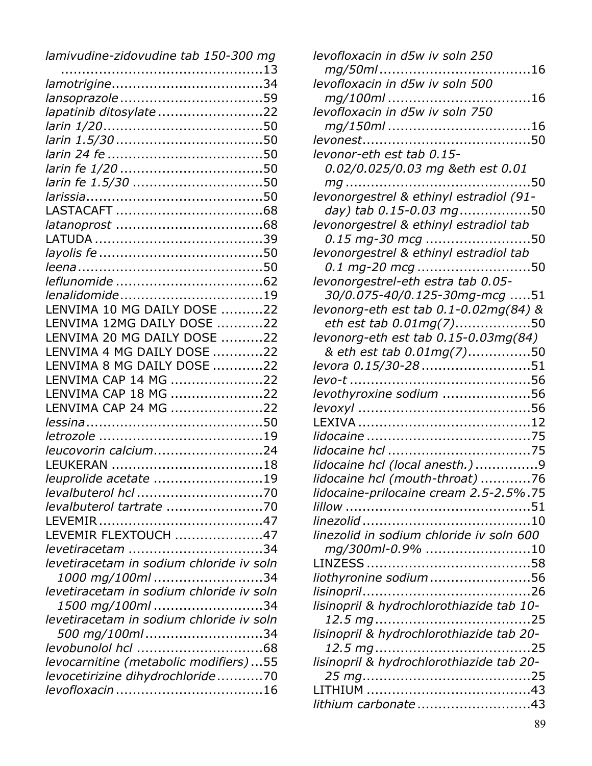| lamivudine-zidovudine tab 150-300 mg     |
|------------------------------------------|
|                                          |
|                                          |
|                                          |
| lapatinib ditosylate 22                  |
|                                          |
|                                          |
|                                          |
|                                          |
| larin fe 1.5/30 50                       |
|                                          |
|                                          |
|                                          |
|                                          |
|                                          |
|                                          |
|                                          |
| lenalidomide19                           |
| LENVIMA 10 MG DAILY DOSE 22              |
| LENVIMA 12MG DAILY DOSE 22               |
| LENVIMA 20 MG DAILY DOSE 22              |
| LENVIMA 4 MG DAILY DOSE 22               |
| LENVIMA 8 MG DAILY DOSE 22               |
| LENVIMA CAP 14 MG 22                     |
| LENVIMA CAP 18 MG 22                     |
| LENVIMA CAP 24 MG 22                     |
|                                          |
|                                          |
| leucovorin calcium24                     |
|                                          |
| leuprolide acetate 19                    |
|                                          |
| levalbuterol tartrate 70                 |
|                                          |
| LEVEMIR FLEXTOUCH 47                     |
| levetiracetam 34                         |
| levetiracetam in sodium chloride iv soln |
| 1000 mg/100ml 34                         |
| levetiracetam in sodium chloride iv soln |
| 1500 mg/100ml34                          |
| levetiracetam in sodium chloride iv soln |
| 500 mg/100ml34                           |
|                                          |
| levocarnitine (metabolic modifiers)55    |
| levocetirizine dihydrochloride70         |
|                                          |
|                                          |

| levofloxacin in d5w iv soln 250          |  |
|------------------------------------------|--|
|                                          |  |
| levofloxacin in d5w iv soln 500          |  |
|                                          |  |
| levofloxacin in d5w iv soln 750          |  |
| <i>mg/150ml</i> 16                       |  |
|                                          |  |
| levonor-eth est tab 0.15-                |  |
| 0.02/0.025/0.03 mg ð est 0.01            |  |
|                                          |  |
| levonorgestrel & ethinyl estradiol (91-  |  |
| day) tab 0.15-0.03 mg50                  |  |
| levonorgestrel & ethinyl estradiol tab   |  |
| 0.15 mg-30 mcg 50                        |  |
| levonorgestrel & ethinyl estradiol tab   |  |
| 0.1 mg-20 mcg 50                         |  |
| levonorgestrel-eth estra tab 0.05-       |  |
| 30/0.075-40/0.125-30mg-mcg 51            |  |
| levonorg-eth est tab 0.1-0.02mg(84) &    |  |
| eth est tab 0.01mg(7)50                  |  |
| levonorg-eth est tab 0.15-0.03mg(84)     |  |
| & eth est tab 0.01mg(7)50                |  |
| levora 0.15/30-28 51                     |  |
|                                          |  |
| levothyroxine sodium 56                  |  |
|                                          |  |
|                                          |  |
|                                          |  |
|                                          |  |
| lidocaine hcl (local anesth.) 9          |  |
| lidocaine hcl (mouth-throat) 76          |  |
| lidocaine-prilocaine cream 2.5-2.5%.75   |  |
|                                          |  |
|                                          |  |
| linezolid in sodium chloride iv soln 600 |  |
| mg/300ml-0.9% 10                         |  |
|                                          |  |
| liothyronine sodium 56                   |  |
|                                          |  |
| lisinopril & hydrochlorothiazide tab 10- |  |
|                                          |  |
| lisinopril & hydrochlorothiazide tab 20- |  |
|                                          |  |
| lisinopril & hydrochlorothiazide tab 20- |  |
|                                          |  |
|                                          |  |
| lithium carbonate 43                     |  |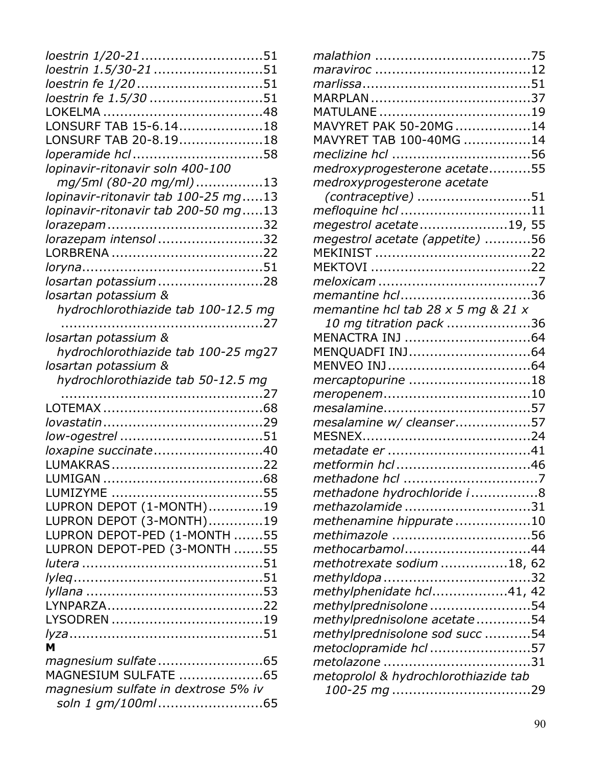| loestrin 1/20-2151                  |  |
|-------------------------------------|--|
| loestrin 1.5/30-21 51               |  |
| loestrin fe 1/20 51                 |  |
| loestrin fe 1.5/30 51               |  |
|                                     |  |
| LONSURF TAB 15-6.1418               |  |
| LONSURF TAB 20-8.1918               |  |
| loperamide hcl58                    |  |
| lopinavir-ritonavir soln 400-100    |  |
| mg/5ml (80-20 mg/ml)13              |  |
| lopinavir-ritonavir tab 100-25 mg13 |  |
| lopinavir-ritonavir tab 200-50 mg13 |  |
|                                     |  |
| lorazepam intensol 32               |  |
|                                     |  |
|                                     |  |
| losartan potassium28                |  |
| losartan potassium &                |  |
| hydrochlorothiazide tab 100-12.5 mg |  |
|                                     |  |
| losartan potassium &                |  |
| hydrochlorothiazide tab 100-25 mg27 |  |
| losartan potassium &                |  |
| hydrochlorothiazide tab 50-12.5 mg  |  |
|                                     |  |
|                                     |  |
|                                     |  |
|                                     |  |
| loxapine succinate40                |  |
|                                     |  |
|                                     |  |
|                                     |  |
| LUPRON DEPOT (1-MONTH)19            |  |
| LUPRON DEPOT (3-MONTH)19            |  |
| LUPRON DEPOT-PED (1-MONTH 55        |  |
| LUPRON DEPOT-PED (3-MONTH 55        |  |
|                                     |  |
|                                     |  |
|                                     |  |
|                                     |  |
|                                     |  |
| M                                   |  |
| magnesium sulfate65                 |  |
| MAGNESIUM SULFATE 65                |  |
| magnesium sulfate in dextrose 5% iv |  |
| soln 1 gm/100ml65                   |  |
|                                     |  |

| MATULANE 19                          |  |
|--------------------------------------|--|
| MAVYRET PAK 50-20MG 14               |  |
| MAVYRET TAB 100-40MG 14              |  |
|                                      |  |
| medroxyprogesterone acetate55        |  |
| medroxyprogesterone acetate          |  |
|                                      |  |
| mefloquine hcl 11                    |  |
| megestrol acetate19, 55              |  |
| megestrol acetate (appetite) 56      |  |
|                                      |  |
|                                      |  |
|                                      |  |
| memantine hcl36                      |  |
| memantine hcl tab 28 x 5 mg & 21 x   |  |
| 10 mg titration pack 36              |  |
|                                      |  |
|                                      |  |
|                                      |  |
| mercaptopurine 18                    |  |
|                                      |  |
|                                      |  |
| mesalamine w/ cleanser57             |  |
|                                      |  |
|                                      |  |
|                                      |  |
|                                      |  |
| methadone hydrochloride i8           |  |
| methazolamide31                      |  |
| methenamine hippurate 10             |  |
| methimazole 56                       |  |
| methocarbamol44                      |  |
| methotrexate sodium 18, 62           |  |
|                                      |  |
| methylphenidate hcl41, 42            |  |
| methylprednisolone 54                |  |
| methylprednisolone acetate54         |  |
| methylprednisolone sod succ 54       |  |
| metoclopramide hcl 57                |  |
| metolazone 31                        |  |
| metoprolol & hydrochlorothiazide tab |  |
|                                      |  |
|                                      |  |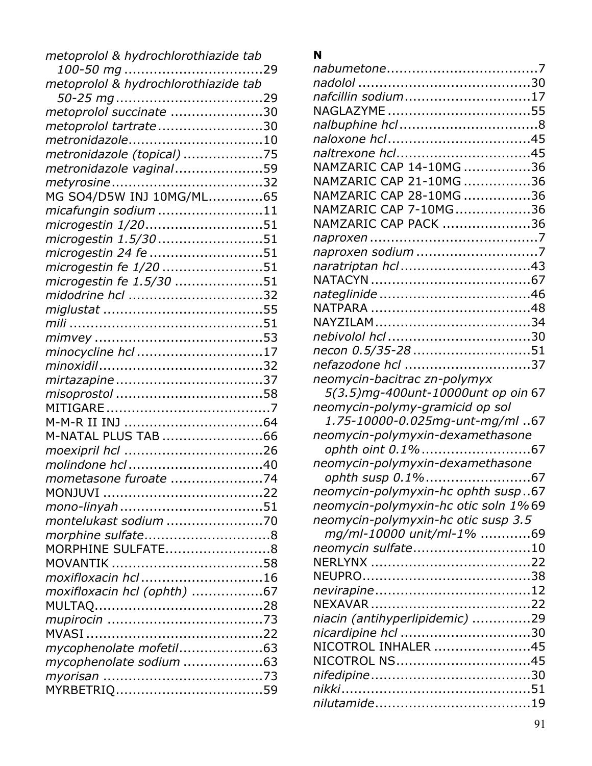| metoprolol & hydrochlorothiazide tab |  |
|--------------------------------------|--|
|                                      |  |
| metoprolol & hydrochlorothiazide tab |  |
|                                      |  |
| metoprolol succinate 30              |  |
| metoprolol tartrate30                |  |
| metronidazole10                      |  |
| metronidazole (topical) 75           |  |
| metronidazole vaginal59              |  |
|                                      |  |
| MG SO4/D5W INJ 10MG/ML65             |  |
| micafungin sodium 11                 |  |
| microgestin 1/2051                   |  |
| microgestin 1.5/30 51                |  |
| microgestin 24 fe 51                 |  |
| microgestin fe 1/20 51               |  |
| microgestin fe 1.5/30 51             |  |
| midodrine hcl 32                     |  |
|                                      |  |
|                                      |  |
|                                      |  |
| minocycline hcl 17                   |  |
|                                      |  |
|                                      |  |
|                                      |  |
|                                      |  |
|                                      |  |
| M-NATAL PLUS TAB 66                  |  |
|                                      |  |
|                                      |  |
| mometasone furoate 74                |  |
|                                      |  |
|                                      |  |
| montelukast sodium 70                |  |
|                                      |  |
| MORPHINE SULFATE8                    |  |
|                                      |  |
| moxifloxacin hcl 16                  |  |
| moxifloxacin hcl (ophth) 67          |  |
|                                      |  |
|                                      |  |
|                                      |  |
| mycophenolate mofetil63              |  |
| mycophenolate sodium 63              |  |
|                                      |  |
|                                      |  |

## **N**

| nafcillin sodium17                   |  |
|--------------------------------------|--|
| NAGLAZYME 55                         |  |
|                                      |  |
|                                      |  |
| naltrexone hcl45                     |  |
| NAMZARIC CAP 14-10MG 36              |  |
| NAMZARIC CAP 21-10MG 36              |  |
| NAMZARIC CAP 28-10MG 36              |  |
| NAMZARIC CAP 7-10MG36                |  |
| NAMZARIC CAP PACK 36                 |  |
|                                      |  |
| naproxen sodium 7                    |  |
| naratriptan hcl43                    |  |
|                                      |  |
|                                      |  |
|                                      |  |
|                                      |  |
|                                      |  |
| necon 0.5/35-28 51                   |  |
| nefazodone hcl 37                    |  |
| neomycin-bacitrac zn-polymyx         |  |
| 5(3.5)mg-400unt-10000unt op oin 67   |  |
| neomycin-polymy-gramicid op sol      |  |
| 1.75-10000-0.025mg-unt-mg/ml 67      |  |
| neomycin-polymyxin-dexamethasone     |  |
| ophth oint 0.1%67                    |  |
| neomycin-polymyxin-dexamethasone     |  |
| ophth susp 0.1%67                    |  |
| neomycin-polymyxin-hc ophth susp67   |  |
| neomycin-polymyxin-hc otic soln 1%69 |  |
| neomycin-polymyxin-hc otic susp 3.5  |  |
| mg/ml-10000 unit/ml-1% 69            |  |
| neomycin sulfate10                   |  |
|                                      |  |
|                                      |  |
|                                      |  |
|                                      |  |
| niacin (antihyperlipidemic) 29       |  |
| nicardipine hcl 30                   |  |
| NICOTROL INHALER 45                  |  |
| NICOTROL NS45                        |  |
|                                      |  |
|                                      |  |
|                                      |  |
|                                      |  |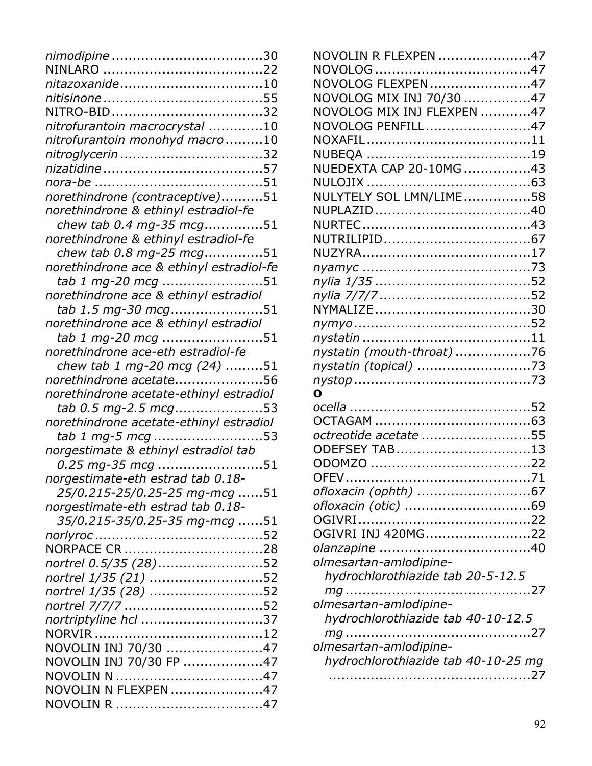| nitazoxanide10                           |
|------------------------------------------|
|                                          |
| NITRO-BID32                              |
| nitrofurantoin macrocrystal 10           |
| nitrofurantoin monohyd macro10           |
|                                          |
|                                          |
|                                          |
| norethindrone (contraceptive)51          |
| norethindrone & ethinyl estradiol-fe     |
| chew tab 0.4 mg-35 mcg51                 |
| norethindrone & ethinyl estradiol-fe     |
| chew tab 0.8 mg-25 mcg51                 |
| norethindrone ace & ethinyl estradiol-fe |
| tab 1 mg-20 mcg 51                       |
| norethindrone ace & ethinyl estradiol    |
| tab 1.5 mg-30 mcg51                      |
| norethindrone ace & ethinyl estradiol    |
| tab 1 mg-20 mcg 51                       |
| norethindrone ace-eth estradiol-fe       |
| chew tab 1 mg-20 mcg (24) 51             |
| norethindrone acetate56                  |
| norethindrone acetate-ethinyl estradiol  |
| tab 0.5 mg-2.5 mcg53                     |
| norethindrone acetate-ethinyl estradiol  |
| tab 1 mg-5 mcg 53                        |
|                                          |
| norgestimate & ethinyl estradiol tab     |
| 0.25 mg-35 mcg 51                        |
| norgestimate-eth estrad tab 0.18-        |
| 25/0.215-25/0.25-25 mg-mcg 51            |
| norgestimate-eth estrad tab 0.18-        |
| 35/0.215-35/0.25-35 mg-mcg 51            |
|                                          |
|                                          |
| nortrel 0.5/35 (28)52                    |
| nortrel 1/35 (21) 52                     |
| nortrel 1/35 (28) 52                     |
|                                          |
| nortriptyline hcl 37                     |
|                                          |
| NOVOLIN INJ 70/30 47                     |
| NOVOLIN INJ 70/30 FP 47                  |
|                                          |
| NOVOLIN N FLEXPEN 47                     |

| NOVOLIN R FLEXPEN 47                |  |
|-------------------------------------|--|
|                                     |  |
| NOVOLOG FLEXPEN 47                  |  |
| NOVOLOG MIX INJ 70/30 47            |  |
| NOVOLOG MIX INJ FLEXPEN 47          |  |
| NOVOLOG PENFILL47                   |  |
|                                     |  |
|                                     |  |
| NUEDEXTA CAP 20-10MG43              |  |
|                                     |  |
| NULYTELY SOL LMN/LIME58             |  |
|                                     |  |
|                                     |  |
|                                     |  |
|                                     |  |
|                                     |  |
|                                     |  |
|                                     |  |
|                                     |  |
|                                     |  |
|                                     |  |
| nystatin (mouth-throat) 76          |  |
| nystatin (topical) 73               |  |
|                                     |  |
| n                                   |  |
|                                     |  |
|                                     |  |
| octreotide acetate 55               |  |
| ODEFSEY TAB13                       |  |
|                                     |  |
|                                     |  |
|                                     |  |
| <i>ofloxacin (otic) </i> .69        |  |
|                                     |  |
| OGIVRI INJ 420MG22                  |  |
|                                     |  |
| olmesartan-amlodipine-              |  |
| hydrochlorothiazide tab 20-5-12.5   |  |
|                                     |  |
| olmesartan-amlodipine-              |  |
| hydrochlorothiazide tab 40-10-12.5  |  |
|                                     |  |
| olmesartan-amlodipine-              |  |
| hydrochlorothiazide tab 40-10-25 mg |  |
|                                     |  |
|                                     |  |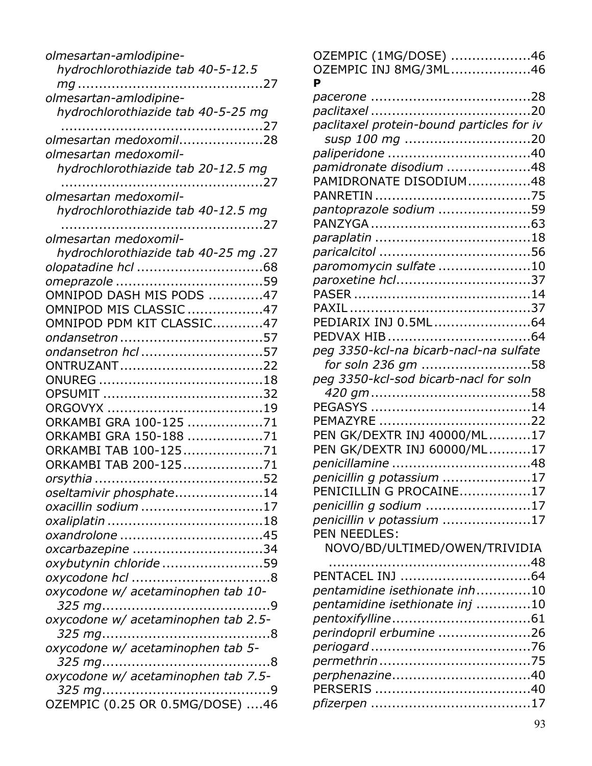| olmesartan-amlodipine-<br>hydrochlorothiazide tab 40-5-12.5   |
|---------------------------------------------------------------|
| olmesartan-amlodipine-                                        |
| hydrochlorothiazide tab 40-5-25 mg                            |
| olmesartan medoxomil28<br>olmesartan medoxomil-               |
| hydrochlorothiazide tab 20-12.5 mg                            |
| olmesartan medoxomil-                                         |
| hydrochlorothiazide tab 40-12.5 mg                            |
| olmesartan medoxomil-<br>hydrochlorothiazide tab 40-25 mg .27 |
|                                                               |
| OMNIPOD DASH MIS PODS 47                                      |
| OMNIPOD MIS CLASSIC 47                                        |
| OMNIPOD PDM KIT CLASSIC47<br>ondansetron 57                   |
| ondansetron hcl 57                                            |
| ONTRUZANT22                                                   |
|                                                               |
| ORKAMBI GRA 100-125 71                                        |
| ORKAMBI GRA 150-188 71<br>ORKAMBI TAB 100-12571               |
| ORKAMBI TAB 200-12571                                         |
| oseltamivir phosphate14                                       |
| oxacillin sodium 17                                           |
|                                                               |
| oxcarbazepine 34                                              |
| oxybutynin chloride 59                                        |
| oxycodone w/ acetaminophen tab 10-                            |
| oxycodone w/ acetaminophen tab 2.5-                           |
| oxycodone w/ acetaminophen tab 5-                             |
| oxycodone w/ acetaminophen tab 7.5-                           |
|                                                               |
| OZEMPIC (0.25 OR 0.5MG/DOSE) 46                               |

| OZEMPIC (1MG/DOSE) 46                     |  |
|-------------------------------------------|--|
| OZEMPIC INJ 8MG/3ML46                     |  |
| P                                         |  |
|                                           |  |
|                                           |  |
| paclitaxel protein-bound particles for iv |  |
| susp 100 mg 20                            |  |
|                                           |  |
| pamidronate disodium 48                   |  |
| PAMIDRONATE DISODIUM48                    |  |
|                                           |  |
| pantoprazole sodium 59                    |  |
|                                           |  |
|                                           |  |
|                                           |  |
| paromomycin sulfate 10                    |  |
| paroxetine hcl37                          |  |
|                                           |  |
|                                           |  |
| PEDIARIX INJ 0.5ML64                      |  |
|                                           |  |
| peg 3350-kcl-na bicarb-nacl-na sulfate    |  |
| for soln 236 gm 58                        |  |
| peg 3350-kcl-sod bicarb-nacl for soln     |  |
|                                           |  |
|                                           |  |
| PEMAZYRE 22                               |  |
| PEN GK/DEXTR INJ 40000/ML17               |  |
| PEN GK/DEXTR INJ 60000/ML17               |  |
|                                           |  |
| penicillin q potassium 17                 |  |
| PENICILLIN G PROCAINE17                   |  |
| penicillin g sodium 17                    |  |
| penicillin v potassium 17                 |  |
| PEN NEEDLES:                              |  |
| NOVO/BD/ULTIMED/OWEN/TRIVIDIA             |  |
|                                           |  |
|                                           |  |
| pentamidine isethionate inh10             |  |
| pentamidine isethionate inj 10            |  |
|                                           |  |
| perindopril erbumine 26                   |  |
|                                           |  |
|                                           |  |
| perphenazine40                            |  |
|                                           |  |
|                                           |  |
|                                           |  |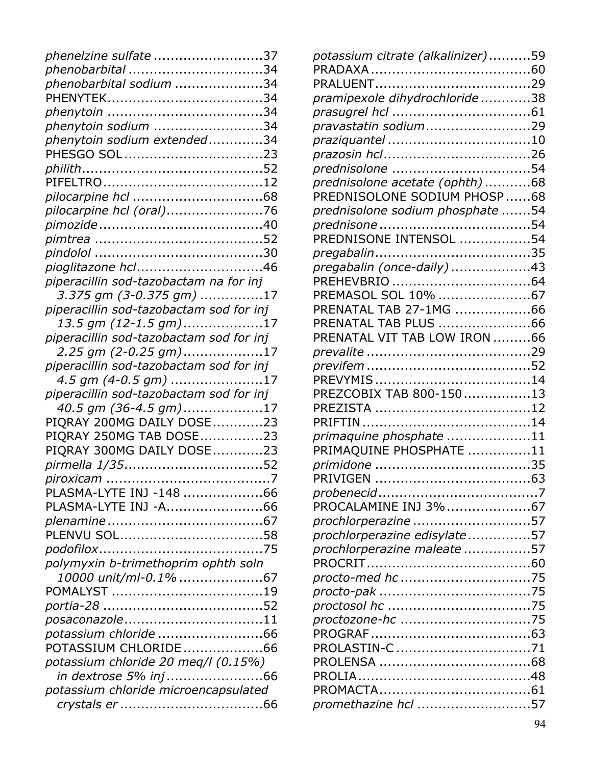| phenelzine sulfate 37                   |  |
|-----------------------------------------|--|
| phenobarbital 34                        |  |
| phenobarbital sodium 34                 |  |
|                                         |  |
|                                         |  |
| phenytoin sodium 34                     |  |
| phenytoin sodium extended34             |  |
|                                         |  |
|                                         |  |
|                                         |  |
|                                         |  |
| pilocarpine hcl (oral)76                |  |
|                                         |  |
|                                         |  |
|                                         |  |
| pioglitazone hcl46                      |  |
| piperacillin sod-tazobactam na for inj  |  |
| 3.375 gm (3-0.375 gm) 17                |  |
| piperacillin sod-tazobactam sod for inj |  |
| 13.5 gm (12-1.5 gm)17                   |  |
| piperacillin sod-tazobactam sod for inj |  |
| 2.25 gm (2-0.25 gm)17                   |  |
| piperacillin sod-tazobactam sod for inj |  |
| $4.5$ gm (4-0.5 gm) 17                  |  |
| piperacillin sod-tazobactam sod for inj |  |
| 40.5 gm (36-4.5 gm)17                   |  |
| PIQRAY 200MG DAILY DOSE23               |  |
| PIQRAY 250MG TAB DOSE23                 |  |
| PIQRAY 300MG DAILY DOSE23               |  |
| pirmella 1/3552                         |  |
|                                         |  |
| PLASMA-LYTE INJ -148 66                 |  |
| PLASMA-LYTE INJ -A66                    |  |
|                                         |  |
|                                         |  |
|                                         |  |
| polymyxin b-trimethoprim ophth soln     |  |
|                                         |  |
|                                         |  |
|                                         |  |
| posaconazole11                          |  |
| ,<br>potassium chloride 66              |  |
| POTASSIUM CHLORIDE66                    |  |
| potassium chloride 20 meq/l (0.15%)     |  |
| in dextrose 5% inj66                    |  |
| potassium chloride microencapsulated    |  |
|                                         |  |
|                                         |  |

| potassium citrate (alkalinizer)59 |  |
|-----------------------------------|--|
|                                   |  |
|                                   |  |
| pramipexole dihydrochloride38     |  |
|                                   |  |
| pravastatin sodium29              |  |
| praziquantel 10                   |  |
|                                   |  |
| prednisolone 54                   |  |
| prednisolone acetate (ophth) 68   |  |
| PREDNISOLONE SODIUM PHOSP 68      |  |
| prednisolone sodium phosphate 54  |  |
|                                   |  |
| PREDNISONE INTENSOL 54            |  |
|                                   |  |
| pregabalin (once-daily) 43        |  |
|                                   |  |
| PREMASOL SOL 10% 67               |  |
| PRENATAL TAB 27-1MG 66            |  |
| PRENATAL TAB PLUS 66              |  |
| PRENATAL VIT TAB LOW IRON 66      |  |
|                                   |  |
|                                   |  |
|                                   |  |
| PREZCOBIX TAB 800-15013           |  |
|                                   |  |
|                                   |  |
| primaquine phosphate 11           |  |
| PRIMAQUINE PHOSPHATE 11           |  |
|                                   |  |
|                                   |  |
| PROCALAMINE INJ 3%67              |  |
| prochlorperazine 57               |  |
| prochlorperazine edisylate57      |  |
| prochlorperazine maleate 57       |  |
|                                   |  |
|                                   |  |
|                                   |  |
|                                   |  |
|                                   |  |
|                                   |  |
| PROLASTIN-C 71                    |  |
|                                   |  |
|                                   |  |
|                                   |  |
| promethazine hcl 57               |  |
|                                   |  |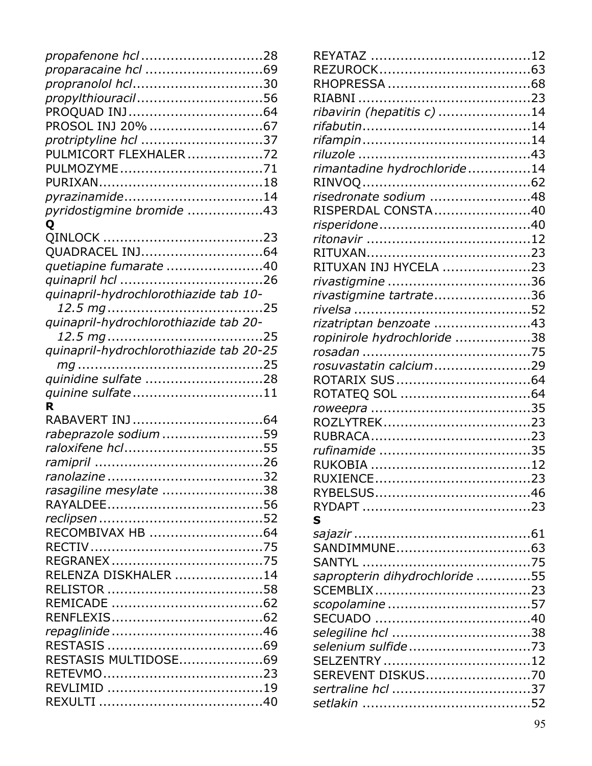| propafenone hcl 28                      |
|-----------------------------------------|
|                                         |
| propranolol hcl30                       |
| propylthiouracil56                      |
|                                         |
| PROSOL INJ 20% 67                       |
| protriptyline hcl 37                    |
| PULMICORT FLEXHALER72                   |
| PULMOZYME71                             |
|                                         |
| pyrazinamide14                          |
| pyridostigmine bromide 43               |
| Q                                       |
|                                         |
| QUADRACEL INJ64                         |
| quetiapine fumarate 40                  |
|                                         |
| quinapril-hydrochlorothiazide tab 10-   |
|                                         |
| quinapril-hydrochlorothiazide tab 20-   |
|                                         |
| quinapril-hydrochlorothiazide tab 20-25 |
|                                         |
| quinidine sulfate 28                    |
| quinine sulfate11                       |
| R                                       |
|                                         |
| rabeprazole sodium 59                   |
| raloxifene hcl55                        |
|                                         |
|                                         |
| rasagiline mesylate 38                  |
|                                         |
|                                         |
|                                         |
|                                         |
|                                         |
| RELENZA DISKHALER 14                    |
|                                         |
|                                         |
|                                         |
|                                         |
|                                         |
| RESTASIS MULTIDOSE69                    |
|                                         |
|                                         |
|                                         |

| ribavirin (hepatitis c) 14     |  |
|--------------------------------|--|
|                                |  |
|                                |  |
|                                |  |
| rimantadine hydrochloride14    |  |
|                                |  |
| risedronate sodium 48          |  |
| RISPERDAL CONSTA40             |  |
|                                |  |
|                                |  |
|                                |  |
| RITUXAN INJ HYCELA 23          |  |
| rivastigmine 36                |  |
| rivastigmine tartrate36        |  |
|                                |  |
|                                |  |
| rizatriptan benzoate 43        |  |
| ropinirole hydrochloride 38    |  |
|                                |  |
| rosuvastatin calcium29         |  |
|                                |  |
|                                |  |
|                                |  |
|                                |  |
|                                |  |
|                                |  |
|                                |  |
|                                |  |
|                                |  |
|                                |  |
| S                              |  |
|                                |  |
|                                |  |
|                                |  |
| sapropterin dihydrochloride 55 |  |
|                                |  |
|                                |  |
|                                |  |
| selegiline hcl 38              |  |
| selenium sulfide73             |  |
| SELZENTRY 12                   |  |
| SEREVENT DISKUS70              |  |
| sertraline hcl 37              |  |
|                                |  |
|                                |  |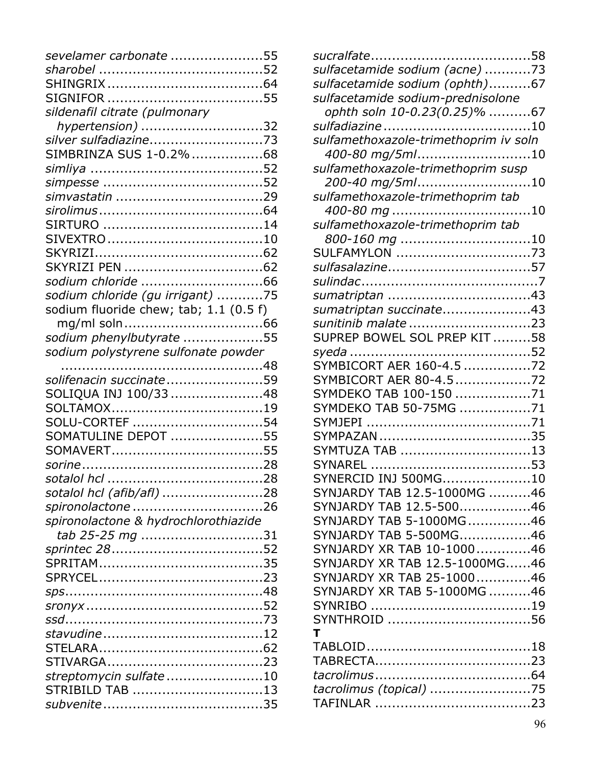| sevelamer carbonate 55                 |  |
|----------------------------------------|--|
|                                        |  |
|                                        |  |
|                                        |  |
| sildenafil citrate (pulmonary          |  |
| hypertension) 32                       |  |
|                                        |  |
| SIMBRINZA SUS 1-0.2% 68                |  |
|                                        |  |
|                                        |  |
|                                        |  |
|                                        |  |
|                                        |  |
|                                        |  |
|                                        |  |
|                                        |  |
|                                        |  |
| sodium chloride (gu irrigant) 75       |  |
| sodium fluoride chew; tab; 1.1 (0.5 f) |  |
|                                        |  |
| sodium phenylbutyrate 55               |  |
| sodium polystyrene sulfonate powder    |  |
|                                        |  |
| solifenacin succinate59                |  |
| SOLIQUA INJ 100/3348                   |  |
|                                        |  |
| SOLU-CORTEF 54                         |  |
| SOMATULINE DEPOT 55                    |  |
|                                        |  |
|                                        |  |
|                                        |  |
| sotalol hcl (afib/afl) 28              |  |
| spironolactone 26                      |  |
| spironolactone & hydrochlorothiazide   |  |
| tab 25-25 mg 31                        |  |
|                                        |  |
|                                        |  |
|                                        |  |
|                                        |  |
|                                        |  |
|                                        |  |
|                                        |  |
|                                        |  |
|                                        |  |
| streptomycin sulfate 10                |  |
| STRIBILD TAB 13                        |  |
|                                        |  |

| sulfacetamide sodium (acne) 73                      |
|-----------------------------------------------------|
| sulfacetamide sodium (ophth)67                      |
| sulfacetamide sodium-prednisolone                   |
| ophth soln 10-0.23(0.25)% 67                        |
|                                                     |
| sulfamethoxazole-trimethoprim iv soln               |
| 400-80 mg/5ml10                                     |
| sulfamethoxazole-trimethoprim susp                  |
| 200-40 mg/5ml10                                     |
| sulfamethoxazole-trimethoprim tab                   |
|                                                     |
| sulfamethoxazole-trimethoprim tab                   |
| 800-160 mg 10                                       |
| SULFAMYLON 73                                       |
| sulfasalazine57                                     |
|                                                     |
| sumatriptan 43                                      |
| sumatriptan succinate43                             |
| sunitinib malate 23<br>SUPREP BOWEL SOL PREP KIT 58 |
|                                                     |
| SYMBICORT AER 160-4.5 72                            |
| SYMBICORT AER 80-4.572                              |
| SYMDEKO TAB 100-150 71                              |
| SYMDEKO TAB 50-75MG 71                              |
|                                                     |
|                                                     |
| SYMTUZA TAB 13                                      |
|                                                     |
| SYNERCID IN1500MG<br>. 10                           |
| SYNJARDY TAB 12.5-1000MG 46                         |
| SYNJARDY TAB 12.5-50046                             |
| SYNJARDY TAB 5-1000MG46                             |
| SYNJARDY TAB 5-500MG46                              |
| SYNJARDY XR TAB 10-100046                           |
| SYNJARDY XR TAB 12.5-1000MG46                       |
| SYNJARDY XR TAB 25-100046                           |
| SYNJARDY XR TAB 5-1000MG 46                         |
|                                                     |
| SYNTHROID 56                                        |
| т                                                   |
|                                                     |
|                                                     |
|                                                     |
| tacrolimus (topical) 75                             |
|                                                     |
|                                                     |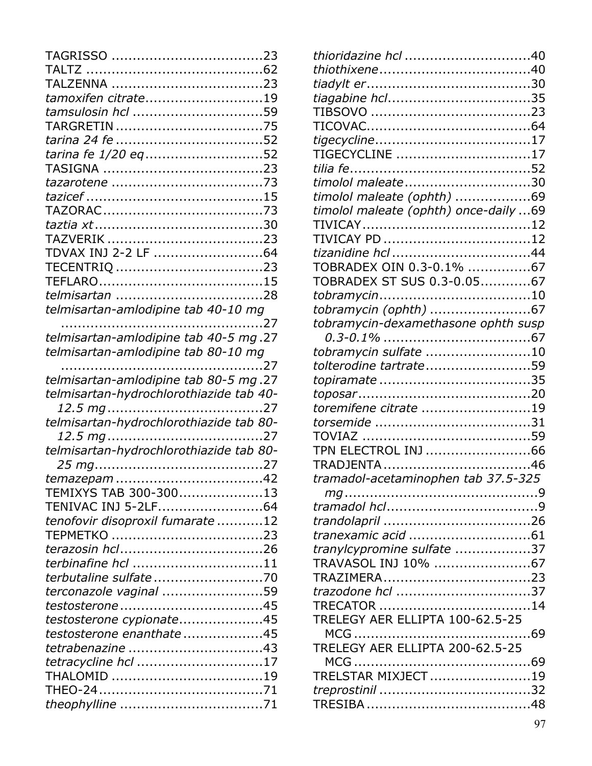| tamoxifen citrate19                     |  |
|-----------------------------------------|--|
| tamsulosin hcl 59                       |  |
|                                         |  |
|                                         |  |
| tarina fe 1/20 eq52                     |  |
|                                         |  |
|                                         |  |
|                                         |  |
|                                         |  |
|                                         |  |
|                                         |  |
| TDVAX INJ 2-2 LF 64                     |  |
|                                         |  |
|                                         |  |
|                                         |  |
| telmisartan-amlodipine tab 40-10 mg     |  |
|                                         |  |
| telmisartan-amlodipine tab 40-5 mg.27   |  |
| telmisartan-amlodipine tab 80-10 mg     |  |
|                                         |  |
| telmisartan-amlodipine tab 80-5 mg.27   |  |
| telmisartan-hydrochlorothiazide tab 40- |  |
|                                         |  |
| telmisartan-hydrochlorothiazide tab 80- |  |
|                                         |  |
| telmisartan-hydrochlorothiazide tab 80- |  |
|                                         |  |
|                                         |  |
| TEMIXYS TAB 300-30013                   |  |
|                                         |  |
| tenofovir disoproxil fumarate 12        |  |
|                                         |  |
|                                         |  |
| terbinafine hcl 11                      |  |
|                                         |  |
| terconazole vaginal 59                  |  |
|                                         |  |
| testosterone cypionate45                |  |
| testosterone enanthate45                |  |
| tetrabenazine 43                        |  |
| tetracycline hcl 17                     |  |
| THALOMID 19                             |  |
|                                         |  |
|                                         |  |

| thioridazine hcl 40                   |  |
|---------------------------------------|--|
|                                       |  |
|                                       |  |
| tiagabine hcl35                       |  |
|                                       |  |
|                                       |  |
|                                       |  |
| TIGECYCLINE 17                        |  |
|                                       |  |
| timolol maleate30                     |  |
| timolol maleate (ophth) 69            |  |
| timolol maleate (ophth) once-daily 69 |  |
|                                       |  |
|                                       |  |
|                                       |  |
| TOBRADEX OIN 0.3-0.1% 67              |  |
| TOBRADEX ST SUS 0.3-0.0567            |  |
|                                       |  |
| tobramycin (ophth) 67                 |  |
| tobramycin-dexamethasone ophth susp   |  |
|                                       |  |
| tobramycin sulfate 10                 |  |
| tolterodine tartrate59                |  |
|                                       |  |
|                                       |  |
| toremifene citrate 19                 |  |
|                                       |  |
|                                       |  |
| TPN ELECTROL INJ 66                   |  |
|                                       |  |
| tramadol-acetaminophen tab 37.5-325   |  |
|                                       |  |
|                                       |  |
|                                       |  |
|                                       |  |
| tranylcypromine sulfate 37            |  |
| TRAVASOL INJ 10% 67                   |  |
|                                       |  |
| trazodone hcl 37                      |  |
|                                       |  |
| TRELEGY AER ELLIPTA 100-62.5-25       |  |
|                                       |  |
| TRELEGY AER ELLIPTA 200-62.5-25       |  |
|                                       |  |
| TRELSTAR MIXJECT19                    |  |
|                                       |  |
|                                       |  |
|                                       |  |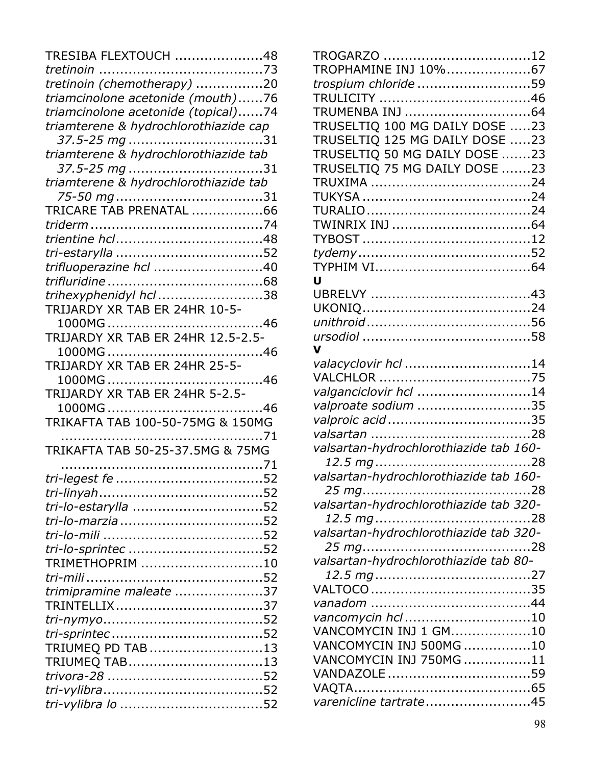| TRESIBA FLEXTOUCH 48                  |  |
|---------------------------------------|--|
|                                       |  |
| tretinoin (chemotherapy) 20           |  |
| triamcinolone acetonide (mouth)76     |  |
| triamcinolone acetonide (topical)74   |  |
| triamterene & hydrochlorothiazide cap |  |
| 37.5-25 mg 31                         |  |
| triamterene & hydrochlorothiazide tab |  |
| 37.5-25 mg 31                         |  |
| triamterene & hydrochlorothiazide tab |  |
|                                       |  |
| TRICARE TAB PRENATAL 66               |  |
|                                       |  |
|                                       |  |
|                                       |  |
| trifluoperazine hcl 40                |  |
|                                       |  |
| trihexyphenidyl hcl 38                |  |
| TRIJARDY XR TAB ER 24HR 10-5-         |  |
|                                       |  |
| TRIJARDY XR TAB ER 24HR 12.5-2.5-     |  |
|                                       |  |
| TRIJARDY XR TAB ER 24HR 25-5-         |  |
|                                       |  |
| TRIJARDY XR TAB ER 24HR 5-2.5-        |  |
|                                       |  |
| TRIKAFTA TAB 100-50-75MG & 150MG      |  |
|                                       |  |
| TRIKAFTA TAB 50-25-37.5MG & 75MG      |  |
|                                       |  |
|                                       |  |
|                                       |  |
| tri-lo-estarylla 52                   |  |
|                                       |  |
|                                       |  |
| tri-lo-sprintec 52                    |  |
| TRIMETHOPRIM 10                       |  |
|                                       |  |
| trimipramine maleate 37               |  |
|                                       |  |
|                                       |  |
|                                       |  |
| TRIUMEQ PD TAB 13                     |  |
| TRIUMEQ TAB13                         |  |
|                                       |  |
|                                       |  |
|                                       |  |

| TROGARZO 12                                |  |
|--------------------------------------------|--|
| TROPHAMINE INJ 10%67                       |  |
| trospium chloride 59                       |  |
|                                            |  |
|                                            |  |
| TRUSELTIQ 100 MG DAILY DOSE 23             |  |
| TRUSELTIQ 125 MG DAILY DOSE 23             |  |
| TRUSELTIQ 50 MG DAILY DOSE 23              |  |
| TRUSELTIQ 75 MG DAILY DOSE 23              |  |
|                                            |  |
|                                            |  |
|                                            |  |
|                                            |  |
|                                            |  |
|                                            |  |
|                                            |  |
| Ū                                          |  |
|                                            |  |
|                                            |  |
|                                            |  |
|                                            |  |
| valacyclovir hcl 14                        |  |
|                                            |  |
| valganciclovir hcl 14                      |  |
| valproate sodium 35                        |  |
|                                            |  |
|                                            |  |
| valsartan-hydrochlorothiazide tab 160-     |  |
|                                            |  |
| valsartan-hydrochlorothiazide tab 160-     |  |
|                                            |  |
| valsartan-hydrochlorothiazide tab 320-     |  |
|                                            |  |
| valsartan-hydrochlorothiazide tab 320-     |  |
|                                            |  |
| valsartan-hydrochlorothiazide tab 80-      |  |
|                                            |  |
|                                            |  |
|                                            |  |
| vancomycin hcl 10<br>VANCOMYCIN INJ 1 GM10 |  |
| VANCOMYCIN INJ 500MG 10                    |  |
| VANCOMYCIN INJ 750MG 11                    |  |
| VANDAZOLE 59                               |  |
|                                            |  |
| varenicline tartrate45                     |  |
|                                            |  |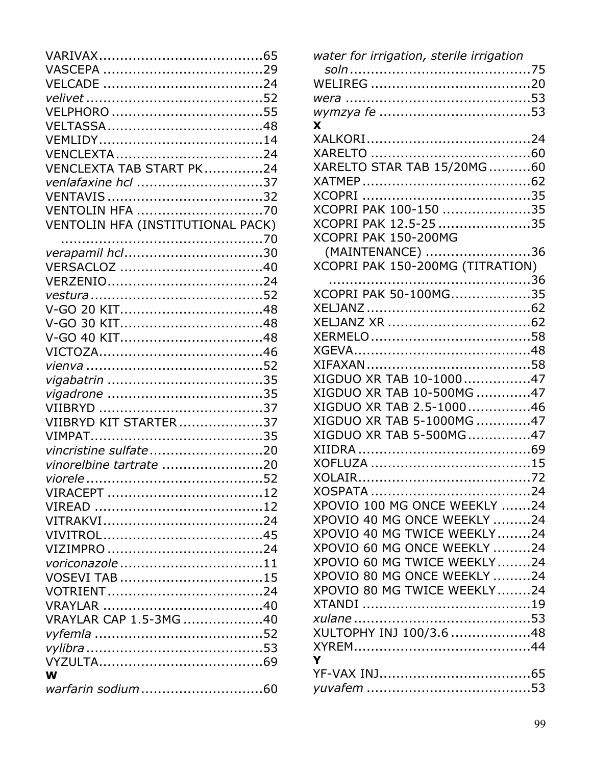| VENCLEXTA TAB START PK24          |  |
|-----------------------------------|--|
| venlafaxine hcl 37                |  |
|                                   |  |
| <b>VENTOLIN HFA 70</b>            |  |
| VENTOLIN HFA (INSTITUTIONAL PACK) |  |
|                                   |  |
| verapamil hcl30                   |  |
|                                   |  |
|                                   |  |
|                                   |  |
|                                   |  |
|                                   |  |
|                                   |  |
|                                   |  |
|                                   |  |
|                                   |  |
|                                   |  |
|                                   |  |
| VIIBRYD KIT STARTER37             |  |
|                                   |  |
| vincristine sulfate20             |  |
| vinorelbine tartrate 20           |  |
|                                   |  |
|                                   |  |
|                                   |  |
|                                   |  |
|                                   |  |
|                                   |  |
| voriconazole 11                   |  |
| VOSEVI TAB 15                     |  |
|                                   |  |
|                                   |  |
| VRAYLAR CAP 1.5-3MG 40            |  |
|                                   |  |
|                                   |  |
|                                   |  |
| W                                 |  |
|                                   |  |
|                                   |  |

| water for irrigation, sterile irrigation |
|------------------------------------------|
|                                          |
|                                          |
|                                          |
|                                          |
| X                                        |
|                                          |
|                                          |
| XARELTO STAR TAB 15/20MG60               |
|                                          |
|                                          |
| XCOPRI PAK 100-150 35                    |
| XCOPRI PAK 12.5-25 35                    |
| XCOPRI PAK 150-200MG                     |
| (MAINTENANCE) 36                         |
| XCOPRI PAK 150-200MG (TITRATION)         |
|                                          |
| XCOPRI PAK 50-100MG35                    |
|                                          |
|                                          |
|                                          |
|                                          |
|                                          |
|                                          |
| XIGDUO XR TAB 10-100047                  |
| XIGDUO XR TAB 10-500MG 47                |
| XIGDUO XR TAB 2.5-100046                 |
| XIGDUO XR TAB 5-1000MG 47                |
| XIGDUO XR TAB 5-500MG47                  |
|                                          |
|                                          |
|                                          |
|                                          |
| XPOVIO 100 MG ONCE WEEKLY 24             |
| XPOVIO 40 MG ONCE WEEKLY 24              |
| XPOVIO 40 MG TWICE WEEKLY24              |
| XPOVIO 60 MG ONCE WEEKLY 24              |
| XPOVIO 60 MG TWICE WEEKLY24              |
| XPOVIO 80 MG ONCE WEEKLY 24              |
| XPOVIO 80 MG TWICE WEEKLY24              |
|                                          |
|                                          |
| XULTOPHY INJ 100/3.6 48                  |
|                                          |
| Y                                        |
|                                          |
|                                          |
|                                          |